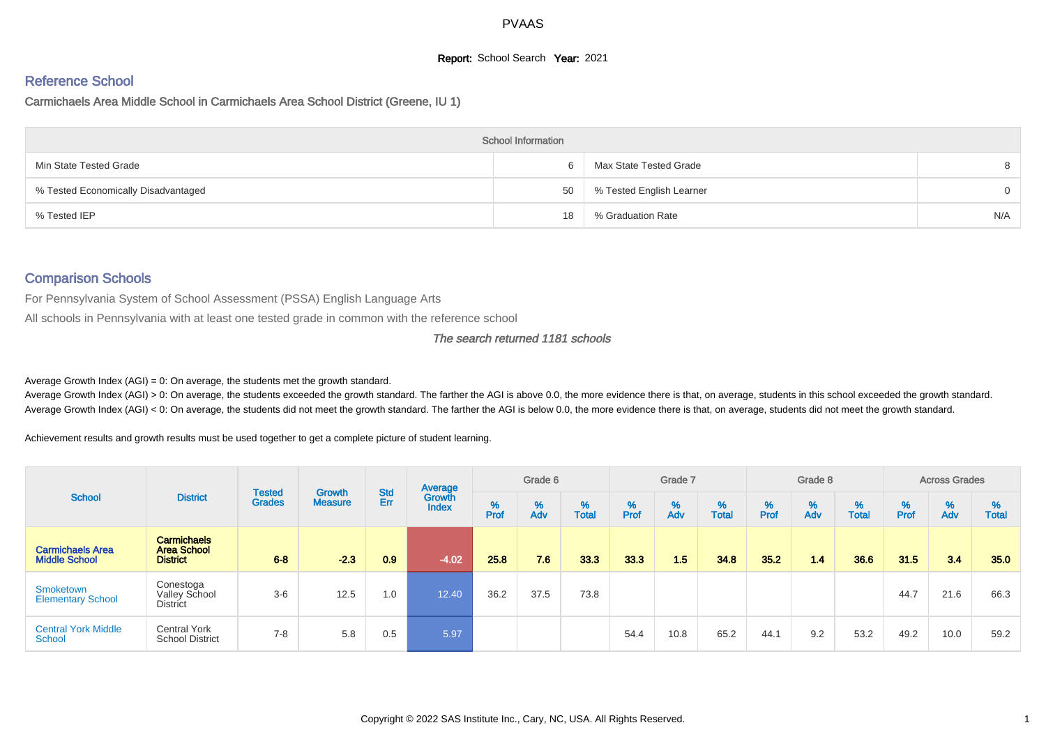# **Report:** School Search **Year:** 2021

# Reference School

Carmichaels Area Middle School in Carmichaels Area School District (Greene, IU 1)

|                                     | <b>School Information</b> |                          |          |
|-------------------------------------|---------------------------|--------------------------|----------|
| Min State Tested Grade              |                           | Max State Tested Grade   |          |
| % Tested Economically Disadvantaged | 50                        | % Tested English Learner | $\Omega$ |
| % Tested IEP                        | 18                        | % Graduation Rate        | N/A      |

# Comparison Schools

For Pennsylvania System of School Assessment (PSSA) English Language Arts

All schools in Pennsylvania with at least one tested grade in common with the reference school

#### The search returned 1181 schools

Average Growth Index  $(AGI) = 0$ : On average, the students met the growth standard.

Average Growth Index (AGI) > 0: On average, the students exceeded the growth standard. The farther the AGI is above 0.0, the more evidence there is that, on average, students in this school exceeded the growth standard. Average Growth Index (AGI) < 0: On average, the students did not meet the growth standard. The farther the AGI is below 0.0, the more evidence there is that, on average, students did not meet the growth standard.

Achievement results and growth results must be used together to get a complete picture of student learning.

|                                                 |                                                             |                                | <b>Growth</b>  | <b>Std</b> | Average                |           | Grade 6  |                   |           | Grade 7  |                   |           | Grade 8  |                   |           | <b>Across Grades</b> |                      |
|-------------------------------------------------|-------------------------------------------------------------|--------------------------------|----------------|------------|------------------------|-----------|----------|-------------------|-----------|----------|-------------------|-----------|----------|-------------------|-----------|----------------------|----------------------|
| <b>School</b>                                   | <b>District</b>                                             | <b>Tested</b><br><b>Grades</b> | <b>Measure</b> | Err        | Growth<br><b>Index</b> | %<br>Prof | %<br>Adv | %<br><b>Total</b> | %<br>Prof | %<br>Adv | %<br><b>Total</b> | %<br>Prof | %<br>Adv | %<br><b>Total</b> | %<br>Prof | %<br>Adv             | $\%$<br><b>Total</b> |
| <b>Carmichaels Area</b><br><b>Middle School</b> | <b>Carmichaels</b><br><b>Area School</b><br><b>District</b> | $6 - 8$                        | $-2.3$         | 0.9        | $-4.02$                | 25.8      | 7.6      | 33.3              | 33.3      | 1.5      | 34.8              | 35.2      | 1.4      | 36.6              | 31.5      | 3.4                  | 35.0                 |
| Smoketown<br><b>Elementary School</b>           | Conestoga<br><b>Valley School</b><br><b>District</b>        | $3-6$                          | 12.5           | 1.0        | 12.40                  | 36.2      | 37.5     | 73.8              |           |          |                   |           |          |                   | 44.7      | 21.6                 | 66.3                 |
| <b>Central York Middle</b><br>School            | <b>Central York</b><br><b>School District</b>               | $7 - 8$                        | 5.8            | 0.5        | 5.97                   |           |          |                   | 54.4      | 10.8     | 65.2              | 44.1      | 9.2      | 53.2              | 49.2      | 10.0                 | 59.2                 |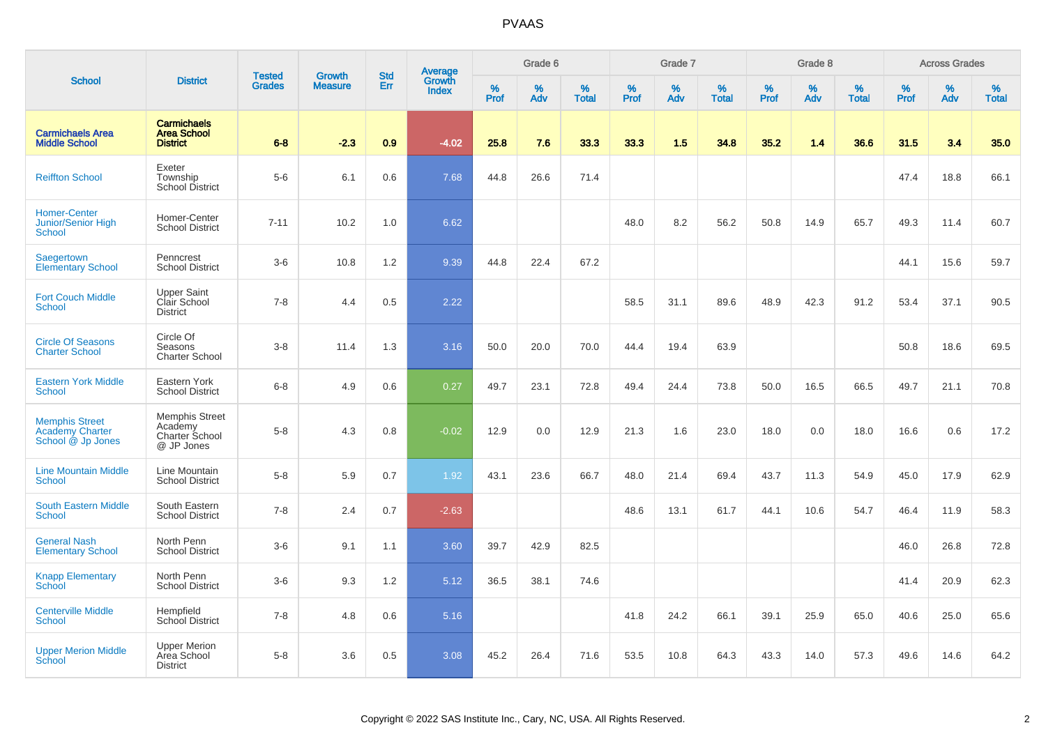|                                                                      |                                                                  |                                |                          | <b>Std</b> |                                   |                  | Grade 6     |                      |              | Grade 7     |                      |              | Grade 8     |                   |                     | <b>Across Grades</b> |                   |
|----------------------------------------------------------------------|------------------------------------------------------------------|--------------------------------|--------------------------|------------|-----------------------------------|------------------|-------------|----------------------|--------------|-------------|----------------------|--------------|-------------|-------------------|---------------------|----------------------|-------------------|
| <b>School</b>                                                        | <b>District</b>                                                  | <b>Tested</b><br><b>Grades</b> | Growth<br><b>Measure</b> | Err        | Average<br>Growth<br><b>Index</b> | %<br><b>Prof</b> | $\%$<br>Adv | $\%$<br><b>Total</b> | $\%$<br>Prof | $\%$<br>Adv | $\%$<br><b>Total</b> | $\%$<br>Prof | $\%$<br>Adv | %<br><b>Total</b> | $\%$<br><b>Prof</b> | $\%$<br>Adv          | %<br><b>Total</b> |
| <b>Carmichaels Area</b><br><b>Middle School</b>                      | <b>Carmichaels</b><br><b>Area School</b><br><b>District</b>      | $6 - 8$                        | $-2.3$                   | 0.9        | $-4.02$                           | 25.8             | 7.6         | 33.3                 | 33.3         | 1.5         | 34.8                 | 35.2         | 1.4         | 36.6              | 31.5                | 3.4                  | 35.0              |
| <b>Reiffton School</b>                                               | Exeter<br>Township<br><b>School District</b>                     | $5-6$                          | 6.1                      | 0.6        | 7.68                              | 44.8             | 26.6        | 71.4                 |              |             |                      |              |             |                   | 47.4                | 18.8                 | 66.1              |
| <b>Homer-Center</b><br>Junior/Senior High<br>School                  | Homer-Center<br><b>School District</b>                           | $7 - 11$                       | 10.2                     | 1.0        | 6.62                              |                  |             |                      | 48.0         | 8.2         | 56.2                 | 50.8         | 14.9        | 65.7              | 49.3                | 11.4                 | 60.7              |
| Saegertown<br><b>Elementary School</b>                               | Penncrest<br><b>School District</b>                              | $3-6$                          | 10.8                     | 1.2        | 9.39                              | 44.8             | 22.4        | 67.2                 |              |             |                      |              |             |                   | 44.1                | 15.6                 | 59.7              |
| <b>Fort Couch Middle</b><br><b>School</b>                            | <b>Upper Saint</b><br>Clair School<br><b>District</b>            | $7 - 8$                        | 4.4                      | 0.5        | 2.22                              |                  |             |                      | 58.5         | 31.1        | 89.6                 | 48.9         | 42.3        | 91.2              | 53.4                | 37.1                 | 90.5              |
| <b>Circle Of Seasons</b><br><b>Charter School</b>                    | Circle Of<br>Seasons<br>Charter School                           | $3 - 8$                        | 11.4                     | 1.3        | 3.16                              | 50.0             | 20.0        | 70.0                 | 44.4         | 19.4        | 63.9                 |              |             |                   | 50.8                | 18.6                 | 69.5              |
| <b>Eastern York Middle</b><br><b>School</b>                          | Eastern York<br><b>School District</b>                           | $6 - 8$                        | 4.9                      | 0.6        | 0.27                              | 49.7             | 23.1        | 72.8                 | 49.4         | 24.4        | 73.8                 | 50.0         | 16.5        | 66.5              | 49.7                | 21.1                 | 70.8              |
| <b>Memphis Street</b><br><b>Academy Charter</b><br>School @ Jp Jones | <b>Memphis Street</b><br>Academy<br>Charter School<br>@ JP Jones | $5-8$                          | 4.3                      | 0.8        | $-0.02$                           | 12.9             | 0.0         | 12.9                 | 21.3         | 1.6         | 23.0                 | 18.0         | 0.0         | 18.0              | 16.6                | 0.6                  | 17.2              |
| <b>Line Mountain Middle</b><br>School                                | Line Mountain<br><b>School District</b>                          | $5-8$                          | 5.9                      | 0.7        | 1.92                              | 43.1             | 23.6        | 66.7                 | 48.0         | 21.4        | 69.4                 | 43.7         | 11.3        | 54.9              | 45.0                | 17.9                 | 62.9              |
| <b>South Eastern Middle</b><br><b>School</b>                         | South Eastern<br><b>School District</b>                          | $7 - 8$                        | 2.4                      | 0.7        | $-2.63$                           |                  |             |                      | 48.6         | 13.1        | 61.7                 | 44.1         | 10.6        | 54.7              | 46.4                | 11.9                 | 58.3              |
| <b>General Nash</b><br><b>Elementary School</b>                      | North Penn<br><b>School District</b>                             | $3-6$                          | 9.1                      | 1.1        | 3.60                              | 39.7             | 42.9        | 82.5                 |              |             |                      |              |             |                   | 46.0                | 26.8                 | 72.8              |
| <b>Knapp Elementary</b><br><b>School</b>                             | North Penn<br><b>School District</b>                             | $3-6$                          | 9.3                      | 1.2        | 5.12                              | 36.5             | 38.1        | 74.6                 |              |             |                      |              |             |                   | 41.4                | 20.9                 | 62.3              |
| <b>Centerville Middle</b><br><b>School</b>                           | Hempfield<br><b>School District</b>                              | $7 - 8$                        | 4.8                      | 0.6        | 5.16                              |                  |             |                      | 41.8         | 24.2        | 66.1                 | 39.1         | 25.9        | 65.0              | 40.6                | 25.0                 | 65.6              |
| <b>Upper Merion Middle</b><br>School                                 | <b>Upper Merion</b><br>Area School<br><b>District</b>            | $5-8$                          | 3.6                      | 0.5        | 3.08                              | 45.2             | 26.4        | 71.6                 | 53.5         | 10.8        | 64.3                 | 43.3         | 14.0        | 57.3              | 49.6                | 14.6                 | 64.2              |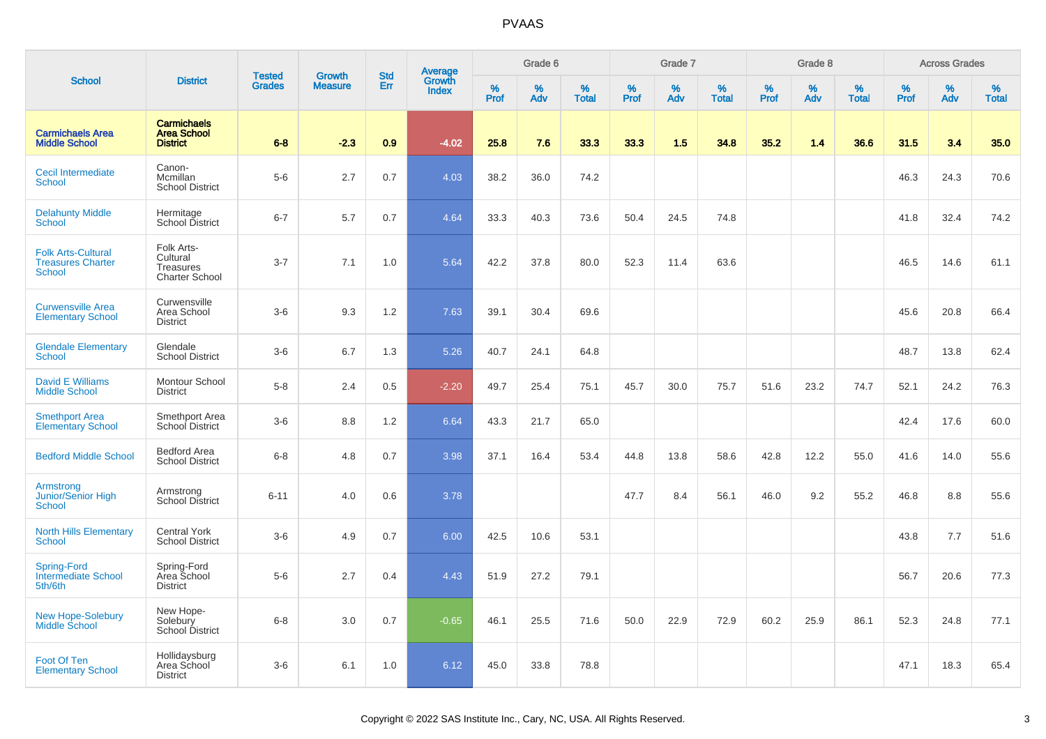|                                                                        |                                                                     |                                |                                 |                   |                                          |                  | Grade 6  |                   |           | Grade 7  |                   |           | Grade 8  |                   |           | <b>Across Grades</b> |                   |
|------------------------------------------------------------------------|---------------------------------------------------------------------|--------------------------------|---------------------------------|-------------------|------------------------------------------|------------------|----------|-------------------|-----------|----------|-------------------|-----------|----------|-------------------|-----------|----------------------|-------------------|
| <b>School</b>                                                          | <b>District</b>                                                     | <b>Tested</b><br><b>Grades</b> | <b>Growth</b><br><b>Measure</b> | <b>Std</b><br>Err | <b>Average</b><br>Growth<br><b>Index</b> | %<br><b>Prof</b> | %<br>Adv | %<br><b>Total</b> | %<br>Prof | %<br>Adv | %<br><b>Total</b> | %<br>Prof | %<br>Adv | %<br><b>Total</b> | %<br>Prof | %<br>Adv             | %<br><b>Total</b> |
| <b>Carmichaels Area</b><br><b>Middle School</b>                        | <b>Carmichaels</b><br><b>Area School</b><br><b>District</b>         | $6 - 8$                        | $-2.3$                          | 0.9               | $-4.02$                                  | 25.8             | 7.6      | 33.3              | 33.3      | 1.5      | 34.8              | 35.2      | 1.4      | 36.6              | 31.5      | 3.4                  | 35.0              |
| Cecil Intermediate<br>School                                           | Canon-<br>Mcmillan<br><b>School District</b>                        | $5-6$                          | 2.7                             | 0.7               | 4.03                                     | 38.2             | 36.0     | 74.2              |           |          |                   |           |          |                   | 46.3      | 24.3                 | 70.6              |
| <b>Delahunty Middle</b><br><b>School</b>                               | Hermitage<br>School District                                        | $6 - 7$                        | 5.7                             | 0.7               | 4.64                                     | 33.3             | 40.3     | 73.6              | 50.4      | 24.5     | 74.8              |           |          |                   | 41.8      | 32.4                 | 74.2              |
| <b>Folk Arts-Cultural</b><br><b>Treasures Charter</b><br><b>School</b> | Folk Arts-<br>Cultural<br><b>Treasures</b><br><b>Charter School</b> | $3 - 7$                        | 7.1                             | 1.0               | 5.64                                     | 42.2             | 37.8     | 80.0              | 52.3      | 11.4     | 63.6              |           |          |                   | 46.5      | 14.6                 | 61.1              |
| <b>Curwensville Area</b><br><b>Elementary School</b>                   | Curwensville<br>Area School<br><b>District</b>                      | $3-6$                          | 9.3                             | 1.2               | 7.63                                     | 39.1             | 30.4     | 69.6              |           |          |                   |           |          |                   | 45.6      | 20.8                 | 66.4              |
| <b>Glendale Elementary</b><br>School                                   | Glendale<br><b>School District</b>                                  | $3-6$                          | 6.7                             | 1.3               | 5.26                                     | 40.7             | 24.1     | 64.8              |           |          |                   |           |          |                   | 48.7      | 13.8                 | 62.4              |
| <b>David E Williams</b><br><b>Middle School</b>                        | Montour School<br><b>District</b>                                   | $5-8$                          | 2.4                             | 0.5               | $-2.20$                                  | 49.7             | 25.4     | 75.1              | 45.7      | 30.0     | 75.7              | 51.6      | 23.2     | 74.7              | 52.1      | 24.2                 | 76.3              |
| <b>Smethport Area</b><br><b>Elementary School</b>                      | Smethport Area<br>School District                                   | $3-6$                          | 8.8                             | 1.2               | 6.64                                     | 43.3             | 21.7     | 65.0              |           |          |                   |           |          |                   | 42.4      | 17.6                 | 60.0              |
| <b>Bedford Middle School</b>                                           | <b>Bedford Area</b><br><b>School District</b>                       | $6-8$                          | 4.8                             | 0.7               | 3.98                                     | 37.1             | 16.4     | 53.4              | 44.8      | 13.8     | 58.6              | 42.8      | 12.2     | 55.0              | 41.6      | 14.0                 | 55.6              |
| Armstrong<br>Junior/Senior High<br><b>School</b>                       | Armstrong<br>School District                                        | $6 - 11$                       | 4.0                             | 0.6               | 3.78                                     |                  |          |                   | 47.7      | 8.4      | 56.1              | 46.0      | 9.2      | 55.2              | 46.8      | 8.8                  | 55.6              |
| <b>North Hills Elementary</b><br>School                                | <b>Central York</b><br><b>School District</b>                       | $3-6$                          | 4.9                             | 0.7               | 6.00                                     | 42.5             | 10.6     | 53.1              |           |          |                   |           |          |                   | 43.8      | 7.7                  | 51.6              |
| <b>Spring-Ford</b><br><b>Intermediate School</b><br>5th/6th            | Spring-Ford<br>Area School<br><b>District</b>                       | $5-6$                          | 2.7                             | 0.4               | 4.43                                     | 51.9             | 27.2     | 79.1              |           |          |                   |           |          |                   | 56.7      | 20.6                 | 77.3              |
| <b>New Hope-Solebury</b><br><b>Middle School</b>                       | New Hope-<br>Solebury<br>School District                            | $6 - 8$                        | 3.0                             | 0.7               | $-0.65$                                  | 46.1             | 25.5     | 71.6              | 50.0      | 22.9     | 72.9              | 60.2      | 25.9     | 86.1              | 52.3      | 24.8                 | 77.1              |
| Foot Of Ten<br><b>Elementary School</b>                                | Hollidaysburg<br>Area School<br><b>District</b>                     | $3-6$                          | 6.1                             | 1.0               | 6.12                                     | 45.0             | 33.8     | 78.8              |           |          |                   |           |          |                   | 47.1      | 18.3                 | 65.4              |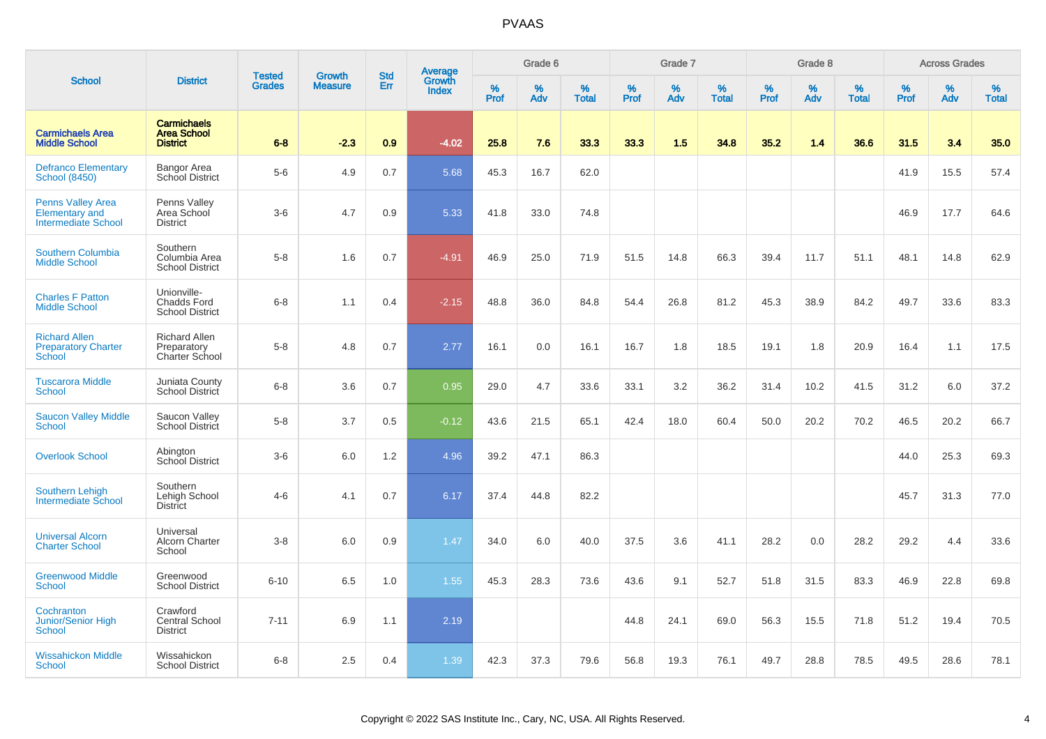|                                                                                 |                                                             | <b>Tested</b> | <b>Growth</b>  | <b>Std</b> |                                          |                  | Grade 6  |                   |           | Grade 7  |                   |           | Grade 8  |                   |           | <b>Across Grades</b> |                   |
|---------------------------------------------------------------------------------|-------------------------------------------------------------|---------------|----------------|------------|------------------------------------------|------------------|----------|-------------------|-----------|----------|-------------------|-----------|----------|-------------------|-----------|----------------------|-------------------|
| <b>School</b>                                                                   | <b>District</b>                                             | <b>Grades</b> | <b>Measure</b> | Err        | <b>Average</b><br>Growth<br><b>Index</b> | %<br><b>Prof</b> | %<br>Adv | %<br><b>Total</b> | %<br>Prof | %<br>Adv | %<br><b>Total</b> | %<br>Prof | %<br>Adv | %<br><b>Total</b> | %<br>Prof | %<br>Adv             | %<br><b>Total</b> |
| <b>Carmichaels Area</b><br><b>Middle School</b>                                 | <b>Carmichaels</b><br><b>Area School</b><br><b>District</b> | $6 - 8$       | $-2.3$         | 0.9        | $-4.02$                                  | 25.8             | 7.6      | 33.3              | 33.3      | 1.5      | 34.8              | 35.2      | 1.4      | 36.6              | 31.5      | 3.4                  | 35.0              |
| <b>Defranco Elementary</b><br><b>School (8450)</b>                              | Bangor Area<br>School District                              | $5-6$         | 4.9            | 0.7        | 5.68                                     | 45.3             | 16.7     | 62.0              |           |          |                   |           |          |                   | 41.9      | 15.5                 | 57.4              |
| <b>Penns Valley Area</b><br><b>Elementary and</b><br><b>Intermediate School</b> | Penns Valley<br>Area School<br><b>District</b>              | $3-6$         | 4.7            | 0.9        | 5.33                                     | 41.8             | 33.0     | 74.8              |           |          |                   |           |          |                   | 46.9      | 17.7                 | 64.6              |
| Southern Columbia<br><b>Middle School</b>                                       | Southern<br>Columbia Area<br><b>School District</b>         | $5-8$         | 1.6            | 0.7        | $-4.91$                                  | 46.9             | 25.0     | 71.9              | 51.5      | 14.8     | 66.3              | 39.4      | 11.7     | 51.1              | 48.1      | 14.8                 | 62.9              |
| <b>Charles F Patton</b><br><b>Middle School</b>                                 | Unionville-<br><b>Chadds Ford</b><br><b>School District</b> | $6-8$         | 1.1            | 0.4        | $-2.15$                                  | 48.8             | 36.0     | 84.8              | 54.4      | 26.8     | 81.2              | 45.3      | 38.9     | 84.2              | 49.7      | 33.6                 | 83.3              |
| <b>Richard Allen</b><br><b>Preparatory Charter</b><br>School                    | <b>Richard Allen</b><br>Preparatory<br>Charter School       | $5-8$         | 4.8            | 0.7        | 2.77                                     | 16.1             | 0.0      | 16.1              | 16.7      | 1.8      | 18.5              | 19.1      | 1.8      | 20.9              | 16.4      | 1.1                  | 17.5              |
| <b>Tuscarora Middle</b><br><b>School</b>                                        | Juniata County<br><b>School District</b>                    | $6 - 8$       | 3.6            | 0.7        | 0.95                                     | 29.0             | 4.7      | 33.6              | 33.1      | 3.2      | 36.2              | 31.4      | 10.2     | 41.5              | 31.2      | 6.0                  | 37.2              |
| <b>Saucon Valley Middle</b><br><b>School</b>                                    | Saucon Valley<br><b>School District</b>                     | $5-8$         | 3.7            | 0.5        | $-0.12$                                  | 43.6             | 21.5     | 65.1              | 42.4      | 18.0     | 60.4              | 50.0      | 20.2     | 70.2              | 46.5      | 20.2                 | 66.7              |
| <b>Overlook School</b>                                                          | Abington<br>School District                                 | $3-6$         | 6.0            | 1.2        | 4.96                                     | 39.2             | 47.1     | 86.3              |           |          |                   |           |          |                   | 44.0      | 25.3                 | 69.3              |
| <b>Southern Lehigh</b><br><b>Intermediate School</b>                            | Southern<br>Lehigh School<br>District                       | $4 - 6$       | 4.1            | 0.7        | 6.17                                     | 37.4             | 44.8     | 82.2              |           |          |                   |           |          |                   | 45.7      | 31.3                 | 77.0              |
| <b>Universal Alcorn</b><br><b>Charter School</b>                                | Universal<br><b>Alcorn Charter</b><br>School                | $3 - 8$       | 6.0            | 0.9        | 1.47                                     | 34.0             | 6.0      | 40.0              | 37.5      | 3.6      | 41.1              | 28.2      | 0.0      | 28.2              | 29.2      | 4.4                  | 33.6              |
| <b>Greenwood Middle</b><br><b>School</b>                                        | Greenwood<br><b>School District</b>                         | $6 - 10$      | 6.5            | 1.0        | 1.55                                     | 45.3             | 28.3     | 73.6              | 43.6      | 9.1      | 52.7              | 51.8      | 31.5     | 83.3              | 46.9      | 22.8                 | 69.8              |
| Cochranton<br>Junior/Senior High<br>School                                      | Crawford<br><b>Central School</b><br><b>District</b>        | $7 - 11$      | 6.9            | 1.1        | 2.19                                     |                  |          |                   | 44.8      | 24.1     | 69.0              | 56.3      | 15.5     | 71.8              | 51.2      | 19.4                 | 70.5              |
| <b>Wissahickon Middle</b><br>School                                             | Wissahickon<br><b>School District</b>                       | $6 - 8$       | 2.5            | 0.4        | 1.39                                     | 42.3             | 37.3     | 79.6              | 56.8      | 19.3     | 76.1              | 49.7      | 28.8     | 78.5              | 49.5      | 28.6                 | 78.1              |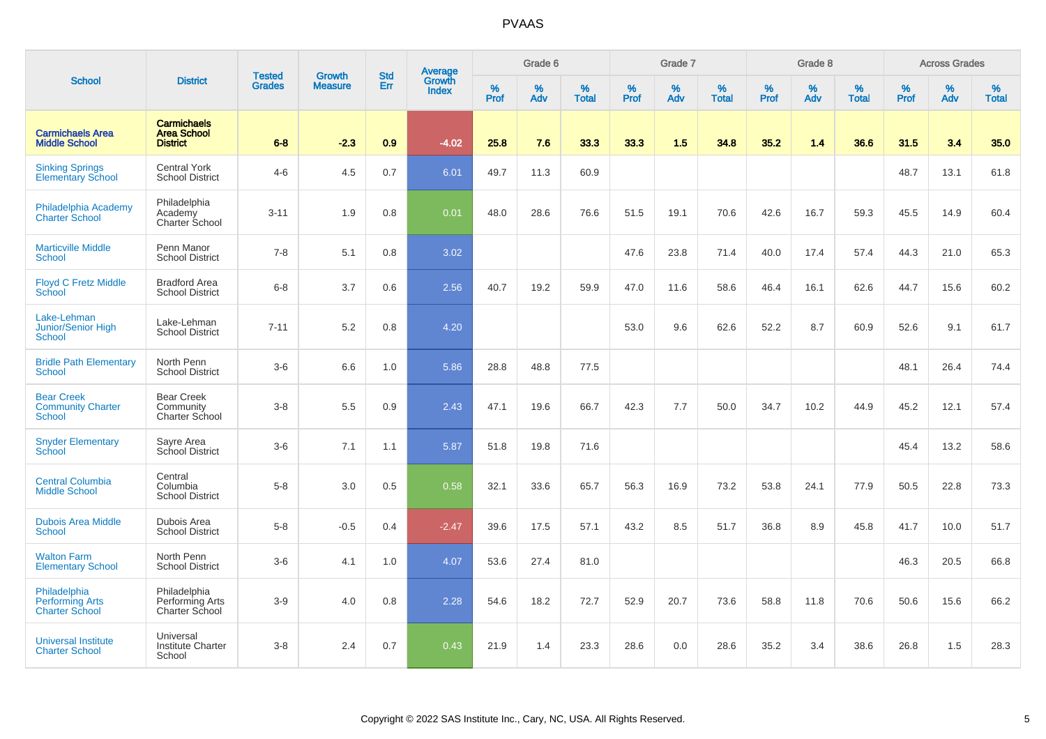|                                                                 |                                                             |                                | <b>Growth</b>  | <b>Std</b> |                                          |                  | Grade 6     |                   |              | Grade 7     |                      |              | Grade 8  |                   |              | <b>Across Grades</b> |                   |
|-----------------------------------------------------------------|-------------------------------------------------------------|--------------------------------|----------------|------------|------------------------------------------|------------------|-------------|-------------------|--------------|-------------|----------------------|--------------|----------|-------------------|--------------|----------------------|-------------------|
| <b>School</b>                                                   | <b>District</b>                                             | <b>Tested</b><br><b>Grades</b> | <b>Measure</b> | Err        | <b>Average</b><br>Growth<br><b>Index</b> | %<br><b>Prof</b> | $\%$<br>Adv | %<br><b>Total</b> | $\%$<br>Prof | $\%$<br>Adv | $\%$<br><b>Total</b> | $\%$<br>Prof | %<br>Adv | %<br><b>Total</b> | $\%$<br>Prof | $\%$<br>Adv          | %<br><b>Total</b> |
| <b>Carmichaels Area</b><br><b>Middle School</b>                 | <b>Carmichaels</b><br><b>Area School</b><br><b>District</b> | $6 - 8$                        | $-2.3$         | 0.9        | $-4.02$                                  | 25.8             | 7.6         | 33.3              | 33.3         | 1.5         | 34.8                 | 35.2         | 1.4      | 36.6              | 31.5         | 3.4                  | 35.0              |
| <b>Sinking Springs</b><br><b>Elementary School</b>              | <b>Central York</b><br><b>School District</b>               | $4 - 6$                        | 4.5            | 0.7        | 6.01                                     | 49.7             | 11.3        | 60.9              |              |             |                      |              |          |                   | 48.7         | 13.1                 | 61.8              |
| Philadelphia Academy<br><b>Charter School</b>                   | Philadelphia<br>Academy<br><b>Charter School</b>            | $3 - 11$                       | 1.9            | 0.8        | 0.01                                     | 48.0             | 28.6        | 76.6              | 51.5         | 19.1        | 70.6                 | 42.6         | 16.7     | 59.3              | 45.5         | 14.9                 | 60.4              |
| <b>Marticville Middle</b><br><b>School</b>                      | Penn Manor<br><b>School District</b>                        | $7 - 8$                        | 5.1            | 0.8        | 3.02                                     |                  |             |                   | 47.6         | 23.8        | 71.4                 | 40.0         | 17.4     | 57.4              | 44.3         | 21.0                 | 65.3              |
| <b>Floyd C Fretz Middle</b><br>School                           | <b>Bradford Area</b><br><b>School District</b>              | $6-8$                          | 3.7            | 0.6        | 2.56                                     | 40.7             | 19.2        | 59.9              | 47.0         | 11.6        | 58.6                 | 46.4         | 16.1     | 62.6              | 44.7         | 15.6                 | 60.2              |
| Lake-Lehman<br>Junior/Senior High<br><b>School</b>              | Lake-Lehman<br><b>School District</b>                       | $7 - 11$                       | 5.2            | 0.8        | 4.20                                     |                  |             |                   | 53.0         | 9.6         | 62.6                 | 52.2         | 8.7      | 60.9              | 52.6         | 9.1                  | 61.7              |
| <b>Bridle Path Elementary</b><br>School                         | North Penn<br><b>School District</b>                        | $3-6$                          | 6.6            | 1.0        | 5.86                                     | 28.8             | 48.8        | 77.5              |              |             |                      |              |          |                   | 48.1         | 26.4                 | 74.4              |
| <b>Bear Creek</b><br><b>Community Charter</b><br><b>School</b>  | <b>Bear Creek</b><br>Community<br>Charter School            | $3-8$                          | 5.5            | 0.9        | 2.43                                     | 47.1             | 19.6        | 66.7              | 42.3         | 7.7         | 50.0                 | 34.7         | 10.2     | 44.9              | 45.2         | 12.1                 | 57.4              |
| <b>Snyder Elementary</b><br>School                              | Sayre Area<br>School District                               | $3-6$                          | 7.1            | 1.1        | 5.87                                     | 51.8             | 19.8        | 71.6              |              |             |                      |              |          |                   | 45.4         | 13.2                 | 58.6              |
| <b>Central Columbia</b><br><b>Middle School</b>                 | Central<br>Columbia<br><b>School District</b>               | $5-8$                          | 3.0            | 0.5        | 0.58                                     | 32.1             | 33.6        | 65.7              | 56.3         | 16.9        | 73.2                 | 53.8         | 24.1     | 77.9              | 50.5         | 22.8                 | 73.3              |
| <b>Dubois Area Middle</b><br>School                             | Dubois Area<br><b>School District</b>                       | $5-8$                          | $-0.5$         | 0.4        | $-2.47$                                  | 39.6             | 17.5        | 57.1              | 43.2         | 8.5         | 51.7                 | 36.8         | 8.9      | 45.8              | 41.7         | 10.0                 | 51.7              |
| <b>Walton Farm</b><br><b>Elementary School</b>                  | North Penn<br><b>School District</b>                        | $3-6$                          | 4.1            | 1.0        | 4.07                                     | 53.6             | 27.4        | 81.0              |              |             |                      |              |          |                   | 46.3         | 20.5                 | 66.8              |
| Philadelphia<br><b>Performing Arts</b><br><b>Charter School</b> | Philadelphia<br>Performing Arts<br>Charter School           | $3-9$                          | 4.0            | 0.8        | 2.28                                     | 54.6             | 18.2        | 72.7              | 52.9         | 20.7        | 73.6                 | 58.8         | 11.8     | 70.6              | 50.6         | 15.6                 | 66.2              |
| <b>Universal Institute</b><br><b>Charter School</b>             | Universal<br><b>Institute Charter</b><br>School             | $3-8$                          | 2.4            | 0.7        | 0.43                                     | 21.9             | 1.4         | 23.3              | 28.6         | 0.0         | 28.6                 | 35.2         | 3.4      | 38.6              | 26.8         | 1.5                  | 28.3              |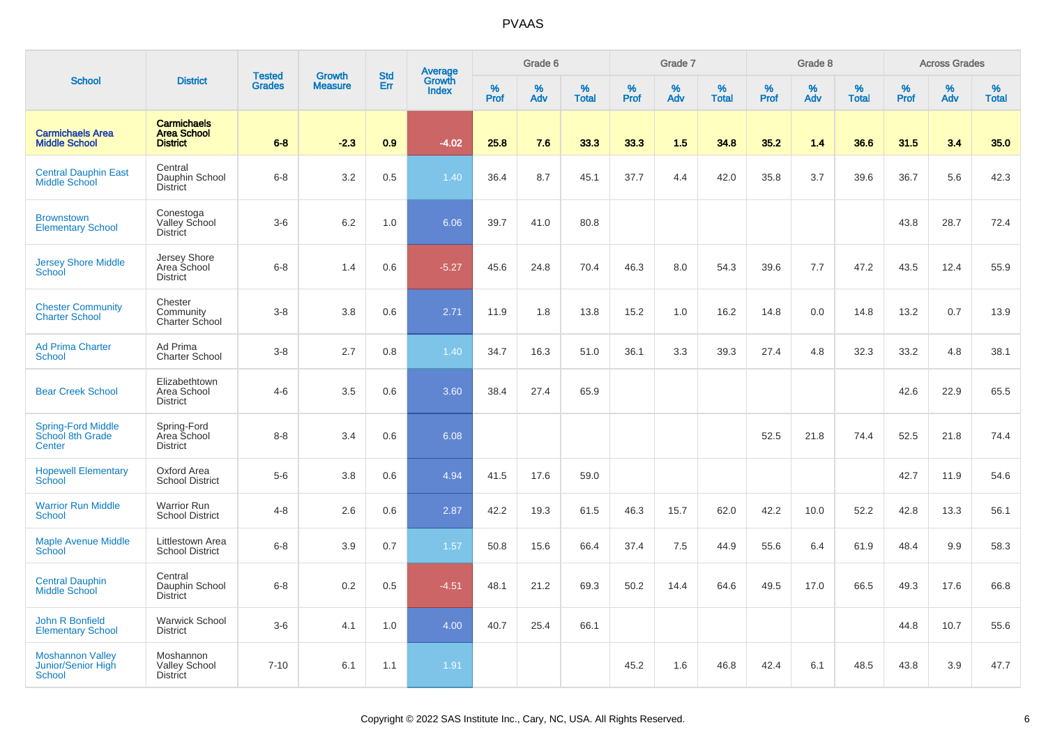|                                                                |                                                             | <b>Tested</b> | <b>Growth</b>  | <b>Std</b> |                                          |                  | Grade 6  |                   |                  | Grade 7  |                   |           | Grade 8  |                   |           | <b>Across Grades</b> |                   |
|----------------------------------------------------------------|-------------------------------------------------------------|---------------|----------------|------------|------------------------------------------|------------------|----------|-------------------|------------------|----------|-------------------|-----------|----------|-------------------|-----------|----------------------|-------------------|
| <b>School</b>                                                  | <b>District</b>                                             | <b>Grades</b> | <b>Measure</b> | Err        | <b>Average</b><br>Growth<br><b>Index</b> | %<br><b>Prof</b> | %<br>Adv | %<br><b>Total</b> | %<br><b>Prof</b> | %<br>Adv | %<br><b>Total</b> | %<br>Prof | %<br>Adv | %<br><b>Total</b> | %<br>Prof | %<br>Adv             | %<br><b>Total</b> |
| <b>Carmichaels Area</b><br><b>Middle School</b>                | <b>Carmichaels</b><br><b>Area School</b><br><b>District</b> | $6 - 8$       | $-2.3$         | 0.9        | $-4.02$                                  | 25.8             | 7.6      | 33.3              | 33.3             | 1.5      | 34.8              | 35.2      | 1.4      | 36.6              | 31.5      | 3.4                  | 35.0              |
| <b>Central Dauphin East</b><br>Middle School                   | Central<br>Dauphin School<br><b>District</b>                | $6-8$         | 3.2            | 0.5        | 1.40                                     | 36.4             | 8.7      | 45.1              | 37.7             | 4.4      | 42.0              | 35.8      | 3.7      | 39.6              | 36.7      | 5.6                  | 42.3              |
| <b>Brownstown</b><br><b>Elementary School</b>                  | Conestoga<br>Valley School<br><b>District</b>               | $3-6$         | 6.2            | 1.0        | 6.06                                     | 39.7             | 41.0     | 80.8              |                  |          |                   |           |          |                   | 43.8      | 28.7                 | 72.4              |
| <b>Jersey Shore Middle</b><br><b>School</b>                    | Jersey Shore<br>Area School<br><b>District</b>              | $6 - 8$       | 1.4            | 0.6        | $-5.27$                                  | 45.6             | 24.8     | 70.4              | 46.3             | 8.0      | 54.3              | 39.6      | 7.7      | 47.2              | 43.5      | 12.4                 | 55.9              |
| <b>Chester Community</b><br><b>Charter School</b>              | Chester<br>Community<br>Charter School                      | $3-8$         | 3.8            | 0.6        | 2.71                                     | 11.9             | 1.8      | 13.8              | 15.2             | 1.0      | 16.2              | 14.8      | 0.0      | 14.8              | 13.2      | 0.7                  | 13.9              |
| <b>Ad Prima Charter</b><br><b>School</b>                       | Ad Prima<br><b>Charter School</b>                           | $3-8$         | 2.7            | 0.8        | 1.40                                     | 34.7             | 16.3     | 51.0              | 36.1             | 3.3      | 39.3              | 27.4      | 4.8      | 32.3              | 33.2      | 4.8                  | 38.1              |
| <b>Bear Creek School</b>                                       | Elizabethtown<br>Area School<br><b>District</b>             | $4 - 6$       | 3.5            | 0.6        | 3.60                                     | 38.4             | 27.4     | 65.9              |                  |          |                   |           |          |                   | 42.6      | 22.9                 | 65.5              |
| <b>Spring-Ford Middle</b><br>School 8th Grade<br>Center        | Spring-Ford<br>Area School<br><b>District</b>               | $8 - 8$       | 3.4            | 0.6        | 6.08                                     |                  |          |                   |                  |          |                   | 52.5      | 21.8     | 74.4              | 52.5      | 21.8                 | 74.4              |
| <b>Hopewell Elementary</b><br>School                           | Oxford Area<br><b>School District</b>                       | $5-6$         | 3.8            | 0.6        | 4.94                                     | 41.5             | 17.6     | 59.0              |                  |          |                   |           |          |                   | 42.7      | 11.9                 | 54.6              |
| <b>Warrior Run Middle</b><br>School                            | <b>Warrior Run</b><br><b>School District</b>                | $4 - 8$       | 2.6            | 0.6        | 2.87                                     | 42.2             | 19.3     | 61.5              | 46.3             | 15.7     | 62.0              | 42.2      | 10.0     | 52.2              | 42.8      | 13.3                 | 56.1              |
| <b>Maple Avenue Middle</b><br>School                           | Littlestown Area<br><b>School District</b>                  | $6 - 8$       | 3.9            | 0.7        | 1.57                                     | 50.8             | 15.6     | 66.4              | 37.4             | 7.5      | 44.9              | 55.6      | 6.4      | 61.9              | 48.4      | 9.9                  | 58.3              |
| <b>Central Dauphin</b><br><b>Middle School</b>                 | Central<br>Dauphin School<br><b>District</b>                | $6 - 8$       | 0.2            | 0.5        | $-4.51$                                  | 48.1             | 21.2     | 69.3              | 50.2             | 14.4     | 64.6              | 49.5      | 17.0     | 66.5              | 49.3      | 17.6                 | 66.8              |
| John R Bonfield<br><b>Elementary School</b>                    | <b>Warwick School</b><br><b>District</b>                    | $3-6$         | 4.1            | 1.0        | 4.00                                     | 40.7             | 25.4     | 66.1              |                  |          |                   |           |          |                   | 44.8      | 10.7                 | 55.6              |
| <b>Moshannon Valley</b><br>Junior/Senior High<br><b>School</b> | Moshannon<br><b>Valley School</b><br><b>District</b>        | $7 - 10$      | 6.1            | 1.1        | 1.91                                     |                  |          |                   | 45.2             | 1.6      | 46.8              | 42.4      | 6.1      | 48.5              | 43.8      | 3.9                  | 47.7              |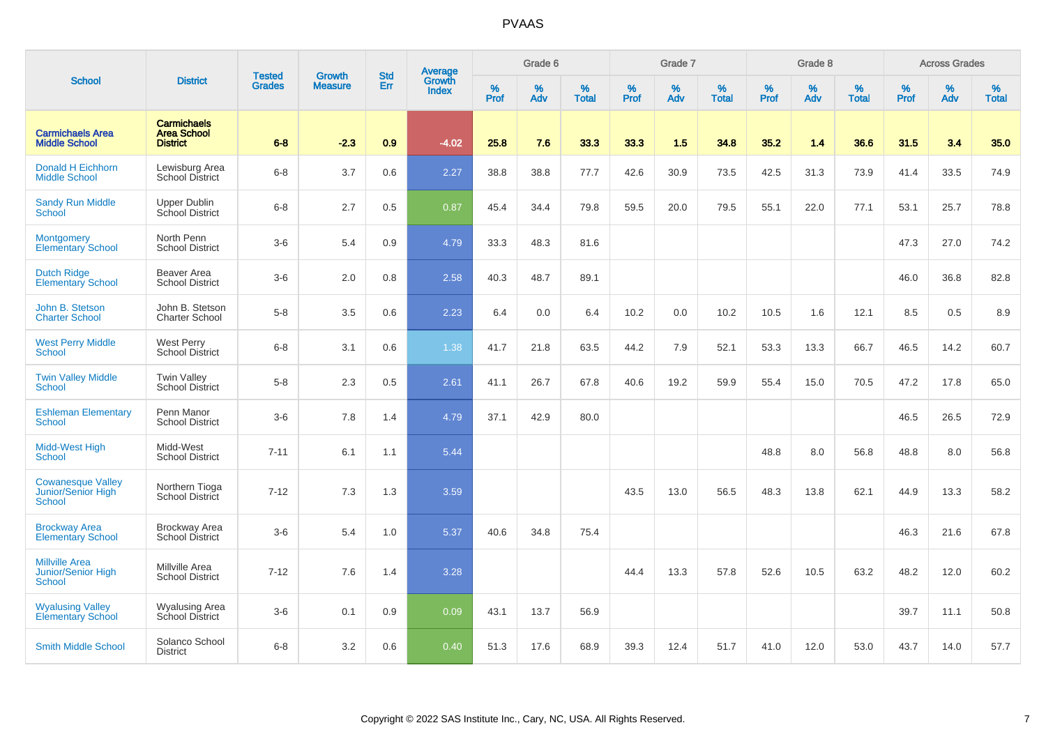|                                                                     |                                                             | <b>Tested</b> | <b>Growth</b>  | <b>Std</b> | Average                |                  | Grade 6     |                   |           | Grade 7  |                   |           | Grade 8  |                   |              | <b>Across Grades</b> |                   |
|---------------------------------------------------------------------|-------------------------------------------------------------|---------------|----------------|------------|------------------------|------------------|-------------|-------------------|-----------|----------|-------------------|-----------|----------|-------------------|--------------|----------------------|-------------------|
| <b>School</b>                                                       | <b>District</b>                                             | <b>Grades</b> | <b>Measure</b> | Err        | Growth<br><b>Index</b> | %<br><b>Prof</b> | $\%$<br>Adv | %<br><b>Total</b> | %<br>Prof | %<br>Adv | %<br><b>Total</b> | %<br>Prof | %<br>Adv | %<br><b>Total</b> | $\%$<br>Prof | $\%$<br>Adv          | %<br><b>Total</b> |
| <b>Carmichaels Area</b><br><b>Middle School</b>                     | <b>Carmichaels</b><br><b>Area School</b><br><b>District</b> | $6 - 8$       | $-2.3$         | 0.9        | $-4.02$                | 25.8             | 7.6         | 33.3              | 33.3      | 1.5      | 34.8              | 35.2      | 1.4      | 36.6              | 31.5         | 3.4                  | 35.0              |
| <b>Donald H Eichhorn</b><br><b>Middle School</b>                    | Lewisburg Area<br>School District                           | $6 - 8$       | 3.7            | 0.6        | 2.27                   | 38.8             | 38.8        | 77.7              | 42.6      | 30.9     | 73.5              | 42.5      | 31.3     | 73.9              | 41.4         | 33.5                 | 74.9              |
| <b>Sandy Run Middle</b><br>School                                   | <b>Upper Dublin</b><br>School District                      | $6 - 8$       | 2.7            | 0.5        | 0.87                   | 45.4             | 34.4        | 79.8              | 59.5      | 20.0     | 79.5              | 55.1      | 22.0     | 77.1              | 53.1         | 25.7                 | 78.8              |
| <b>Montgomery</b><br><b>Elementary School</b>                       | North Penn<br><b>School District</b>                        | $3-6$         | 5.4            | 0.9        | 4.79                   | 33.3             | 48.3        | 81.6              |           |          |                   |           |          |                   | 47.3         | 27.0                 | 74.2              |
| <b>Dutch Ridge</b><br><b>Elementary School</b>                      | <b>Beaver Area</b><br><b>School District</b>                | $3-6$         | 2.0            | 0.8        | 2.58                   | 40.3             | 48.7        | 89.1              |           |          |                   |           |          |                   | 46.0         | 36.8                 | 82.8              |
| John B. Stetson<br><b>Charter School</b>                            | John B. Stetson<br>Charter School                           | $5-8$         | 3.5            | 0.6        | 2.23                   | 6.4              | 0.0         | 6.4               | 10.2      | 0.0      | 10.2              | 10.5      | 1.6      | 12.1              | 8.5          | 0.5                  | 8.9               |
| <b>West Perry Middle</b><br>School                                  | <b>West Perry</b><br>School District                        | $6 - 8$       | 3.1            | 0.6        | 1.38                   | 41.7             | 21.8        | 63.5              | 44.2      | 7.9      | 52.1              | 53.3      | 13.3     | 66.7              | 46.5         | 14.2                 | 60.7              |
| <b>Twin Valley Middle</b><br>School                                 | <b>Twin Valley</b><br><b>School District</b>                | $5-8$         | 2.3            | 0.5        | 2.61                   | 41.1             | 26.7        | 67.8              | 40.6      | 19.2     | 59.9              | 55.4      | 15.0     | 70.5              | 47.2         | 17.8                 | 65.0              |
| <b>Eshleman Elementary</b><br>School                                | Penn Manor<br><b>School District</b>                        | $3-6$         | 7.8            | 1.4        | 4.79                   | 37.1             | 42.9        | 80.0              |           |          |                   |           |          |                   | 46.5         | 26.5                 | 72.9              |
| <b>Midd-West High</b><br><b>School</b>                              | Midd-West<br><b>School District</b>                         | $7 - 11$      | 6.1            | 1.1        | 5.44                   |                  |             |                   |           |          |                   | 48.8      | 8.0      | 56.8              | 48.8         | 8.0                  | 56.8              |
| <b>Cowanesque Valley</b><br>Junior/Senior High<br><b>School</b>     | Northern Tioga<br>School District                           | $7 - 12$      | 7.3            | 1.3        | 3.59                   |                  |             |                   | 43.5      | 13.0     | 56.5              | 48.3      | 13.8     | 62.1              | 44.9         | 13.3                 | 58.2              |
| <b>Brockway Area</b><br><b>Elementary School</b>                    | Brockway Area<br>School District                            | $3-6$         | 5.4            | 1.0        | 5.37                   | 40.6             | 34.8        | 75.4              |           |          |                   |           |          |                   | 46.3         | 21.6                 | 67.8              |
| <b>Millville Area</b><br><b>Junior/Senior High</b><br><b>School</b> | Millville Area<br><b>School District</b>                    | $7 - 12$      | 7.6            | 1.4        | 3.28                   |                  |             |                   | 44.4      | 13.3     | 57.8              | 52.6      | 10.5     | 63.2              | 48.2         | 12.0                 | 60.2              |
| <b>Wyalusing Valley</b><br><b>Elementary School</b>                 | <b>Wyalusing Area</b><br>School District                    | $3-6$         | 0.1            | 0.9        | 0.09                   | 43.1             | 13.7        | 56.9              |           |          |                   |           |          |                   | 39.7         | 11.1                 | 50.8              |
| <b>Smith Middle School</b>                                          | Solanco School<br><b>District</b>                           | $6 - 8$       | 3.2            | 0.6        | 0.40                   | 51.3             | 17.6        | 68.9              | 39.3      | 12.4     | 51.7              | 41.0      | 12.0     | 53.0              | 43.7         | 14.0                 | 57.7              |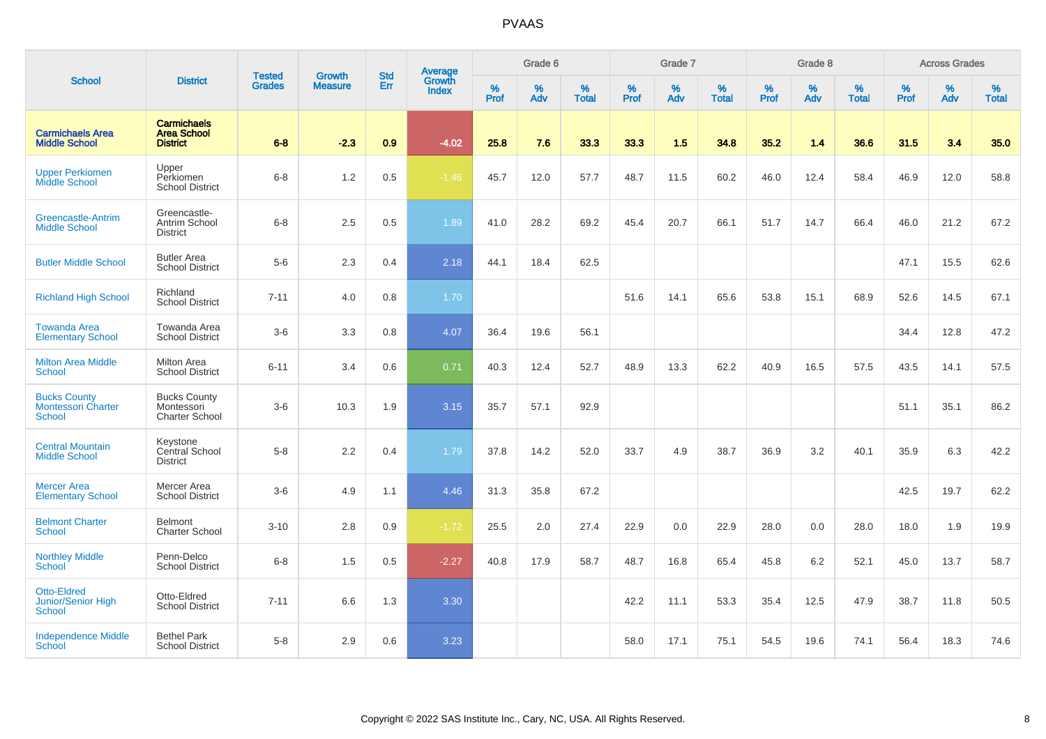|                                                                   |                                                             |                                |                                 | <b>Std</b> |                                          |           | Grade 6  |                   |           | Grade 7  |                   |           | Grade 8  |                   |           | <b>Across Grades</b> |                   |
|-------------------------------------------------------------------|-------------------------------------------------------------|--------------------------------|---------------------------------|------------|------------------------------------------|-----------|----------|-------------------|-----------|----------|-------------------|-----------|----------|-------------------|-----------|----------------------|-------------------|
| <b>School</b>                                                     | <b>District</b>                                             | <b>Tested</b><br><b>Grades</b> | <b>Growth</b><br><b>Measure</b> | Err        | <b>Average</b><br>Growth<br><b>Index</b> | %<br>Prof | %<br>Adv | %<br><b>Total</b> | %<br>Prof | %<br>Adv | %<br><b>Total</b> | %<br>Prof | %<br>Adv | %<br><b>Total</b> | %<br>Prof | $\%$<br>Adv          | %<br><b>Total</b> |
| <b>Carmichaels Area</b><br><b>Middle School</b>                   | <b>Carmichaels</b><br><b>Area School</b><br><b>District</b> | $6 - 8$                        | $-2.3$                          | 0.9        | $-4.02$                                  | 25.8      | 7.6      | 33.3              | 33.3      | 1.5      | 34.8              | 35.2      | 1.4      | 36.6              | 31.5      | 3.4                  | 35.0              |
| <b>Upper Perkiomen</b><br>Middle School                           | Upper<br>Perkiomen<br><b>School District</b>                | $6 - 8$                        | 1.2                             | 0.5        | $-1.46$                                  | 45.7      | 12.0     | 57.7              | 48.7      | 11.5     | 60.2              | 46.0      | 12.4     | 58.4              | 46.9      | 12.0                 | 58.8              |
| Greencastle-Antrim<br><b>Middle School</b>                        | Greencastle-<br>Antrim School<br><b>District</b>            | $6 - 8$                        | 2.5                             | 0.5        | 1.89                                     | 41.0      | 28.2     | 69.2              | 45.4      | 20.7     | 66.1              | 51.7      | 14.7     | 66.4              | 46.0      | 21.2                 | 67.2              |
| <b>Butler Middle School</b>                                       | <b>Butler Area</b><br><b>School District</b>                | $5-6$                          | 2.3                             | 0.4        | 2.18                                     | 44.1      | 18.4     | 62.5              |           |          |                   |           |          |                   | 47.1      | 15.5                 | 62.6              |
| <b>Richland High School</b>                                       | Richland<br><b>School District</b>                          | $7 - 11$                       | 4.0                             | 0.8        | 1.70                                     |           |          |                   | 51.6      | 14.1     | 65.6              | 53.8      | 15.1     | 68.9              | 52.6      | 14.5                 | 67.1              |
| <b>Towanda Area</b><br><b>Elementary School</b>                   | Towanda Area<br><b>School District</b>                      | $3-6$                          | 3.3                             | 0.8        | 4.07                                     | 36.4      | 19.6     | 56.1              |           |          |                   |           |          |                   | 34.4      | 12.8                 | 47.2              |
| <b>Milton Area Middle</b><br><b>School</b>                        | Milton Area<br><b>School District</b>                       | $6 - 11$                       | 3.4                             | 0.6        | 0.71                                     | 40.3      | 12.4     | 52.7              | 48.9      | 13.3     | 62.2              | 40.9      | 16.5     | 57.5              | 43.5      | 14.1                 | 57.5              |
| <b>Bucks County</b><br><b>Montessori Charter</b><br><b>School</b> | <b>Bucks County</b><br>Montessori<br><b>Charter School</b>  | $3-6$                          | 10.3                            | 1.9        | 3.15                                     | 35.7      | 57.1     | 92.9              |           |          |                   |           |          |                   | 51.1      | 35.1                 | 86.2              |
| <b>Central Mountain</b><br><b>Middle School</b>                   | Keystone<br>Central School<br><b>District</b>               | $5-8$                          | 2.2                             | 0.4        | 1.79                                     | 37.8      | 14.2     | 52.0              | 33.7      | 4.9      | 38.7              | 36.9      | 3.2      | 40.1              | 35.9      | 6.3                  | 42.2              |
| <b>Mercer Area</b><br><b>Elementary School</b>                    | Mercer Area<br><b>School District</b>                       | $3-6$                          | 4.9                             | 1.1        | 4.46                                     | 31.3      | 35.8     | 67.2              |           |          |                   |           |          |                   | 42.5      | 19.7                 | 62.2              |
| <b>Belmont Charter</b><br><b>School</b>                           | Belmont<br><b>Charter School</b>                            | $3 - 10$                       | 2.8                             | 0.9        | $-1.72$                                  | 25.5      | 2.0      | 27.4              | 22.9      | 0.0      | 22.9              | 28.0      | 0.0      | 28.0              | 18.0      | 1.9                  | 19.9              |
| <b>Northley Middle</b><br><b>School</b>                           | Penn-Delco<br><b>School District</b>                        | $6 - 8$                        | 1.5                             | 0.5        | $-2.27$                                  | 40.8      | 17.9     | 58.7              | 48.7      | 16.8     | 65.4              | 45.8      | 6.2      | 52.1              | 45.0      | 13.7                 | 58.7              |
| Otto-Eldred<br>Junior/Senior High<br><b>School</b>                | Otto-Eldred<br><b>School District</b>                       | $7 - 11$                       | 6.6                             | 1.3        | 3.30                                     |           |          |                   | 42.2      | 11.1     | 53.3              | 35.4      | 12.5     | 47.9              | 38.7      | 11.8                 | 50.5              |
| <b>Independence Middle</b><br>School                              | <b>Bethel Park</b><br><b>School District</b>                | $5-8$                          | 2.9                             | 0.6        | 3.23                                     |           |          |                   | 58.0      | 17.1     | 75.1              | 54.5      | 19.6     | 74.1              | 56.4      | 18.3                 | 74.6              |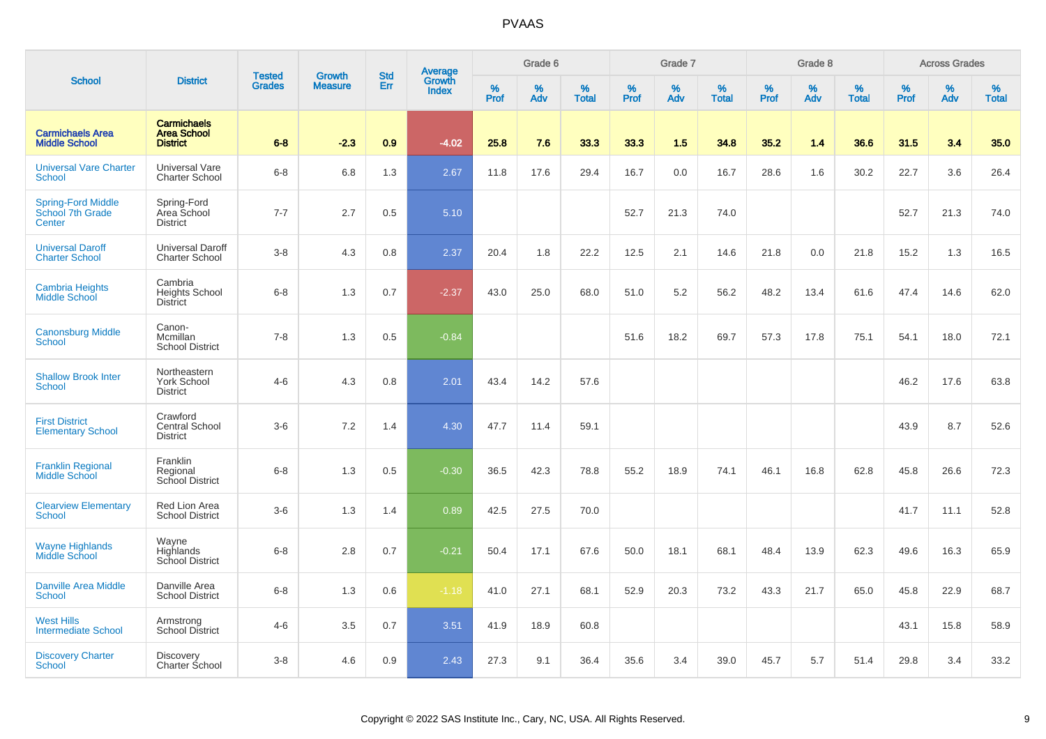|                                                   |                                                             | <b>Tested</b> | <b>Growth</b>  | <b>Std</b> |                                          |                  | Grade 6     |                   |           | Grade 7     |                   |           | Grade 8  |                   |              | <b>Across Grades</b> |                   |
|---------------------------------------------------|-------------------------------------------------------------|---------------|----------------|------------|------------------------------------------|------------------|-------------|-------------------|-----------|-------------|-------------------|-----------|----------|-------------------|--------------|----------------------|-------------------|
| <b>School</b>                                     | <b>District</b>                                             | <b>Grades</b> | <b>Measure</b> | Err        | <b>Average</b><br>Growth<br><b>Index</b> | %<br><b>Prof</b> | $\%$<br>Adv | %<br><b>Total</b> | %<br>Prof | $\%$<br>Adv | %<br><b>Total</b> | %<br>Prof | %<br>Adv | %<br><b>Total</b> | $\%$<br>Prof | $\%$<br>Adv          | %<br><b>Total</b> |
| <b>Carmichaels Area</b><br><b>Middle School</b>   | <b>Carmichaels</b><br><b>Area School</b><br><b>District</b> | $6 - 8$       | $-2.3$         | 0.9        | $-4.02$                                  | 25.8             | 7.6         | 33.3              | 33.3      | 1.5         | 34.8              | 35.2      | 1.4      | 36.6              | 31.5         | 3.4                  | 35.0              |
| <b>Universal Vare Charter</b><br>School           | <b>Universal Vare</b><br><b>Charter School</b>              | $6-8$         | 6.8            | 1.3        | 2.67                                     | 11.8             | 17.6        | 29.4              | 16.7      | 0.0         | 16.7              | 28.6      | 1.6      | 30.2              | 22.7         | 3.6                  | 26.4              |
| Spring-Ford Middle<br>School 7th Grade<br>Center  | Spring-Ford<br>Area School<br><b>District</b>               | $7 - 7$       | 2.7            | 0.5        | 5.10                                     |                  |             |                   | 52.7      | 21.3        | 74.0              |           |          |                   | 52.7         | 21.3                 | 74.0              |
| <b>Universal Daroff</b><br><b>Charter School</b>  | <b>Universal Daroff</b><br><b>Charter School</b>            | $3-8$         | 4.3            | 0.8        | 2.37                                     | 20.4             | 1.8         | 22.2              | 12.5      | 2.1         | 14.6              | 21.8      | 0.0      | 21.8              | 15.2         | 1.3                  | 16.5              |
| <b>Cambria Heights</b><br>Middle School           | Cambria<br><b>Heights School</b><br><b>District</b>         | $6-8$         | 1.3            | 0.7        | $-2.37$                                  | 43.0             | 25.0        | 68.0              | 51.0      | 5.2         | 56.2              | 48.2      | 13.4     | 61.6              | 47.4         | 14.6                 | 62.0              |
| <b>Canonsburg Middle</b><br>School                | Canon-<br>Mcmillan<br><b>School District</b>                | $7 - 8$       | 1.3            | 0.5        | $-0.84$                                  |                  |             |                   | 51.6      | 18.2        | 69.7              | 57.3      | 17.8     | 75.1              | 54.1         | 18.0                 | 72.1              |
| <b>Shallow Brook Inter</b><br>School              | Northeastern<br>York School<br><b>District</b>              | $4 - 6$       | 4.3            | 0.8        | 2.01                                     | 43.4             | 14.2        | 57.6              |           |             |                   |           |          |                   | 46.2         | 17.6                 | 63.8              |
| <b>First District</b><br><b>Elementary School</b> | Crawford<br><b>Central School</b><br><b>District</b>        | $3-6$         | 7.2            | 1.4        | 4.30                                     | 47.7             | 11.4        | 59.1              |           |             |                   |           |          |                   | 43.9         | 8.7                  | 52.6              |
| <b>Franklin Regional</b><br><b>Middle School</b>  | Franklin<br>Regional<br>School District                     | $6 - 8$       | 1.3            | 0.5        | $-0.30$                                  | 36.5             | 42.3        | 78.8              | 55.2      | 18.9        | 74.1              | 46.1      | 16.8     | 62.8              | 45.8         | 26.6                 | 72.3              |
| <b>Clearview Elementary</b><br><b>School</b>      | <b>Red Lion Area</b><br><b>School District</b>              | $3-6$         | 1.3            | 1.4        | 0.89                                     | 42.5             | 27.5        | 70.0              |           |             |                   |           |          |                   | 41.7         | 11.1                 | 52.8              |
| <b>Wayne Highlands</b><br>Middle School           | Wayne<br>Highlands<br>School District                       | $6 - 8$       | 2.8            | 0.7        | $-0.21$                                  | 50.4             | 17.1        | 67.6              | 50.0      | 18.1        | 68.1              | 48.4      | 13.9     | 62.3              | 49.6         | 16.3                 | 65.9              |
| <b>Danville Area Middle</b><br><b>School</b>      | Danville Area<br><b>School District</b>                     | $6 - 8$       | 1.3            | 0.6        | $-1.18$                                  | 41.0             | 27.1        | 68.1              | 52.9      | 20.3        | 73.2              | 43.3      | 21.7     | 65.0              | 45.8         | 22.9                 | 68.7              |
| <b>West Hills</b><br><b>Intermediate School</b>   | Armstrong<br>School District                                | $4 - 6$       | 3.5            | 0.7        | 3.51                                     | 41.9             | 18.9        | 60.8              |           |             |                   |           |          |                   | 43.1         | 15.8                 | 58.9              |
| <b>Discovery Charter</b><br>School                | Discovery<br>Charter School                                 | $3-8$         | 4.6            | 0.9        | 2.43                                     | 27.3             | 9.1         | 36.4              | 35.6      | 3.4         | 39.0              | 45.7      | 5.7      | 51.4              | 29.8         | 3.4                  | 33.2              |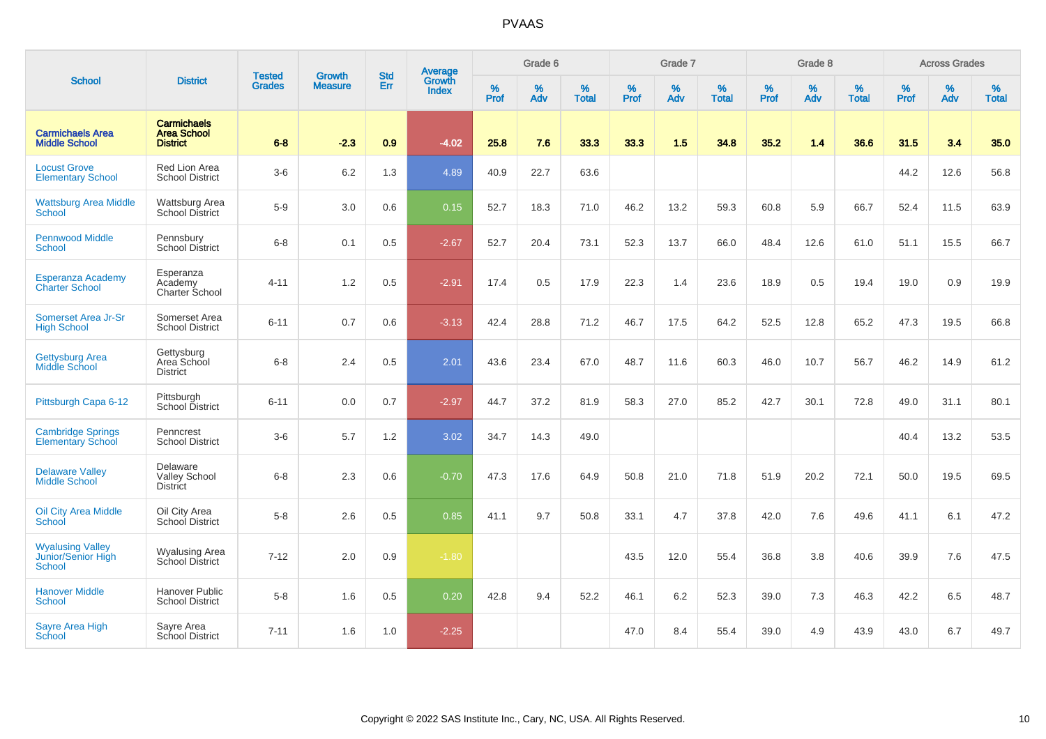|                                                                |                                                             |                                | <b>Growth</b>  | <b>Std</b> | <b>Average</b>         |                  | Grade 6  |                   |                  | Grade 7  |                   |           | Grade 8  |                   |                  | <b>Across Grades</b> |                   |
|----------------------------------------------------------------|-------------------------------------------------------------|--------------------------------|----------------|------------|------------------------|------------------|----------|-------------------|------------------|----------|-------------------|-----------|----------|-------------------|------------------|----------------------|-------------------|
| <b>School</b>                                                  | <b>District</b>                                             | <b>Tested</b><br><b>Grades</b> | <b>Measure</b> | Err        | Growth<br><b>Index</b> | %<br><b>Prof</b> | %<br>Adv | %<br><b>Total</b> | %<br><b>Prof</b> | %<br>Adv | %<br><b>Total</b> | %<br>Prof | %<br>Adv | %<br><b>Total</b> | %<br><b>Prof</b> | %<br>Adv             | %<br><b>Total</b> |
| <b>Carmichaels Area</b><br><b>Middle School</b>                | <b>Carmichaels</b><br><b>Area School</b><br><b>District</b> | $6 - 8$                        | $-2.3$         | 0.9        | $-4.02$                | 25.8             | 7.6      | 33.3              | 33.3             | 1.5      | 34.8              | 35.2      | 1.4      | 36.6              | 31.5             | 3.4                  | 35.0              |
| <b>Locust Grove</b><br><b>Elementary School</b>                | Red Lion Area<br><b>School District</b>                     | $3-6$                          | 6.2            | 1.3        | 4.89                   | 40.9             | 22.7     | 63.6              |                  |          |                   |           |          |                   | 44.2             | 12.6                 | 56.8              |
| <b>Wattsburg Area Middle</b><br>School                         | Wattsburg Area<br>School District                           | $5-9$                          | 3.0            | 0.6        | 0.15                   | 52.7             | 18.3     | 71.0              | 46.2             | 13.2     | 59.3              | 60.8      | 5.9      | 66.7              | 52.4             | 11.5                 | 63.9              |
| <b>Pennwood Middle</b><br><b>School</b>                        | Pennsbury<br><b>School District</b>                         | $6-8$                          | 0.1            | 0.5        | $-2.67$                | 52.7             | 20.4     | 73.1              | 52.3             | 13.7     | 66.0              | 48.4      | 12.6     | 61.0              | 51.1             | 15.5                 | 66.7              |
| <b>Esperanza Academy</b><br><b>Charter School</b>              | Esperanza<br>Academy<br>Charter School                      | $4 - 11$                       | 1.2            | 0.5        | $-2.91$                | 17.4             | 0.5      | 17.9              | 22.3             | 1.4      | 23.6              | 18.9      | 0.5      | 19.4              | 19.0             | 0.9                  | 19.9              |
| Somerset Area Jr-Sr<br><b>High School</b>                      | Somerset Area<br><b>School District</b>                     | $6 - 11$                       | 0.7            | 0.6        | $-3.13$                | 42.4             | 28.8     | 71.2              | 46.7             | 17.5     | 64.2              | 52.5      | 12.8     | 65.2              | 47.3             | 19.5                 | 66.8              |
| <b>Gettysburg Area</b><br>Middle School                        | Gettysburg<br>Area School<br><b>District</b>                | $6 - 8$                        | 2.4            | 0.5        | 2.01                   | 43.6             | 23.4     | 67.0              | 48.7             | 11.6     | 60.3              | 46.0      | 10.7     | 56.7              | 46.2             | 14.9                 | 61.2              |
| Pittsburgh Capa 6-12                                           | Pittsburgh<br>School District                               | $6 - 11$                       | 0.0            | 0.7        | $-2.97$                | 44.7             | 37.2     | 81.9              | 58.3             | 27.0     | 85.2              | 42.7      | 30.1     | 72.8              | 49.0             | 31.1                 | 80.1              |
| <b>Cambridge Springs</b><br><b>Elementary School</b>           | Penncrest<br><b>School District</b>                         | $3-6$                          | 5.7            | 1.2        | 3.02                   | 34.7             | 14.3     | 49.0              |                  |          |                   |           |          |                   | 40.4             | 13.2                 | 53.5              |
| <b>Delaware Valley</b><br><b>Middle School</b>                 | Delaware<br><b>Valley School</b><br><b>District</b>         | $6 - 8$                        | 2.3            | 0.6        | $-0.70$                | 47.3             | 17.6     | 64.9              | 50.8             | 21.0     | 71.8              | 51.9      | 20.2     | 72.1              | 50.0             | 19.5                 | 69.5              |
| <b>Oil City Area Middle</b><br>School                          | Oil City Area<br>School District                            | $5-8$                          | 2.6            | 0.5        | 0.85                   | 41.1             | 9.7      | 50.8              | 33.1             | 4.7      | 37.8              | 42.0      | 7.6      | 49.6              | 41.1             | 6.1                  | 47.2              |
| <b>Wyalusing Valley</b><br>Junior/Senior High<br><b>School</b> | <b>Wyalusing Area</b><br>School District                    | $7 - 12$                       | 2.0            | 0.9        | $-1.80$                |                  |          |                   | 43.5             | 12.0     | 55.4              | 36.8      | 3.8      | 40.6              | 39.9             | 7.6                  | 47.5              |
| <b>Hanover Middle</b><br>School                                | <b>Hanover Public</b><br><b>School District</b>             | $5-8$                          | 1.6            | 0.5        | 0.20                   | 42.8             | 9.4      | 52.2              | 46.1             | 6.2      | 52.3              | 39.0      | 7.3      | 46.3              | 42.2             | 6.5                  | 48.7              |
| <b>Sayre Area High</b><br>School                               | Sayre Area<br>School District                               | $7 - 11$                       | 1.6            | 1.0        | $-2.25$                |                  |          |                   | 47.0             | 8.4      | 55.4              | 39.0      | 4.9      | 43.9              | 43.0             | 6.7                  | 49.7              |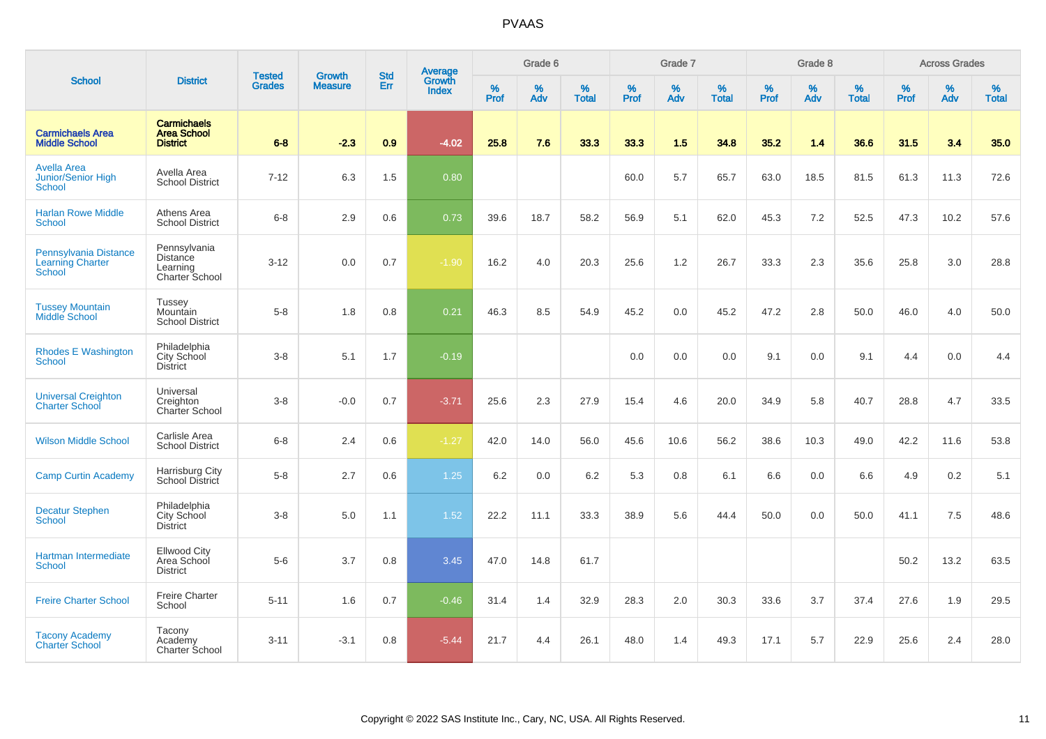| <b>School</b>                                                     |                                                             |                                |                                 |                   |                                          |           | Grade 6  |                   |           | Grade 7  |                   |           | Grade 8  |                   |           | <b>Across Grades</b> |                   |
|-------------------------------------------------------------------|-------------------------------------------------------------|--------------------------------|---------------------------------|-------------------|------------------------------------------|-----------|----------|-------------------|-----------|----------|-------------------|-----------|----------|-------------------|-----------|----------------------|-------------------|
|                                                                   | <b>District</b>                                             | <b>Tested</b><br><b>Grades</b> | <b>Growth</b><br><b>Measure</b> | <b>Std</b><br>Err | <b>Average</b><br>Growth<br><b>Index</b> | %<br>Prof | %<br>Adv | %<br><b>Total</b> | %<br>Prof | %<br>Adv | %<br><b>Total</b> | %<br>Prof | %<br>Adv | %<br><b>Total</b> | %<br>Prof | %<br>Adv             | %<br><b>Total</b> |
| <b>Carmichaels Area</b><br><b>Middle School</b>                   | <b>Carmichaels</b><br><b>Area School</b><br><b>District</b> | $6 - 8$                        | $-2.3$                          | 0.9               | $-4.02$                                  | 25.8      | 7.6      | 33.3              | 33.3      | 1.5      | 34.8              | 35.2      | 1.4      | 36.6              | 31.5      | 3.4                  | 35.0              |
| <b>Avella Area</b><br><b>Junior/Senior High</b><br><b>School</b>  | Avella Area<br><b>School District</b>                       | $7 - 12$                       | 6.3                             | 1.5               | 0.80                                     |           |          |                   | 60.0      | 5.7      | 65.7              | 63.0      | 18.5     | 81.5              | 61.3      | 11.3                 | 72.6              |
| <b>Harlan Rowe Middle</b><br>School                               | Athens Area<br><b>School District</b>                       | $6 - 8$                        | 2.9                             | 0.6               | 0.73                                     | 39.6      | 18.7     | 58.2              | 56.9      | 5.1      | 62.0              | 45.3      | 7.2      | 52.5              | 47.3      | 10.2                 | 57.6              |
| Pennsylvania Distance<br><b>Learning Charter</b><br><b>School</b> | Pennsylvania<br>Distance<br>Learning<br>Charter School      | $3 - 12$                       | 0.0                             | 0.7               | $-1.90$                                  | 16.2      | 4.0      | 20.3              | 25.6      | 1.2      | 26.7              | 33.3      | 2.3      | 35.6              | 25.8      | 3.0                  | 28.8              |
| <b>Tussey Mountain</b><br>Middle School                           | <b>Tussey</b><br>Mountain<br><b>School District</b>         | $5-8$                          | 1.8                             | 0.8               | 0.21                                     | 46.3      | 8.5      | 54.9              | 45.2      | 0.0      | 45.2              | 47.2      | 2.8      | 50.0              | 46.0      | 4.0                  | 50.0              |
| <b>Rhodes E Washington</b><br><b>School</b>                       | Philadelphia<br>City School<br><b>District</b>              | $3 - 8$                        | 5.1                             | 1.7               | $-0.19$                                  |           |          |                   | 0.0       | 0.0      | 0.0               | 9.1       | 0.0      | 9.1               | 4.4       | 0.0                  | 4.4               |
| <b>Universal Creighton</b><br><b>Charter School</b>               | Universal<br>Creighton<br>Charter School                    | $3 - 8$                        | $-0.0$                          | 0.7               | $-3.71$                                  | 25.6      | 2.3      | 27.9              | 15.4      | 4.6      | 20.0              | 34.9      | 5.8      | 40.7              | 28.8      | 4.7                  | 33.5              |
| <b>Wilson Middle School</b>                                       | Carlisle Area<br><b>School District</b>                     | $6 - 8$                        | 2.4                             | 0.6               | $-1.27$                                  | 42.0      | 14.0     | 56.0              | 45.6      | 10.6     | 56.2              | 38.6      | 10.3     | 49.0              | 42.2      | 11.6                 | 53.8              |
| <b>Camp Curtin Academy</b>                                        | Harrisburg City<br>School District                          | $5-8$                          | 2.7                             | 0.6               | 1.25                                     | 6.2       | 0.0      | 6.2               | 5.3       | 0.8      | 6.1               | 6.6       | 0.0      | 6.6               | 4.9       | $0.2\,$              | 5.1               |
| <b>Decatur Stephen</b><br><b>School</b>                           | Philadelphia<br>City School<br><b>District</b>              | $3 - 8$                        | 5.0                             | 1.1               | 1.52                                     | 22.2      | 11.1     | 33.3              | 38.9      | 5.6      | 44.4              | 50.0      | 0.0      | 50.0              | 41.1      | 7.5                  | 48.6              |
| Hartman Intermediate<br><b>School</b>                             | <b>Ellwood City</b><br>Area School<br><b>District</b>       | $5-6$                          | 3.7                             | 0.8               | 3.45                                     | 47.0      | 14.8     | 61.7              |           |          |                   |           |          |                   | 50.2      | 13.2                 | 63.5              |
| <b>Freire Charter School</b>                                      | <b>Freire Charter</b><br>School                             | $5 - 11$                       | 1.6                             | 0.7               | $-0.46$                                  | 31.4      | 1.4      | 32.9              | 28.3      | 2.0      | 30.3              | 33.6      | 3.7      | 37.4              | 27.6      | 1.9                  | 29.5              |
| <b>Tacony Academy</b><br><b>Charter School</b>                    | Tacony<br>Academy<br><b>Charter School</b>                  | $3 - 11$                       | $-3.1$                          | 0.8               | $-5.44$                                  | 21.7      | 4.4      | 26.1              | 48.0      | 1.4      | 49.3              | 17.1      | 5.7      | 22.9              | 25.6      | 2.4                  | 28.0              |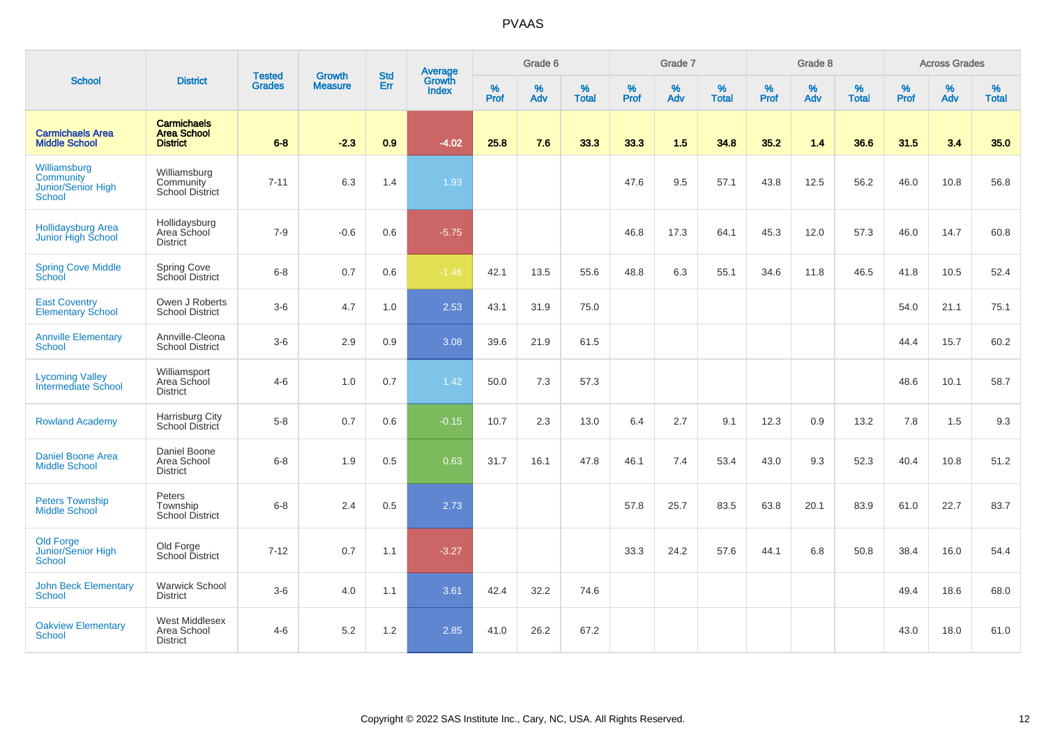| <b>School</b>                                             |                                                             | <b>Tested</b> | <b>Growth</b>  | <b>Std</b> |                                          |                  | Grade 6  |                   |           | Grade 7  |                   |                  | Grade 8  |                   |           | <b>Across Grades</b> |                   |
|-----------------------------------------------------------|-------------------------------------------------------------|---------------|----------------|------------|------------------------------------------|------------------|----------|-------------------|-----------|----------|-------------------|------------------|----------|-------------------|-----------|----------------------|-------------------|
|                                                           | <b>District</b>                                             | <b>Grades</b> | <b>Measure</b> | Err        | <b>Average</b><br>Growth<br><b>Index</b> | %<br><b>Prof</b> | %<br>Adv | %<br><b>Total</b> | %<br>Prof | %<br>Adv | %<br><b>Total</b> | %<br><b>Prof</b> | %<br>Adv | %<br><b>Total</b> | %<br>Prof | %<br>Adv             | %<br><b>Total</b> |
| <b>Carmichaels Area</b><br><b>Middle School</b>           | <b>Carmichaels</b><br><b>Area School</b><br><b>District</b> | $6 - 8$       | $-2.3$         | 0.9        | $-4.02$                                  | 25.8             | 7.6      | 33.3              | 33.3      | 1.5      | 34.8              | 35.2             | 1.4      | 36.6              | 31.5      | 3.4                  | 35.0              |
| Williamsburg<br>Community<br>Junior/Senior High<br>School | Williamsburg<br>Community<br><b>School District</b>         | $7 - 11$      | 6.3            | 1.4        | 1.93                                     |                  |          |                   | 47.6      | 9.5      | 57.1              | 43.8             | 12.5     | 56.2              | 46.0      | 10.8                 | 56.8              |
| <b>Hollidaysburg Area</b><br>Junior High School           | Hollidaysburg<br>Area School<br><b>District</b>             | $7 - 9$       | $-0.6$         | 0.6        | $-5.75$                                  |                  |          |                   | 46.8      | 17.3     | 64.1              | 45.3             | 12.0     | 57.3              | 46.0      | 14.7                 | 60.8              |
| <b>Spring Cove Middle</b><br>School                       | Spring Cove<br>School District                              | $6 - 8$       | 0.7            | 0.6        | $-1.46$                                  | 42.1             | 13.5     | 55.6              | 48.8      | 6.3      | 55.1              | 34.6             | 11.8     | 46.5              | 41.8      | 10.5                 | 52.4              |
| <b>East Coventry</b><br><b>Elementary School</b>          | Owen J Roberts<br><b>School District</b>                    | $3-6$         | 4.7            | 1.0        | 2.53                                     | 43.1             | 31.9     | 75.0              |           |          |                   |                  |          |                   | 54.0      | 21.1                 | 75.1              |
| <b>Annville Elementary</b><br>School                      | Annville-Cleona<br><b>School District</b>                   | $3-6$         | 2.9            | 0.9        | 3.08                                     | 39.6             | 21.9     | 61.5              |           |          |                   |                  |          |                   | 44.4      | 15.7                 | 60.2              |
| <b>Lycoming Valley</b><br>Intermediate School             | Williamsport<br>Area School<br><b>District</b>              | $4 - 6$       | 1.0            | 0.7        | 1.42                                     | 50.0             | 7.3      | 57.3              |           |          |                   |                  |          |                   | 48.6      | 10.1                 | 58.7              |
| <b>Rowland Academy</b>                                    | Harrisburg City<br>School District                          | $5-8$         | 0.7            | 0.6        | $-0.15$                                  | 10.7             | 2.3      | 13.0              | 6.4       | 2.7      | 9.1               | 12.3             | 0.9      | 13.2              | 7.8       | 1.5                  | 9.3               |
| <b>Daniel Boone Area</b><br><b>Middle School</b>          | Daniel Boone<br>Area School<br><b>District</b>              | $6-8$         | 1.9            | 0.5        | 0.63                                     | 31.7             | 16.1     | 47.8              | 46.1      | 7.4      | 53.4              | 43.0             | 9.3      | 52.3              | 40.4      | 10.8                 | 51.2              |
| <b>Peters Township</b><br><b>Middle School</b>            | Peters<br>Township<br><b>School District</b>                | $6 - 8$       | 2.4            | $0.5\,$    | 2.73                                     |                  |          |                   | 57.8      | 25.7     | 83.5              | 63.8             | 20.1     | 83.9              | 61.0      | 22.7                 | 83.7              |
| Old Forge<br>Junior/Senior High<br><b>School</b>          | Old Forge<br>School District                                | $7 - 12$      | 0.7            | 1.1        | $-3.27$                                  |                  |          |                   | 33.3      | 24.2     | 57.6              | 44.1             | 6.8      | 50.8              | 38.4      | 16.0                 | 54.4              |
| <b>John Beck Elementary</b><br><b>School</b>              | <b>Warwick School</b><br><b>District</b>                    | $3-6$         | 4.0            | 1.1        | 3.61                                     | 42.4             | 32.2     | 74.6              |           |          |                   |                  |          |                   | 49.4      | 18.6                 | 68.0              |
| <b>Oakview Elementary</b><br>School                       | West Middlesex<br>Area School<br><b>District</b>            | $4 - 6$       | 5.2            | 1.2        | 2.85                                     | 41.0             | 26.2     | 67.2              |           |          |                   |                  |          |                   | 43.0      | 18.0                 | 61.0              |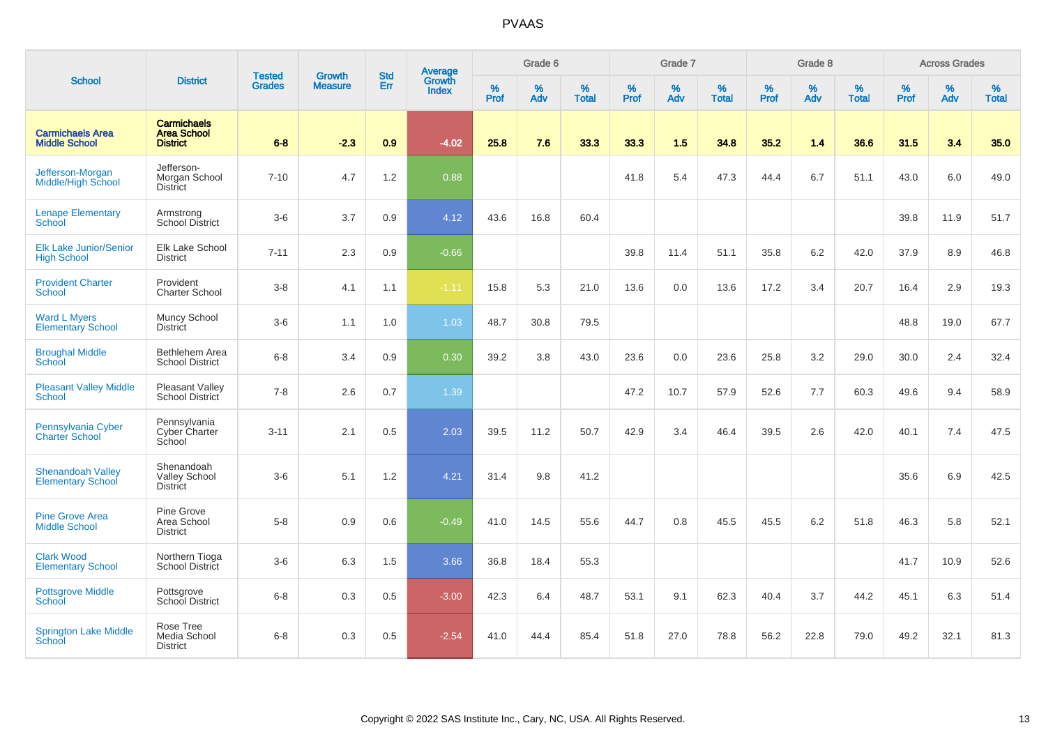| <b>School</b>                                        |                                                             |                                |                                 | <b>Std</b> |                                          |           | Grade 6  |                   |           | Grade 7  |                   |           | Grade 8  |                   |           | <b>Across Grades</b> |                   |
|------------------------------------------------------|-------------------------------------------------------------|--------------------------------|---------------------------------|------------|------------------------------------------|-----------|----------|-------------------|-----------|----------|-------------------|-----------|----------|-------------------|-----------|----------------------|-------------------|
|                                                      | <b>District</b>                                             | <b>Tested</b><br><b>Grades</b> | <b>Growth</b><br><b>Measure</b> | Err        | <b>Average</b><br>Growth<br><b>Index</b> | %<br>Prof | %<br>Adv | %<br><b>Total</b> | %<br>Prof | %<br>Adv | %<br><b>Total</b> | %<br>Prof | %<br>Adv | %<br><b>Total</b> | %<br>Prof | %<br>Adv             | %<br><b>Total</b> |
| <b>Carmichaels Area</b><br><b>Middle School</b>      | <b>Carmichaels</b><br><b>Area School</b><br><b>District</b> | $6 - 8$                        | $-2.3$                          | 0.9        | $-4.02$                                  | 25.8      | 7.6      | 33.3              | 33.3      | 1.5      | 34.8              | 35.2      | 1.4      | 36.6              | 31.5      | 3.4                  | 35.0              |
| Jefferson-Morgan<br><b>Middle/High School</b>        | Jefferson-<br>Morgan School<br><b>District</b>              | $7 - 10$                       | 4.7                             | 1.2        | 0.88                                     |           |          |                   | 41.8      | 5.4      | 47.3              | 44.4      | 6.7      | 51.1              | 43.0      | 6.0                  | 49.0              |
| <b>Lenape Elementary</b><br><b>School</b>            | Armstrong<br><b>School District</b>                         | $3-6$                          | 3.7                             | 0.9        | 4.12                                     | 43.6      | 16.8     | 60.4              |           |          |                   |           |          |                   | 39.8      | 11.9                 | 51.7              |
| <b>Elk Lake Junior/Senior</b><br><b>High School</b>  | Elk Lake School<br><b>District</b>                          | $7 - 11$                       | 2.3                             | 0.9        | $-0.66$                                  |           |          |                   | 39.8      | 11.4     | 51.1              | 35.8      | 6.2      | 42.0              | 37.9      | 8.9                  | 46.8              |
| <b>Provident Charter</b><br><b>School</b>            | Provident<br><b>Charter School</b>                          | $3 - 8$                        | 4.1                             | 1.1        | $-1.11$                                  | 15.8      | 5.3      | 21.0              | 13.6      | 0.0      | 13.6              | 17.2      | 3.4      | 20.7              | 16.4      | 2.9                  | 19.3              |
| <b>Ward L Myers</b><br><b>Elementary School</b>      | Muncy School<br><b>District</b>                             | $3-6$                          | 1.1                             | 1.0        | 1.03                                     | 48.7      | 30.8     | 79.5              |           |          |                   |           |          |                   | 48.8      | 19.0                 | 67.7              |
| <b>Broughal Middle</b><br>School                     | <b>Bethlehem Area</b><br><b>School District</b>             | $6 - 8$                        | 3.4                             | 0.9        | 0.30                                     | 39.2      | 3.8      | 43.0              | 23.6      | 0.0      | 23.6              | 25.8      | 3.2      | 29.0              | 30.0      | 2.4                  | 32.4              |
| <b>Pleasant Valley Middle</b><br><b>School</b>       | Pleasant Valley<br>School District                          | $7 - 8$                        | 2.6                             | 0.7        | 1.39                                     |           |          |                   | 47.2      | 10.7     | 57.9              | 52.6      | 7.7      | 60.3              | 49.6      | 9.4                  | 58.9              |
| Pennsylvania Cyber<br><b>Charter School</b>          | Pennsylvania<br>Cyber Charter<br>School                     | $3 - 11$                       | 2.1                             | 0.5        | 2.03                                     | 39.5      | 11.2     | 50.7              | 42.9      | 3.4      | 46.4              | 39.5      | 2.6      | 42.0              | 40.1      | 7.4                  | 47.5              |
| <b>Shenandoah Valley</b><br><b>Elementary School</b> | Shenandoah<br><b>Valley School</b><br><b>District</b>       | $3-6$                          | 5.1                             | 1.2        | 4.21                                     | 31.4      | 9.8      | 41.2              |           |          |                   |           |          |                   | 35.6      | 6.9                  | 42.5              |
| <b>Pine Grove Area</b><br><b>Middle School</b>       | Pine Grove<br>Area School<br><b>District</b>                | $5-8$                          | 0.9                             | 0.6        | $-0.49$                                  | 41.0      | 14.5     | 55.6              | 44.7      | 0.8      | 45.5              | 45.5      | 6.2      | 51.8              | 46.3      | 5.8                  | 52.1              |
| <b>Clark Wood</b><br><b>Elementary School</b>        | Northern Tioga<br>School District                           | $3-6$                          | 6.3                             | 1.5        | 3.66                                     | 36.8      | 18.4     | 55.3              |           |          |                   |           |          |                   | 41.7      | 10.9                 | 52.6              |
| <b>Pottsgrove Middle</b><br>School                   | Pottsgrove<br>School District                               | $6 - 8$                        | 0.3                             | 0.5        | $-3.00$                                  | 42.3      | 6.4      | 48.7              | 53.1      | 9.1      | 62.3              | 40.4      | 3.7      | 44.2              | 45.1      | 6.3                  | 51.4              |
| <b>Springton Lake Middle</b><br>School               | Rose Tree<br>Media School<br><b>District</b>                | $6 - 8$                        | 0.3                             | 0.5        | $-2.54$                                  | 41.0      | 44.4     | 85.4              | 51.8      | 27.0     | 78.8              | 56.2      | 22.8     | 79.0              | 49.2      | 32.1                 | 81.3              |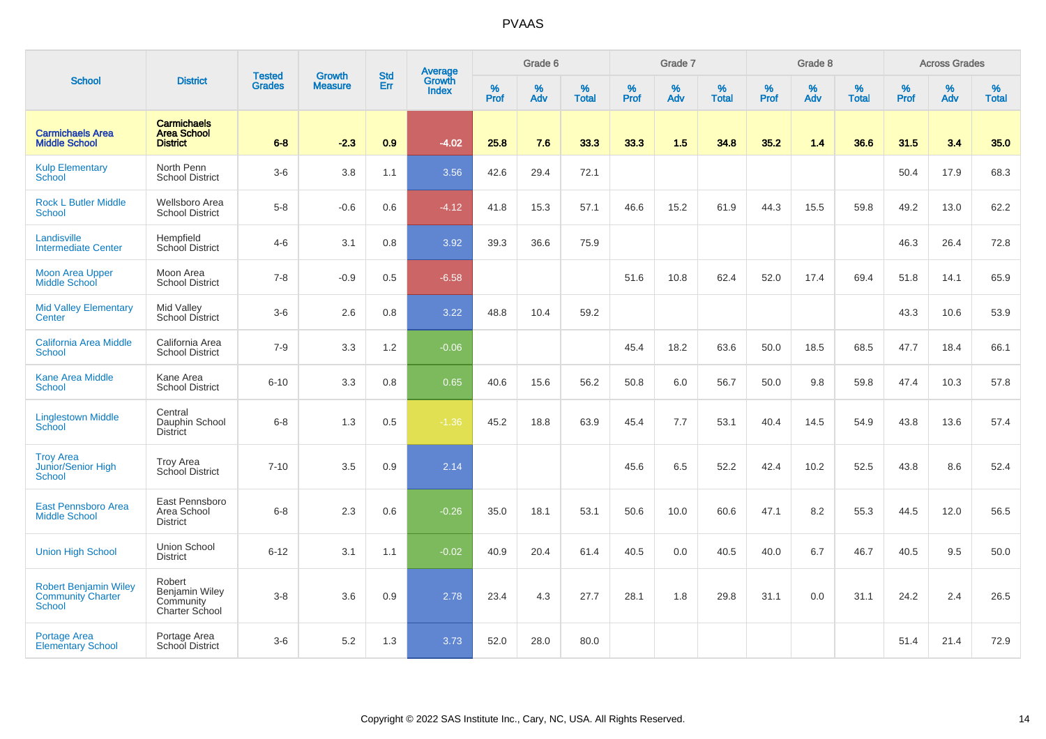|                                                                           |                                                                       |                                | <b>Growth</b>  | <b>Std</b> |                                          |           | Grade 6  |                   |           | Grade 7  |                   |           | Grade 8  |                   |           | <b>Across Grades</b> |                   |
|---------------------------------------------------------------------------|-----------------------------------------------------------------------|--------------------------------|----------------|------------|------------------------------------------|-----------|----------|-------------------|-----------|----------|-------------------|-----------|----------|-------------------|-----------|----------------------|-------------------|
| <b>School</b>                                                             | <b>District</b>                                                       | <b>Tested</b><br><b>Grades</b> | <b>Measure</b> | Err        | <b>Average</b><br>Growth<br><b>Index</b> | %<br>Prof | %<br>Adv | %<br><b>Total</b> | %<br>Prof | %<br>Adv | %<br><b>Total</b> | %<br>Prof | %<br>Adv | %<br><b>Total</b> | %<br>Prof | %<br>Adv             | %<br><b>Total</b> |
| <b>Carmichaels Area</b><br><b>Middle School</b>                           | <b>Carmichaels</b><br><b>Area School</b><br><b>District</b>           | $6 - 8$                        | $-2.3$         | 0.9        | $-4.02$                                  | 25.8      | 7.6      | 33.3              | 33.3      | 1.5      | 34.8              | 35.2      | 1.4      | 36.6              | 31.5      | 3.4                  | 35.0              |
| <b>Kulp Elementary</b><br>School                                          | North Penn<br><b>School District</b>                                  | $3-6$                          | 3.8            | 1.1        | 3.56                                     | 42.6      | 29.4     | 72.1              |           |          |                   |           |          |                   | 50.4      | 17.9                 | 68.3              |
| <b>Rock L Butler Middle</b><br><b>School</b>                              | <b>Wellsboro Area</b><br><b>School District</b>                       | $5-8$                          | $-0.6$         | 0.6        | $-4.12$                                  | 41.8      | 15.3     | 57.1              | 46.6      | 15.2     | 61.9              | 44.3      | 15.5     | 59.8              | 49.2      | 13.0                 | 62.2              |
| Landisville<br><b>Intermediate Center</b>                                 | Hempfield<br>School District                                          | $4 - 6$                        | 3.1            | 0.8        | 3.92                                     | 39.3      | 36.6     | 75.9              |           |          |                   |           |          |                   | 46.3      | 26.4                 | 72.8              |
| <b>Moon Area Upper</b><br><b>Middle School</b>                            | Moon Area<br><b>School District</b>                                   | $7 - 8$                        | $-0.9$         | 0.5        | $-6.58$                                  |           |          |                   | 51.6      | 10.8     | 62.4              | 52.0      | 17.4     | 69.4              | 51.8      | 14.1                 | 65.9              |
| <b>Mid Valley Elementary</b><br>Center                                    | Mid Valley<br><b>School District</b>                                  | $3-6$                          | 2.6            | 0.8        | 3.22                                     | 48.8      | 10.4     | 59.2              |           |          |                   |           |          |                   | 43.3      | 10.6                 | 53.9              |
| <b>California Area Middle</b><br><b>School</b>                            | California Area<br><b>School District</b>                             | $7 - 9$                        | 3.3            | 1.2        | $-0.06$                                  |           |          |                   | 45.4      | 18.2     | 63.6              | 50.0      | 18.5     | 68.5              | 47.7      | 18.4                 | 66.1              |
| <b>Kane Area Middle</b><br><b>School</b>                                  | Kane Area<br><b>School District</b>                                   | $6 - 10$                       | 3.3            | 0.8        | 0.65                                     | 40.6      | 15.6     | 56.2              | 50.8      | 6.0      | 56.7              | 50.0      | 9.8      | 59.8              | 47.4      | 10.3                 | 57.8              |
| <b>Linglestown Middle</b><br>School                                       | Central<br>Dauphin School<br><b>District</b>                          | $6 - 8$                        | 1.3            | 0.5        | $-1.36$                                  | 45.2      | 18.8     | 63.9              | 45.4      | 7.7      | 53.1              | 40.4      | 14.5     | 54.9              | 43.8      | 13.6                 | 57.4              |
| <b>Troy Area</b><br>Junior/Senior High<br><b>School</b>                   | <b>Troy Area</b><br>School District                                   | $7 - 10$                       | 3.5            | 0.9        | 2.14                                     |           |          |                   | 45.6      | 6.5      | 52.2              | 42.4      | 10.2     | 52.5              | 43.8      | 8.6                  | 52.4              |
| East Pennsboro Area<br><b>Middle School</b>                               | East Pennsboro<br>Area School<br><b>District</b>                      | $6 - 8$                        | 2.3            | 0.6        | $-0.26$                                  | 35.0      | 18.1     | 53.1              | 50.6      | 10.0     | 60.6              | 47.1      | 8.2      | 55.3              | 44.5      | 12.0                 | 56.5              |
| <b>Union High School</b>                                                  | Union School<br><b>District</b>                                       | $6 - 12$                       | 3.1            | 1.1        | $-0.02$                                  | 40.9      | 20.4     | 61.4              | 40.5      | 0.0      | 40.5              | 40.0      | 6.7      | 46.7              | 40.5      | 9.5                  | 50.0              |
| <b>Robert Benjamin Wiley</b><br><b>Community Charter</b><br><b>School</b> | Robert<br><b>Benjamin Wiley</b><br>Community<br><b>Charter School</b> | $3 - 8$                        | 3.6            | 0.9        | 2.78                                     | 23.4      | 4.3      | 27.7              | 28.1      | 1.8      | 29.8              | 31.1      | 0.0      | 31.1              | 24.2      | 2.4                  | 26.5              |
| <b>Portage Area</b><br><b>Elementary School</b>                           | Portage Area<br><b>School District</b>                                | $3-6$                          | 5.2            | 1.3        | 3.73                                     | 52.0      | 28.0     | 80.0              |           |          |                   |           |          |                   | 51.4      | 21.4                 | 72.9              |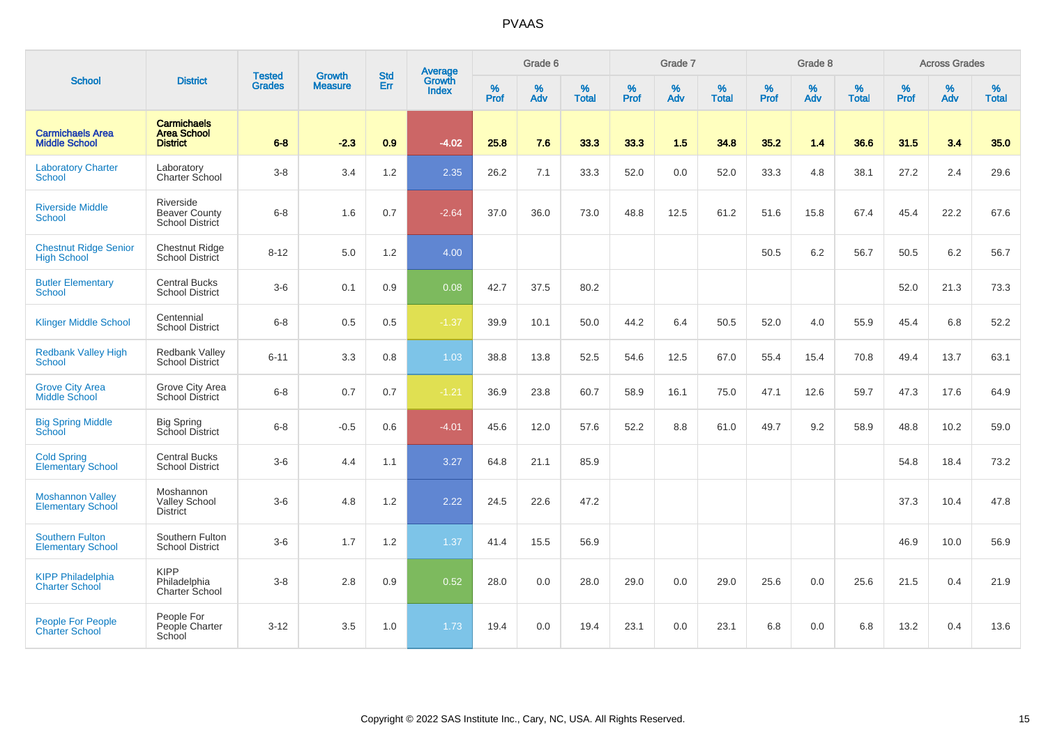|                                                     |                                                             |                                |                                 | <b>Std</b> |                                          |                  | Grade 6  |                   |           | Grade 7  |                   |                  | Grade 8  |                   |           | <b>Across Grades</b> |                   |
|-----------------------------------------------------|-------------------------------------------------------------|--------------------------------|---------------------------------|------------|------------------------------------------|------------------|----------|-------------------|-----------|----------|-------------------|------------------|----------|-------------------|-----------|----------------------|-------------------|
| <b>School</b>                                       | <b>District</b>                                             | <b>Tested</b><br><b>Grades</b> | <b>Growth</b><br><b>Measure</b> | Err        | <b>Average</b><br>Growth<br><b>Index</b> | %<br><b>Prof</b> | %<br>Adv | %<br><b>Total</b> | %<br>Prof | %<br>Adv | %<br><b>Total</b> | %<br><b>Prof</b> | %<br>Adv | %<br><b>Total</b> | %<br>Prof | $\%$<br>Adv          | %<br><b>Total</b> |
| <b>Carmichaels Area</b><br><b>Middle School</b>     | <b>Carmichaels</b><br><b>Area School</b><br><b>District</b> | $6 - 8$                        | $-2.3$                          | 0.9        | $-4.02$                                  | 25.8             | 7.6      | 33.3              | 33.3      | 1.5      | 34.8              | 35.2             | 1.4      | 36.6              | 31.5      | 3.4                  | 35.0              |
| <b>Laboratory Charter</b><br>School                 | Laboratory<br>Charter School                                | $3 - 8$                        | 3.4                             | 1.2        | 2.35                                     | 26.2             | 7.1      | 33.3              | 52.0      | 0.0      | 52.0              | 33.3             | 4.8      | 38.1              | 27.2      | 2.4                  | 29.6              |
| <b>Riverside Middle</b><br><b>School</b>            | Riverside<br><b>Beaver County</b><br><b>School District</b> | $6 - 8$                        | 1.6                             | 0.7        | $-2.64$                                  | 37.0             | 36.0     | 73.0              | 48.8      | 12.5     | 61.2              | 51.6             | 15.8     | 67.4              | 45.4      | 22.2                 | 67.6              |
| <b>Chestnut Ridge Senior</b><br><b>High School</b>  | <b>Chestnut Ridge</b><br><b>School District</b>             | $8 - 12$                       | 5.0                             | 1.2        | 4.00                                     |                  |          |                   |           |          |                   | 50.5             | 6.2      | 56.7              | 50.5      | 6.2                  | 56.7              |
| <b>Butler Elementary</b><br>School                  | <b>Central Bucks</b><br><b>School District</b>              | $3-6$                          | 0.1                             | 0.9        | 0.08                                     | 42.7             | 37.5     | 80.2              |           |          |                   |                  |          |                   | 52.0      | 21.3                 | 73.3              |
| <b>Klinger Middle School</b>                        | Centennial<br><b>School District</b>                        | $6 - 8$                        | 0.5                             | 0.5        | $-1.37$                                  | 39.9             | 10.1     | 50.0              | 44.2      | 6.4      | 50.5              | 52.0             | 4.0      | 55.9              | 45.4      | 6.8                  | 52.2              |
| <b>Redbank Valley High</b><br>School                | <b>Redbank Valley</b><br><b>School District</b>             | $6 - 11$                       | 3.3                             | 0.8        | 1.03                                     | 38.8             | 13.8     | 52.5              | 54.6      | 12.5     | 67.0              | 55.4             | 15.4     | 70.8              | 49.4      | 13.7                 | 63.1              |
| <b>Grove City Area</b><br><b>Middle School</b>      | Grove City Area<br><b>School District</b>                   | $6 - 8$                        | 0.7                             | 0.7        | $-1.21$                                  | 36.9             | 23.8     | 60.7              | 58.9      | 16.1     | 75.0              | 47.1             | 12.6     | 59.7              | 47.3      | 17.6                 | 64.9              |
| <b>Big Spring Middle</b><br><b>School</b>           | <b>Big Spring</b><br>School District                        | $6 - 8$                        | $-0.5$                          | 0.6        | $-4.01$                                  | 45.6             | 12.0     | 57.6              | 52.2      | 8.8      | 61.0              | 49.7             | 9.2      | 58.9              | 48.8      | 10.2                 | 59.0              |
| <b>Cold Spring</b><br>Elementary School             | <b>Central Bucks</b><br><b>School District</b>              | $3-6$                          | 4.4                             | 1.1        | 3.27                                     | 64.8             | 21.1     | 85.9              |           |          |                   |                  |          |                   | 54.8      | 18.4                 | 73.2              |
| <b>Moshannon Valley</b><br><b>Elementary School</b> | Moshannon<br><b>Valley School</b><br><b>District</b>        | $3-6$                          | 4.8                             | 1.2        | 2.22                                     | 24.5             | 22.6     | 47.2              |           |          |                   |                  |          |                   | 37.3      | 10.4                 | 47.8              |
| <b>Southern Fulton</b><br><b>Elementary School</b>  | Southern Fulton<br><b>School District</b>                   | $3-6$                          | 1.7                             | 1.2        | 1.37                                     | 41.4             | 15.5     | 56.9              |           |          |                   |                  |          |                   | 46.9      | 10.0                 | 56.9              |
| <b>KIPP Philadelphia</b><br><b>Charter School</b>   | <b>KIPP</b><br>Philadelphia<br>Charter School               | $3 - 8$                        | 2.8                             | 0.9        | 0.52                                     | 28.0             | 0.0      | 28.0              | 29.0      | 0.0      | 29.0              | 25.6             | 0.0      | 25.6              | 21.5      | 0.4                  | 21.9              |
| <b>People For People</b><br><b>Charter School</b>   | People For<br>People Charter<br>School                      | $3 - 12$                       | 3.5                             | 1.0        | 1.73                                     | 19.4             | 0.0      | 19.4              | 23.1      | 0.0      | 23.1              | 6.8              | 0.0      | 6.8               | 13.2      | 0.4                  | 13.6              |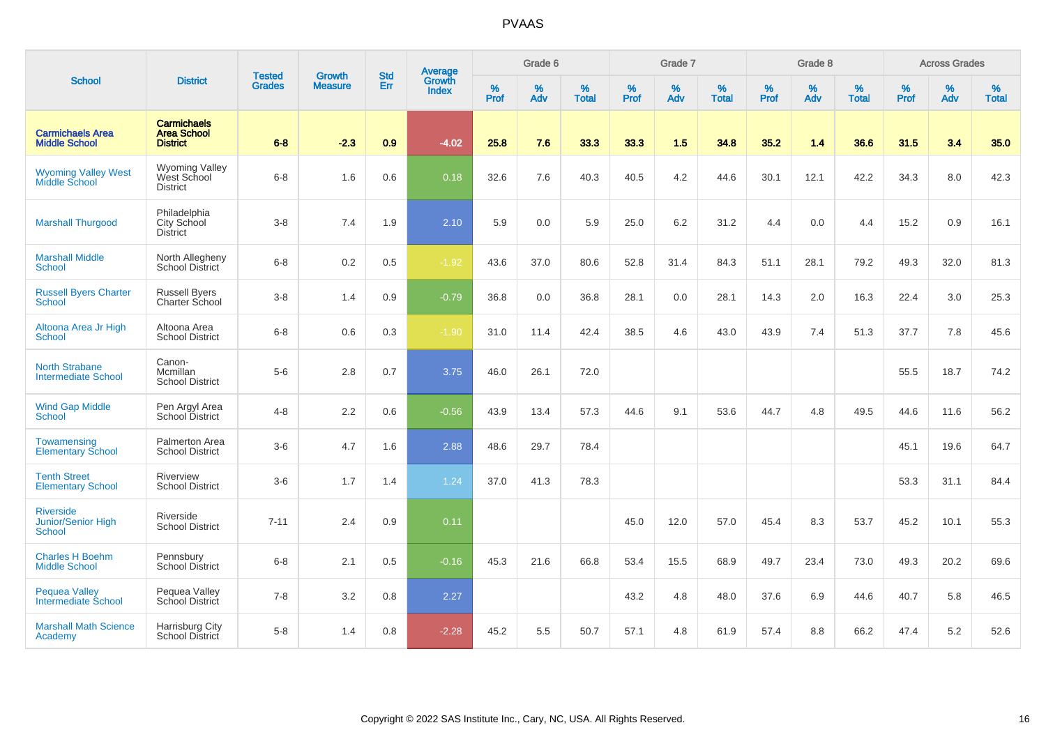|                                                         |                                                             |                                | <b>Growth</b>  | <b>Std</b> | <b>Average</b><br>Growth |                  | Grade 6  |                   |                  | Grade 7  |                   |                  | Grade 8  |                   |                     | <b>Across Grades</b> |                   |
|---------------------------------------------------------|-------------------------------------------------------------|--------------------------------|----------------|------------|--------------------------|------------------|----------|-------------------|------------------|----------|-------------------|------------------|----------|-------------------|---------------------|----------------------|-------------------|
| <b>School</b>                                           | <b>District</b>                                             | <b>Tested</b><br><b>Grades</b> | <b>Measure</b> | Err        | <b>Index</b>             | %<br><b>Prof</b> | %<br>Adv | %<br><b>Total</b> | %<br><b>Prof</b> | %<br>Adv | %<br><b>Total</b> | %<br><b>Prof</b> | %<br>Adv | %<br><b>Total</b> | $\%$<br><b>Prof</b> | %<br>Adv             | %<br><b>Total</b> |
| <b>Carmichaels Area</b><br><b>Middle School</b>         | <b>Carmichaels</b><br><b>Area School</b><br><b>District</b> | $6 - 8$                        | $-2.3$         | 0.9        | $-4.02$                  | 25.8             | 7.6      | 33.3              | 33.3             | 1.5      | 34.8              | 35.2             | 1.4      | 36.6              | 31.5                | 3.4                  | 35.0              |
| <b>Wyoming Valley West<br/>Middle School</b>            | <b>Wyoming Valley</b><br>West School<br><b>District</b>     | $6 - 8$                        | 1.6            | 0.6        | 0.18                     | 32.6             | 7.6      | 40.3              | 40.5             | 4.2      | 44.6              | 30.1             | 12.1     | 42.2              | 34.3                | 8.0                  | 42.3              |
| <b>Marshall Thurgood</b>                                | Philadelphia<br>City School<br><b>District</b>              | $3-8$                          | 7.4            | 1.9        | 2.10                     | 5.9              | 0.0      | 5.9               | 25.0             | $6.2\,$  | 31.2              | 4.4              | 0.0      | 4.4               | 15.2                | 0.9                  | 16.1              |
| <b>Marshall Middle</b><br>School                        | North Allegheny<br><b>School District</b>                   | $6-8$                          | 0.2            | 0.5        | $-1.92$                  | 43.6             | 37.0     | 80.6              | 52.8             | 31.4     | 84.3              | 51.1             | 28.1     | 79.2              | 49.3                | 32.0                 | 81.3              |
| <b>Russell Byers Charter</b><br><b>School</b>           | <b>Russell Byers</b><br>Charter School                      | $3-8$                          | 1.4            | 0.9        | $-0.79$                  | 36.8             | 0.0      | 36.8              | 28.1             | 0.0      | 28.1              | 14.3             | 2.0      | 16.3              | 22.4                | 3.0                  | 25.3              |
| Altoona Area Jr High<br><b>School</b>                   | Altoona Area<br><b>School District</b>                      | $6-8$                          | 0.6            | 0.3        | $-1.90$                  | 31.0             | 11.4     | 42.4              | 38.5             | 4.6      | 43.0              | 43.9             | 7.4      | 51.3              | 37.7                | 7.8                  | 45.6              |
| <b>North Strabane</b><br><b>Intermediate School</b>     | Canon-<br>Mcmillan<br><b>School District</b>                | $5-6$                          | 2.8            | 0.7        | 3.75                     | 46.0             | 26.1     | 72.0              |                  |          |                   |                  |          |                   | 55.5                | 18.7                 | 74.2              |
| <b>Wind Gap Middle</b><br><b>School</b>                 | Pen Argyl Area<br>School District                           | $4 - 8$                        | 2.2            | 0.6        | $-0.56$                  | 43.9             | 13.4     | 57.3              | 44.6             | 9.1      | 53.6              | 44.7             | 4.8      | 49.5              | 44.6                | 11.6                 | 56.2              |
| Towamensing<br><b>Elementary School</b>                 | Palmerton Area<br><b>School District</b>                    | $3-6$                          | 4.7            | 1.6        | 2.88                     | 48.6             | 29.7     | 78.4              |                  |          |                   |                  |          |                   | 45.1                | 19.6                 | 64.7              |
| <b>Tenth Street</b><br><b>Elementary School</b>         | Riverview<br><b>School District</b>                         | $3-6$                          | 1.7            | 1.4        | 1.24                     | 37.0             | 41.3     | 78.3              |                  |          |                   |                  |          |                   | 53.3                | 31.1                 | 84.4              |
| <b>Riverside</b><br>Junior/Senior High<br><b>School</b> | Riverside<br><b>School District</b>                         | $7 - 11$                       | 2.4            | 0.9        | 0.11                     |                  |          |                   | 45.0             | 12.0     | 57.0              | 45.4             | 8.3      | 53.7              | 45.2                | 10.1                 | 55.3              |
| <b>Charles H Boehm</b><br><b>Middle School</b>          | Pennsbury<br><b>School District</b>                         | $6 - 8$                        | 2.1            | 0.5        | $-0.16$                  | 45.3             | 21.6     | 66.8              | 53.4             | 15.5     | 68.9              | 49.7             | 23.4     | 73.0              | 49.3                | 20.2                 | 69.6              |
| <b>Pequea Valley</b><br><b>Intermediate School</b>      | Pequea Valley<br>School District                            | $7 - 8$                        | 3.2            | 0.8        | 2.27                     |                  |          |                   | 43.2             | 4.8      | 48.0              | 37.6             | 6.9      | 44.6              | 40.7                | 5.8                  | 46.5              |
| <b>Marshall Math Science</b><br>Academy                 | Harrisburg City<br>School District                          | $5-8$                          | 1.4            | 0.8        | $-2.28$                  | 45.2             | 5.5      | 50.7              | 57.1             | 4.8      | 61.9              | 57.4             | 8.8      | 66.2              | 47.4                | 5.2                  | 52.6              |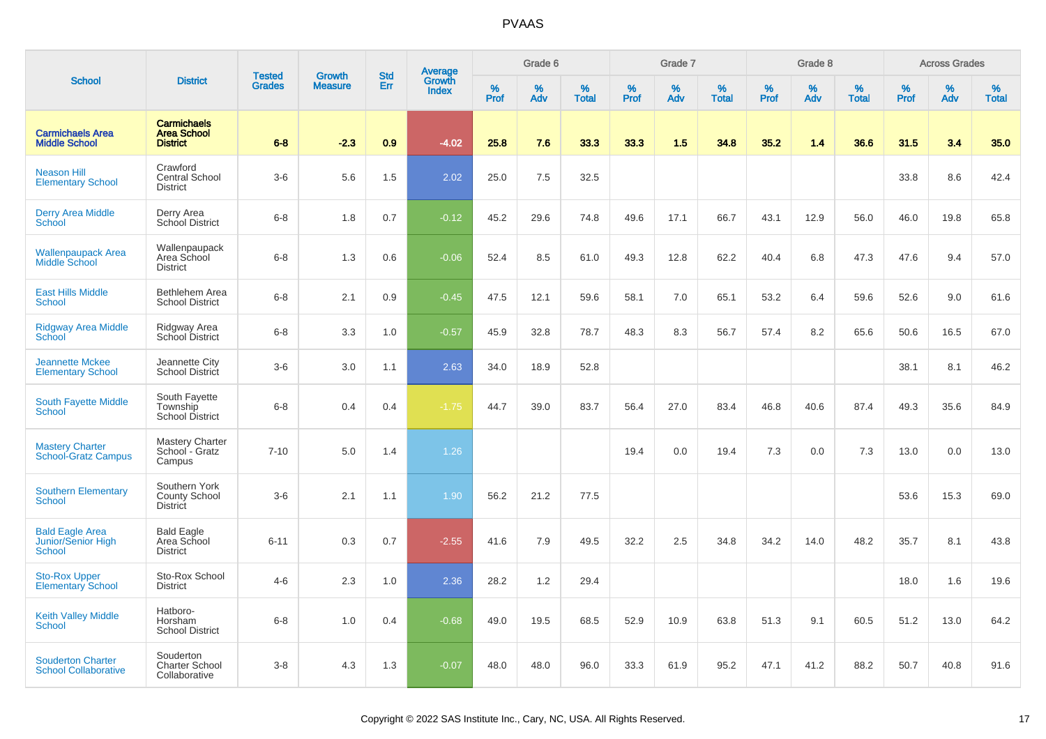|                                                               |                                                             |                         |                                 |                   |                                          |                  | Grade 6  |                   |           | Grade 7  |                   |           | Grade 8  |                   |           | <b>Across Grades</b> |                   |
|---------------------------------------------------------------|-------------------------------------------------------------|-------------------------|---------------------------------|-------------------|------------------------------------------|------------------|----------|-------------------|-----------|----------|-------------------|-----------|----------|-------------------|-----------|----------------------|-------------------|
| <b>School</b>                                                 | <b>District</b>                                             | <b>Tested</b><br>Grades | <b>Growth</b><br><b>Measure</b> | <b>Std</b><br>Err | <b>Average</b><br>Growth<br><b>Index</b> | %<br><b>Prof</b> | %<br>Adv | %<br><b>Total</b> | %<br>Prof | %<br>Adv | %<br><b>Total</b> | %<br>Prof | %<br>Adv | %<br><b>Total</b> | %<br>Prof | %<br>Adv             | %<br><b>Total</b> |
| <b>Carmichaels Area</b><br><b>Middle School</b>               | <b>Carmichaels</b><br><b>Area School</b><br><b>District</b> | $6 - 8$                 | $-2.3$                          | 0.9               | $-4.02$                                  | 25.8             | 7.6      | 33.3              | 33.3      | 1.5      | 34.8              | 35.2      | 1.4      | 36.6              | 31.5      | 3.4                  | 35.0              |
| <b>Neason Hill</b><br><b>Elementary School</b>                | Crawford<br><b>Central School</b><br>District               | $3-6$                   | 5.6                             | 1.5               | 2.02                                     | 25.0             | 7.5      | 32.5              |           |          |                   |           |          |                   | 33.8      | 8.6                  | 42.4              |
| Derry Area Middle<br>School                                   | Derry Area<br>School District                               | $6-8$                   | 1.8                             | 0.7               | $-0.12$                                  | 45.2             | 29.6     | 74.8              | 49.6      | 17.1     | 66.7              | 43.1      | 12.9     | 56.0              | 46.0      | 19.8                 | 65.8              |
| <b>Wallenpaupack Area</b><br>Middle School                    | Wallenpaupack<br>Area School<br><b>District</b>             | $6-8$                   | 1.3                             | 0.6               | $-0.06$                                  | 52.4             | 8.5      | 61.0              | 49.3      | 12.8     | 62.2              | 40.4      | 6.8      | 47.3              | 47.6      | 9.4                  | 57.0              |
| <b>East Hills Middle</b><br><b>School</b>                     | <b>Bethlehem Area</b><br><b>School District</b>             | $6-8$                   | 2.1                             | 0.9               | $-0.45$                                  | 47.5             | 12.1     | 59.6              | 58.1      | 7.0      | 65.1              | 53.2      | 6.4      | 59.6              | 52.6      | 9.0                  | 61.6              |
| Ridgway Area Middle<br>School                                 | Ridgway Area<br>School District                             | $6-8$                   | 3.3                             | 1.0               | $-0.57$                                  | 45.9             | 32.8     | 78.7              | 48.3      | 8.3      | 56.7              | 57.4      | 8.2      | 65.6              | 50.6      | 16.5                 | 67.0              |
| <b>Jeannette Mckee</b><br><b>Elementary School</b>            | Jeannette City<br><b>School District</b>                    | $3-6$                   | 3.0                             | 1.1               | 2.63                                     | 34.0             | 18.9     | 52.8              |           |          |                   |           |          |                   | 38.1      | 8.1                  | 46.2              |
| South Fayette Middle<br><b>School</b>                         | South Fayette<br>Township<br><b>School District</b>         | $6 - 8$                 | 0.4                             | 0.4               | $-1.75$                                  | 44.7             | 39.0     | 83.7              | 56.4      | 27.0     | 83.4              | 46.8      | 40.6     | 87.4              | 49.3      | 35.6                 | 84.9              |
| <b>Mastery Charter</b><br><b>School-Gratz Campus</b>          | <b>Mastery Charter</b><br>School - Gratz<br>Campus          | $7 - 10$                | 5.0                             | 1.4               | 1.26                                     |                  |          |                   | 19.4      | 0.0      | 19.4              | 7.3       | 0.0      | 7.3               | 13.0      | 0.0                  | 13.0              |
| <b>Southern Elementary</b><br><b>School</b>                   | Southern York<br><b>County School</b><br><b>District</b>    | $3-6$                   | 2.1                             | 1.1               | 1.90                                     | 56.2             | 21.2     | 77.5              |           |          |                   |           |          |                   | 53.6      | 15.3                 | 69.0              |
| <b>Bald Eagle Area</b><br>Junior/Senior High<br><b>School</b> | <b>Bald Eagle</b><br>Area School<br>District                | $6 - 11$                | 0.3                             | 0.7               | $-2.55$                                  | 41.6             | 7.9      | 49.5              | 32.2      | 2.5      | 34.8              | 34.2      | 14.0     | 48.2              | 35.7      | 8.1                  | 43.8              |
| <b>Sto-Rox Upper</b><br><b>Elementary School</b>              | Sto-Rox School<br><b>District</b>                           | $4 - 6$                 | 2.3                             | 1.0               | 2.36                                     | 28.2             | 1.2      | 29.4              |           |          |                   |           |          |                   | 18.0      | 1.6                  | 19.6              |
| <b>Keith Valley Middle</b><br>School                          | Hatboro-<br>Horsham<br><b>School District</b>               | $6 - 8$                 | 1.0                             | 0.4               | $-0.68$                                  | 49.0             | 19.5     | 68.5              | 52.9      | 10.9     | 63.8              | 51.3      | 9.1      | 60.5              | 51.2      | 13.0                 | 64.2              |
| <b>Souderton Charter</b><br><b>School Collaborative</b>       | Souderton<br><b>Charter School</b><br>Collaborative         | $3-8$                   | 4.3                             | 1.3               | $-0.07$                                  | 48.0             | 48.0     | 96.0              | 33.3      | 61.9     | 95.2              | 47.1      | 41.2     | 88.2              | 50.7      | 40.8                 | 91.6              |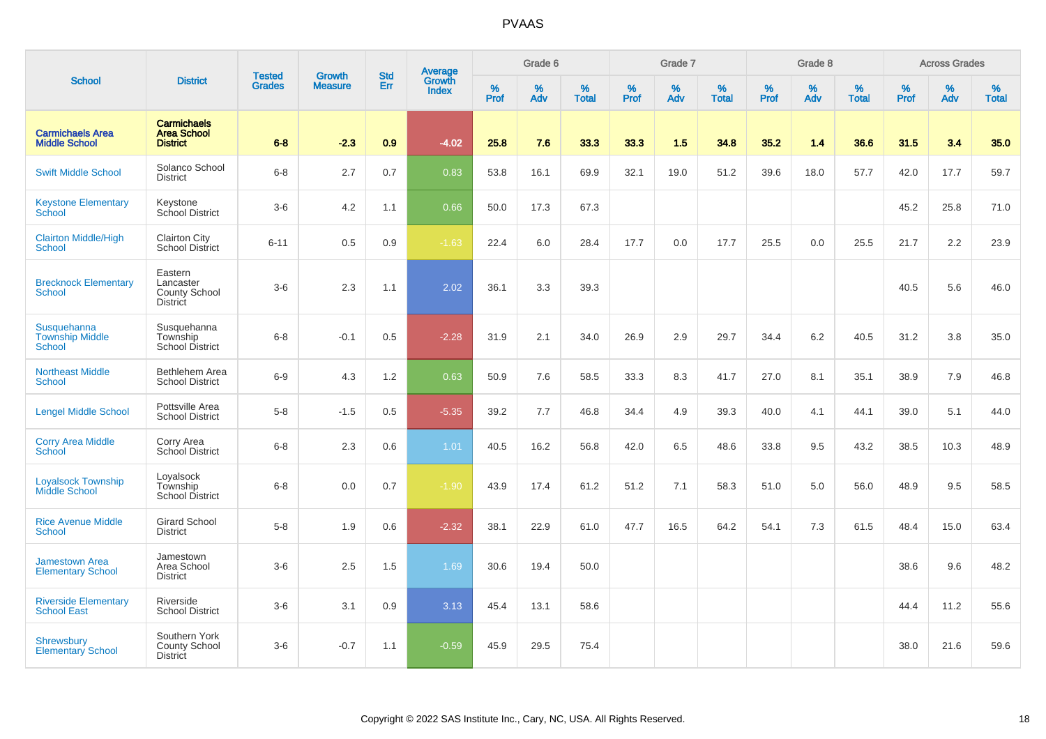|                                                   |                                                                 |                         |                                 | <b>Std</b> |                                          |           | Grade 6  |                   |           | Grade 7  |                   |           | Grade 8  |                   |           | <b>Across Grades</b> |                   |
|---------------------------------------------------|-----------------------------------------------------------------|-------------------------|---------------------------------|------------|------------------------------------------|-----------|----------|-------------------|-----------|----------|-------------------|-----------|----------|-------------------|-----------|----------------------|-------------------|
| <b>School</b>                                     | <b>District</b>                                                 | Tested<br><b>Grades</b> | <b>Growth</b><br><b>Measure</b> | Err        | <b>Average</b><br>Growth<br><b>Index</b> | %<br>Prof | %<br>Adv | %<br><b>Total</b> | %<br>Prof | %<br>Adv | %<br><b>Total</b> | %<br>Prof | %<br>Adv | %<br><b>Total</b> | %<br>Prof | $\%$<br>Adv          | %<br><b>Total</b> |
| <b>Carmichaels Area</b><br><b>Middle School</b>   | <b>Carmichaels</b><br><b>Area School</b><br><b>District</b>     | $6 - 8$                 | $-2.3$                          | 0.9        | $-4.02$                                  | 25.8      | 7.6      | 33.3              | 33.3      | 1.5      | 34.8              | 35.2      | 1.4      | 36.6              | 31.5      | 3.4                  | 35.0              |
| <b>Swift Middle School</b>                        | Solanco School<br><b>District</b>                               | $6 - 8$                 | 2.7                             | 0.7        | 0.83                                     | 53.8      | 16.1     | 69.9              | 32.1      | 19.0     | 51.2              | 39.6      | 18.0     | 57.7              | 42.0      | 17.7                 | 59.7              |
| <b>Keystone Elementary</b><br>School              | Keystone<br>School District                                     | $3-6$                   | 4.2                             | 1.1        | 0.66                                     | 50.0      | 17.3     | 67.3              |           |          |                   |           |          |                   | 45.2      | 25.8                 | 71.0              |
| <b>Clairton Middle/High</b><br><b>School</b>      | <b>Clairton City</b><br><b>School District</b>                  | $6 - 11$                | 0.5                             | 0.9        | $-1.63$                                  | 22.4      | 6.0      | 28.4              | 17.7      | 0.0      | 17.7              | 25.5      | 0.0      | 25.5              | 21.7      | 2.2                  | 23.9              |
| <b>Brecknock Elementary</b><br>School             | Eastern<br>Lancaster<br><b>County School</b><br><b>District</b> | $3-6$                   | 2.3                             | 1.1        | 2.02                                     | 36.1      | 3.3      | 39.3              |           |          |                   |           |          |                   | 40.5      | 5.6                  | 46.0              |
| Susquehanna<br><b>Township Middle</b><br>School   | Susquehanna<br>Township<br>School District                      | $6 - 8$                 | $-0.1$                          | 0.5        | $-2.28$                                  | 31.9      | 2.1      | 34.0              | 26.9      | 2.9      | 29.7              | 34.4      | 6.2      | 40.5              | 31.2      | 3.8                  | 35.0              |
| <b>Northeast Middle</b><br>School                 | Bethlehem Area<br><b>School District</b>                        | $6-9$                   | 4.3                             | 1.2        | 0.63                                     | 50.9      | 7.6      | 58.5              | 33.3      | 8.3      | 41.7              | 27.0      | 8.1      | 35.1              | 38.9      | 7.9                  | 46.8              |
| <b>Lengel Middle School</b>                       | Pottsville Area<br><b>School District</b>                       | $5-8$                   | $-1.5$                          | 0.5        | $-5.35$                                  | 39.2      | 7.7      | 46.8              | 34.4      | 4.9      | 39.3              | 40.0      | 4.1      | 44.1              | 39.0      | 5.1                  | 44.0              |
| <b>Corry Area Middle</b><br>School                | Corry Area<br>School District                                   | $6-8$                   | 2.3                             | 0.6        | 1.01                                     | 40.5      | 16.2     | 56.8              | 42.0      | 6.5      | 48.6              | 33.8      | 9.5      | 43.2              | 38.5      | 10.3                 | 48.9              |
| <b>Loyalsock Township</b><br>Middle School        | Loyalsock<br>Township<br><b>School District</b>                 | $6-8$                   | 0.0                             | 0.7        | $-1.90$                                  | 43.9      | 17.4     | 61.2              | 51.2      | 7.1      | 58.3              | 51.0      | 5.0      | 56.0              | 48.9      | 9.5                  | 58.5              |
| <b>Rice Avenue Middle</b><br>School               | <b>Girard School</b><br><b>District</b>                         | $5-8$                   | 1.9                             | 0.6        | $-2.32$                                  | 38.1      | 22.9     | 61.0              | 47.7      | 16.5     | 64.2              | 54.1      | 7.3      | 61.5              | 48.4      | 15.0                 | 63.4              |
| <b>Jamestown Area</b><br><b>Elementary School</b> | Jamestown<br>Area School<br><b>District</b>                     | $3-6$                   | 2.5                             | 1.5        | 1.69                                     | 30.6      | 19.4     | 50.0              |           |          |                   |           |          |                   | 38.6      | 9.6                  | 48.2              |
| <b>Riverside Elementary</b><br><b>School East</b> | Riverside<br><b>School District</b>                             | $3-6$                   | 3.1                             | 0.9        | 3.13                                     | 45.4      | 13.1     | 58.6              |           |          |                   |           |          |                   | 44.4      | 11.2                 | 55.6              |
| <b>Shrewsbury</b><br><b>Elementary School</b>     | Southern York<br>County School<br>District                      | $3-6$                   | $-0.7$                          | 1.1        | $-0.59$                                  | 45.9      | 29.5     | 75.4              |           |          |                   |           |          |                   | 38.0      | 21.6                 | 59.6              |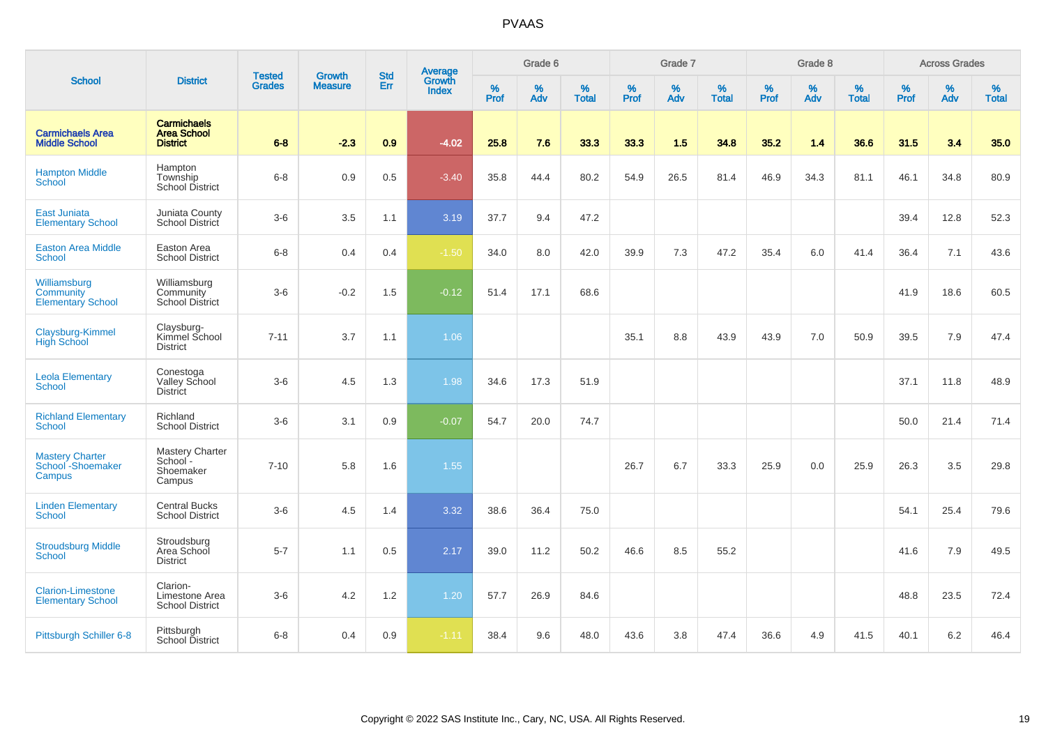|                                                              |                                                             | <b>Tested</b> | <b>Growth</b>  | <b>Std</b> | <b>Average</b><br>Growth |                  | Grade 6  |                   |           | Grade 7  |                   |           | Grade 8  |                   |           | <b>Across Grades</b> |                   |
|--------------------------------------------------------------|-------------------------------------------------------------|---------------|----------------|------------|--------------------------|------------------|----------|-------------------|-----------|----------|-------------------|-----------|----------|-------------------|-----------|----------------------|-------------------|
| <b>School</b>                                                | <b>District</b>                                             | <b>Grades</b> | <b>Measure</b> | Err        | <b>Index</b>             | %<br><b>Prof</b> | %<br>Adv | %<br><b>Total</b> | %<br>Prof | %<br>Adv | %<br><b>Total</b> | %<br>Prof | %<br>Adv | %<br><b>Total</b> | %<br>Prof | %<br>Adv             | %<br><b>Total</b> |
| <b>Carmichaels Area</b><br><b>Middle School</b>              | <b>Carmichaels</b><br><b>Area School</b><br><b>District</b> | $6 - 8$       | $-2.3$         | 0.9        | $-4.02$                  | 25.8             | 7.6      | 33.3              | 33.3      | 1.5      | 34.8              | 35.2      | 1.4      | 36.6              | 31.5      | 3.4                  | 35.0              |
| <b>Hampton Middle</b><br>School                              | Hampton<br>Township<br><b>School District</b>               | $6 - 8$       | 0.9            | 0.5        | $-3.40$                  | 35.8             | 44.4     | 80.2              | 54.9      | 26.5     | 81.4              | 46.9      | 34.3     | 81.1              | 46.1      | 34.8                 | 80.9              |
| East Juniata<br><b>Elementary School</b>                     | Juniata County<br>School District                           | $3-6$         | 3.5            | 1.1        | 3.19                     | 37.7             | 9.4      | 47.2              |           |          |                   |           |          |                   | 39.4      | 12.8                 | 52.3              |
| <b>Easton Area Middle</b><br><b>School</b>                   | Easton Area<br><b>School District</b>                       | $6 - 8$       | 0.4            | 0.4        | $-1.50$                  | 34.0             | 8.0      | 42.0              | 39.9      | 7.3      | 47.2              | 35.4      | 6.0      | 41.4              | 36.4      | 7.1                  | 43.6              |
| Williamsburg<br><b>Community</b><br><b>Elementary School</b> | Williamsburg<br>Community<br><b>School District</b>         | $3-6$         | $-0.2$         | 1.5        | $-0.12$                  | 51.4             | 17.1     | 68.6              |           |          |                   |           |          |                   | 41.9      | 18.6                 | 60.5              |
| Claysburg-Kimmel<br><b>High School</b>                       | Claysburg-<br>Kimmel School<br><b>District</b>              | $7 - 11$      | 3.7            | 1.1        | 1.06                     |                  |          |                   | 35.1      | 8.8      | 43.9              | 43.9      | 7.0      | 50.9              | 39.5      | 7.9                  | 47.4              |
| <b>Leola Elementary</b><br><b>School</b>                     | Conestoga<br>Valley School<br><b>District</b>               | $3-6$         | 4.5            | 1.3        | 1.98                     | 34.6             | 17.3     | 51.9              |           |          |                   |           |          |                   | 37.1      | 11.8                 | 48.9              |
| <b>Richland Elementary</b><br><b>School</b>                  | Richland<br><b>School District</b>                          | $3-6$         | 3.1            | 0.9        | $-0.07$                  | 54.7             | 20.0     | 74.7              |           |          |                   |           |          |                   | 50.0      | 21.4                 | 71.4              |
| <b>Mastery Charter</b><br>School - Shoemaker<br>Campus       | Mastery Charter<br>School-<br>Shoemaker<br>Campus           | $7 - 10$      | 5.8            | 1.6        | 1.55                     |                  |          |                   | 26.7      | 6.7      | 33.3              | 25.9      | 0.0      | 25.9              | 26.3      | 3.5                  | 29.8              |
| <b>Linden Elementary</b><br><b>School</b>                    | <b>Central Bucks</b><br><b>School District</b>              | $3-6$         | 4.5            | 1.4        | 3.32                     | 38.6             | 36.4     | 75.0              |           |          |                   |           |          |                   | 54.1      | 25.4                 | 79.6              |
| <b>Stroudsburg Middle</b><br>School                          | Stroudsburg<br>Area School<br><b>District</b>               | $5 - 7$       | 1.1            | 0.5        | 2.17                     | 39.0             | 11.2     | 50.2              | 46.6      | 8.5      | 55.2              |           |          |                   | 41.6      | 7.9                  | 49.5              |
| <b>Clarion-Limestone</b><br><b>Elementary School</b>         | Clarion-<br>Limestone Area<br><b>School District</b>        | $3-6$         | 4.2            | 1.2        | 1.20                     | 57.7             | 26.9     | 84.6              |           |          |                   |           |          |                   | 48.8      | 23.5                 | 72.4              |
| Pittsburgh Schiller 6-8                                      | Pittsburgh<br>School District                               | $6 - 8$       | 0.4            | 0.9        | $-1.11$                  | 38.4             | 9.6      | 48.0              | 43.6      | 3.8      | 47.4              | 36.6      | 4.9      | 41.5              | 40.1      | 6.2                  | 46.4              |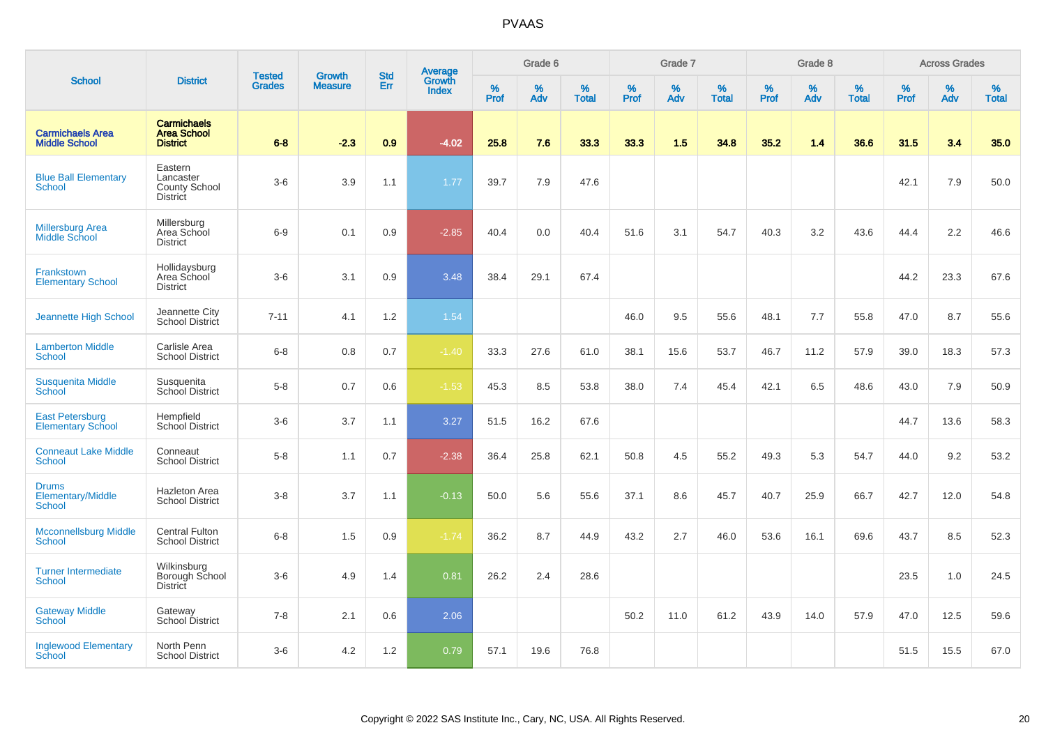|                                                    |                                                             | <b>Tested</b> | <b>Growth</b>  | <b>Std</b> |                                          |           | Grade 6  |                   |           | Grade 7  |                   |           | Grade 8  |                   |           | <b>Across Grades</b> |                   |
|----------------------------------------------------|-------------------------------------------------------------|---------------|----------------|------------|------------------------------------------|-----------|----------|-------------------|-----------|----------|-------------------|-----------|----------|-------------------|-----------|----------------------|-------------------|
| <b>School</b>                                      | <b>District</b>                                             | <b>Grades</b> | <b>Measure</b> | Err        | <b>Average</b><br>Growth<br><b>Index</b> | %<br>Prof | %<br>Adv | %<br><b>Total</b> | %<br>Prof | %<br>Adv | %<br><b>Total</b> | %<br>Prof | %<br>Adv | %<br><b>Total</b> | %<br>Prof | %<br>Adv             | %<br><b>Total</b> |
| <b>Carmichaels Area</b><br><b>Middle School</b>    | <b>Carmichaels</b><br><b>Area School</b><br><b>District</b> | $6 - 8$       | $-2.3$         | 0.9        | $-4.02$                                  | 25.8      | 7.6      | 33.3              | 33.3      | 1.5      | 34.8              | 35.2      | 1.4      | 36.6              | 31.5      | 3.4                  | 35.0              |
| <b>Blue Ball Elementary</b><br><b>School</b>       | Eastern<br>Lancaster<br>County School<br><b>District</b>    | $3-6$         | 3.9            | 1.1        | 1.77                                     | 39.7      | 7.9      | 47.6              |           |          |                   |           |          |                   | 42.1      | 7.9                  | 50.0              |
| <b>Millersburg Area</b><br>Middle School           | Millersburg<br>Area School<br><b>District</b>               | $6-9$         | 0.1            | 0.9        | $-2.85$                                  | 40.4      | 0.0      | 40.4              | 51.6      | 3.1      | 54.7              | 40.3      | 3.2      | 43.6              | 44.4      | 2.2                  | 46.6              |
| <b>Frankstown</b><br><b>Elementary School</b>      | Hollidaysburg<br>Area School<br><b>District</b>             | $3-6$         | 3.1            | 0.9        | 3.48                                     | 38.4      | 29.1     | 67.4              |           |          |                   |           |          |                   | 44.2      | 23.3                 | 67.6              |
| Jeannette High School                              | Jeannette City<br>School District                           | $7 - 11$      | 4.1            | 1.2        | 1.54                                     |           |          |                   | 46.0      | 9.5      | 55.6              | 48.1      | 7.7      | 55.8              | 47.0      | 8.7                  | 55.6              |
| <b>Lamberton Middle</b><br>School                  | Carlisle Area<br><b>School District</b>                     | $6 - 8$       | 0.8            | 0.7        | $-1.40$                                  | 33.3      | 27.6     | 61.0              | 38.1      | 15.6     | 53.7              | 46.7      | 11.2     | 57.9              | 39.0      | 18.3                 | 57.3              |
| <b>Susquenita Middle</b><br>School                 | Susquenita<br>School District                               | $5-8$         | 0.7            | 0.6        | $-1.53$                                  | 45.3      | 8.5      | 53.8              | 38.0      | 7.4      | 45.4              | 42.1      | 6.5      | 48.6              | 43.0      | 7.9                  | 50.9              |
| <b>East Petersburg</b><br><b>Elementary School</b> | Hempfield<br>School District                                | $3-6$         | 3.7            | 1.1        | 3.27                                     | 51.5      | 16.2     | 67.6              |           |          |                   |           |          |                   | 44.7      | 13.6                 | 58.3              |
| <b>Conneaut Lake Middle</b><br><b>School</b>       | Conneaut<br><b>School District</b>                          | $5-8$         | 1.1            | 0.7        | $-2.38$                                  | 36.4      | 25.8     | 62.1              | 50.8      | 4.5      | 55.2              | 49.3      | 5.3      | 54.7              | 44.0      | 9.2                  | 53.2              |
| <b>Drums</b><br>Elementary/Middle<br>School        | Hazleton Area<br><b>School District</b>                     | $3-8$         | 3.7            | 1.1        | $-0.13$                                  | 50.0      | 5.6      | 55.6              | 37.1      | 8.6      | 45.7              | 40.7      | 25.9     | 66.7              | 42.7      | 12.0                 | 54.8              |
| <b>Mcconnellsburg Middle</b><br><b>School</b>      | <b>Central Fulton</b><br><b>School District</b>             | $6-8$         | 1.5            | 0.9        | $-1.74$                                  | 36.2      | 8.7      | 44.9              | 43.2      | 2.7      | 46.0              | 53.6      | 16.1     | 69.6              | 43.7      | 8.5                  | 52.3              |
| <b>Turner Intermediate</b><br><b>School</b>        | Wilkinsburg<br>Borough School<br><b>District</b>            | $3-6$         | 4.9            | 1.4        | 0.81                                     | 26.2      | 2.4      | 28.6              |           |          |                   |           |          |                   | 23.5      | 1.0                  | 24.5              |
| <b>Gateway Middle</b><br>School                    | Gateway<br>School District                                  | $7 - 8$       | 2.1            | 0.6        | 2.06                                     |           |          |                   | 50.2      | 11.0     | 61.2              | 43.9      | 14.0     | 57.9              | 47.0      | 12.5                 | 59.6              |
| <b>Inglewood Elementary</b><br>School              | North Penn<br><b>School District</b>                        | $3-6$         | 4.2            | 1.2        | 0.79                                     | 57.1      | 19.6     | 76.8              |           |          |                   |           |          |                   | 51.5      | 15.5                 | 67.0              |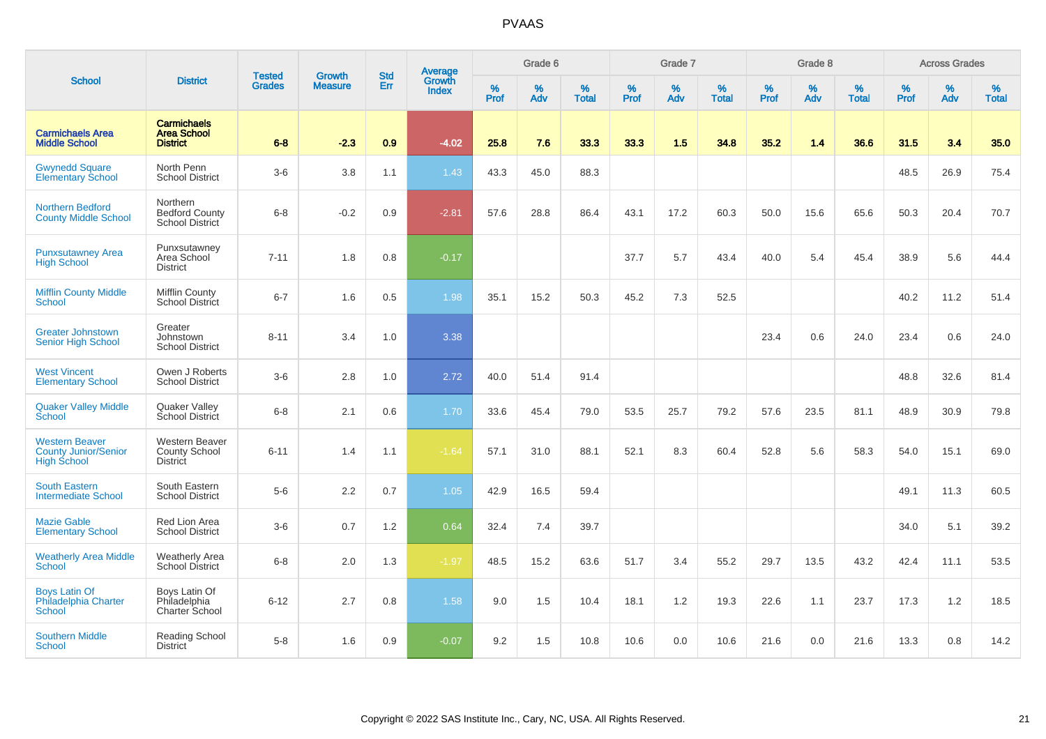|                                                                            |                                                                  |                                | <b>Growth</b>  | <b>Std</b> | <b>Average</b><br>Growth |                  | Grade 6  |                   |           | Grade 7  |                   |           | Grade 8  |                   |           | <b>Across Grades</b> |                   |
|----------------------------------------------------------------------------|------------------------------------------------------------------|--------------------------------|----------------|------------|--------------------------|------------------|----------|-------------------|-----------|----------|-------------------|-----------|----------|-------------------|-----------|----------------------|-------------------|
| <b>School</b>                                                              | <b>District</b>                                                  | <b>Tested</b><br><b>Grades</b> | <b>Measure</b> | <b>Err</b> | <b>Index</b>             | %<br><b>Prof</b> | %<br>Adv | %<br><b>Total</b> | %<br>Prof | %<br>Adv | %<br><b>Total</b> | %<br>Prof | %<br>Adv | %<br><b>Total</b> | %<br>Prof | $\%$<br>Adv          | %<br><b>Total</b> |
| <b>Carmichaels Area</b><br><b>Middle School</b>                            | <b>Carmichaels</b><br><b>Area School</b><br><b>District</b>      | $6 - 8$                        | $-2.3$         | 0.9        | $-4.02$                  | 25.8             | 7.6      | 33.3              | 33.3      | 1.5      | 34.8              | 35.2      | 1.4      | 36.6              | 31.5      | 3.4                  | 35.0              |
| <b>Gwynedd Square</b><br><b>Elementary School</b>                          | North Penn<br><b>School District</b>                             | $3-6$                          | 3.8            | 1.1        | 1.43                     | 43.3             | 45.0     | 88.3              |           |          |                   |           |          |                   | 48.5      | 26.9                 | 75.4              |
| <b>Northern Bedford</b><br><b>County Middle School</b>                     | Northern<br><b>Bedford County</b><br>School District             | $6-8$                          | $-0.2$         | 0.9        | $-2.81$                  | 57.6             | 28.8     | 86.4              | 43.1      | 17.2     | 60.3              | 50.0      | 15.6     | 65.6              | 50.3      | 20.4                 | 70.7              |
| <b>Punxsutawney Area</b><br><b>High School</b>                             | Punxsutawney<br>Area School<br><b>District</b>                   | $7 - 11$                       | 1.8            | 0.8        | $-0.17$                  |                  |          |                   | 37.7      | 5.7      | 43.4              | 40.0      | 5.4      | 45.4              | 38.9      | 5.6                  | 44.4              |
| <b>Mifflin County Middle</b><br><b>School</b>                              | Mifflin County<br><b>School District</b>                         | $6 - 7$                        | 1.6            | 0.5        | 1.98                     | 35.1             | 15.2     | 50.3              | 45.2      | 7.3      | 52.5              |           |          |                   | 40.2      | 11.2                 | 51.4              |
| <b>Greater Johnstown</b><br><b>Senior High School</b>                      | Greater<br>Johnstown<br><b>School District</b>                   | $8 - 11$                       | 3.4            | 1.0        | 3.38                     |                  |          |                   |           |          |                   | 23.4      | 0.6      | 24.0              | 23.4      | 0.6                  | 24.0              |
| <b>West Vincent</b><br><b>Elementary School</b>                            | Owen J Roberts<br><b>School District</b>                         | $3-6$                          | 2.8            | 1.0        | 2.72                     | 40.0             | 51.4     | 91.4              |           |          |                   |           |          |                   | 48.8      | 32.6                 | 81.4              |
| <b>Quaker Valley Middle</b><br><b>School</b>                               | <b>Quaker Valley</b><br>School District                          | $6-8$                          | 2.1            | 0.6        | 1.70                     | 33.6             | 45.4     | 79.0              | 53.5      | 25.7     | 79.2              | 57.6      | 23.5     | 81.1              | 48.9      | 30.9                 | 79.8              |
| <b>Western Beaver</b><br><b>County Junior/Senior</b><br><b>High School</b> | <b>Western Beaver</b><br><b>County School</b><br><b>District</b> | $6 - 11$                       | 1.4            | 1.1        | $-1.64$                  | 57.1             | 31.0     | 88.1              | 52.1      | 8.3      | 60.4              | 52.8      | 5.6      | 58.3              | 54.0      | 15.1                 | 69.0              |
| <b>South Eastern</b><br><b>Intermediate School</b>                         | South Eastern<br><b>School District</b>                          | $5-6$                          | 2.2            | 0.7        | 1.05                     | 42.9             | 16.5     | 59.4              |           |          |                   |           |          |                   | 49.1      | 11.3                 | 60.5              |
| <b>Mazie Gable</b><br><b>Elementary School</b>                             | <b>Red Lion Area</b><br><b>School District</b>                   | $3-6$                          | 0.7            | 1.2        | 0.64                     | 32.4             | 7.4      | 39.7              |           |          |                   |           |          |                   | 34.0      | 5.1                  | 39.2              |
| <b>Weatherly Area Middle</b><br><b>School</b>                              | <b>Weatherly Area</b><br><b>School District</b>                  | $6-8$                          | 2.0            | 1.3        | $-1.97$                  | 48.5             | 15.2     | 63.6              | 51.7      | 3.4      | 55.2              | 29.7      | 13.5     | 43.2              | 42.4      | 11.1                 | 53.5              |
| <b>Boys Latin Of</b><br>Philadelphia Charter<br><b>School</b>              | Boys Latin Of<br>Philadelphia<br>Charter School                  | $6 - 12$                       | 2.7            | 0.8        | 1.58                     | 9.0              | 1.5      | 10.4              | 18.1      | 1.2      | 19.3              | 22.6      | 1.1      | 23.7              | 17.3      | 1.2                  | 18.5              |
| <b>Southern Middle</b><br><b>School</b>                                    | Reading School<br><b>District</b>                                | $5-8$                          | 1.6            | 0.9        | $-0.07$                  | 9.2              | 1.5      | 10.8              | 10.6      | 0.0      | 10.6              | 21.6      | 0.0      | 21.6              | 13.3      | 0.8                  | 14.2              |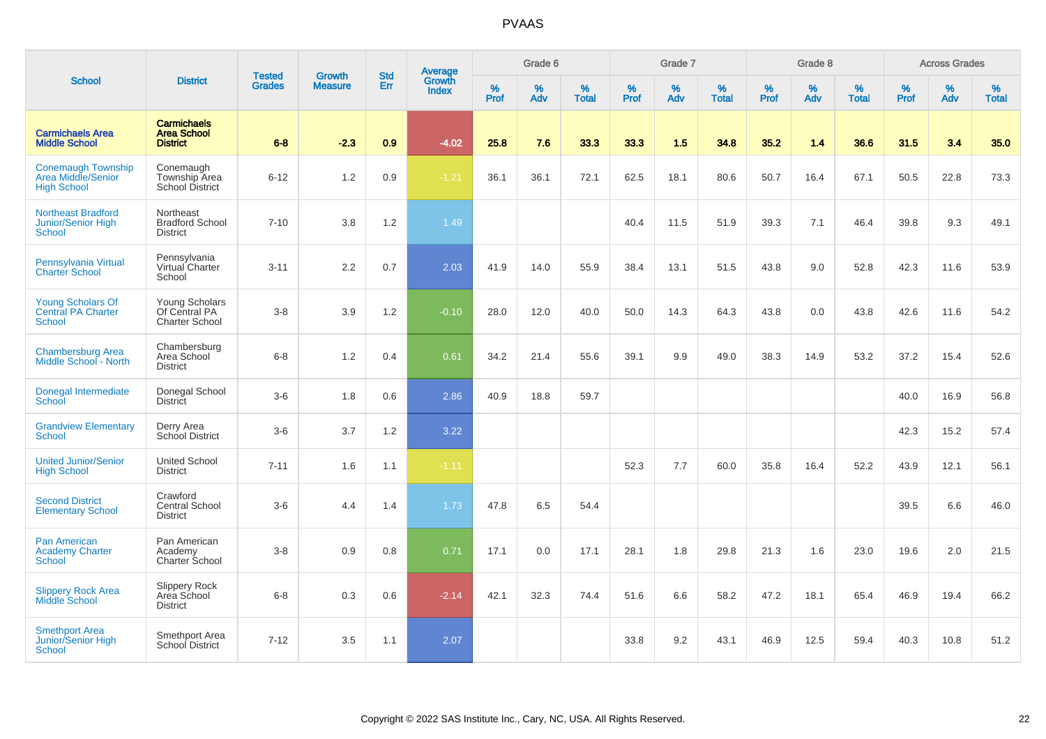|                                                                       |                                                             | <b>Tested</b> | <b>Growth</b>  | <b>Std</b> |                                          |                  | Grade 6  |                   |                  | Grade 7  |                   |                  | Grade 8  |                   |                  | <b>Across Grades</b> |                   |
|-----------------------------------------------------------------------|-------------------------------------------------------------|---------------|----------------|------------|------------------------------------------|------------------|----------|-------------------|------------------|----------|-------------------|------------------|----------|-------------------|------------------|----------------------|-------------------|
| <b>School</b>                                                         | <b>District</b>                                             | <b>Grades</b> | <b>Measure</b> | Err        | <b>Average</b><br>Growth<br><b>Index</b> | %<br><b>Prof</b> | %<br>Adv | %<br><b>Total</b> | %<br><b>Prof</b> | %<br>Adv | %<br><b>Total</b> | %<br><b>Prof</b> | %<br>Adv | %<br><b>Total</b> | %<br><b>Prof</b> | %<br>Adv             | %<br><b>Total</b> |
| <b>Carmichaels Area</b><br><b>Middle School</b>                       | <b>Carmichaels</b><br><b>Area School</b><br><b>District</b> | $6 - 8$       | $-2.3$         | 0.9        | $-4.02$                                  | 25.8             | 7.6      | 33.3              | 33.3             | 1.5      | 34.8              | 35.2             | 1.4      | 36.6              | 31.5             | 3.4                  | 35.0              |
| <b>Conemaugh Township</b><br>Area Middle/Senior<br><b>High School</b> | Conemaugh<br>Township Area<br>School District               | $6 - 12$      | 1.2            | 0.9        | $-1.21$                                  | 36.1             | 36.1     | 72.1              | 62.5             | 18.1     | 80.6              | 50.7             | 16.4     | 67.1              | 50.5             | 22.8                 | 73.3              |
| <b>Northeast Bradford</b><br>Junior/Senior High<br>School             | Northeast<br><b>Bradford School</b><br><b>District</b>      | $7 - 10$      | 3.8            | 1.2        | 1.49                                     |                  |          |                   | 40.4             | 11.5     | 51.9              | 39.3             | 7.1      | 46.4              | 39.8             | 9.3                  | 49.1              |
| Pennsylvania Virtual<br><b>Charter School</b>                         | Pennsylvania<br>Virtual Charter<br>School                   | $3 - 11$      | 2.2            | 0.7        | 2.03                                     | 41.9             | 14.0     | 55.9              | 38.4             | 13.1     | 51.5              | 43.8             | 9.0      | 52.8              | 42.3             | 11.6                 | 53.9              |
| <b>Young Scholars Of</b><br><b>Central PA Charter</b><br>School       | Young Scholars<br>Of Central PA<br><b>Charter School</b>    | $3-8$         | 3.9            | 1.2        | $-0.10$                                  | 28.0             | 12.0     | 40.0              | 50.0             | 14.3     | 64.3              | 43.8             | 0.0      | 43.8              | 42.6             | 11.6                 | 54.2              |
| <b>Chambersburg Area</b><br>Middle School - North                     | Chambersburg<br>Area School<br>District                     | $6 - 8$       | 1.2            | 0.4        | 0.61                                     | 34.2             | 21.4     | 55.6              | 39.1             | 9.9      | 49.0              | 38.3             | 14.9     | 53.2              | 37.2             | 15.4                 | 52.6              |
| Donegal Intermediate<br>School                                        | Donegal School<br><b>District</b>                           | $3-6$         | 1.8            | 0.6        | 2.86                                     | 40.9             | 18.8     | 59.7              |                  |          |                   |                  |          |                   | 40.0             | 16.9                 | 56.8              |
| <b>Grandview Elementary</b><br><b>School</b>                          | Derry Area<br><b>School District</b>                        | $3-6$         | 3.7            | 1.2        | 3.22                                     |                  |          |                   |                  |          |                   |                  |          |                   | 42.3             | 15.2                 | 57.4              |
| <b>United Junior/Senior</b><br><b>High School</b>                     | <b>United School</b><br><b>District</b>                     | $7 - 11$      | 1.6            | 1.1        | $-1.11$                                  |                  |          |                   | 52.3             | 7.7      | 60.0              | 35.8             | 16.4     | 52.2              | 43.9             | 12.1                 | 56.1              |
| <b>Second District</b><br><b>Elementary School</b>                    | Crawford<br><b>Central School</b><br><b>District</b>        | $3-6$         | 4.4            | 1.4        | 1.73                                     | 47.8             | 6.5      | 54.4              |                  |          |                   |                  |          |                   | 39.5             | 6.6                  | 46.0              |
| <b>Pan American</b><br><b>Academy Charter</b><br><b>School</b>        | Pan American<br>Academy<br>Charter School                   | $3-8$         | 0.9            | 0.8        | 0.71                                     | 17.1             | 0.0      | 17.1              | 28.1             | 1.8      | 29.8              | 21.3             | 1.6      | 23.0              | 19.6             | 2.0                  | 21.5              |
| <b>Slippery Rock Area</b><br><b>Middle School</b>                     | Slippery Rock<br>Area School<br><b>District</b>             | $6 - 8$       | 0.3            | 0.6        | $-2.14$                                  | 42.1             | 32.3     | 74.4              | 51.6             | 6.6      | 58.2              | 47.2             | 18.1     | 65.4              | 46.9             | 19.4                 | 66.2              |
| <b>Smethport Area</b><br>Junior/Senior High<br><b>School</b>          | Smethport Area<br>School District                           | $7 - 12$      | 3.5            | 1.1        | 2.07                                     |                  |          |                   | 33.8             | 9.2      | 43.1              | 46.9             | 12.5     | 59.4              | 40.3             | 10.8                 | 51.2              |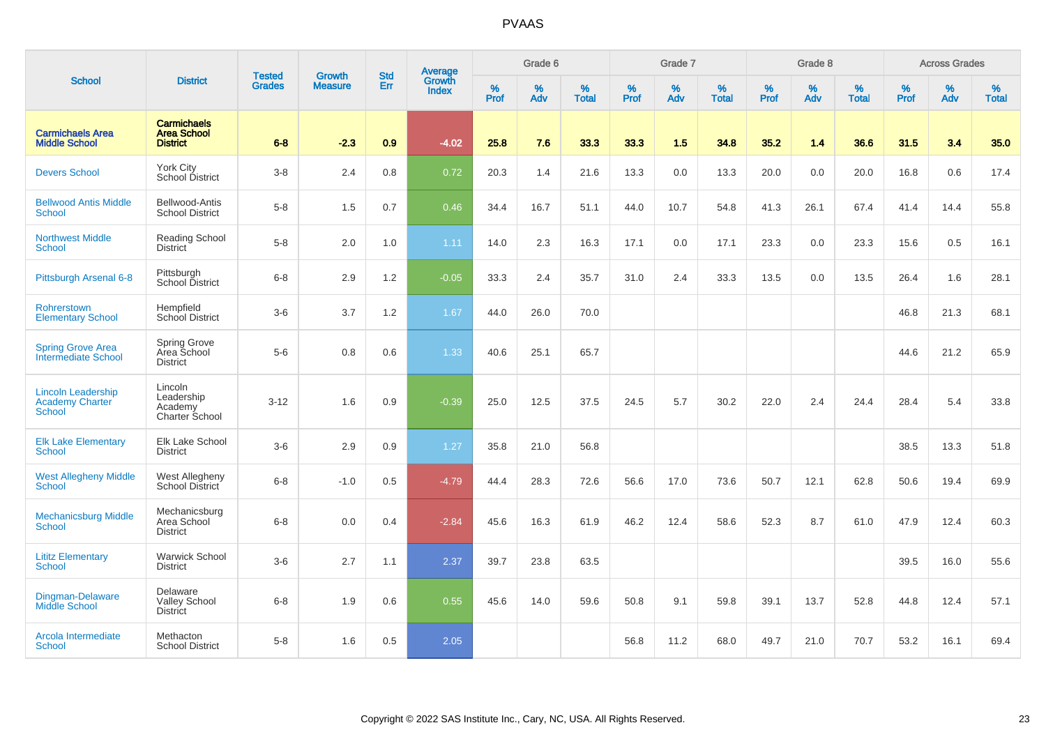|                                                                      |                                                             |                                |                                 | <b>Std</b> |                                          |                  | Grade 6  |                   |           | Grade 7  |                   |           | Grade 8  |                   |           | <b>Across Grades</b> |                   |
|----------------------------------------------------------------------|-------------------------------------------------------------|--------------------------------|---------------------------------|------------|------------------------------------------|------------------|----------|-------------------|-----------|----------|-------------------|-----------|----------|-------------------|-----------|----------------------|-------------------|
| <b>School</b>                                                        | <b>District</b>                                             | <b>Tested</b><br><b>Grades</b> | <b>Growth</b><br><b>Measure</b> | Err        | <b>Average</b><br>Growth<br><b>Index</b> | %<br><b>Prof</b> | %<br>Adv | %<br><b>Total</b> | %<br>Prof | %<br>Adv | %<br><b>Total</b> | %<br>Prof | %<br>Adv | %<br><b>Total</b> | %<br>Prof | $\%$<br>Adv          | %<br><b>Total</b> |
| <b>Carmichaels Area</b><br><b>Middle School</b>                      | <b>Carmichaels</b><br><b>Area School</b><br><b>District</b> | $6 - 8$                        | $-2.3$                          | 0.9        | $-4.02$                                  | 25.8             | 7.6      | 33.3              | 33.3      | 1.5      | 34.8              | 35.2      | 1.4      | 36.6              | 31.5      | 3.4                  | 35.0              |
| <b>Devers School</b>                                                 | York City<br>School District                                | $3-8$                          | 2.4                             | 0.8        | 0.72                                     | 20.3             | 1.4      | 21.6              | 13.3      | 0.0      | 13.3              | 20.0      | 0.0      | 20.0              | 16.8      | 0.6                  | 17.4              |
| <b>Bellwood Antis Middle</b><br><b>School</b>                        | Bellwood-Antis<br><b>School District</b>                    | $5-8$                          | 1.5                             | 0.7        | 0.46                                     | 34.4             | 16.7     | 51.1              | 44.0      | 10.7     | 54.8              | 41.3      | 26.1     | 67.4              | 41.4      | 14.4                 | 55.8              |
| <b>Northwest Middle</b><br>School                                    | <b>Reading School</b><br>District                           | $5-8$                          | 2.0                             | 1.0        | 1.11                                     | 14.0             | 2.3      | 16.3              | 17.1      | 0.0      | 17.1              | 23.3      | 0.0      | 23.3              | 15.6      | 0.5                  | 16.1              |
| Pittsburgh Arsenal 6-8                                               | Pittsburgh<br>School District                               | $6 - 8$                        | 2.9                             | 1.2        | $-0.05$                                  | 33.3             | 2.4      | 35.7              | 31.0      | 2.4      | 33.3              | 13.5      | 0.0      | 13.5              | 26.4      | 1.6                  | 28.1              |
| Rohrerstown<br><b>Elementary School</b>                              | Hempfield<br>School District                                | $3-6$                          | 3.7                             | 1.2        | 1.67                                     | 44.0             | 26.0     | 70.0              |           |          |                   |           |          |                   | 46.8      | 21.3                 | 68.1              |
| <b>Spring Grove Area</b><br>Intermediate School                      | Spring Grove<br>Area School<br><b>District</b>              | $5-6$                          | 0.8                             | 0.6        | 1.33                                     | 40.6             | 25.1     | 65.7              |           |          |                   |           |          |                   | 44.6      | 21.2                 | 65.9              |
| <b>Lincoln Leadership</b><br><b>Academy Charter</b><br><b>School</b> | Lincoln<br>Leadership<br>Academy<br><b>Charter School</b>   | $3 - 12$                       | 1.6                             | 0.9        | $-0.39$                                  | 25.0             | 12.5     | 37.5              | 24.5      | 5.7      | 30.2              | 22.0      | 2.4      | 24.4              | 28.4      | 5.4                  | 33.8              |
| <b>Elk Lake Elementary</b><br><b>School</b>                          | <b>Elk Lake School</b><br><b>District</b>                   | $3-6$                          | 2.9                             | 0.9        | 1.27                                     | 35.8             | 21.0     | 56.8              |           |          |                   |           |          |                   | 38.5      | 13.3                 | 51.8              |
| <b>West Allegheny Middle</b><br><b>School</b>                        | West Allegheny<br>School District                           | $6 - 8$                        | $-1.0$                          | 0.5        | $-4.79$                                  | 44.4             | 28.3     | 72.6              | 56.6      | 17.0     | 73.6              | 50.7      | 12.1     | 62.8              | 50.6      | 19.4                 | 69.9              |
| <b>Mechanicsburg Middle</b><br>School                                | Mechanicsburg<br>Area School<br><b>District</b>             | $6 - 8$                        | 0.0                             | 0.4        | $-2.84$                                  | 45.6             | 16.3     | 61.9              | 46.2      | 12.4     | 58.6              | 52.3      | 8.7      | 61.0              | 47.9      | 12.4                 | 60.3              |
| <b>Lititz Elementary</b><br><b>School</b>                            | Warwick School<br><b>District</b>                           | $3-6$                          | 2.7                             | 1.1        | 2.37                                     | 39.7             | 23.8     | 63.5              |           |          |                   |           |          |                   | 39.5      | 16.0                 | 55.6              |
| Dingman-Delaware<br>Middle School                                    | Delaware<br><b>Valley School</b><br><b>District</b>         | $6-8$                          | 1.9                             | 0.6        | 0.55                                     | 45.6             | 14.0     | 59.6              | 50.8      | 9.1      | 59.8              | 39.1      | 13.7     | 52.8              | 44.8      | 12.4                 | 57.1              |
| Arcola Intermediate<br>School                                        | Methacton<br><b>School District</b>                         | $5-8$                          | 1.6                             | 0.5        | 2.05                                     |                  |          |                   | 56.8      | 11.2     | 68.0              | 49.7      | 21.0     | 70.7              | 53.2      | 16.1                 | 69.4              |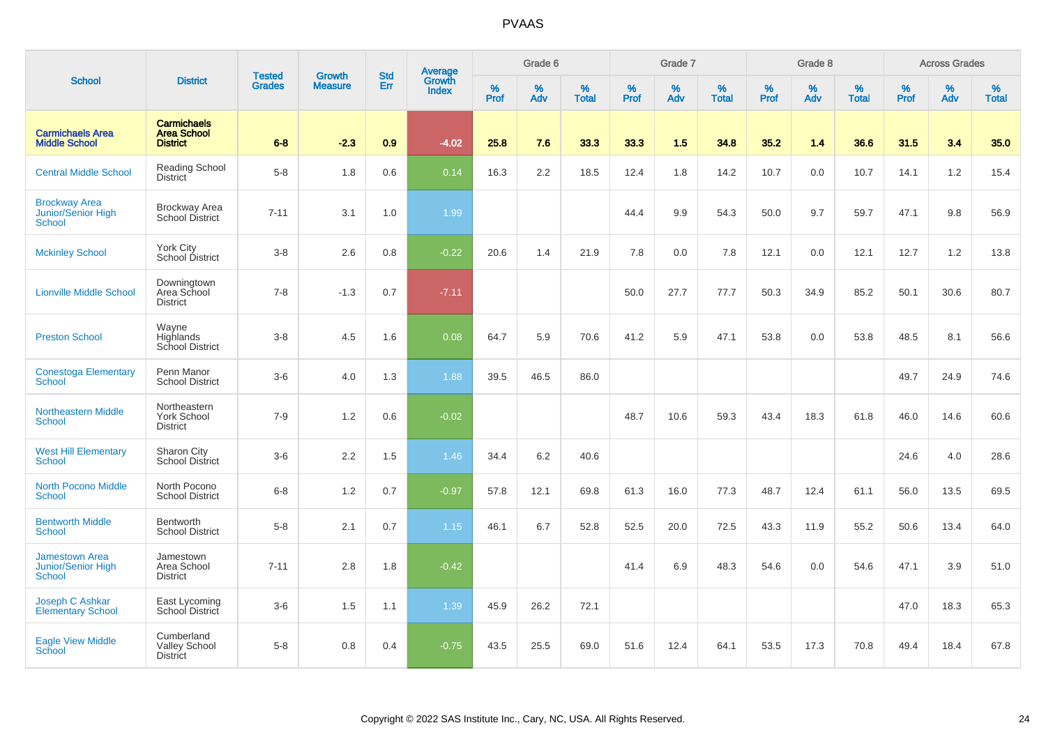|                                                       |                                                             |                                | <b>Growth</b>  | <b>Std</b> |                                   |                  | Grade 6     |                   |           | Grade 7     |                      |              | Grade 8  |                   |              | <b>Across Grades</b> |                   |
|-------------------------------------------------------|-------------------------------------------------------------|--------------------------------|----------------|------------|-----------------------------------|------------------|-------------|-------------------|-----------|-------------|----------------------|--------------|----------|-------------------|--------------|----------------------|-------------------|
| <b>School</b>                                         | <b>District</b>                                             | <b>Tested</b><br><b>Grades</b> | <b>Measure</b> | <b>Err</b> | Average<br>Growth<br><b>Index</b> | %<br><b>Prof</b> | $\%$<br>Adv | %<br><b>Total</b> | %<br>Prof | $\%$<br>Adv | $\%$<br><b>Total</b> | $\%$<br>Prof | %<br>Adv | %<br><b>Total</b> | $\%$<br>Prof | $\%$<br>Adv          | %<br><b>Total</b> |
| <b>Carmichaels Area</b><br><b>Middle School</b>       | <b>Carmichaels</b><br><b>Area School</b><br><b>District</b> | $6 - 8$                        | $-2.3$         | 0.9        | $-4.02$                           | 25.8             | 7.6         | 33.3              | 33.3      | 1.5         | 34.8                 | 35.2         | 1.4      | 36.6              | 31.5         | 3.4                  | 35.0              |
| <b>Central Middle School</b>                          | Reading School<br>District                                  | $5-8$                          | 1.8            | 0.6        | 0.14                              | 16.3             | $2.2\,$     | 18.5              | 12.4      | 1.8         | 14.2                 | 10.7         | 0.0      | 10.7              | 14.1         | $1.2\,$              | 15.4              |
| <b>Brockway Area</b><br>Junior/Senior High<br>School  | <b>Brockway Area</b><br>School District                     | $7 - 11$                       | 3.1            | 1.0        | 1.99                              |                  |             |                   | 44.4      | 9.9         | 54.3                 | 50.0         | 9.7      | 59.7              | 47.1         | 9.8                  | 56.9              |
| <b>Mckinley School</b>                                | <b>York City</b><br>School District                         | $3 - 8$                        | 2.6            | 0.8        | $-0.22$                           | 20.6             | 1.4         | 21.9              | 7.8       | 0.0         | 7.8                  | 12.1         | 0.0      | 12.1              | 12.7         | 1.2                  | 13.8              |
| <b>Lionville Middle School</b>                        | Downingtown<br>Area School<br><b>District</b>               | $7 - 8$                        | $-1.3$         | 0.7        | $-7.11$                           |                  |             |                   | 50.0      | 27.7        | 77.7                 | 50.3         | 34.9     | 85.2              | 50.1         | 30.6                 | 80.7              |
| <b>Preston School</b>                                 | Wayne<br>Highlands<br>School District                       | $3 - 8$                        | 4.5            | 1.6        | 0.08                              | 64.7             | 5.9         | 70.6              | 41.2      | 5.9         | 47.1                 | 53.8         | 0.0      | 53.8              | 48.5         | 8.1                  | 56.6              |
| <b>Conestoga Elementary</b><br>School                 | Penn Manor<br><b>School District</b>                        | $3-6$                          | 4.0            | 1.3        | 1.88                              | 39.5             | 46.5        | 86.0              |           |             |                      |              |          |                   | 49.7         | 24.9                 | 74.6              |
| <b>Northeastern Middle</b><br><b>School</b>           | Northeastern<br><b>York School</b><br><b>District</b>       | $7 - 9$                        | 1.2            | 0.6        | $-0.02$                           |                  |             |                   | 48.7      | 10.6        | 59.3                 | 43.4         | 18.3     | 61.8              | 46.0         | 14.6                 | 60.6              |
| <b>West Hill Elementary</b><br><b>School</b>          | Sharon City<br><b>School District</b>                       | $3-6$                          | 2.2            | 1.5        | 1.46                              | 34.4             | 6.2         | 40.6              |           |             |                      |              |          |                   | 24.6         | 4.0                  | 28.6              |
| <b>North Pocono Middle</b><br><b>School</b>           | North Pocono<br><b>School District</b>                      | $6 - 8$                        | 1.2            | 0.7        | $-0.97$                           | 57.8             | 12.1        | 69.8              | 61.3      | 16.0        | 77.3                 | 48.7         | 12.4     | 61.1              | 56.0         | 13.5                 | 69.5              |
| <b>Bentworth Middle</b><br>School                     | <b>Bentworth</b><br><b>School District</b>                  | $5-8$                          | 2.1            | 0.7        | 1.15                              | 46.1             | 6.7         | 52.8              | 52.5      | 20.0        | 72.5                 | 43.3         | 11.9     | 55.2              | 50.6         | 13.4                 | 64.0              |
| <b>Jamestown Area</b><br>Junior/Senior High<br>School | Jamestown<br>Area School<br><b>District</b>                 | $7 - 11$                       | 2.8            | 1.8        | $-0.42$                           |                  |             |                   | 41.4      | 6.9         | 48.3                 | 54.6         | 0.0      | 54.6              | 47.1         | 3.9                  | 51.0              |
| Joseph C Ashkar<br><b>Elementary School</b>           | East Lycoming<br>School District                            | $3 - 6$                        | 1.5            | 1.1        | 1.39                              | 45.9             | 26.2        | 72.1              |           |             |                      |              |          |                   | 47.0         | 18.3                 | 65.3              |
| <b>Eagle View Middle</b><br>School                    | Cumberland<br><b>Valley School</b><br><b>District</b>       | $5-8$                          | 0.8            | 0.4        | $-0.75$                           | 43.5             | 25.5        | 69.0              | 51.6      | 12.4        | 64.1                 | 53.5         | 17.3     | 70.8              | 49.4         | 18.4                 | 67.8              |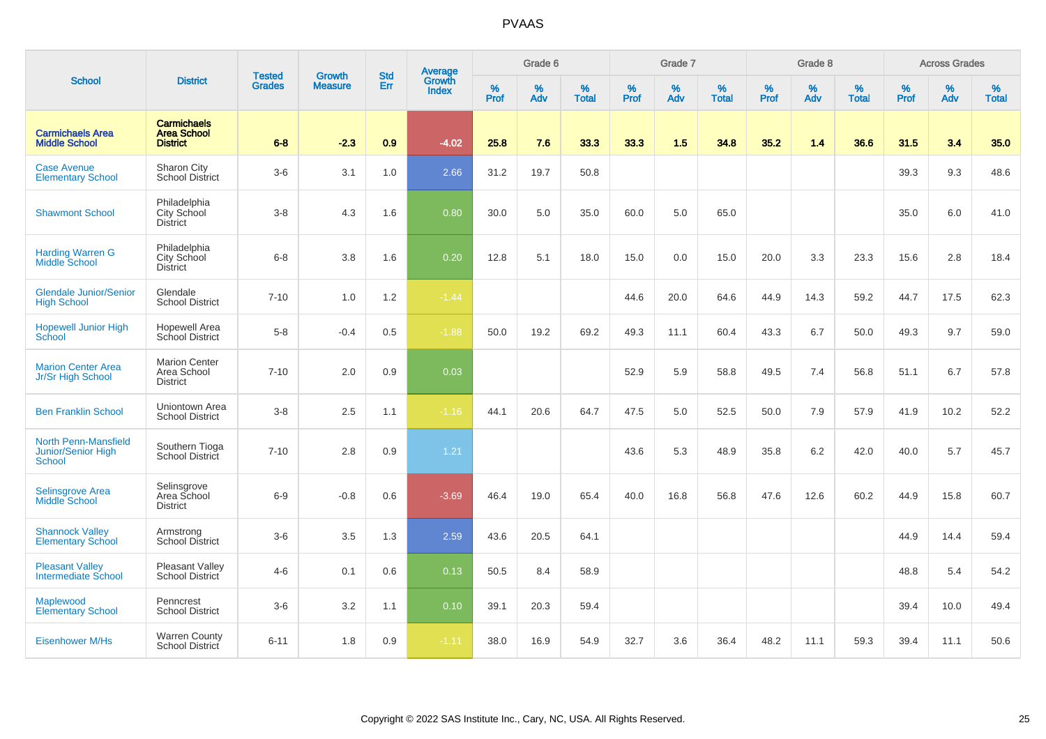|                                                             |                                                             |                                |                                 | <b>Std</b> |                                          |                  | Grade 6  |                   |           | Grade 7  |                   |           | Grade 8  |                   |           | <b>Across Grades</b> |                   |
|-------------------------------------------------------------|-------------------------------------------------------------|--------------------------------|---------------------------------|------------|------------------------------------------|------------------|----------|-------------------|-----------|----------|-------------------|-----------|----------|-------------------|-----------|----------------------|-------------------|
| <b>School</b>                                               | <b>District</b>                                             | <b>Tested</b><br><b>Grades</b> | <b>Growth</b><br><b>Measure</b> | Err        | <b>Average</b><br>Growth<br><b>Index</b> | %<br><b>Prof</b> | %<br>Adv | %<br><b>Total</b> | %<br>Prof | %<br>Adv | %<br><b>Total</b> | %<br>Prof | %<br>Adv | %<br><b>Total</b> | %<br>Prof | $\%$<br>Adv          | %<br><b>Total</b> |
| <b>Carmichaels Area</b><br><b>Middle School</b>             | <b>Carmichaels</b><br><b>Area School</b><br><b>District</b> | $6 - 8$                        | $-2.3$                          | 0.9        | $-4.02$                                  | 25.8             | 7.6      | 33.3              | 33.3      | 1.5      | 34.8              | 35.2      | 1.4      | 36.6              | 31.5      | 3.4                  | 35.0              |
| <b>Case Avenue</b><br><b>Elementary School</b>              | Sharon City<br><b>School District</b>                       | $3-6$                          | 3.1                             | 1.0        | 2.66                                     | 31.2             | 19.7     | 50.8              |           |          |                   |           |          |                   | 39.3      | 9.3                  | 48.6              |
| <b>Shawmont School</b>                                      | Philadelphia<br>City School<br><b>District</b>              | $3-8$                          | 4.3                             | 1.6        | 0.80                                     | 30.0             | 5.0      | 35.0              | 60.0      | 5.0      | 65.0              |           |          |                   | 35.0      | 6.0                  | 41.0              |
| <b>Harding Warren G</b><br><b>Middle School</b>             | Philadelphia<br>City School<br><b>District</b>              | $6 - 8$                        | 3.8                             | 1.6        | 0.20                                     | 12.8             | 5.1      | 18.0              | 15.0      | 0.0      | 15.0              | 20.0      | 3.3      | 23.3              | 15.6      | 2.8                  | 18.4              |
| <b>Glendale Junior/Senior</b><br><b>High School</b>         | Glendale<br><b>School District</b>                          | $7 - 10$                       | 1.0                             | 1.2        | $-1.44$                                  |                  |          |                   | 44.6      | 20.0     | 64.6              | 44.9      | 14.3     | 59.2              | 44.7      | 17.5                 | 62.3              |
| <b>Hopewell Junior High</b><br>School                       | <b>Hopewell Area</b><br>School District                     | $5-8$                          | $-0.4$                          | 0.5        | $-1.88$                                  | 50.0             | 19.2     | 69.2              | 49.3      | 11.1     | 60.4              | 43.3      | 6.7      | 50.0              | 49.3      | 9.7                  | 59.0              |
| <b>Marion Center Area</b><br>Jr/Sr High School              | <b>Marion Center</b><br>Area School<br><b>District</b>      | $7 - 10$                       | 2.0                             | 0.9        | 0.03                                     |                  |          |                   | 52.9      | 5.9      | 58.8              | 49.5      | 7.4      | 56.8              | 51.1      | 6.7                  | 57.8              |
| <b>Ben Franklin School</b>                                  | Uniontown Area<br><b>School District</b>                    | $3 - 8$                        | 2.5                             | 1.1        | $-1.16$                                  | 44.1             | 20.6     | 64.7              | 47.5      | 5.0      | 52.5              | 50.0      | 7.9      | 57.9              | 41.9      | 10.2                 | 52.2              |
| <b>North Penn-Mansfield</b><br>Junior/Senior High<br>School | Southern Tioga<br>School District                           | $7 - 10$                       | 2.8                             | 0.9        | 1.21                                     |                  |          |                   | 43.6      | 5.3      | 48.9              | 35.8      | 6.2      | 42.0              | 40.0      | 5.7                  | 45.7              |
| <b>Selinsgrove Area</b><br>Middle School                    | Selinsgrove<br>Area School<br><b>District</b>               | $6-9$                          | $-0.8$                          | 0.6        | $-3.69$                                  | 46.4             | 19.0     | 65.4              | 40.0      | 16.8     | 56.8              | 47.6      | 12.6     | 60.2              | 44.9      | 15.8                 | 60.7              |
| <b>Shannock Valley</b><br><b>Elementary School</b>          | Armstrong<br><b>School District</b>                         | $3-6$                          | 3.5                             | 1.3        | 2.59                                     | 43.6             | 20.5     | 64.1              |           |          |                   |           |          |                   | 44.9      | 14.4                 | 59.4              |
| <b>Pleasant Valley</b><br><b>Intermediate School</b>        | Pleasant Valley<br>School District                          | $4 - 6$                        | 0.1                             | 0.6        | 0.13                                     | 50.5             | 8.4      | 58.9              |           |          |                   |           |          |                   | 48.8      | 5.4                  | 54.2              |
| Maplewood<br><b>Elementary School</b>                       | Penncrest<br><b>School District</b>                         | $3-6$                          | 3.2                             | 1.1        | 0.10                                     | 39.1             | 20.3     | 59.4              |           |          |                   |           |          |                   | 39.4      | 10.0                 | 49.4              |
| <b>Eisenhower M/Hs</b>                                      | <b>Warren County</b><br><b>School District</b>              | $6 - 11$                       | 1.8                             | 0.9        | $-1.11$                                  | 38.0             | 16.9     | 54.9              | 32.7      | 3.6      | 36.4              | 48.2      | 11.1     | 59.3              | 39.4      | 11.1                 | 50.6              |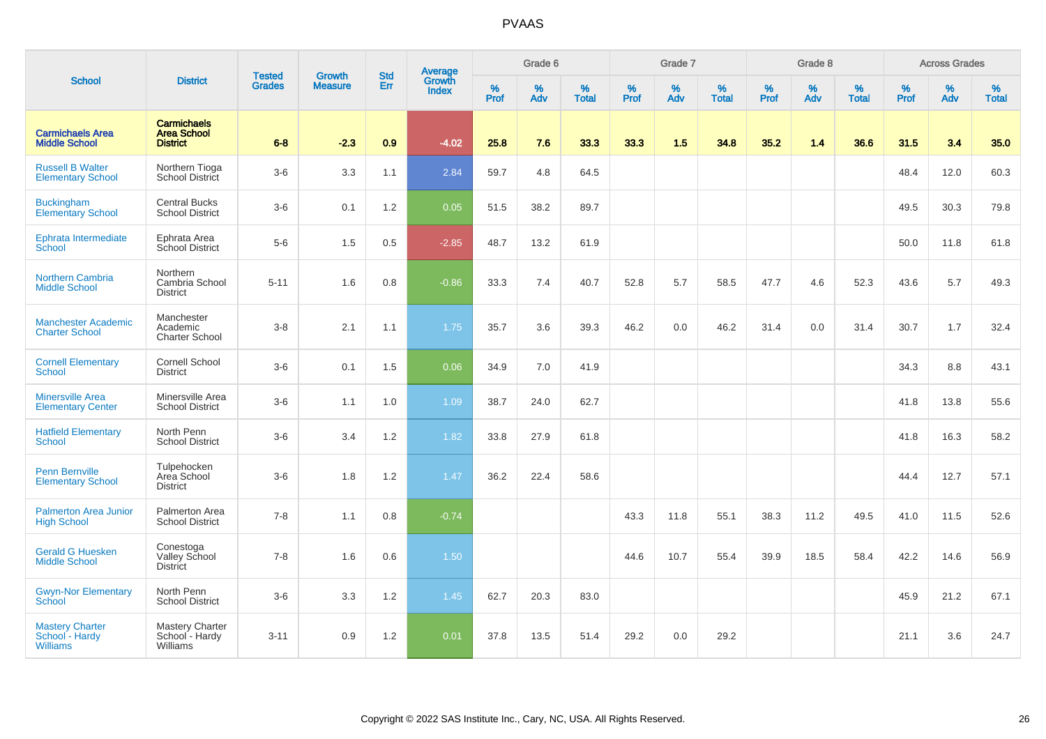|                                                             |                                                             |                                |                                 | <b>Std</b> |                                          |                  | Grade 6  |                   |           | Grade 7  |                   |           | Grade 8  |                   |           | <b>Across Grades</b> |                   |
|-------------------------------------------------------------|-------------------------------------------------------------|--------------------------------|---------------------------------|------------|------------------------------------------|------------------|----------|-------------------|-----------|----------|-------------------|-----------|----------|-------------------|-----------|----------------------|-------------------|
| <b>School</b>                                               | <b>District</b>                                             | <b>Tested</b><br><b>Grades</b> | <b>Growth</b><br><b>Measure</b> | Err        | <b>Average</b><br>Growth<br><b>Index</b> | %<br><b>Prof</b> | %<br>Adv | %<br><b>Total</b> | %<br>Prof | %<br>Adv | %<br><b>Total</b> | %<br>Prof | %<br>Adv | %<br><b>Total</b> | %<br>Prof | $\%$<br>Adv          | %<br><b>Total</b> |
| <b>Carmichaels Area</b><br><b>Middle School</b>             | <b>Carmichaels</b><br><b>Area School</b><br><b>District</b> | $6 - 8$                        | $-2.3$                          | 0.9        | $-4.02$                                  | 25.8             | 7.6      | 33.3              | 33.3      | 1.5      | 34.8              | 35.2      | 1.4      | 36.6              | 31.5      | 3.4                  | 35.0              |
| <b>Russell B Walter</b><br><b>Elementary School</b>         | Northern Tioga<br>School District                           | $3-6$                          | 3.3                             | 1.1        | 2.84                                     | 59.7             | 4.8      | 64.5              |           |          |                   |           |          |                   | 48.4      | 12.0                 | 60.3              |
| <b>Buckingham</b><br><b>Elementary School</b>               | <b>Central Bucks</b><br><b>School District</b>              | $3-6$                          | 0.1                             | 1.2        | 0.05                                     | 51.5             | 38.2     | 89.7              |           |          |                   |           |          |                   | 49.5      | 30.3                 | 79.8              |
| Ephrata Intermediate<br>School                              | Ephrata Area<br>School District                             | $5-6$                          | 1.5                             | 0.5        | $-2.85$                                  | 48.7             | 13.2     | 61.9              |           |          |                   |           |          |                   | 50.0      | 11.8                 | 61.8              |
| <b>Northern Cambria</b><br><b>Middle School</b>             | Northern<br>Cambria School<br><b>District</b>               | $5 - 11$                       | 1.6                             | 0.8        | $-0.86$                                  | 33.3             | 7.4      | 40.7              | 52.8      | 5.7      | 58.5              | 47.7      | 4.6      | 52.3              | 43.6      | 5.7                  | 49.3              |
| <b>Manchester Academic</b><br><b>Charter School</b>         | Manchester<br>Academic<br><b>Charter School</b>             | $3-8$                          | 2.1                             | 1.1        | 1.75                                     | 35.7             | 3.6      | 39.3              | 46.2      | 0.0      | 46.2              | 31.4      | 0.0      | 31.4              | 30.7      | 1.7                  | 32.4              |
| <b>Cornell Elementary</b><br>School                         | <b>Cornell School</b><br><b>District</b>                    | $3-6$                          | 0.1                             | 1.5        | 0.06                                     | 34.9             | 7.0      | 41.9              |           |          |                   |           |          |                   | 34.3      | 8.8                  | 43.1              |
| <b>Minersville Area</b><br><b>Elementary Center</b>         | Minersville Area<br><b>School District</b>                  | $3-6$                          | 1.1                             | 1.0        | 1.09                                     | 38.7             | 24.0     | 62.7              |           |          |                   |           |          |                   | 41.8      | 13.8                 | 55.6              |
| <b>Hatfield Elementary</b><br><b>School</b>                 | North Penn<br><b>School District</b>                        | $3-6$                          | 3.4                             | 1.2        | 1.82                                     | 33.8             | 27.9     | 61.8              |           |          |                   |           |          |                   | 41.8      | 16.3                 | 58.2              |
| <b>Penn Bernville</b><br><b>Elementary School</b>           | Tulpehocken<br>Area School<br><b>District</b>               | $3-6$                          | 1.8                             | 1.2        | 1.47                                     | 36.2             | 22.4     | 58.6              |           |          |                   |           |          |                   | 44.4      | 12.7                 | 57.1              |
| <b>Palmerton Area Junior</b><br><b>High School</b>          | Palmerton Area<br><b>School District</b>                    | $7 - 8$                        | 1.1                             | 0.8        | $-0.74$                                  |                  |          |                   | 43.3      | 11.8     | 55.1              | 38.3      | 11.2     | 49.5              | 41.0      | 11.5                 | 52.6              |
| <b>Gerald G Huesken</b><br><b>Middle School</b>             | Conestoga<br>Valley School<br>District                      | $7 - 8$                        | 1.6                             | $0.6\,$    | 1.50                                     |                  |          |                   | 44.6      | 10.7     | 55.4              | 39.9      | 18.5     | 58.4              | 42.2      | 14.6                 | 56.9              |
| <b>Gwyn-Nor Elementary</b><br>School                        | North Penn<br><b>School District</b>                        | $3-6$                          | 3.3                             | 1.2        | 1.45                                     | 62.7             | 20.3     | 83.0              |           |          |                   |           |          |                   | 45.9      | 21.2                 | 67.1              |
| <b>Mastery Charter</b><br>School - Hardy<br><b>Williams</b> | <b>Mastery Charter</b><br>School - Hardy<br>Williams        | $3 - 11$                       | 0.9                             | 1.2        | 0.01                                     | 37.8             | 13.5     | 51.4              | 29.2      | 0.0      | 29.2              |           |          |                   | 21.1      | 3.6                  | 24.7              |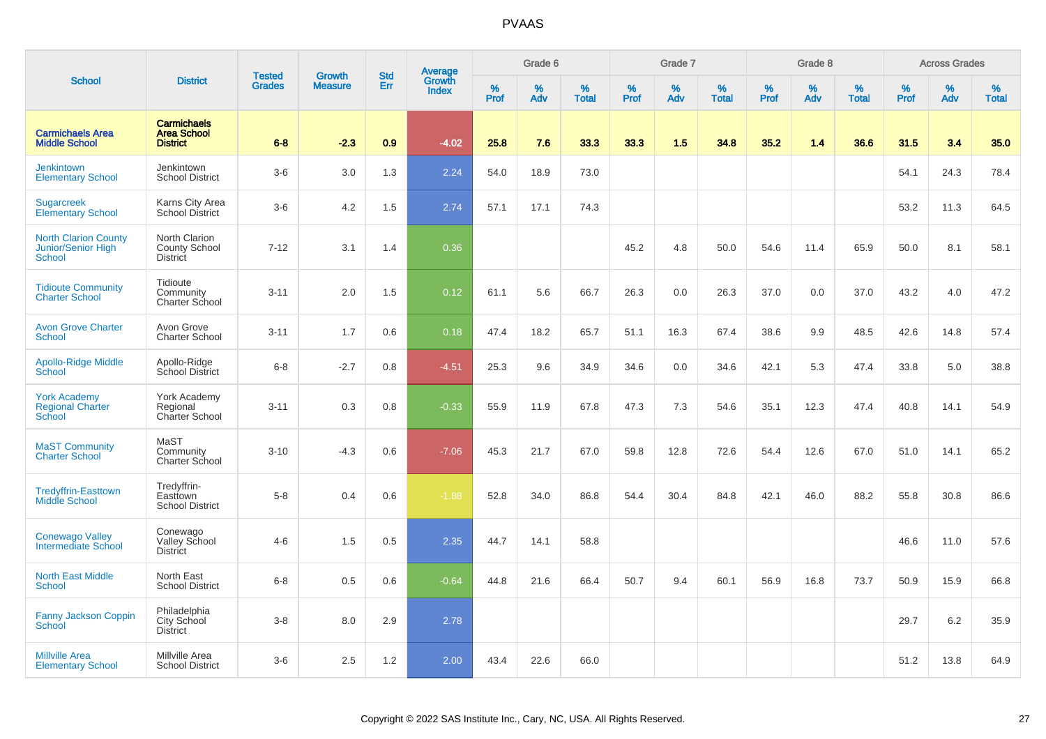|                                                                    |                                                             |                                |                                 | <b>Std</b> |                                          |                  | Grade 6     |                   |           | Grade 7  |                   |           | Grade 8  |                   |              | <b>Across Grades</b> |                   |
|--------------------------------------------------------------------|-------------------------------------------------------------|--------------------------------|---------------------------------|------------|------------------------------------------|------------------|-------------|-------------------|-----------|----------|-------------------|-----------|----------|-------------------|--------------|----------------------|-------------------|
| <b>School</b>                                                      | <b>District</b>                                             | <b>Tested</b><br><b>Grades</b> | <b>Growth</b><br><b>Measure</b> | Err        | <b>Average</b><br>Growth<br><b>Index</b> | %<br><b>Prof</b> | $\%$<br>Adv | %<br><b>Total</b> | %<br>Prof | %<br>Adv | %<br><b>Total</b> | %<br>Prof | %<br>Adv | %<br><b>Total</b> | $\%$<br>Prof | $\%$<br>Adv          | %<br><b>Total</b> |
| <b>Carmichaels Area</b><br><b>Middle School</b>                    | <b>Carmichaels</b><br><b>Area School</b><br><b>District</b> | $6 - 8$                        | $-2.3$                          | 0.9        | $-4.02$                                  | 25.8             | 7.6         | 33.3              | 33.3      | 1.5      | 34.8              | 35.2      | 1.4      | 36.6              | 31.5         | 3.4                  | 35.0              |
| <b>Jenkintown</b><br><b>Elementary School</b>                      | Jenkintown<br><b>School District</b>                        | $3-6$                          | 3.0                             | 1.3        | 2.24                                     | 54.0             | 18.9        | 73.0              |           |          |                   |           |          |                   | 54.1         | 24.3                 | 78.4              |
| Sugarcreek<br><b>Elementary School</b>                             | Karns City Area<br>School District                          | $3-6$                          | 4.2                             | 1.5        | 2.74                                     | 57.1             | 17.1        | 74.3              |           |          |                   |           |          |                   | 53.2         | 11.3                 | 64.5              |
| <b>North Clarion County</b><br>Junior/Senior High<br><b>School</b> | North Clarion<br><b>County School</b><br><b>District</b>    | $7 - 12$                       | 3.1                             | 1.4        | 0.36                                     |                  |             |                   | 45.2      | 4.8      | 50.0              | 54.6      | 11.4     | 65.9              | 50.0         | 8.1                  | 58.1              |
| <b>Tidioute Community</b><br><b>Charter School</b>                 | Tidioute<br>Community<br>Charter School                     | $3 - 11$                       | 2.0                             | 1.5        | 0.12                                     | 61.1             | 5.6         | 66.7              | 26.3      | 0.0      | 26.3              | 37.0      | 0.0      | 37.0              | 43.2         | 4.0                  | 47.2              |
| <b>Avon Grove Charter</b><br>School                                | Avon Grove<br><b>Charter School</b>                         | $3 - 11$                       | 1.7                             | 0.6        | 0.18                                     | 47.4             | 18.2        | 65.7              | 51.1      | 16.3     | 67.4              | 38.6      | 9.9      | 48.5              | 42.6         | 14.8                 | 57.4              |
| <b>Apollo-Ridge Middle</b><br>School                               | Apollo-Ridge<br>School District                             | $6 - 8$                        | $-2.7$                          | 0.8        | $-4.51$                                  | 25.3             | 9.6         | 34.9              | 34.6      | 0.0      | 34.6              | 42.1      | 5.3      | 47.4              | 33.8         | 5.0                  | 38.8              |
| <b>York Academy</b><br><b>Regional Charter</b><br>School           | York Academy<br>Regional<br>Charter School                  | $3 - 11$                       | 0.3                             | 0.8        | $-0.33$                                  | 55.9             | 11.9        | 67.8              | 47.3      | 7.3      | 54.6              | 35.1      | 12.3     | 47.4              | 40.8         | 14.1                 | 54.9              |
| <b>MaST Community</b><br><b>Charter School</b>                     | MaST<br>Community<br><b>Charter School</b>                  | $3 - 10$                       | $-4.3$                          | 0.6        | $-7.06$                                  | 45.3             | 21.7        | 67.0              | 59.8      | 12.8     | 72.6              | 54.4      | 12.6     | 67.0              | 51.0         | 14.1                 | 65.2              |
| <b>Tredyffrin-Easttown</b><br>Middle School                        | Tredyffrin-<br>Easttown<br><b>School District</b>           | $5-8$                          | 0.4                             | 0.6        | $-1.88$                                  | 52.8             | 34.0        | 86.8              | 54.4      | 30.4     | 84.8              | 42.1      | 46.0     | 88.2              | 55.8         | 30.8                 | 86.6              |
| <b>Conewago Valley</b><br>Intermediate School                      | Conewago<br>Valley School<br><b>District</b>                | $4 - 6$                        | 1.5                             | 0.5        | 2.35                                     | 44.7             | 14.1        | 58.8              |           |          |                   |           |          |                   | 46.6         | 11.0                 | 57.6              |
| <b>North East Middle</b><br><b>School</b>                          | North East<br><b>School District</b>                        | $6-8$                          | 0.5                             | 0.6        | $-0.64$                                  | 44.8             | 21.6        | 66.4              | 50.7      | 9.4      | 60.1              | 56.9      | 16.8     | 73.7              | 50.9         | 15.9                 | 66.8              |
| Fanny Jackson Coppin<br>School                                     | Philadelphia<br>City School<br><b>District</b>              | $3-8$                          | 8.0                             | 2.9        | 2.78                                     |                  |             |                   |           |          |                   |           |          |                   | 29.7         | 6.2                  | 35.9              |
| <b>Millville Area</b><br><b>Elementary School</b>                  | Millville Area<br><b>School District</b>                    | $3-6$                          | 2.5                             | 1.2        | 2.00                                     | 43.4             | 22.6        | 66.0              |           |          |                   |           |          |                   | 51.2         | 13.8                 | 64.9              |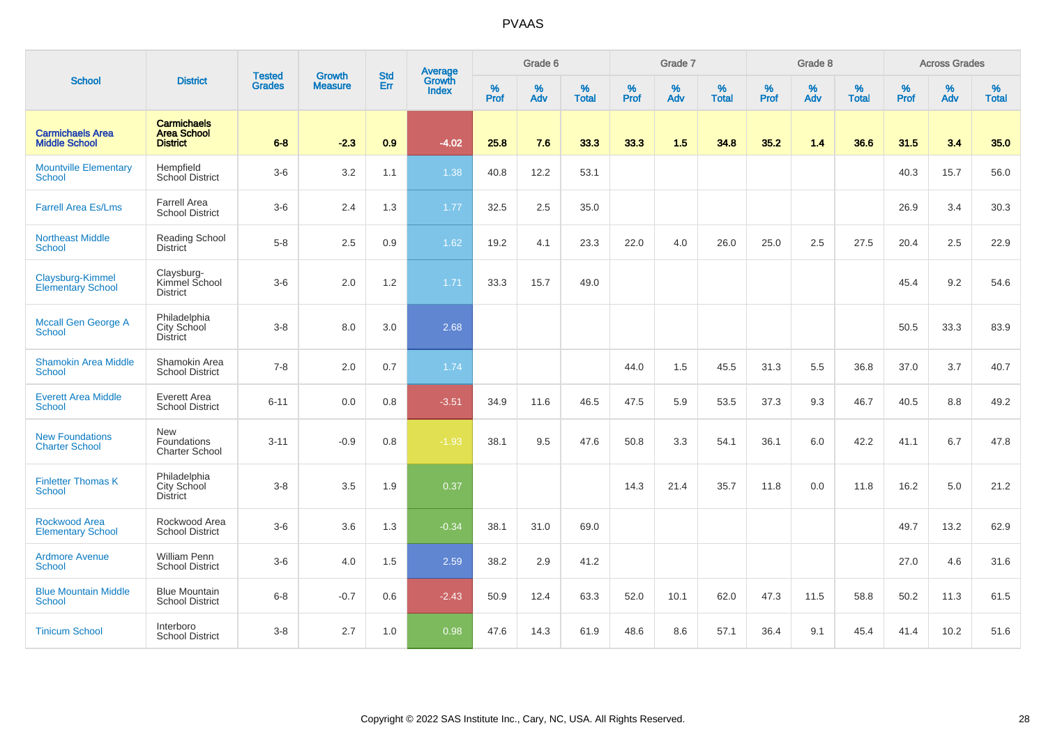|                                                 |                                                             | <b>Tested</b> | <b>Growth</b>  | <b>Std</b> |                                   |                  | Grade 6     |                   |              | Grade 7     |                      |              | Grade 8     |                   |              | <b>Across Grades</b> |                   |
|-------------------------------------------------|-------------------------------------------------------------|---------------|----------------|------------|-----------------------------------|------------------|-------------|-------------------|--------------|-------------|----------------------|--------------|-------------|-------------------|--------------|----------------------|-------------------|
| <b>School</b>                                   | <b>District</b>                                             | <b>Grades</b> | <b>Measure</b> | Err        | Average<br>Growth<br><b>Index</b> | %<br><b>Prof</b> | $\%$<br>Adv | %<br><b>Total</b> | $\%$<br>Prof | $\%$<br>Adv | $\%$<br><b>Total</b> | $\%$<br>Prof | $\%$<br>Adv | %<br><b>Total</b> | $\%$<br>Prof | $\%$<br>Adv          | %<br><b>Total</b> |
| <b>Carmichaels Area</b><br><b>Middle School</b> | <b>Carmichaels</b><br><b>Area School</b><br><b>District</b> | $6 - 8$       | $-2.3$         | 0.9        | $-4.02$                           | 25.8             | 7.6         | 33.3              | 33.3         | 1.5         | 34.8                 | 35.2         | 1.4         | 36.6              | 31.5         | 3.4                  | 35.0              |
| <b>Mountville Elementary</b><br>School          | Hempfield<br><b>School District</b>                         | $3-6$         | 3.2            | 1.1        | 1.38                              | 40.8             | 12.2        | 53.1              |              |             |                      |              |             |                   | 40.3         | 15.7                 | 56.0              |
| <b>Farrell Area Es/Lms</b>                      | <b>Farrell Area</b><br><b>School District</b>               | $3-6$         | 2.4            | 1.3        | 1.77                              | 32.5             | 2.5         | 35.0              |              |             |                      |              |             |                   | 26.9         | 3.4                  | 30.3              |
| <b>Northeast Middle</b><br>School               | Reading School<br><b>District</b>                           | $5 - 8$       | 2.5            | 0.9        | 1.62                              | 19.2             | 4.1         | 23.3              | 22.0         | 4.0         | 26.0                 | 25.0         | 2.5         | 27.5              | 20.4         | 2.5                  | 22.9              |
| Claysburg-Kimmel<br><b>Elementary School</b>    | Claysburg-<br>Kimmel School<br><b>District</b>              | $3-6$         | 2.0            | 1.2        | 1.71                              | 33.3             | 15.7        | 49.0              |              |             |                      |              |             |                   | 45.4         | 9.2                  | 54.6              |
| <b>Mccall Gen George A</b><br>School            | Philadelphia<br>City School<br><b>District</b>              | $3-8$         | 8.0            | 3.0        | 2.68                              |                  |             |                   |              |             |                      |              |             |                   | 50.5         | 33.3                 | 83.9              |
| <b>Shamokin Area Middle</b><br><b>School</b>    | Shamokin Area<br><b>School District</b>                     | $7 - 8$       | 2.0            | 0.7        | 1.74                              |                  |             |                   | 44.0         | 1.5         | 45.5                 | 31.3         | 5.5         | 36.8              | 37.0         | 3.7                  | 40.7              |
| <b>Everett Area Middle</b><br><b>School</b>     | Everett Area<br><b>School District</b>                      | $6 - 11$      | 0.0            | $0.8\,$    | $-3.51$                           | 34.9             | 11.6        | 46.5              | 47.5         | 5.9         | 53.5                 | 37.3         | 9.3         | 46.7              | 40.5         | 8.8                  | 49.2              |
| <b>New Foundations</b><br><b>Charter School</b> | <b>New</b><br>Foundations<br><b>Charter School</b>          | $3 - 11$      | $-0.9$         | 0.8        | $-1.93$                           | 38.1             | 9.5         | 47.6              | 50.8         | 3.3         | 54.1                 | 36.1         | 6.0         | 42.2              | 41.1         | 6.7                  | 47.8              |
| <b>Finletter Thomas K</b><br>School             | Philadelphia<br>City School<br><b>District</b>              | $3 - 8$       | 3.5            | 1.9        | 0.37                              |                  |             |                   | 14.3         | 21.4        | 35.7                 | 11.8         | 0.0         | 11.8              | 16.2         | 5.0                  | 21.2              |
| Rockwood Area<br><b>Elementary School</b>       | Rockwood Area<br><b>School District</b>                     | $3-6$         | 3.6            | 1.3        | $-0.34$                           | 38.1             | 31.0        | 69.0              |              |             |                      |              |             |                   | 49.7         | 13.2                 | 62.9              |
| <b>Ardmore Avenue</b><br><b>School</b>          | <b>William Penn</b><br><b>School District</b>               | $3-6$         | 4.0            | 1.5        | 2.59                              | 38.2             | 2.9         | 41.2              |              |             |                      |              |             |                   | 27.0         | 4.6                  | 31.6              |
| <b>Blue Mountain Middle</b><br>School           | <b>Blue Mountain</b><br><b>School District</b>              | $6 - 8$       | $-0.7$         | 0.6        | $-2.43$                           | 50.9             | 12.4        | 63.3              | 52.0         | 10.1        | 62.0                 | 47.3         | 11.5        | 58.8              | 50.2         | 11.3                 | 61.5              |
| <b>Tinicum School</b>                           | Interboro<br><b>School District</b>                         | $3 - 8$       | 2.7            | 1.0        | 0.98                              | 47.6             | 14.3        | 61.9              | 48.6         | 8.6         | 57.1                 | 36.4         | 9.1         | 45.4              | 41.4         | 10.2                 | 51.6              |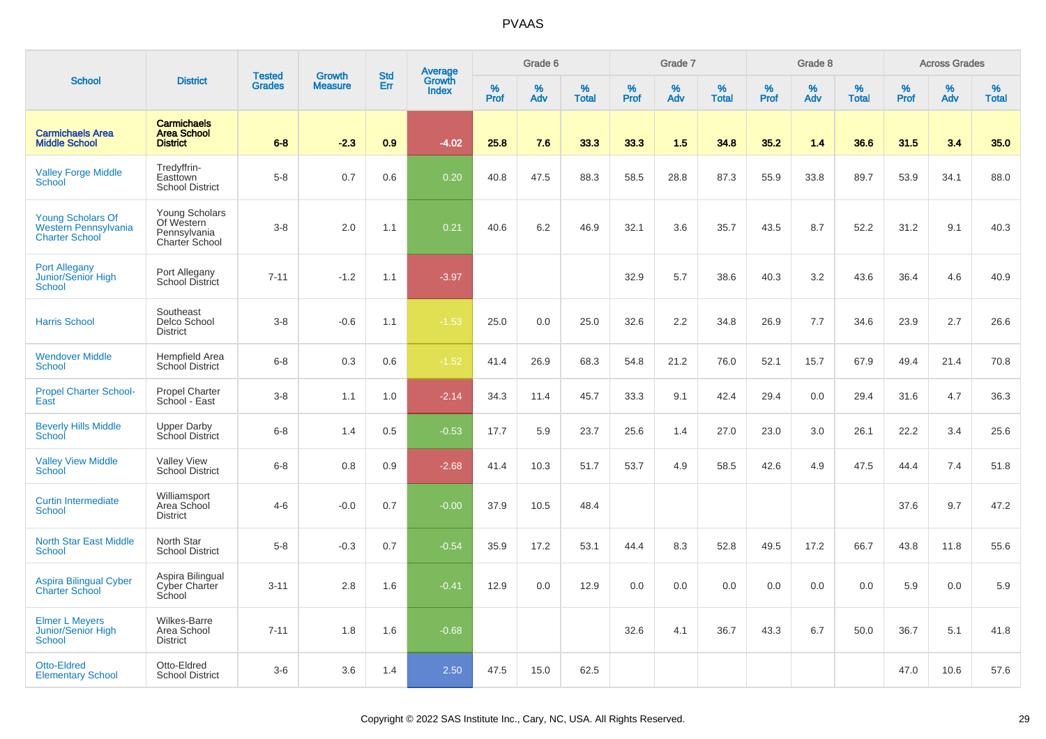|                                                                           |                                                                | <b>Tested</b> | <b>Growth</b>  | <b>Std</b> |                                   |           | Grade 6  |                   |           | Grade 7  |                   |           | Grade 8  |                   |           | <b>Across Grades</b> |                   |
|---------------------------------------------------------------------------|----------------------------------------------------------------|---------------|----------------|------------|-----------------------------------|-----------|----------|-------------------|-----------|----------|-------------------|-----------|----------|-------------------|-----------|----------------------|-------------------|
| <b>School</b>                                                             | <b>District</b>                                                | <b>Grades</b> | <b>Measure</b> | Err        | Average<br>Growth<br><b>Index</b> | %<br>Prof | %<br>Adv | %<br><b>Total</b> | %<br>Prof | %<br>Adv | %<br><b>Total</b> | %<br>Prof | %<br>Adv | %<br><b>Total</b> | %<br>Prof | %<br>Adv             | %<br><b>Total</b> |
| <b>Carmichaels Area</b><br><b>Middle School</b>                           | <b>Carmichaels</b><br><b>Area School</b><br><b>District</b>    | $6 - 8$       | $-2.3$         | 0.9        | $-4.02$                           | 25.8      | 7.6      | 33.3              | 33.3      | 1.5      | 34.8              | 35.2      | 1.4      | 36.6              | 31.5      | 3.4                  | 35.0              |
| <b>Valley Forge Middle</b><br>School                                      | Tredyffrin-<br>Easttown<br><b>School District</b>              | $5-8$         | 0.7            | 0.6        | 0.20                              | 40.8      | 47.5     | 88.3              | 58.5      | 28.8     | 87.3              | 55.9      | 33.8     | 89.7              | 53.9      | 34.1                 | 88.0              |
| <b>Young Scholars Of</b><br>Western Pennsylvania<br><b>Charter School</b> | Young Scholars<br>Of Western<br>Pennsylvania<br>Charter School | $3 - 8$       | 2.0            | 1.1        | 0.21                              | 40.6      | 6.2      | 46.9              | 32.1      | 3.6      | 35.7              | 43.5      | 8.7      | 52.2              | 31.2      | 9.1                  | 40.3              |
| <b>Port Allegany</b><br>Junior/Senior High<br><b>School</b>               | Port Allegany<br>School District                               | $7 - 11$      | $-1.2$         | 1.1        | $-3.97$                           |           |          |                   | 32.9      | 5.7      | 38.6              | 40.3      | 3.2      | 43.6              | 36.4      | 4.6                  | 40.9              |
| <b>Harris School</b>                                                      | Southeast<br>Delco School<br><b>District</b>                   | $3 - 8$       | $-0.6$         | 1.1        | $-1.53$                           | 25.0      | 0.0      | 25.0              | 32.6      | 2.2      | 34.8              | 26.9      | 7.7      | 34.6              | 23.9      | 2.7                  | 26.6              |
| <b>Wendover Middle</b><br>School                                          | Hempfield Area<br><b>School District</b>                       | $6 - 8$       | 0.3            | 0.6        | $-1.52$                           | 41.4      | 26.9     | 68.3              | 54.8      | 21.2     | 76.0              | 52.1      | 15.7     | 67.9              | 49.4      | 21.4                 | 70.8              |
| <b>Propel Charter School-</b><br>East                                     | <b>Propel Charter</b><br>School - East                         | $3 - 8$       | 1.1            | 1.0        | $-2.14$                           | 34.3      | 11.4     | 45.7              | 33.3      | 9.1      | 42.4              | 29.4      | 0.0      | 29.4              | 31.6      | 4.7                  | 36.3              |
| <b>Beverly Hills Middle</b><br>School                                     | <b>Upper Darby</b><br>School District                          | $6 - 8$       | 1.4            | 0.5        | $-0.53$                           | 17.7      | 5.9      | 23.7              | 25.6      | 1.4      | 27.0              | 23.0      | 3.0      | 26.1              | 22.2      | 3.4                  | 25.6              |
| <b>Valley View Middle</b><br>School                                       | <b>Valley View</b><br>School District                          | $6 - 8$       | 0.8            | 0.9        | $-2.68$                           | 41.4      | 10.3     | 51.7              | 53.7      | 4.9      | 58.5              | 42.6      | 4.9      | 47.5              | 44.4      | 7.4                  | 51.8              |
| <b>Curtin Intermediate</b><br><b>School</b>                               | Williamsport<br>Area School<br><b>District</b>                 | $4-6$         | $-0.0$         | 0.7        | $-0.00$                           | 37.9      | 10.5     | 48.4              |           |          |                   |           |          |                   | 37.6      | 9.7                  | 47.2              |
| <b>North Star East Middle</b><br><b>School</b>                            | North Star<br><b>School District</b>                           | $5-8$         | $-0.3$         | 0.7        | $-0.54$                           | 35.9      | 17.2     | 53.1              | 44.4      | 8.3      | 52.8              | 49.5      | 17.2     | 66.7              | 43.8      | 11.8                 | 55.6              |
| <b>Aspira Bilingual Cyber</b><br><b>Charter School</b>                    | Aspira Bilingual<br>Cyber Charter<br>School                    | $3 - 11$      | 2.8            | 1.6        | $-0.41$                           | 12.9      | 0.0      | 12.9              | 0.0       | 0.0      | 0.0               | 0.0       | 0.0      | 0.0               | 5.9       | 0.0                  | 5.9               |
| <b>Elmer L Meyers</b><br>Junior/Senior High<br><b>School</b>              | Wilkes-Barre<br>Area School<br><b>District</b>                 | $7 - 11$      | 1.8            | 1.6        | $-0.68$                           |           |          |                   | 32.6      | 4.1      | 36.7              | 43.3      | 6.7      | 50.0              | 36.7      | 5.1                  | 41.8              |
| Otto-Eldred<br><b>Elementary School</b>                                   | Otto-Eldred<br><b>School District</b>                          | $3-6$         | 3.6            | 1.4        | 2.50                              | 47.5      | 15.0     | 62.5              |           |          |                   |           |          |                   | 47.0      | 10.6                 | 57.6              |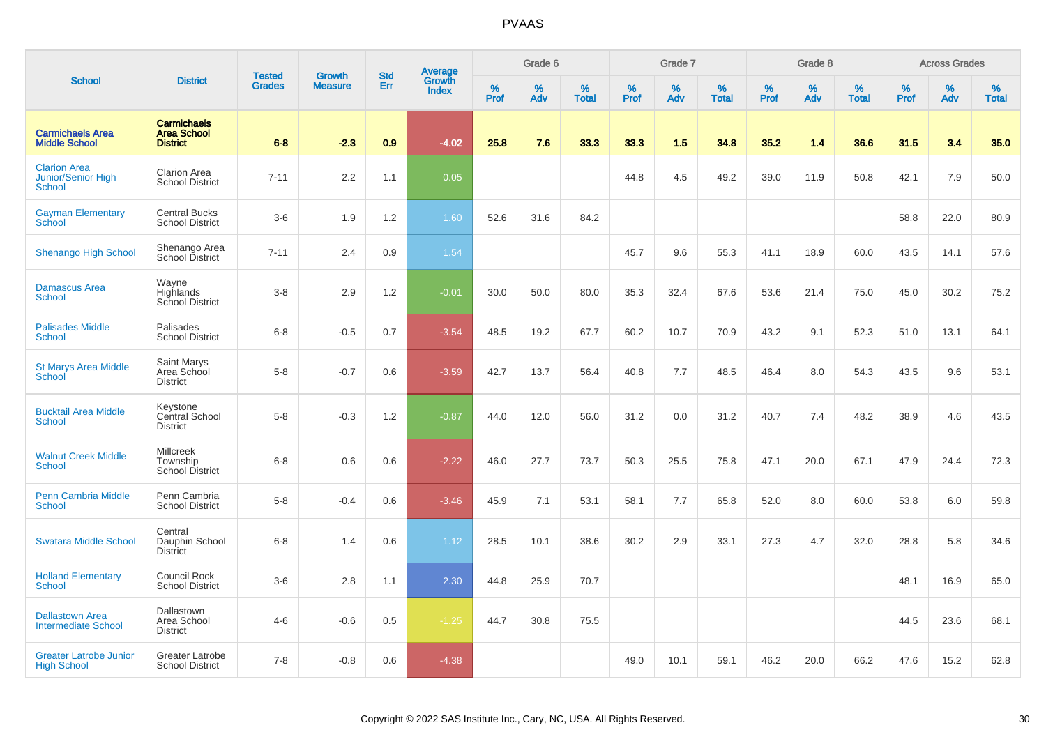| <b>School</b><br><b>Carmichaels Area</b><br><b>Middle School</b><br><b>Clarion Area</b><br><b>Junior/Senior High</b><br>School<br><b>Gayman Elementary</b><br>School<br>Shenango High School<br><b>Damascus Area</b><br><b>School</b><br><b>Palisades Middle</b><br>School<br><b>St Marys Area Middle</b><br>School<br><b>Bucktail Area Middle</b><br>School<br><b>Walnut Creek Middle</b><br><b>School</b><br><b>Penn Cambria Middle</b><br><b>School</b> |                                                             |                                |                                 | <b>Std</b> | Average                |                     | Grade 6  |                   |           | Grade 7     |                   |           | Grade 8  |                   |              | <b>Across Grades</b> |                   |
|------------------------------------------------------------------------------------------------------------------------------------------------------------------------------------------------------------------------------------------------------------------------------------------------------------------------------------------------------------------------------------------------------------------------------------------------------------|-------------------------------------------------------------|--------------------------------|---------------------------------|------------|------------------------|---------------------|----------|-------------------|-----------|-------------|-------------------|-----------|----------|-------------------|--------------|----------------------|-------------------|
|                                                                                                                                                                                                                                                                                                                                                                                                                                                            | <b>District</b>                                             | <b>Tested</b><br><b>Grades</b> | <b>Growth</b><br><b>Measure</b> | Err        | Growth<br><b>Index</b> | $\%$<br><b>Prof</b> | %<br>Adv | %<br><b>Total</b> | %<br>Prof | $\%$<br>Adv | %<br><b>Total</b> | %<br>Prof | %<br>Adv | %<br><b>Total</b> | $\%$<br>Prof | $\%$<br>Adv          | %<br><b>Total</b> |
|                                                                                                                                                                                                                                                                                                                                                                                                                                                            | <b>Carmichaels</b><br><b>Area School</b><br><b>District</b> | $6 - 8$                        | $-2.3$                          | 0.9        | $-4.02$                | 25.8                | 7.6      | 33.3              | 33.3      | 1.5         | 34.8              | 35.2      | 1.4      | 36.6              | 31.5         | 3.4                  | 35.0              |
|                                                                                                                                                                                                                                                                                                                                                                                                                                                            | <b>Clarion Area</b><br><b>School District</b>               | $7 - 11$                       | 2.2                             | 1.1        | 0.05                   |                     |          |                   | 44.8      | 4.5         | 49.2              | 39.0      | 11.9     | 50.8              | 42.1         | 7.9                  | 50.0              |
|                                                                                                                                                                                                                                                                                                                                                                                                                                                            | <b>Central Bucks</b><br><b>School District</b>              | $3-6$                          | 1.9                             | 1.2        | 1.60                   | 52.6                | 31.6     | 84.2              |           |             |                   |           |          |                   | 58.8         | 22.0                 | 80.9              |
|                                                                                                                                                                                                                                                                                                                                                                                                                                                            | Shenango Area<br>School District                            | $7 - 11$                       | 2.4                             | 0.9        | 1.54                   |                     |          |                   | 45.7      | 9.6         | 55.3              | 41.1      | 18.9     | 60.0              | 43.5         | 14.1                 | 57.6              |
|                                                                                                                                                                                                                                                                                                                                                                                                                                                            | Wayne<br>Highlands<br>School District                       | $3-8$                          | 2.9                             | 1.2        | $-0.01$                | 30.0                | 50.0     | 80.0              | 35.3      | 32.4        | 67.6              | 53.6      | 21.4     | 75.0              | 45.0         | 30.2                 | 75.2              |
|                                                                                                                                                                                                                                                                                                                                                                                                                                                            | Palisades<br><b>School District</b>                         | $6 - 8$                        | $-0.5$                          | 0.7        | $-3.54$                | 48.5                | 19.2     | 67.7              | 60.2      | 10.7        | 70.9              | 43.2      | 9.1      | 52.3              | 51.0         | 13.1                 | 64.1              |
|                                                                                                                                                                                                                                                                                                                                                                                                                                                            | Saint Marys<br>Area School<br><b>District</b>               | $5-8$                          | $-0.7$                          | 0.6        | $-3.59$                | 42.7                | 13.7     | 56.4              | 40.8      | 7.7         | 48.5              | 46.4      | 8.0      | 54.3              | 43.5         | 9.6                  | 53.1              |
|                                                                                                                                                                                                                                                                                                                                                                                                                                                            | Keystone<br>Central School<br><b>District</b>               | $5-8$                          | $-0.3$                          | 1.2        | $-0.87$                | 44.0                | 12.0     | 56.0              | 31.2      | 0.0         | 31.2              | 40.7      | 7.4      | 48.2              | 38.9         | 4.6                  | 43.5              |
|                                                                                                                                                                                                                                                                                                                                                                                                                                                            | <b>Millcreek</b><br>Township<br>School District             | $6-8$                          | 0.6                             | 0.6        | $-2.22$                | 46.0                | 27.7     | 73.7              | 50.3      | 25.5        | 75.8              | 47.1      | 20.0     | 67.1              | 47.9         | 24.4                 | 72.3              |
|                                                                                                                                                                                                                                                                                                                                                                                                                                                            | Penn Cambria<br><b>School District</b>                      | $5-8$                          | $-0.4$                          | 0.6        | $-3.46$                | 45.9                | 7.1      | 53.1              | 58.1      | 7.7         | 65.8              | 52.0      | 8.0      | 60.0              | 53.8         | 6.0                  | 59.8              |
| <b>Swatara Middle School</b>                                                                                                                                                                                                                                                                                                                                                                                                                               | Central<br>Dauphin School<br><b>District</b>                | $6-8$                          | 1.4                             | 0.6        | 1.12                   | 28.5                | 10.1     | 38.6              | 30.2      | 2.9         | 33.1              | 27.3      | 4.7      | 32.0              | 28.8         | 5.8                  | 34.6              |
| <b>Holland Elementary</b><br>School                                                                                                                                                                                                                                                                                                                                                                                                                        | <b>Council Rock</b><br><b>School District</b>               | $3-6$                          | 2.8                             | 1.1        | 2.30                   | 44.8                | 25.9     | 70.7              |           |             |                   |           |          |                   | 48.1         | 16.9                 | 65.0              |
| <b>Dallastown Area</b><br><b>Intermediate School</b>                                                                                                                                                                                                                                                                                                                                                                                                       | Dallastown<br>Area School<br><b>District</b>                | $4 - 6$                        | $-0.6$                          | 0.5        | $-1.25$                | 44.7                | 30.8     | 75.5              |           |             |                   |           |          |                   | 44.5         | 23.6                 | 68.1              |
| <b>Greater Latrobe Junior</b><br><b>High School</b>                                                                                                                                                                                                                                                                                                                                                                                                        | <b>Greater Latrobe</b><br><b>School District</b>            | $7 - 8$                        | $-0.8$                          | 0.6        | $-4.38$                |                     |          |                   | 49.0      | 10.1        | 59.1              | 46.2      | 20.0     | 66.2              | 47.6         | 15.2                 | 62.8              |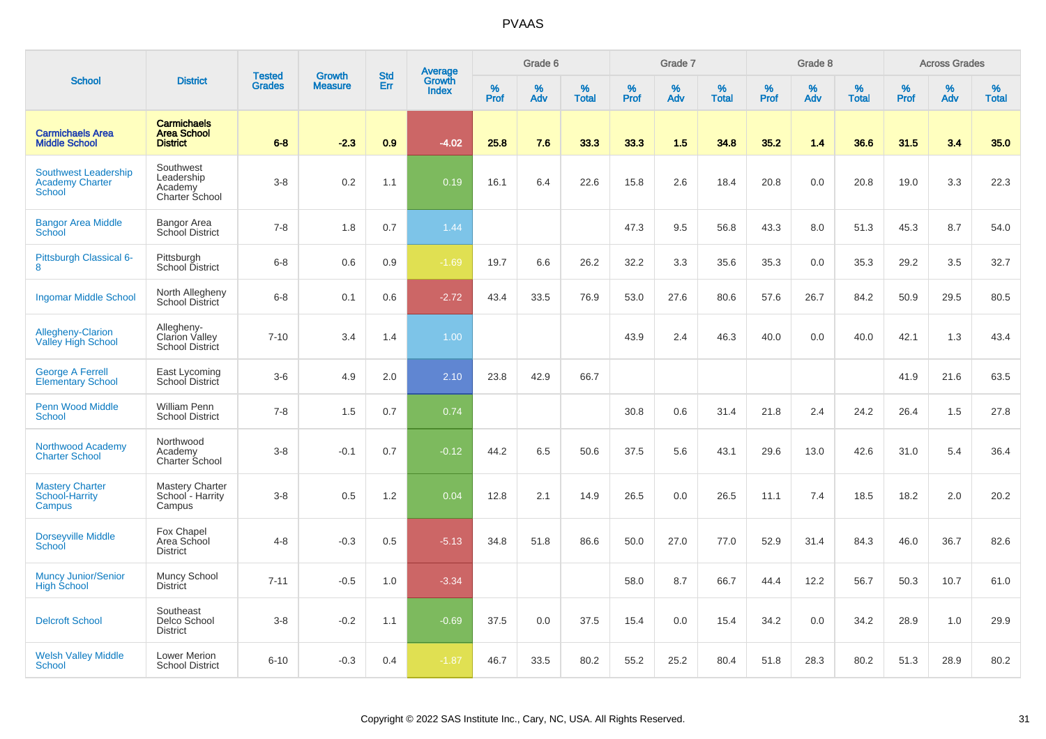|                                                                        |                                                               | <b>Tested</b> | <b>Growth</b>  | <b>Std</b> |                                          |                  | Grade 6     |                   |           | Grade 7  |                   |           | Grade 8  |                   |              | <b>Across Grades</b> |                   |
|------------------------------------------------------------------------|---------------------------------------------------------------|---------------|----------------|------------|------------------------------------------|------------------|-------------|-------------------|-----------|----------|-------------------|-----------|----------|-------------------|--------------|----------------------|-------------------|
| <b>School</b>                                                          | <b>District</b>                                               | <b>Grades</b> | <b>Measure</b> | Err        | <b>Average</b><br>Growth<br><b>Index</b> | %<br><b>Prof</b> | $\%$<br>Adv | %<br><b>Total</b> | %<br>Prof | %<br>Adv | %<br><b>Total</b> | %<br>Prof | %<br>Adv | %<br><b>Total</b> | $\%$<br>Prof | $\%$<br>Adv          | %<br><b>Total</b> |
| <b>Carmichaels Area</b><br><b>Middle School</b>                        | <b>Carmichaels</b><br><b>Area School</b><br><b>District</b>   | $6 - 8$       | $-2.3$         | 0.9        | $-4.02$                                  | 25.8             | 7.6         | 33.3              | 33.3      | 1.5      | 34.8              | 35.2      | 1.4      | 36.6              | 31.5         | 3.4                  | 35.0              |
| <b>Southwest Leadership</b><br><b>Academy Charter</b><br><b>School</b> | Southwest<br>Leadership<br>Academy<br>Charter School          | $3-8$         | 0.2            | 1.1        | 0.19                                     | 16.1             | 6.4         | 22.6              | 15.8      | 2.6      | 18.4              | 20.8      | 0.0      | 20.8              | 19.0         | 3.3                  | 22.3              |
| <b>Bangor Area Middle</b><br>School                                    | Bangor Area<br>School District                                | $7 - 8$       | 1.8            | 0.7        | 1.44                                     |                  |             |                   | 47.3      | 9.5      | 56.8              | 43.3      | 8.0      | 51.3              | 45.3         | 8.7                  | 54.0              |
| Pittsburgh Classical 6-<br>8                                           | Pittsburgh<br>School District                                 | $6-8$         | 0.6            | 0.9        | $-1.69$                                  | 19.7             | 6.6         | 26.2              | 32.2      | 3.3      | 35.6              | 35.3      | 0.0      | 35.3              | 29.2         | 3.5                  | 32.7              |
| <b>Ingomar Middle School</b>                                           | North Allegheny<br><b>School District</b>                     | $6-8$         | 0.1            | 0.6        | $-2.72$                                  | 43.4             | 33.5        | 76.9              | 53.0      | 27.6     | 80.6              | 57.6      | 26.7     | 84.2              | 50.9         | 29.5                 | 80.5              |
| <b>Allegheny-Clarion</b><br><b>Valley High School</b>                  | Allegheny-<br><b>Clarion Valley</b><br><b>School District</b> | $7 - 10$      | 3.4            | 1.4        | 1.00                                     |                  |             |                   | 43.9      | 2.4      | 46.3              | 40.0      | 0.0      | 40.0              | 42.1         | 1.3                  | 43.4              |
| <b>George A Ferrell</b><br><b>Elementary School</b>                    | East Lycoming<br>School District                              | $3-6$         | 4.9            | 2.0        | 2.10                                     | 23.8             | 42.9        | 66.7              |           |          |                   |           |          |                   | 41.9         | 21.6                 | 63.5              |
| <b>Penn Wood Middle</b><br>School                                      | William Penn<br><b>School District</b>                        | $7 - 8$       | 1.5            | 0.7        | 0.74                                     |                  |             |                   | 30.8      | 0.6      | 31.4              | 21.8      | 2.4      | 24.2              | 26.4         | 1.5                  | 27.8              |
| Northwood Academy<br><b>Charter School</b>                             | Northwood<br>Academy<br><b>Charter School</b>                 | $3-8$         | $-0.1$         | 0.7        | $-0.12$                                  | 44.2             | 6.5         | 50.6              | 37.5      | 5.6      | 43.1              | 29.6      | 13.0     | 42.6              | 31.0         | 5.4                  | 36.4              |
| <b>Mastery Charter</b><br>School-Harrity<br>Campus                     | <b>Mastery Charter</b><br>School - Harrity<br>Campus          | $3-8$         | 0.5            | 1.2        | 0.04                                     | 12.8             | 2.1         | 14.9              | 26.5      | 0.0      | 26.5              | 11.1      | 7.4      | 18.5              | 18.2         | 2.0                  | 20.2              |
| <b>Dorseyville Middle</b><br>School                                    | Fox Chapel<br>Area School<br><b>District</b>                  | $4 - 8$       | $-0.3$         | 0.5        | $-5.13$                                  | 34.8             | 51.8        | 86.6              | 50.0      | 27.0     | 77.0              | 52.9      | 31.4     | 84.3              | 46.0         | 36.7                 | 82.6              |
| <b>Muncy Junior/Senior</b><br><b>High School</b>                       | Muncy School<br>District                                      | $7 - 11$      | $-0.5$         | 1.0        | $-3.34$                                  |                  |             |                   | 58.0      | 8.7      | 66.7              | 44.4      | 12.2     | 56.7              | 50.3         | 10.7                 | 61.0              |
| <b>Delcroft School</b>                                                 | Southeast<br>Delco School<br><b>District</b>                  | $3-8$         | $-0.2$         | 1.1        | $-0.69$                                  | 37.5             | 0.0         | 37.5              | 15.4      | 0.0      | 15.4              | 34.2      | 0.0      | 34.2              | 28.9         | 1.0                  | 29.9              |
| <b>Welsh Valley Middle</b><br>School                                   | Lower Merion<br><b>School District</b>                        | $6 - 10$      | $-0.3$         | 0.4        | $-1.87$                                  | 46.7             | 33.5        | 80.2              | 55.2      | 25.2     | 80.4              | 51.8      | 28.3     | 80.2              | 51.3         | 28.9                 | 80.2              |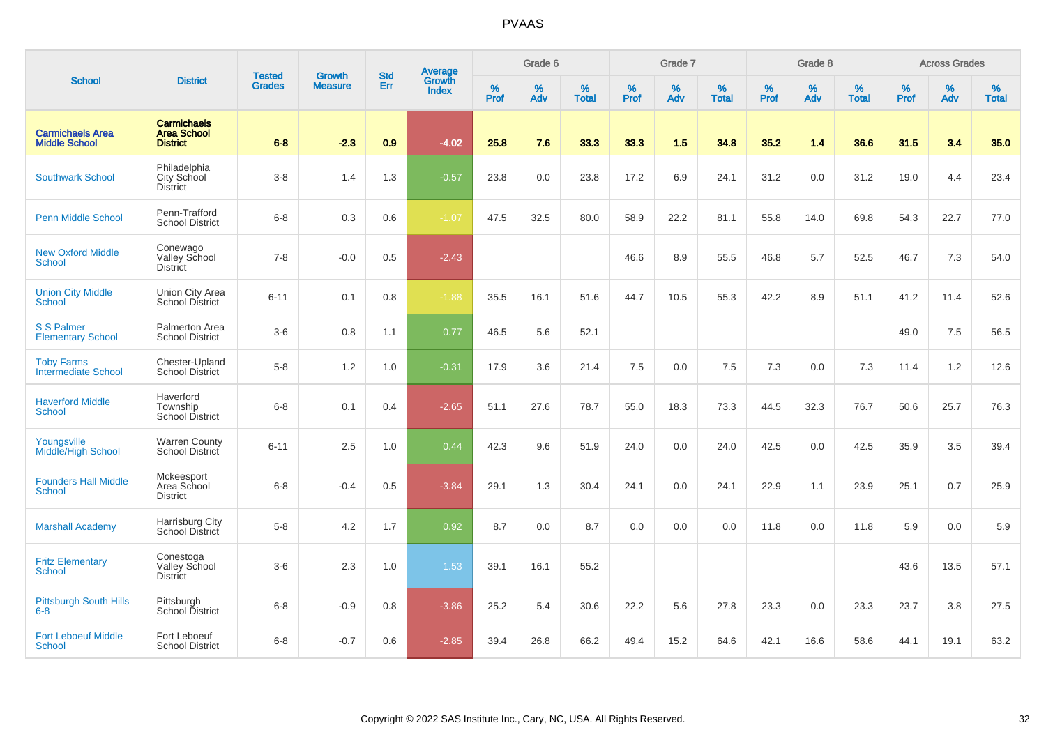|                                                 |                                                             |                                |                                 | <b>Std</b> |                                   |           | Grade 6  |                   |           | Grade 7  |                   |           | Grade 8  |                   |           | <b>Across Grades</b> |                   |
|-------------------------------------------------|-------------------------------------------------------------|--------------------------------|---------------------------------|------------|-----------------------------------|-----------|----------|-------------------|-----------|----------|-------------------|-----------|----------|-------------------|-----------|----------------------|-------------------|
| <b>School</b>                                   | <b>District</b>                                             | <b>Tested</b><br><b>Grades</b> | <b>Growth</b><br><b>Measure</b> | Err        | Average<br>Growth<br><b>Index</b> | %<br>Prof | %<br>Adv | %<br><b>Total</b> | %<br>Prof | %<br>Adv | %<br><b>Total</b> | %<br>Prof | %<br>Adv | %<br><b>Total</b> | %<br>Prof | %<br>Adv             | %<br><b>Total</b> |
| <b>Carmichaels Area</b><br><b>Middle School</b> | <b>Carmichaels</b><br><b>Area School</b><br><b>District</b> | $6 - 8$                        | $-2.3$                          | 0.9        | $-4.02$                           | 25.8      | 7.6      | 33.3              | 33.3      | 1.5      | 34.8              | 35.2      | 1.4      | 36.6              | 31.5      | 3.4                  | 35.0              |
| <b>Southwark School</b>                         | Philadelphia<br>City School<br><b>District</b>              | $3 - 8$                        | 1.4                             | 1.3        | $-0.57$                           | 23.8      | 0.0      | 23.8              | 17.2      | 6.9      | 24.1              | 31.2      | 0.0      | 31.2              | 19.0      | 4.4                  | 23.4              |
| <b>Penn Middle School</b>                       | Penn-Trafford<br><b>School District</b>                     | $6 - 8$                        | 0.3                             | 0.6        | $-1.07$                           | 47.5      | 32.5     | 80.0              | 58.9      | 22.2     | 81.1              | 55.8      | 14.0     | 69.8              | 54.3      | 22.7                 | 77.0              |
| <b>New Oxford Middle</b><br><b>School</b>       | Conewago<br>Valley School<br><b>District</b>                | $7 - 8$                        | $-0.0$                          | 0.5        | $-2.43$                           |           |          |                   | 46.6      | 8.9      | 55.5              | 46.8      | 5.7      | 52.5              | 46.7      | 7.3                  | 54.0              |
| <b>Union City Middle</b><br><b>School</b>       | Union City Area<br><b>School District</b>                   | $6 - 11$                       | 0.1                             | 0.8        | $-1.88$                           | 35.5      | 16.1     | 51.6              | 44.7      | 10.5     | 55.3              | 42.2      | 8.9      | 51.1              | 41.2      | 11.4                 | 52.6              |
| <b>S S Palmer</b><br><b>Elementary School</b>   | Palmerton Area<br><b>School District</b>                    | $3-6$                          | 0.8                             | 1.1        | 0.77                              | 46.5      | 5.6      | 52.1              |           |          |                   |           |          |                   | 49.0      | 7.5                  | 56.5              |
| <b>Toby Farms</b><br><b>Intermediate School</b> | Chester-Upland<br><b>School District</b>                    | $5-8$                          | 1.2                             | 1.0        | $-0.31$                           | 17.9      | 3.6      | 21.4              | 7.5       | 0.0      | 7.5               | 7.3       | 0.0      | 7.3               | 11.4      | 1.2                  | 12.6              |
| <b>Haverford Middle</b><br><b>School</b>        | Haverford<br>Township<br><b>School District</b>             | $6 - 8$                        | 0.1                             | 0.4        | $-2.65$                           | 51.1      | 27.6     | 78.7              | 55.0      | 18.3     | 73.3              | 44.5      | 32.3     | 76.7              | 50.6      | 25.7                 | 76.3              |
| Youngsville<br>Middle/High School               | <b>Warren County</b><br>School District                     | $6 - 11$                       | 2.5                             | 1.0        | 0.44                              | 42.3      | 9.6      | 51.9              | 24.0      | 0.0      | 24.0              | 42.5      | 0.0      | 42.5              | 35.9      | 3.5                  | 39.4              |
| <b>Founders Hall Middle</b><br><b>School</b>    | Mckeesport<br>Area School<br><b>District</b>                | $6 - 8$                        | $-0.4$                          | 0.5        | $-3.84$                           | 29.1      | 1.3      | 30.4              | 24.1      | 0.0      | 24.1              | 22.9      | 1.1      | 23.9              | 25.1      | 0.7                  | 25.9              |
| <b>Marshall Academy</b>                         | Harrisburg City<br>School District                          | $5-8$                          | 4.2                             | 1.7        | 0.92                              | 8.7       | 0.0      | 8.7               | 0.0       | 0.0      | 0.0               | 11.8      | 0.0      | 11.8              | 5.9       | 0.0                  | 5.9               |
| <b>Fritz Elementary</b><br><b>School</b>        | Conestoga<br>Valley School<br><b>District</b>               | $3-6$                          | 2.3                             | 1.0        | 1.53                              | 39.1      | 16.1     | 55.2              |           |          |                   |           |          |                   | 43.6      | 13.5                 | 57.1              |
| <b>Pittsburgh South Hills</b><br>$6 - 8$        | Pittsburgh<br>School District                               | $6 - 8$                        | $-0.9$                          | 0.8        | $-3.86$                           | 25.2      | 5.4      | 30.6              | 22.2      | 5.6      | 27.8              | 23.3      | 0.0      | 23.3              | 23.7      | 3.8                  | 27.5              |
| <b>Fort Leboeuf Middle</b><br>School            | Fort Leboeuf<br><b>School District</b>                      | $6 - 8$                        | $-0.7$                          | 0.6        | $-2.85$                           | 39.4      | 26.8     | 66.2              | 49.4      | 15.2     | 64.6              | 42.1      | 16.6     | 58.6              | 44.1      | 19.1                 | 63.2              |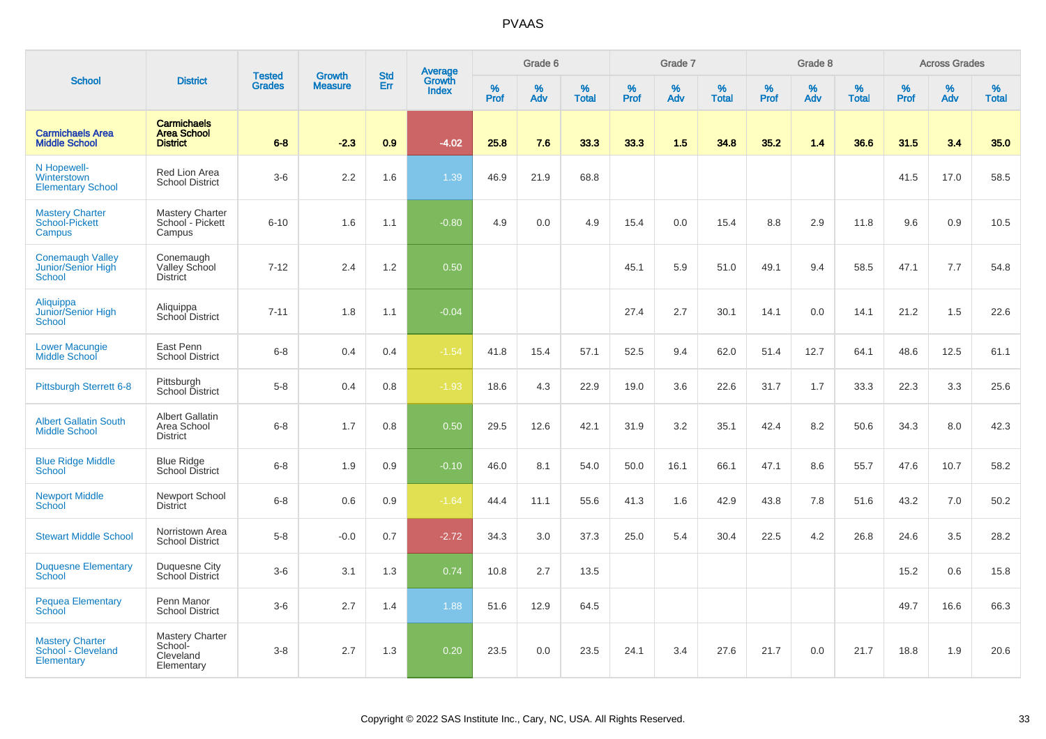|                                                                |                                                             | <b>Tested</b> | <b>Growth</b>  | <b>Std</b> |                                          |                  | Grade 6     |                   |              | Grade 7     |                   |           | Grade 8  |                   |              | <b>Across Grades</b> |                   |
|----------------------------------------------------------------|-------------------------------------------------------------|---------------|----------------|------------|------------------------------------------|------------------|-------------|-------------------|--------------|-------------|-------------------|-----------|----------|-------------------|--------------|----------------------|-------------------|
| <b>School</b>                                                  | <b>District</b>                                             | <b>Grades</b> | <b>Measure</b> | Err        | <b>Average</b><br>Growth<br><b>Index</b> | %<br><b>Prof</b> | $\%$<br>Adv | %<br><b>Total</b> | $\%$<br>Prof | $\%$<br>Adv | %<br><b>Total</b> | %<br>Prof | %<br>Adv | %<br><b>Total</b> | $\%$<br>Prof | $\%$<br>Adv          | %<br><b>Total</b> |
| <b>Carmichaels Area</b><br><b>Middle School</b>                | <b>Carmichaels</b><br><b>Area School</b><br><b>District</b> | $6 - 8$       | $-2.3$         | 0.9        | $-4.02$                                  | 25.8             | 7.6         | 33.3              | 33.3         | 1.5         | 34.8              | 35.2      | 1.4      | 36.6              | 31.5         | 3.4                  | 35.0              |
| N Hopewell-<br>Winterstown<br><b>Elementary School</b>         | Red Lion Area<br><b>School District</b>                     | $3-6$         | 2.2            | 1.6        | 1.39                                     | 46.9             | 21.9        | 68.8              |              |             |                   |           |          |                   | 41.5         | 17.0                 | 58.5              |
| <b>Mastery Charter</b><br>School-Pickett<br>Campus             | <b>Mastery Charter</b><br>School - Pickett<br>Campus        | $6 - 10$      | 1.6            | 1.1        | $-0.80$                                  | 4.9              | 0.0         | 4.9               | 15.4         | 0.0         | 15.4              | 8.8       | 2.9      | 11.8              | 9.6          | 0.9                  | 10.5              |
| <b>Conemaugh Valley</b><br>Junior/Senior High<br><b>School</b> | Conemaugh<br>Valley School<br><b>District</b>               | $7 - 12$      | 2.4            | 1.2        | 0.50                                     |                  |             |                   | 45.1         | 5.9         | 51.0              | 49.1      | 9.4      | 58.5              | 47.1         | 7.7                  | 54.8              |
| Aliquippa<br>Junior/Senior High<br><b>School</b>               | Aliquippa<br>School District                                | $7 - 11$      | 1.8            | 1.1        | $-0.04$                                  |                  |             |                   | 27.4         | 2.7         | 30.1              | 14.1      | 0.0      | 14.1              | 21.2         | 1.5                  | 22.6              |
| <b>Lower Macungie</b><br>Middle School                         | East Penn<br><b>School District</b>                         | $6 - 8$       | 0.4            | 0.4        | $-1.54$                                  | 41.8             | 15.4        | 57.1              | 52.5         | 9.4         | 62.0              | 51.4      | 12.7     | 64.1              | 48.6         | 12.5                 | 61.1              |
| <b>Pittsburgh Sterrett 6-8</b>                                 | Pittsburgh<br>School District                               | $5-8$         | 0.4            | 0.8        | $-1.93$                                  | 18.6             | 4.3         | 22.9              | 19.0         | 3.6         | 22.6              | 31.7      | 1.7      | 33.3              | 22.3         | 3.3                  | 25.6              |
| <b>Albert Gallatin South</b><br><b>Middle School</b>           | <b>Albert Gallatin</b><br>Area School<br><b>District</b>    | $6 - 8$       | 1.7            | 0.8        | 0.50                                     | 29.5             | 12.6        | 42.1              | 31.9         | 3.2         | 35.1              | 42.4      | 8.2      | 50.6              | 34.3         | 8.0                  | 42.3              |
| <b>Blue Ridge Middle</b><br><b>School</b>                      | <b>Blue Ridge</b><br>School District                        | $6-8$         | 1.9            | 0.9        | $-0.10$                                  | 46.0             | 8.1         | 54.0              | 50.0         | 16.1        | 66.1              | 47.1      | 8.6      | 55.7              | 47.6         | 10.7                 | 58.2              |
| <b>Newport Middle</b><br>School                                | Newport School<br>District                                  | $6-8$         | 0.6            | 0.9        | $-1.64$                                  | 44.4             | 11.1        | 55.6              | 41.3         | 1.6         | 42.9              | 43.8      | 7.8      | 51.6              | 43.2         | 7.0                  | 50.2              |
| <b>Stewart Middle School</b>                                   | Norristown Area<br><b>School District</b>                   | $5-8$         | $-0.0$         | 0.7        | $-2.72$                                  | 34.3             | 3.0         | 37.3              | 25.0         | 5.4         | 30.4              | 22.5      | 4.2      | 26.8              | 24.6         | 3.5                  | 28.2              |
| <b>Duquesne Elementary</b><br><b>School</b>                    | Duquesne City<br><b>School District</b>                     | $3-6$         | 3.1            | 1.3        | 0.74                                     | 10.8             | 2.7         | 13.5              |              |             |                   |           |          |                   | 15.2         | 0.6                  | 15.8              |
| <b>Pequea Elementary</b><br><b>School</b>                      | Penn Manor<br><b>School District</b>                        | $3-6$         | 2.7            | 1.4        | 1.88                                     | 51.6             | 12.9        | 64.5              |              |             |                   |           |          |                   | 49.7         | 16.6                 | 66.3              |
| <b>Mastery Charter</b><br>School - Cleveland<br>Elementary     | Mastery Charter<br>School-<br>Cleveland<br>Elementary       | $3-8$         | 2.7            | 1.3        | 0.20                                     | 23.5             | 0.0         | 23.5              | 24.1         | 3.4         | 27.6              | 21.7      | 0.0      | 21.7              | 18.8         | 1.9                  | 20.6              |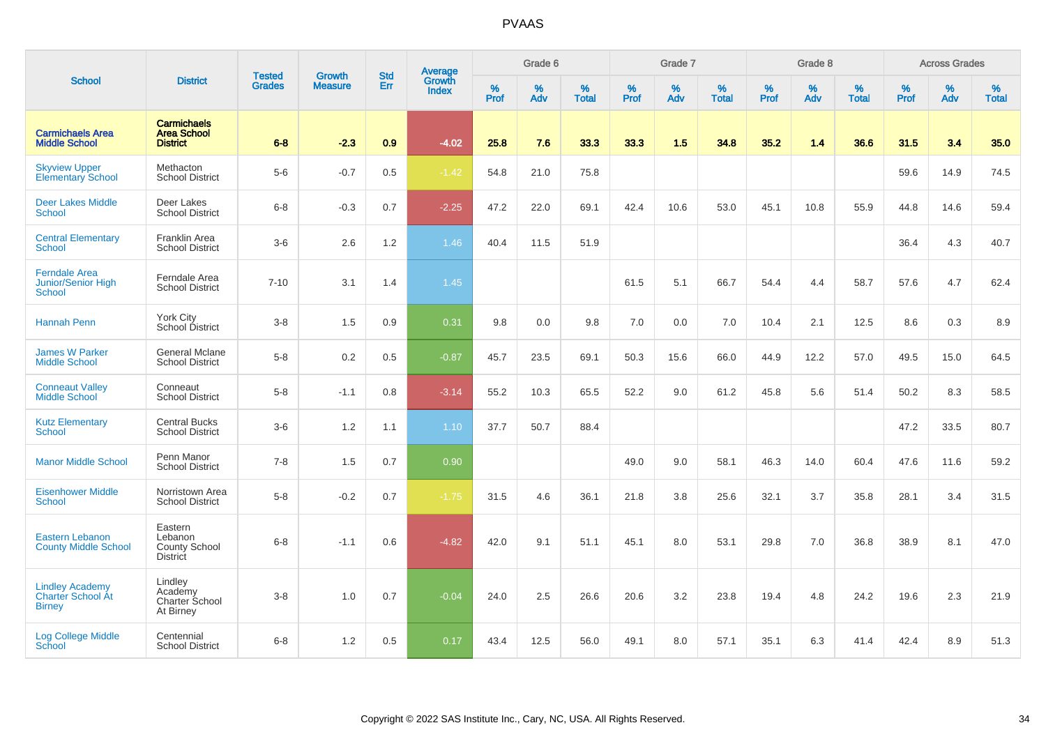|                                                                     |                                                               |                                | <b>Growth</b>  | <b>Std</b> | <b>Average</b><br>Growth |                  | Grade 6  |                   |           | Grade 7  |                   |           | Grade 8  |                   |           | <b>Across Grades</b> |                   |
|---------------------------------------------------------------------|---------------------------------------------------------------|--------------------------------|----------------|------------|--------------------------|------------------|----------|-------------------|-----------|----------|-------------------|-----------|----------|-------------------|-----------|----------------------|-------------------|
| <b>School</b>                                                       | <b>District</b>                                               | <b>Tested</b><br><b>Grades</b> | <b>Measure</b> | Err        | <b>Index</b>             | %<br><b>Prof</b> | %<br>Adv | %<br><b>Total</b> | %<br>Prof | %<br>Adv | %<br><b>Total</b> | %<br>Prof | %<br>Adv | %<br><b>Total</b> | %<br>Prof | %<br>Adv             | %<br><b>Total</b> |
| <b>Carmichaels Area</b><br><b>Middle School</b>                     | <b>Carmichaels</b><br><b>Area School</b><br><b>District</b>   | $6 - 8$                        | $-2.3$         | 0.9        | $-4.02$                  | 25.8             | 7.6      | 33.3              | 33.3      | 1.5      | 34.8              | 35.2      | 1.4      | 36.6              | 31.5      | 3.4                  | 35.0              |
| <b>Skyview Upper</b><br><b>Elementary School</b>                    | Methacton<br><b>School District</b>                           | $5-6$                          | $-0.7$         | $0.5\,$    | $-1.42$                  | 54.8             | 21.0     | 75.8              |           |          |                   |           |          |                   | 59.6      | 14.9                 | 74.5              |
| <b>Deer Lakes Middle</b><br><b>School</b>                           | Deer Lakes<br><b>School District</b>                          | $6-8$                          | $-0.3$         | 0.7        | $-2.25$                  | 47.2             | 22.0     | 69.1              | 42.4      | 10.6     | 53.0              | 45.1      | 10.8     | 55.9              | 44.8      | 14.6                 | 59.4              |
| <b>Central Elementary</b><br><b>School</b>                          | Franklin Area<br><b>School District</b>                       | $3-6$                          | 2.6            | 1.2        | 1.46                     | 40.4             | 11.5     | 51.9              |           |          |                   |           |          |                   | 36.4      | 4.3                  | 40.7              |
| <b>Ferndale Area</b><br>Junior/Senior High<br><b>School</b>         | Ferndale Area<br><b>School District</b>                       | $7 - 10$                       | 3.1            | 1.4        | 1.45                     |                  |          |                   | 61.5      | 5.1      | 66.7              | 54.4      | 4.4      | 58.7              | 57.6      | 4.7                  | 62.4              |
| <b>Hannah Penn</b>                                                  | York City<br>School District                                  | $3-8$                          | 1.5            | 0.9        | 0.31                     | 9.8              | 0.0      | 9.8               | 7.0       | 0.0      | 7.0               | 10.4      | 2.1      | 12.5              | 8.6       | 0.3                  | 8.9               |
| <b>James W Parker</b><br><b>Middle School</b>                       | General Mclane<br><b>School District</b>                      | $5-8$                          | 0.2            | $0.5\,$    | $-0.87$                  | 45.7             | 23.5     | 69.1              | 50.3      | 15.6     | 66.0              | 44.9      | 12.2     | 57.0              | 49.5      | 15.0                 | 64.5              |
| <b>Conneaut Valley</b><br><b>Middle School</b>                      | Conneaut<br><b>School District</b>                            | $5-8$                          | $-1.1$         | 0.8        | $-3.14$                  | 55.2             | 10.3     | 65.5              | 52.2      | 9.0      | 61.2              | 45.8      | 5.6      | 51.4              | 50.2      | 8.3                  | 58.5              |
| <b>Kutz Elementary</b><br>School                                    | <b>Central Bucks</b><br><b>School District</b>                | $3-6$                          | 1.2            | 1.1        | 1.10                     | 37.7             | 50.7     | 88.4              |           |          |                   |           |          |                   | 47.2      | 33.5                 | 80.7              |
| <b>Manor Middle School</b>                                          | Penn Manor<br><b>School District</b>                          | $7 - 8$                        | 1.5            | 0.7        | 0.90                     |                  |          |                   | 49.0      | 9.0      | 58.1              | 46.3      | 14.0     | 60.4              | 47.6      | 11.6                 | 59.2              |
| <b>Eisenhower Middle</b><br>School                                  | Norristown Area<br><b>School District</b>                     | $5-8$                          | $-0.2$         | 0.7        | $-1.75$                  | 31.5             | 4.6      | 36.1              | 21.8      | 3.8      | 25.6              | 32.1      | 3.7      | 35.8              | 28.1      | 3.4                  | 31.5              |
| <b>Eastern Lebanon</b><br><b>County Middle School</b>               | Eastern<br>Lebanon<br><b>County School</b><br><b>District</b> | $6 - 8$                        | $-1.1$         | 0.6        | $-4.82$                  | 42.0             | 9.1      | 51.1              | 45.1      | 8.0      | 53.1              | 29.8      | 7.0      | 36.8              | 38.9      | 8.1                  | 47.0              |
| <b>Lindley Academy</b><br><b>Charter School At</b><br><b>Birney</b> | Lindley<br>Academy<br>Charter School<br>At Birney             | $3 - 8$                        | 1.0            | 0.7        | $-0.04$                  | 24.0             | 2.5      | 26.6              | 20.6      | 3.2      | 23.8              | 19.4      | 4.8      | 24.2              | 19.6      | 2.3                  | 21.9              |
| <b>Log College Middle</b><br>School                                 | Centennial<br><b>School District</b>                          | $6 - 8$                        | 1.2            | 0.5        | 0.17                     | 43.4             | 12.5     | 56.0              | 49.1      | 8.0      | 57.1              | 35.1      | 6.3      | 41.4              | 42.4      | 8.9                  | 51.3              |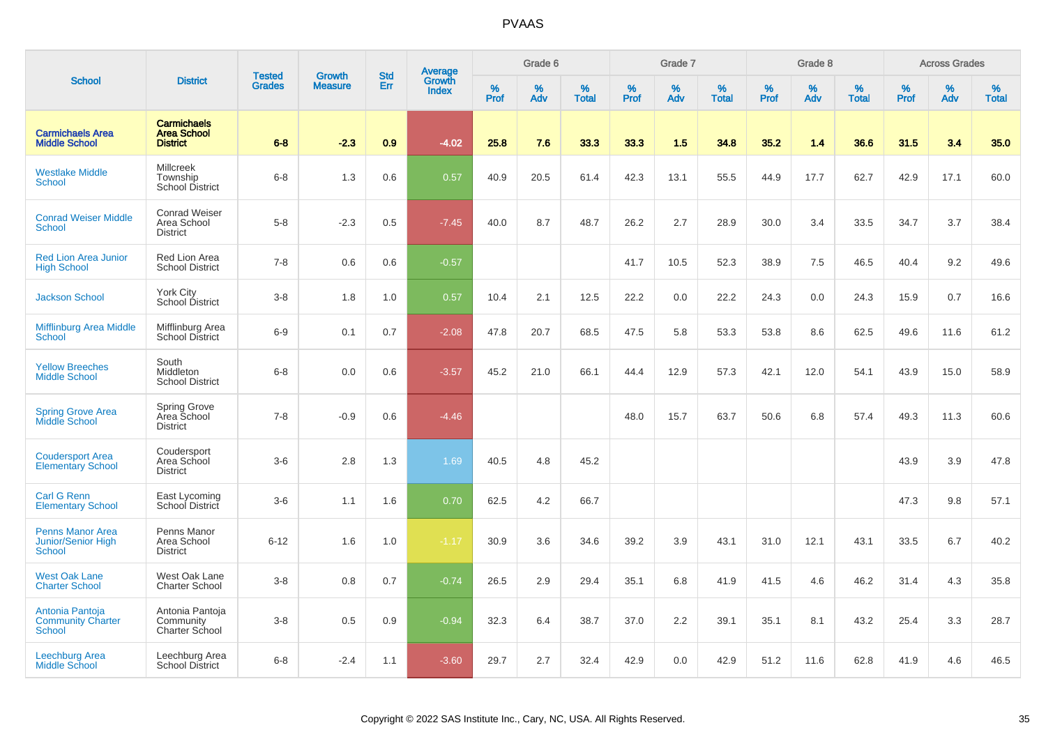|                                                         |                                                             | <b>Tested</b> | <b>Growth</b>  | <b>Std</b> |                                          |           | Grade 6  |                   |           | Grade 7  |                   |           | Grade 8  |                   |           | <b>Across Grades</b> |                   |
|---------------------------------------------------------|-------------------------------------------------------------|---------------|----------------|------------|------------------------------------------|-----------|----------|-------------------|-----------|----------|-------------------|-----------|----------|-------------------|-----------|----------------------|-------------------|
| <b>School</b>                                           | <b>District</b>                                             | <b>Grades</b> | <b>Measure</b> | Err        | <b>Average</b><br>Growth<br><b>Index</b> | %<br>Prof | %<br>Adv | %<br><b>Total</b> | %<br>Prof | %<br>Adv | %<br><b>Total</b> | %<br>Prof | %<br>Adv | %<br><b>Total</b> | %<br>Prof | %<br>Adv             | %<br><b>Total</b> |
| <b>Carmichaels Area</b><br><b>Middle School</b>         | <b>Carmichaels</b><br><b>Area School</b><br><b>District</b> | $6 - 8$       | $-2.3$         | 0.9        | $-4.02$                                  | 25.8      | 7.6      | 33.3              | 33.3      | 1.5      | 34.8              | 35.2      | 1.4      | 36.6              | 31.5      | 3.4                  | 35.0              |
| <b>Westlake Middle</b><br><b>School</b>                 | Millcreek<br>Township<br>School District                    | $6 - 8$       | 1.3            | 0.6        | 0.57                                     | 40.9      | 20.5     | 61.4              | 42.3      | 13.1     | 55.5              | 44.9      | 17.7     | 62.7              | 42.9      | 17.1                 | 60.0              |
| <b>Conrad Weiser Middle</b><br><b>School</b>            | <b>Conrad Weiser</b><br>Area School<br><b>District</b>      | $5-8$         | $-2.3$         | 0.5        | $-7.45$                                  | 40.0      | 8.7      | 48.7              | 26.2      | 2.7      | 28.9              | 30.0      | 3.4      | 33.5              | 34.7      | 3.7                  | 38.4              |
| <b>Red Lion Area Junior</b><br><b>High School</b>       | Red Lion Area<br><b>School District</b>                     | $7 - 8$       | 0.6            | 0.6        | $-0.57$                                  |           |          |                   | 41.7      | 10.5     | 52.3              | 38.9      | 7.5      | 46.5              | 40.4      | 9.2                  | 49.6              |
| <b>Jackson School</b>                                   | York City<br>School District                                | $3 - 8$       | 1.8            | 1.0        | 0.57                                     | 10.4      | 2.1      | 12.5              | 22.2      | 0.0      | 22.2              | 24.3      | 0.0      | 24.3              | 15.9      | 0.7                  | 16.6              |
| <b>Mifflinburg Area Middle</b><br>School                | Mifflinburg Area<br><b>School District</b>                  | $6-9$         | 0.1            | 0.7        | $-2.08$                                  | 47.8      | 20.7     | 68.5              | 47.5      | 5.8      | 53.3              | 53.8      | 8.6      | 62.5              | 49.6      | 11.6                 | 61.2              |
| <b>Yellow Breeches</b><br><b>Middle School</b>          | South<br>Middleton<br><b>School District</b>                | $6 - 8$       | 0.0            | 0.6        | $-3.57$                                  | 45.2      | 21.0     | 66.1              | 44.4      | 12.9     | 57.3              | 42.1      | 12.0     | 54.1              | 43.9      | 15.0                 | 58.9              |
| <b>Spring Grove Area</b><br>Middle School               | Spring Grove<br>Area School<br><b>District</b>              | $7 - 8$       | $-0.9$         | 0.6        | $-4.46$                                  |           |          |                   | 48.0      | 15.7     | 63.7              | 50.6      | 6.8      | 57.4              | 49.3      | 11.3                 | 60.6              |
| <b>Coudersport Area</b><br><b>Elementary School</b>     | Coudersport<br>Area School<br><b>District</b>               | $3-6$         | 2.8            | 1.3        | 1.69                                     | 40.5      | 4.8      | 45.2              |           |          |                   |           |          |                   | 43.9      | 3.9                  | 47.8              |
| <b>Carl G Renn</b><br><b>Elementary School</b>          | East Lycoming<br>School District                            | $3-6$         | 1.1            | 1.6        | 0.70                                     | 62.5      | 4.2      | 66.7              |           |          |                   |           |          |                   | 47.3      | 9.8                  | 57.1              |
| <b>Penns Manor Area</b><br>Junior/Senior High<br>School | Penns Manor<br>Area School<br><b>District</b>               | $6 - 12$      | 1.6            | 1.0        | $-1.17$                                  | 30.9      | 3.6      | 34.6              | 39.2      | 3.9      | 43.1              | 31.0      | 12.1     | 43.1              | 33.5      | 6.7                  | 40.2              |
| <b>West Oak Lane</b><br><b>Charter School</b>           | West Oak Lane<br><b>Charter School</b>                      | $3 - 8$       | 0.8            | 0.7        | $-0.74$                                  | 26.5      | 2.9      | 29.4              | 35.1      | 6.8      | 41.9              | 41.5      | 4.6      | 46.2              | 31.4      | 4.3                  | 35.8              |
| Antonia Pantoja<br><b>Community Charter</b><br>School   | Antonia Pantoja<br>Community<br>Charter School              | $3-8$         | 0.5            | 0.9        | $-0.94$                                  | 32.3      | 6.4      | 38.7              | 37.0      | 2.2      | 39.1              | 35.1      | 8.1      | 43.2              | 25.4      | 3.3                  | 28.7              |
| Leechburg Area<br><b>Middle School</b>                  | Leechburg Area<br><b>School District</b>                    | $6 - 8$       | $-2.4$         | 1.1        | $-3.60$                                  | 29.7      | 2.7      | 32.4              | 42.9      | 0.0      | 42.9              | 51.2      | 11.6     | 62.8              | 41.9      | 4.6                  | 46.5              |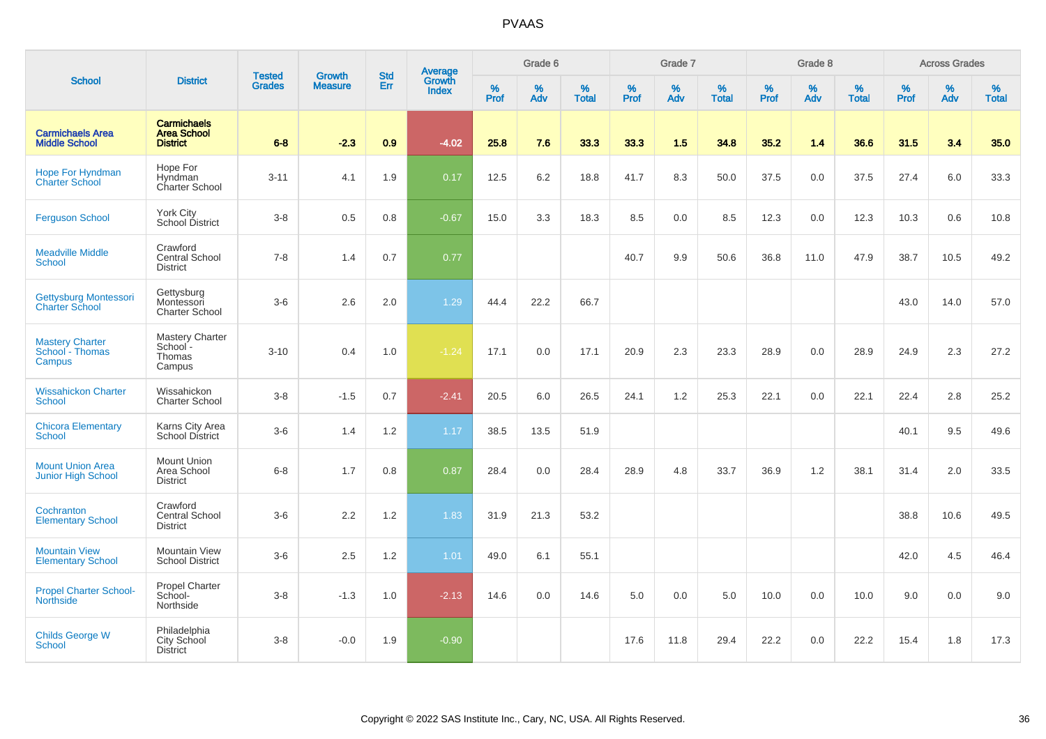| <b>School</b>                                        | <b>District</b>                                             | <b>Tested</b><br><b>Grades</b> | <b>Growth</b><br><b>Measure</b> | <b>Std</b><br>Err | <b>Average</b><br>Growth<br><b>Index</b> | Grade 6   |          |                   | Grade 7   |          |                   | Grade 8   |          |                   | <b>Across Grades</b> |          |            |
|------------------------------------------------------|-------------------------------------------------------------|--------------------------------|---------------------------------|-------------------|------------------------------------------|-----------|----------|-------------------|-----------|----------|-------------------|-----------|----------|-------------------|----------------------|----------|------------|
|                                                      |                                                             |                                |                                 |                   |                                          | %<br>Prof | %<br>Adv | %<br><b>Total</b> | %<br>Prof | %<br>Adv | %<br><b>Total</b> | %<br>Prof | %<br>Adv | %<br><b>Total</b> | %<br>Prof            | %<br>Adv | %<br>Total |
| <b>Carmichaels Area</b><br><b>Middle School</b>      | <b>Carmichaels</b><br><b>Area School</b><br><b>District</b> | $6 - 8$                        | $-2.3$                          | 0.9               | $-4.02$                                  | 25.8      | 7.6      | 33.3              | 33.3      | 1.5      | 34.8              | 35.2      | 1.4      | 36.6              | 31.5                 | 3.4      | 35.0       |
| <b>Hope For Hyndman</b><br><b>Charter School</b>     | Hope For<br>Hyndman<br>Charter School                       | $3 - 11$                       | 4.1                             | 1.9               | 0.17                                     | 12.5      | 6.2      | 18.8              | 41.7      | 8.3      | 50.0              | 37.5      | 0.0      | 37.5              | 27.4                 | 6.0      | 33.3       |
| <b>Ferguson School</b>                               | York City<br>School District                                | $3 - 8$                        | 0.5                             | 0.8               | $-0.67$                                  | 15.0      | 3.3      | 18.3              | 8.5       | 0.0      | 8.5               | 12.3      | 0.0      | 12.3              | 10.3                 | 0.6      | 10.8       |
| <b>Meadville Middle</b><br><b>School</b>             | Crawford<br><b>Central School</b><br><b>District</b>        | $7 - 8$                        | 1.4                             | 0.7               | 0.77                                     |           |          |                   | 40.7      | 9.9      | 50.6              | 36.8      | 11.0     | 47.9              | 38.7                 | 10.5     | 49.2       |
| Gettysburg Montessori<br><b>Charter School</b>       | Gettysburg<br>Montessori<br><b>Charter School</b>           | $3-6$                          | 2.6                             | 2.0               | 1.29                                     | 44.4      | 22.2     | 66.7              |           |          |                   |           |          |                   | 43.0                 | 14.0     | 57.0       |
| <b>Mastery Charter</b><br>School - Thomas<br>Campus  | Mastery Charter<br>School-<br>Thomas<br>Campus              | $3 - 10$                       | 0.4                             | 1.0               | $-1.24$                                  | 17.1      | 0.0      | 17.1              | 20.9      | 2.3      | 23.3              | 28.9      | 0.0      | 28.9              | 24.9                 | 2.3      | 27.2       |
| <b>Wissahickon Charter</b><br><b>School</b>          | Wissahickon<br><b>Charter School</b>                        | $3-8$                          | $-1.5$                          | 0.7               | $-2.41$                                  | 20.5      | 6.0      | 26.5              | 24.1      | 1.2      | 25.3              | 22.1      | 0.0      | 22.1              | 22.4                 | 2.8      | 25.2       |
| <b>Chicora Elementary</b><br><b>School</b>           | Karns City Area<br><b>School District</b>                   | $3-6$                          | 1.4                             | 1.2               | 1.17                                     | 38.5      | 13.5     | 51.9              |           |          |                   |           |          |                   | 40.1                 | 9.5      | 49.6       |
| <b>Mount Union Area</b><br><b>Junior High School</b> | Mount Union<br>Area School<br><b>District</b>               | $6 - 8$                        | 1.7                             | 0.8               | 0.87                                     | 28.4      | 0.0      | 28.4              | 28.9      | 4.8      | 33.7              | 36.9      | 1.2      | 38.1              | 31.4                 | 2.0      | 33.5       |
| Cochranton<br><b>Elementary School</b>               | Crawford<br>Central School<br><b>District</b>               | $3-6$                          | 2.2                             | 1.2               | 1.83                                     | 31.9      | 21.3     | 53.2              |           |          |                   |           |          |                   | 38.8                 | 10.6     | 49.5       |
| <b>Mountain View</b><br><b>Elementary School</b>     | Mountain View<br><b>School District</b>                     | $3-6$                          | 2.5                             | 1.2               | 1.01                                     | 49.0      | 6.1      | 55.1              |           |          |                   |           |          |                   | 42.0                 | 4.5      | 46.4       |
| <b>Propel Charter School-</b><br><b>Northside</b>    | Propel Charter<br>School-<br>Northside                      | $3 - 8$                        | $-1.3$                          | 1.0               | $-2.13$                                  | 14.6      | 0.0      | 14.6              | 5.0       | 0.0      | 5.0               | 10.0      | 0.0      | 10.0              | 9.0                  | 0.0      | 9.0        |
| <b>Childs George W</b><br>School                     | Philadelphia<br>City School<br><b>District</b>              | $3 - 8$                        | $-0.0$                          | 1.9               | $-0.90$                                  |           |          |                   | 17.6      | 11.8     | 29.4              | 22.2      | 0.0      | 22.2              | 15.4                 | 1.8      | 17.3       |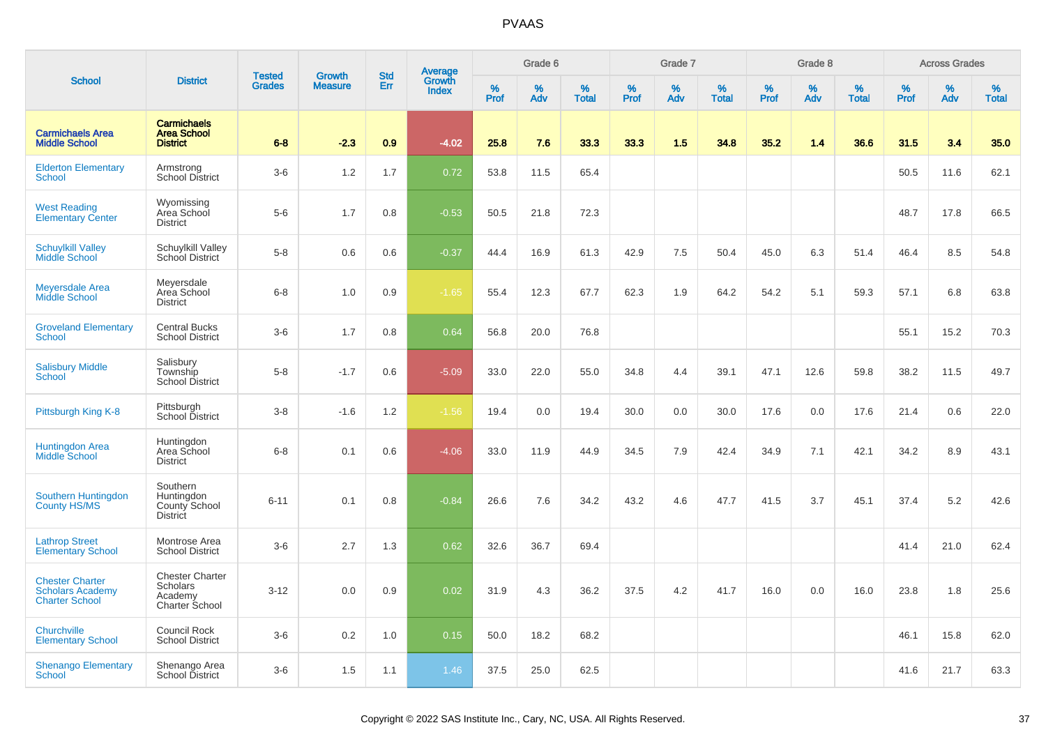|                                                                            |                                                                        |                                |                                 | <b>Std</b> |                                          |                  | Grade 6  |                   |           | Grade 7  |                   |           | Grade 8  |                   |           | <b>Across Grades</b> |                   |
|----------------------------------------------------------------------------|------------------------------------------------------------------------|--------------------------------|---------------------------------|------------|------------------------------------------|------------------|----------|-------------------|-----------|----------|-------------------|-----------|----------|-------------------|-----------|----------------------|-------------------|
| <b>School</b>                                                              | <b>District</b>                                                        | <b>Tested</b><br><b>Grades</b> | <b>Growth</b><br><b>Measure</b> | Err        | <b>Average</b><br>Growth<br><b>Index</b> | %<br><b>Prof</b> | %<br>Adv | %<br><b>Total</b> | %<br>Prof | %<br>Adv | %<br><b>Total</b> | %<br>Prof | %<br>Adv | %<br><b>Total</b> | %<br>Prof | %<br>Adv             | %<br><b>Total</b> |
| <b>Carmichaels Area</b><br><b>Middle School</b>                            | <b>Carmichaels</b><br><b>Area School</b><br><b>District</b>            | $6 - 8$                        | $-2.3$                          | 0.9        | $-4.02$                                  | 25.8             | 7.6      | 33.3              | 33.3      | 1.5      | 34.8              | 35.2      | 1.4      | 36.6              | 31.5      | 3.4                  | 35.0              |
| <b>Elderton Elementary</b><br><b>School</b>                                | Armstrong<br>School District                                           | $3-6$                          | 1.2                             | 1.7        | 0.72                                     | 53.8             | 11.5     | 65.4              |           |          |                   |           |          |                   | 50.5      | 11.6                 | 62.1              |
| <b>West Reading</b><br><b>Elementary Center</b>                            | Wyomissing<br>Area School<br><b>District</b>                           | $5-6$                          | 1.7                             | 0.8        | $-0.53$                                  | 50.5             | 21.8     | 72.3              |           |          |                   |           |          |                   | 48.7      | 17.8                 | 66.5              |
| <b>Schuylkill Valley</b><br>Middle School                                  | Schuylkill Valley<br>School District                                   | $5-8$                          | 0.6                             | 0.6        | $-0.37$                                  | 44.4             | 16.9     | 61.3              | 42.9      | 7.5      | 50.4              | 45.0      | 6.3      | 51.4              | 46.4      | 8.5                  | 54.8              |
| <b>Meyersdale Area</b><br>Middle School                                    | Meyersdale<br>Area School<br><b>District</b>                           | $6-8$                          | 1.0                             | 0.9        | $-1.65$                                  | 55.4             | 12.3     | 67.7              | 62.3      | 1.9      | 64.2              | 54.2      | 5.1      | 59.3              | 57.1      | 6.8                  | 63.8              |
| <b>Groveland Elementary</b><br><b>School</b>                               | <b>Central Bucks</b><br><b>School District</b>                         | $3-6$                          | 1.7                             | 0.8        | 0.64                                     | 56.8             | 20.0     | 76.8              |           |          |                   |           |          |                   | 55.1      | 15.2                 | 70.3              |
| <b>Salisbury Middle</b><br><b>School</b>                                   | Salisbury<br>Township<br>School District                               | $5-8$                          | $-1.7$                          | 0.6        | $-5.09$                                  | 33.0             | 22.0     | 55.0              | 34.8      | 4.4      | 39.1              | 47.1      | 12.6     | 59.8              | 38.2      | 11.5                 | 49.7              |
| Pittsburgh King K-8                                                        | Pittsburgh<br>School District                                          | $3-8$                          | $-1.6$                          | 1.2        | $-1.56$                                  | 19.4             | 0.0      | 19.4              | 30.0      | 0.0      | 30.0              | 17.6      | 0.0      | 17.6              | 21.4      | 0.6                  | 22.0              |
| <b>Huntingdon Area</b><br>Middle School                                    | Huntingdon<br>Area School<br><b>District</b>                           | $6 - 8$                        | 0.1                             | 0.6        | $-4.06$                                  | 33.0             | 11.9     | 44.9              | 34.5      | 7.9      | 42.4              | 34.9      | 7.1      | 42.1              | 34.2      | 8.9                  | 43.1              |
| Southern Huntingdon<br><b>County HS/MS</b>                                 | Southern<br>Huntingdon<br>County School<br><b>District</b>             | $6 - 11$                       | 0.1                             | 0.8        | $-0.84$                                  | 26.6             | 7.6      | 34.2              | 43.2      | 4.6      | 47.7              | 41.5      | 3.7      | 45.1              | 37.4      | 5.2                  | 42.6              |
| <b>Lathrop Street</b><br><b>Elementary School</b>                          | Montrose Area<br><b>School District</b>                                | $3-6$                          | 2.7                             | 1.3        | 0.62                                     | 32.6             | 36.7     | 69.4              |           |          |                   |           |          |                   | 41.4      | 21.0                 | 62.4              |
| <b>Chester Charter</b><br><b>Scholars Academy</b><br><b>Charter School</b> | <b>Chester Charter</b><br><b>Scholars</b><br>Academy<br>Charter School | $3 - 12$                       | 0.0                             | 0.9        | 0.02                                     | 31.9             | 4.3      | 36.2              | 37.5      | 4.2      | 41.7              | 16.0      | 0.0      | 16.0              | 23.8      | 1.8                  | 25.6              |
| Churchville<br><b>Elementary School</b>                                    | <b>Council Rock</b><br><b>School District</b>                          | $3-6$                          | 0.2                             | 1.0        | 0.15                                     | 50.0             | 18.2     | 68.2              |           |          |                   |           |          |                   | 46.1      | 15.8                 | 62.0              |
| <b>Shenango Elementary</b><br><b>School</b>                                | Shenango Area<br>School District                                       | $3-6$                          | 1.5                             | 1.1        | 1.46                                     | 37.5             | 25.0     | 62.5              |           |          |                   |           |          |                   | 41.6      | 21.7                 | 63.3              |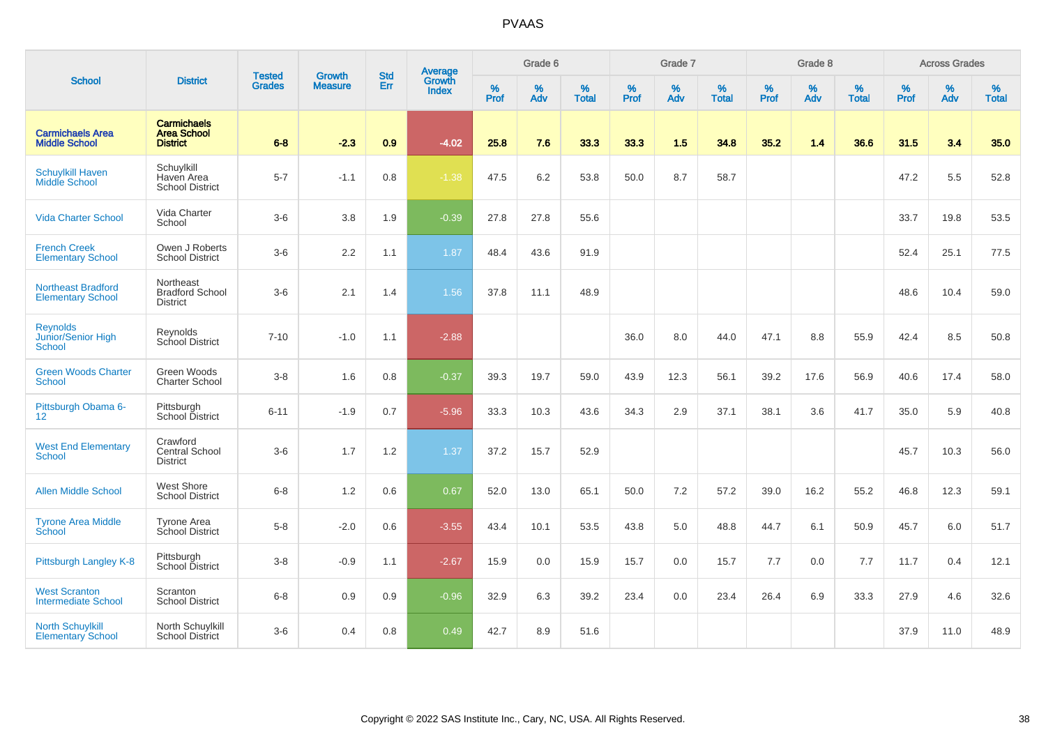|                                                       |                                                             |                                |                                 | <b>Std</b> |                                          |                  | Grade 6     |                   |                  | Grade 7     |                   |                     | Grade 8     |                   |                     | <b>Across Grades</b> |                   |
|-------------------------------------------------------|-------------------------------------------------------------|--------------------------------|---------------------------------|------------|------------------------------------------|------------------|-------------|-------------------|------------------|-------------|-------------------|---------------------|-------------|-------------------|---------------------|----------------------|-------------------|
| <b>School</b>                                         | <b>District</b>                                             | <b>Tested</b><br><b>Grades</b> | <b>Growth</b><br><b>Measure</b> | Err        | <b>Average</b><br>Growth<br><b>Index</b> | %<br><b>Prof</b> | $\%$<br>Adv | %<br><b>Total</b> | %<br><b>Prof</b> | $\%$<br>Adv | %<br><b>Total</b> | $\%$<br><b>Prof</b> | $\%$<br>Adv | %<br><b>Total</b> | $\%$<br><b>Prof</b> | $\%$<br>Adv          | %<br><b>Total</b> |
| <b>Carmichaels Area</b><br><b>Middle School</b>       | <b>Carmichaels</b><br><b>Area School</b><br><b>District</b> | $6-8$                          | $-2.3$                          | 0.9        | $-4.02$                                  | 25.8             | 7.6         | 33.3              | 33.3             | 1.5         | 34.8              | 35.2                | 1.4         | 36.6              | 31.5                | 3.4                  | 35.0              |
| <b>Schuylkill Haven</b><br><b>Middle School</b>       | Schuylkill<br>Haven Area<br><b>School District</b>          | $5 - 7$                        | $-1.1$                          | 0.8        | $-1.38$                                  | 47.5             | 6.2         | 53.8              | 50.0             | 8.7         | 58.7              |                     |             |                   | 47.2                | 5.5                  | 52.8              |
| <b>Vida Charter School</b>                            | Vida Charter<br>School                                      | $3-6$                          | 3.8                             | 1.9        | $-0.39$                                  | 27.8             | 27.8        | 55.6              |                  |             |                   |                     |             |                   | 33.7                | 19.8                 | 53.5              |
| <b>French Creek</b><br><b>Elementary School</b>       | Owen J Roberts<br><b>School District</b>                    | $3-6$                          | 2.2                             | 1.1        | 1.87                                     | 48.4             | 43.6        | 91.9              |                  |             |                   |                     |             |                   | 52.4                | 25.1                 | 77.5              |
| <b>Northeast Bradford</b><br><b>Elementary School</b> | Northeast<br><b>Bradford School</b><br><b>District</b>      | $3-6$                          | 2.1                             | 1.4        | 1.56                                     | 37.8             | 11.1        | 48.9              |                  |             |                   |                     |             |                   | 48.6                | 10.4                 | 59.0              |
| <b>Reynolds</b><br>Junior/Senior High<br>School       | Reynolds<br>School District                                 | $7 - 10$                       | $-1.0$                          | 1.1        | $-2.88$                                  |                  |             |                   | 36.0             | 8.0         | 44.0              | 47.1                | 8.8         | 55.9              | 42.4                | 8.5                  | 50.8              |
| <b>Green Woods Charter</b><br><b>School</b>           | Green Woods<br><b>Charter School</b>                        | $3 - 8$                        | 1.6                             | 0.8        | $-0.37$                                  | 39.3             | 19.7        | 59.0              | 43.9             | 12.3        | 56.1              | 39.2                | 17.6        | 56.9              | 40.6                | 17.4                 | 58.0              |
| Pittsburgh Obama 6-<br>12                             | Pittsburgh<br>School District                               | $6 - 11$                       | $-1.9$                          | 0.7        | $-5.96$                                  | 33.3             | 10.3        | 43.6              | 34.3             | 2.9         | 37.1              | 38.1                | 3.6         | 41.7              | 35.0                | 5.9                  | 40.8              |
| <b>West End Elementary</b><br><b>School</b>           | Crawford<br>Central School<br><b>District</b>               | $3-6$                          | 1.7                             | 1.2        | 1.37                                     | 37.2             | 15.7        | 52.9              |                  |             |                   |                     |             |                   | 45.7                | 10.3                 | 56.0              |
| <b>Allen Middle School</b>                            | West Shore<br><b>School District</b>                        | $6 - 8$                        | 1.2                             | 0.6        | 0.67                                     | 52.0             | 13.0        | 65.1              | 50.0             | 7.2         | 57.2              | 39.0                | 16.2        | 55.2              | 46.8                | 12.3                 | 59.1              |
| <b>Tyrone Area Middle</b><br>School                   | <b>Tyrone Area</b><br>School District                       | $5-8$                          | $-2.0$                          | 0.6        | $-3.55$                                  | 43.4             | 10.1        | 53.5              | 43.8             | 5.0         | 48.8              | 44.7                | 6.1         | 50.9              | 45.7                | 6.0                  | 51.7              |
| Pittsburgh Langley K-8                                | Pittsburgh<br>School District                               | $3 - 8$                        | $-0.9$                          | 1.1        | $-2.67$                                  | 15.9             | 0.0         | 15.9              | 15.7             | 0.0         | 15.7              | 7.7                 | 0.0         | 7.7               | 11.7                | 0.4                  | 12.1              |
| <b>West Scranton</b><br><b>Intermediate School</b>    | Scranton<br><b>School District</b>                          | $6 - 8$                        | 0.9                             | 0.9        | $-0.96$                                  | 32.9             | 6.3         | 39.2              | 23.4             | 0.0         | 23.4              | 26.4                | 6.9         | 33.3              | 27.9                | 4.6                  | 32.6              |
| <b>North Schuylkill</b><br><b>Elementary School</b>   | North Schuylkill<br><b>School District</b>                  | $3-6$                          | 0.4                             | 0.8        | 0.49                                     | 42.7             | 8.9         | 51.6              |                  |             |                   |                     |             |                   | 37.9                | 11.0                 | 48.9              |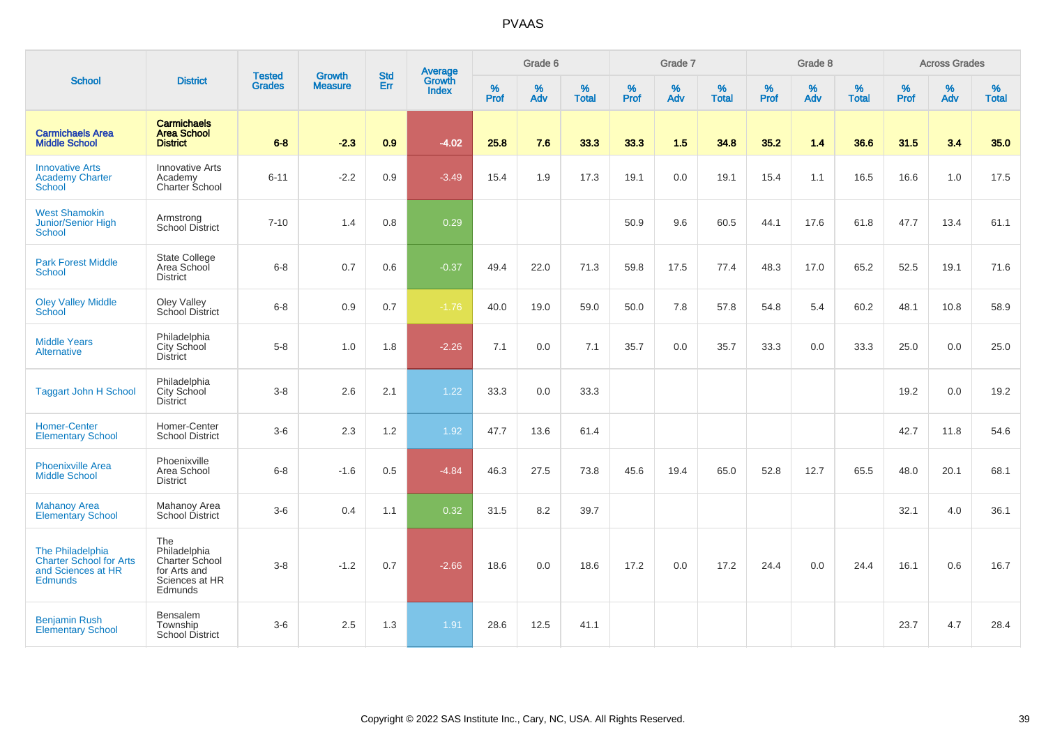|                                                                                            |                                                                                    |                                |                                 | <b>Std</b> |                                          |                  | Grade 6  |                   |                  | Grade 7  |                   |                  | Grade 8  |                   |                  | <b>Across Grades</b> |                   |
|--------------------------------------------------------------------------------------------|------------------------------------------------------------------------------------|--------------------------------|---------------------------------|------------|------------------------------------------|------------------|----------|-------------------|------------------|----------|-------------------|------------------|----------|-------------------|------------------|----------------------|-------------------|
| <b>School</b>                                                                              | <b>District</b>                                                                    | <b>Tested</b><br><b>Grades</b> | <b>Growth</b><br><b>Measure</b> | Err        | <b>Average</b><br>Growth<br><b>Index</b> | %<br><b>Prof</b> | %<br>Adv | %<br><b>Total</b> | %<br><b>Prof</b> | %<br>Adv | %<br><b>Total</b> | %<br><b>Prof</b> | %<br>Adv | %<br><b>Total</b> | %<br><b>Prof</b> | %<br>Adv             | %<br><b>Total</b> |
| <b>Carmichaels Area</b><br><b>Middle School</b>                                            | <b>Carmichaels</b><br><b>Area School</b><br><b>District</b>                        | $6 - 8$                        | $-2.3$                          | 0.9        | $-4.02$                                  | 25.8             | 7.6      | 33.3              | 33.3             | 1.5      | 34.8              | 35.2             | 1.4      | 36.6              | 31.5             | 3.4                  | 35.0              |
| <b>Innovative Arts</b><br><b>Academy Charter</b><br><b>School</b>                          | <b>Innovative Arts</b><br>Academy<br>Charter School                                | $6 - 11$                       | $-2.2$                          | 0.9        | $-3.49$                                  | 15.4             | 1.9      | 17.3              | 19.1             | 0.0      | 19.1              | 15.4             | 1.1      | 16.5              | 16.6             | 1.0                  | 17.5              |
| <b>West Shamokin</b><br>Junior/Senior High<br><b>School</b>                                | Armstrong<br>School District                                                       | $7 - 10$                       | 1.4                             | 0.8        | 0.29                                     |                  |          |                   | 50.9             | 9.6      | 60.5              | 44.1             | 17.6     | 61.8              | 47.7             | 13.4                 | 61.1              |
| <b>Park Forest Middle</b><br><b>School</b>                                                 | <b>State College</b><br>Area School<br><b>District</b>                             | $6-8$                          | 0.7                             | 0.6        | $-0.37$                                  | 49.4             | 22.0     | 71.3              | 59.8             | 17.5     | 77.4              | 48.3             | 17.0     | 65.2              | 52.5             | 19.1                 | 71.6              |
| <b>Oley Valley Middle</b><br>School                                                        | Oley Valley<br>School District                                                     | $6 - 8$                        | 0.9                             | 0.7        | $-1.76$                                  | 40.0             | 19.0     | 59.0              | 50.0             | 7.8      | 57.8              | 54.8             | 5.4      | 60.2              | 48.1             | 10.8                 | 58.9              |
| <b>Middle Years</b><br><b>Alternative</b>                                                  | Philadelphia<br>City School<br><b>District</b>                                     | $5-8$                          | 1.0                             | 1.8        | $-2.26$                                  | 7.1              | 0.0      | 7.1               | 35.7             | 0.0      | 35.7              | 33.3             | 0.0      | 33.3              | 25.0             | 0.0                  | 25.0              |
| <b>Taggart John H School</b>                                                               | Philadelphia<br>City School<br>District                                            | $3-8$                          | 2.6                             | 2.1        | 1.22                                     | 33.3             | 0.0      | 33.3              |                  |          |                   |                  |          |                   | 19.2             | 0.0                  | 19.2              |
| <b>Homer-Center</b><br><b>Elementary School</b>                                            | Homer-Center<br><b>School District</b>                                             | $3-6$                          | 2.3                             | 1.2        | 1.92                                     | 47.7             | 13.6     | 61.4              |                  |          |                   |                  |          |                   | 42.7             | 11.8                 | 54.6              |
| <b>Phoenixville Area</b><br><b>Middle School</b>                                           | Phoenixville<br>Area School<br><b>District</b>                                     | $6-8$                          | $-1.6$                          | 0.5        | $-4.84$                                  | 46.3             | 27.5     | 73.8              | 45.6             | 19.4     | 65.0              | 52.8             | 12.7     | 65.5              | 48.0             | 20.1                 | 68.1              |
| <b>Mahanoy Area</b><br><b>Elementary School</b>                                            | Mahanoy Area<br>School District                                                    | $3-6$                          | 0.4                             | 1.1        | 0.32                                     | 31.5             | 8.2      | 39.7              |                  |          |                   |                  |          |                   | 32.1             | 4.0                  | 36.1              |
| The Philadelphia<br><b>Charter School for Arts</b><br>and Sciences at HR<br><b>Edmunds</b> | The<br>Philadelphia<br>Charter School<br>for Arts and<br>Sciences at HR<br>Edmunds | $3-8$                          | $-1.2$                          | 0.7        | $-2.66$                                  | 18.6             | 0.0      | 18.6              | 17.2             | 0.0      | 17.2              | 24.4             | 0.0      | 24.4              | 16.1             | 0.6                  | 16.7              |
| <b>Benjamin Rush</b><br><b>Elementary School</b>                                           | <b>Bensalem</b><br>Township<br><b>School District</b>                              | $3-6$                          | 2.5                             | 1.3        | 1.91                                     | 28.6             | 12.5     | 41.1              |                  |          |                   |                  |          |                   | 23.7             | 4.7                  | 28.4              |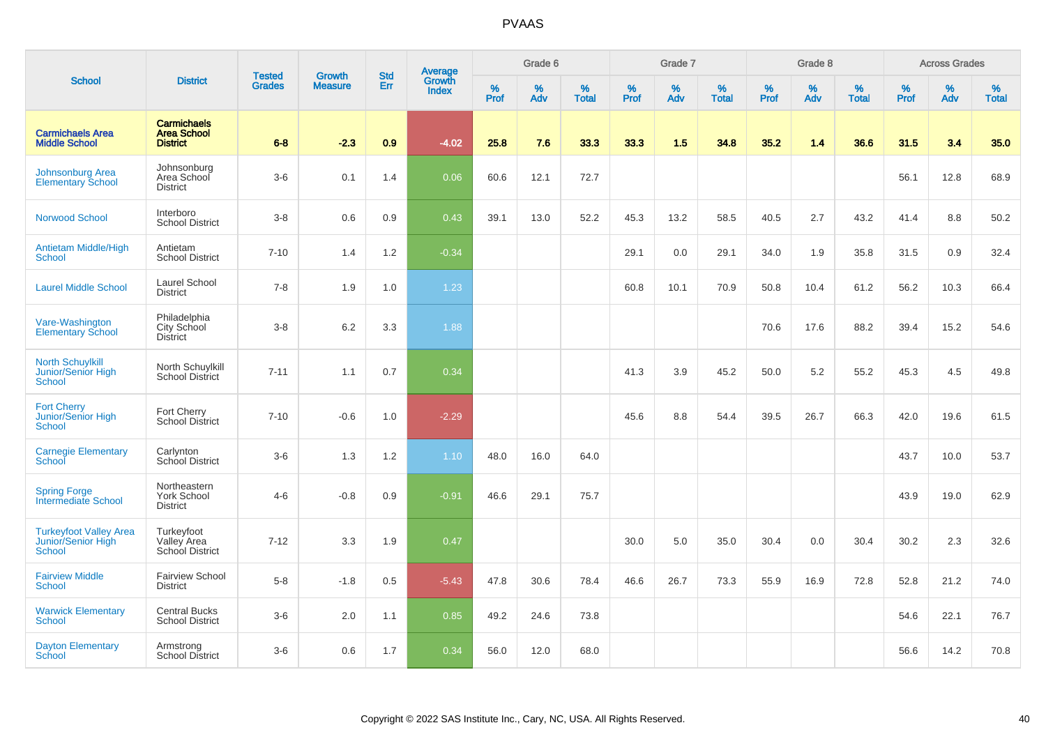|                                                                      |                                                             |                                |                                 | <b>Std</b> |                                          |                  | Grade 6  |                   |           | Grade 7  |                   |           | Grade 8     |                   |           | <b>Across Grades</b> |                   |
|----------------------------------------------------------------------|-------------------------------------------------------------|--------------------------------|---------------------------------|------------|------------------------------------------|------------------|----------|-------------------|-----------|----------|-------------------|-----------|-------------|-------------------|-----------|----------------------|-------------------|
| <b>School</b>                                                        | <b>District</b>                                             | <b>Tested</b><br><b>Grades</b> | <b>Growth</b><br><b>Measure</b> | Err        | <b>Average</b><br>Growth<br><b>Index</b> | %<br><b>Prof</b> | %<br>Adv | %<br><b>Total</b> | %<br>Prof | %<br>Adv | %<br><b>Total</b> | %<br>Prof | $\%$<br>Adv | %<br><b>Total</b> | %<br>Prof | %<br>Adv             | %<br><b>Total</b> |
| <b>Carmichaels Area</b><br><b>Middle School</b>                      | <b>Carmichaels</b><br><b>Area School</b><br><b>District</b> | $6 - 8$                        | $-2.3$                          | 0.9        | $-4.02$                                  | 25.8             | 7.6      | 33.3              | 33.3      | 1.5      | 34.8              | 35.2      | 1.4         | 36.6              | 31.5      | 3.4                  | 35.0              |
| Johnsonburg Area<br><b>Elementary School</b>                         | Johnsonburg<br>Area School<br><b>District</b>               | $3-6$                          | 0.1                             | 1.4        | 0.06                                     | 60.6             | 12.1     | 72.7              |           |          |                   |           |             |                   | 56.1      | 12.8                 | 68.9              |
| <b>Norwood School</b>                                                | Interboro<br><b>School District</b>                         | $3 - 8$                        | 0.6                             | 0.9        | 0.43                                     | 39.1             | 13.0     | 52.2              | 45.3      | 13.2     | 58.5              | 40.5      | 2.7         | 43.2              | 41.4      | 8.8                  | 50.2              |
| <b>Antietam Middle/High</b><br><b>School</b>                         | Antietam<br><b>School District</b>                          | $7 - 10$                       | 1.4                             | 1.2        | $-0.34$                                  |                  |          |                   | 29.1      | 0.0      | 29.1              | 34.0      | 1.9         | 35.8              | 31.5      | 0.9                  | 32.4              |
| <b>Laurel Middle School</b>                                          | Laurel School<br><b>District</b>                            | $7 - 8$                        | 1.9                             | 1.0        | 1.23                                     |                  |          |                   | 60.8      | 10.1     | 70.9              | 50.8      | 10.4        | 61.2              | 56.2      | 10.3                 | 66.4              |
| Vare-Washington<br><b>Elementary School</b>                          | Philadelphia<br>City School<br><b>District</b>              | $3-8$                          | 6.2                             | 3.3        | 1.88                                     |                  |          |                   |           |          |                   | 70.6      | 17.6        | 88.2              | 39.4      | 15.2                 | 54.6              |
| <b>North Schuylkill</b><br>Junior/Senior High<br>School              | North Schuylkill<br><b>School District</b>                  | $7 - 11$                       | 1.1                             | 0.7        | 0.34                                     |                  |          |                   | 41.3      | 3.9      | 45.2              | 50.0      | 5.2         | 55.2              | 45.3      | 4.5                  | 49.8              |
| <b>Fort Cherry</b><br>Junior/Senior High<br>School                   | Fort Cherry<br><b>School District</b>                       | $7 - 10$                       | $-0.6$                          | 1.0        | $-2.29$                                  |                  |          |                   | 45.6      | 8.8      | 54.4              | 39.5      | 26.7        | 66.3              | 42.0      | 19.6                 | 61.5              |
| <b>Carnegie Elementary</b><br>School                                 | Carlynton<br>School District                                | $3-6$                          | 1.3                             | 1.2        | 1.10                                     | 48.0             | 16.0     | 64.0              |           |          |                   |           |             |                   | 43.7      | 10.0                 | 53.7              |
| <b>Spring Forge</b><br>Intermediate School                           | Northeastern<br><b>York School</b><br><b>District</b>       | $4 - 6$                        | $-0.8$                          | 0.9        | $-0.91$                                  | 46.6             | 29.1     | 75.7              |           |          |                   |           |             |                   | 43.9      | 19.0                 | 62.9              |
| <b>Turkeyfoot Valley Area</b><br>Junior/Senior High<br><b>School</b> | Turkeyfoot<br>Valley Area<br>School District                | $7 - 12$                       | 3.3                             | 1.9        | 0.47                                     |                  |          |                   | 30.0      | 5.0      | 35.0              | 30.4      | 0.0         | 30.4              | 30.2      | 2.3                  | 32.6              |
| <b>Fairview Middle</b><br>School                                     | <b>Fairview School</b><br><b>District</b>                   | $5-8$                          | $-1.8$                          | 0.5        | $-5.43$                                  | 47.8             | 30.6     | 78.4              | 46.6      | 26.7     | 73.3              | 55.9      | 16.9        | 72.8              | 52.8      | 21.2                 | 74.0              |
| <b>Warwick Elementary</b><br><b>School</b>                           | <b>Central Bucks</b><br><b>School District</b>              | $3-6$                          | 2.0                             | 1.1        | 0.85                                     | 49.2             | 24.6     | 73.8              |           |          |                   |           |             |                   | 54.6      | 22.1                 | 76.7              |
| <b>Dayton Elementary</b><br>School                                   | Armstrong<br>School District                                | $3-6$                          | 0.6                             | 1.7        | 0.34                                     | 56.0             | 12.0     | 68.0              |           |          |                   |           |             |                   | 56.6      | 14.2                 | 70.8              |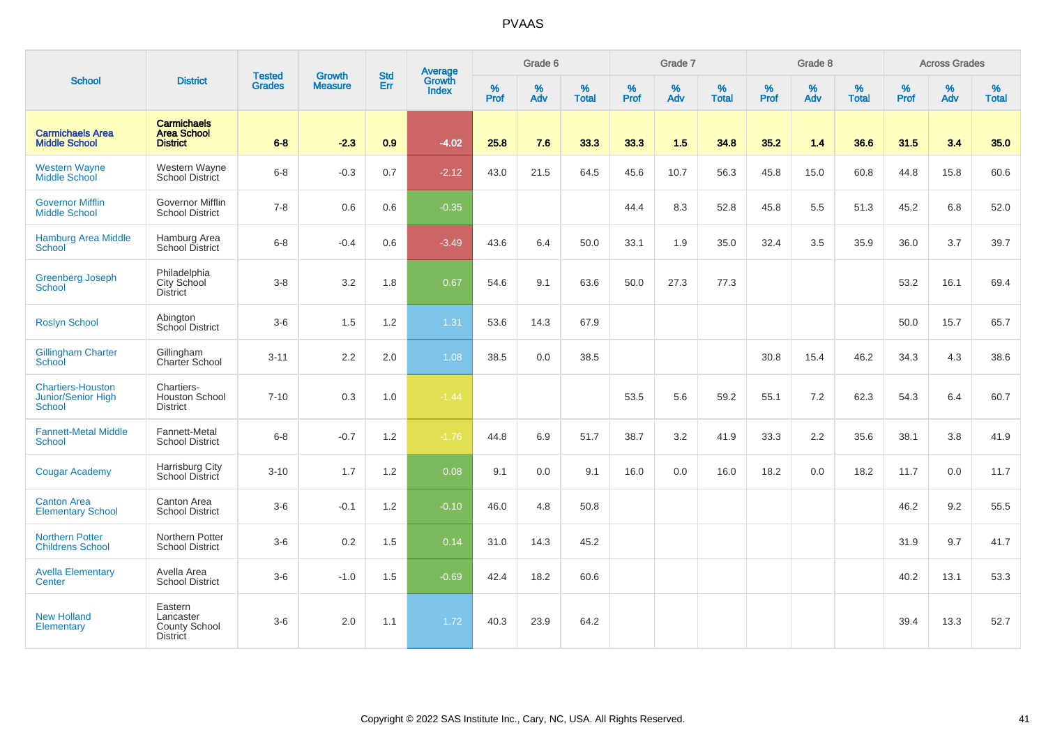|                                                                 |                                                             |                                |                                 | <b>Std</b> |                                          |                  | Grade 6  |                   |           | Grade 7     |                   |                  | Grade 8  |                   |              | <b>Across Grades</b> |                   |
|-----------------------------------------------------------------|-------------------------------------------------------------|--------------------------------|---------------------------------|------------|------------------------------------------|------------------|----------|-------------------|-----------|-------------|-------------------|------------------|----------|-------------------|--------------|----------------------|-------------------|
| <b>School</b>                                                   | <b>District</b>                                             | <b>Tested</b><br><b>Grades</b> | <b>Growth</b><br><b>Measure</b> | Err        | <b>Average</b><br>Growth<br><b>Index</b> | %<br><b>Prof</b> | %<br>Adv | %<br><b>Total</b> | %<br>Prof | $\%$<br>Adv | %<br><b>Total</b> | %<br><b>Prof</b> | %<br>Adv | %<br><b>Total</b> | $\%$<br>Prof | %<br>Adv             | %<br><b>Total</b> |
| <b>Carmichaels Area</b><br><b>Middle School</b>                 | <b>Carmichaels</b><br><b>Area School</b><br><b>District</b> | $6 - 8$                        | $-2.3$                          | 0.9        | $-4.02$                                  | 25.8             | 7.6      | 33.3              | 33.3      | 1.5         | 34.8              | 35.2             | $1.4$    | 36.6              | 31.5         | 3.4                  | 35.0              |
| <b>Western Wayne</b><br><b>Middle School</b>                    | Western Wayne<br><b>School District</b>                     | $6-8$                          | $-0.3$                          | 0.7        | $-2.12$                                  | 43.0             | 21.5     | 64.5              | 45.6      | 10.7        | 56.3              | 45.8             | 15.0     | 60.8              | 44.8         | 15.8                 | 60.6              |
| <b>Governor Mifflin</b><br><b>Middle School</b>                 | Governor Mifflin<br><b>School District</b>                  | $7 - 8$                        | 0.6                             | 0.6        | $-0.35$                                  |                  |          |                   | 44.4      | 8.3         | 52.8              | 45.8             | 5.5      | 51.3              | 45.2         | 6.8                  | 52.0              |
| <b>Hamburg Area Middle</b><br><b>School</b>                     | Hamburg Area<br>School District                             | $6 - 8$                        | $-0.4$                          | 0.6        | $-3.49$                                  | 43.6             | 6.4      | 50.0              | 33.1      | 1.9         | 35.0              | 32.4             | 3.5      | 35.9              | 36.0         | 3.7                  | 39.7              |
| <b>Greenberg Joseph</b><br><b>School</b>                        | Philadelphia<br>City School<br><b>District</b>              | $3-8$                          | 3.2                             | 1.8        | 0.67                                     | 54.6             | 9.1      | 63.6              | 50.0      | 27.3        | 77.3              |                  |          |                   | 53.2         | 16.1                 | 69.4              |
| <b>Roslyn School</b>                                            | Abington<br>School District                                 | $3-6$                          | 1.5                             | 1.2        | 1.31                                     | 53.6             | 14.3     | 67.9              |           |             |                   |                  |          |                   | 50.0         | 15.7                 | 65.7              |
| Gillingham Charter<br><b>School</b>                             | Gillingham<br><b>Charter School</b>                         | $3 - 11$                       | 2.2                             | 2.0        | 1.08                                     | 38.5             | 0.0      | 38.5              |           |             |                   | 30.8             | 15.4     | 46.2              | 34.3         | 4.3                  | 38.6              |
| <b>Chartiers-Houston</b><br>Junior/Senior High<br><b>School</b> | Chartiers-<br>Houston School<br><b>District</b>             | $7 - 10$                       | 0.3                             | 1.0        | $-1.44$                                  |                  |          |                   | 53.5      | 5.6         | 59.2              | 55.1             | 7.2      | 62.3              | 54.3         | 6.4                  | 60.7              |
| <b>Fannett-Metal Middle</b><br>School                           | Fannett-Metal<br><b>School District</b>                     | $6 - 8$                        | $-0.7$                          | $1.2$      | $-1.76$                                  | 44.8             | 6.9      | 51.7              | 38.7      | 3.2         | 41.9              | 33.3             | 2.2      | 35.6              | 38.1         | 3.8                  | 41.9              |
| <b>Cougar Academy</b>                                           | Harrisburg City<br>School District                          | $3 - 10$                       | 1.7                             | 1.2        | 0.08                                     | 9.1              | 0.0      | 9.1               | 16.0      | 0.0         | 16.0              | 18.2             | 0.0      | 18.2              | 11.7         | 0.0                  | 11.7              |
| <b>Canton Area</b><br><b>Elementary School</b>                  | Canton Area<br><b>School District</b>                       | $3-6$                          | $-0.1$                          | 1.2        | $-0.10$                                  | 46.0             | 4.8      | 50.8              |           |             |                   |                  |          |                   | 46.2         | 9.2                  | 55.5              |
| <b>Northern Potter</b><br><b>Childrens School</b>               | Northern Potter<br><b>School District</b>                   | $3-6$                          | 0.2                             | 1.5        | 0.14                                     | 31.0             | 14.3     | 45.2              |           |             |                   |                  |          |                   | 31.9         | 9.7                  | 41.7              |
| <b>Avella Elementary</b><br>Center                              | Avella Area<br><b>School District</b>                       | $3-6$                          | $-1.0$                          | 1.5        | $-0.69$                                  | 42.4             | 18.2     | 60.6              |           |             |                   |                  |          |                   | 40.2         | 13.1                 | 53.3              |
| <b>New Holland</b><br>Elementary                                | Eastern<br>Lancaster<br>County School<br><b>District</b>    | $3-6$                          | 2.0                             | 1.1        | 1.72                                     | 40.3             | 23.9     | 64.2              |           |             |                   |                  |          |                   | 39.4         | 13.3                 | 52.7              |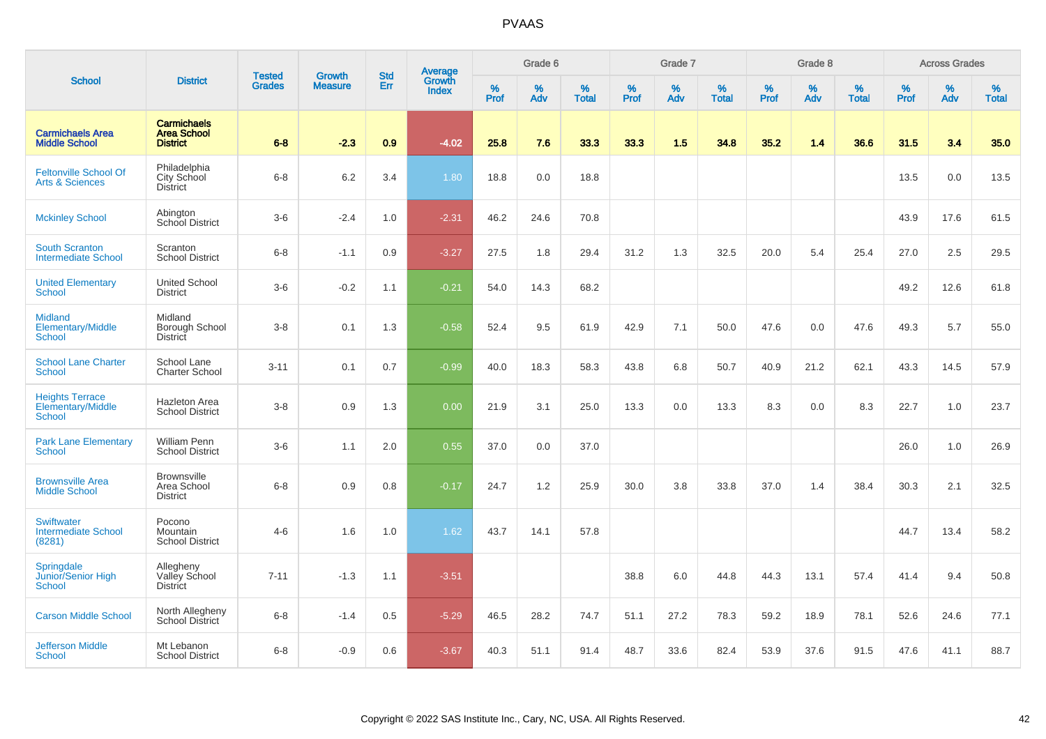|                                                              |                                                             |                                |                                 | <b>Std</b> |                                          |           | Grade 6  |                   |           | Grade 7  |                   |           | Grade 8  |                   |           | <b>Across Grades</b> |                   |
|--------------------------------------------------------------|-------------------------------------------------------------|--------------------------------|---------------------------------|------------|------------------------------------------|-----------|----------|-------------------|-----------|----------|-------------------|-----------|----------|-------------------|-----------|----------------------|-------------------|
| <b>School</b>                                                | <b>District</b>                                             | <b>Tested</b><br><b>Grades</b> | <b>Growth</b><br><b>Measure</b> | Err        | <b>Average</b><br>Growth<br><b>Index</b> | %<br>Prof | %<br>Adv | %<br><b>Total</b> | %<br>Prof | %<br>Adv | %<br><b>Total</b> | %<br>Prof | %<br>Adv | %<br><b>Total</b> | %<br>Prof | $\%$<br>Adv          | %<br><b>Total</b> |
| <b>Carmichaels Area</b><br><b>Middle School</b>              | <b>Carmichaels</b><br><b>Area School</b><br><b>District</b> | $6 - 8$                        | $-2.3$                          | 0.9        | $-4.02$                                  | 25.8      | 7.6      | 33.3              | 33.3      | 1.5      | 34.8              | 35.2      | 1.4      | 36.6              | 31.5      | 3.4                  | 35.0              |
| <b>Feltonville School Of</b><br><b>Arts &amp; Sciences</b>   | Philadelphia<br>City School<br><b>District</b>              | $6 - 8$                        | 6.2                             | 3.4        | 1.80                                     | 18.8      | 0.0      | 18.8              |           |          |                   |           |          |                   | 13.5      | 0.0                  | 13.5              |
| <b>Mckinley School</b>                                       | Abington<br><b>School District</b>                          | $3-6$                          | $-2.4$                          | 1.0        | $-2.31$                                  | 46.2      | 24.6     | 70.8              |           |          |                   |           |          |                   | 43.9      | 17.6                 | 61.5              |
| <b>South Scranton</b><br><b>Intermediate School</b>          | Scranton<br><b>School District</b>                          | $6 - 8$                        | $-1.1$                          | 0.9        | $-3.27$                                  | 27.5      | 1.8      | 29.4              | 31.2      | 1.3      | 32.5              | 20.0      | 5.4      | 25.4              | 27.0      | 2.5                  | 29.5              |
| <b>United Elementary</b><br>School                           | <b>United School</b><br><b>District</b>                     | $3-6$                          | $-0.2$                          | 1.1        | $-0.21$                                  | 54.0      | 14.3     | 68.2              |           |          |                   |           |          |                   | 49.2      | 12.6                 | 61.8              |
| <b>Midland</b><br>Elementary/Middle<br><b>School</b>         | Midland<br>Borough School<br>District                       | $3 - 8$                        | 0.1                             | 1.3        | $-0.58$                                  | 52.4      | 9.5      | 61.9              | 42.9      | 7.1      | 50.0              | 47.6      | 0.0      | 47.6              | 49.3      | 5.7                  | 55.0              |
| <b>School Lane Charter</b><br>School                         | School Lane<br><b>Charter School</b>                        | $3 - 11$                       | 0.1                             | 0.7        | $-0.99$                                  | 40.0      | 18.3     | 58.3              | 43.8      | 6.8      | 50.7              | 40.9      | 21.2     | 62.1              | 43.3      | 14.5                 | 57.9              |
| <b>Heights Terrace</b><br>Elementary/Middle<br><b>School</b> | <b>Hazleton Area</b><br><b>School District</b>              | $3 - 8$                        | 0.9                             | 1.3        | 0.00                                     | 21.9      | 3.1      | 25.0              | 13.3      | 0.0      | 13.3              | 8.3       | 0.0      | 8.3               | 22.7      | 1.0                  | 23.7              |
| <b>Park Lane Elementary</b><br><b>School</b>                 | William Penn<br><b>School District</b>                      | $3-6$                          | 1.1                             | 2.0        | 0.55                                     | 37.0      | 0.0      | 37.0              |           |          |                   |           |          |                   | 26.0      | 1.0                  | 26.9              |
| <b>Brownsville Area</b><br><b>Middle School</b>              | <b>Brownsville</b><br>Area School<br><b>District</b>        | $6 - 8$                        | 0.9                             | 0.8        | $-0.17$                                  | 24.7      | 1.2      | 25.9              | 30.0      | 3.8      | 33.8              | 37.0      | 1.4      | 38.4              | 30.3      | 2.1                  | 32.5              |
| <b>Swiftwater</b><br><b>Intermediate School</b><br>(8281)    | Pocono<br>Mountain<br><b>School District</b>                | $4 - 6$                        | 1.6                             | 1.0        | 1.62                                     | 43.7      | 14.1     | 57.8              |           |          |                   |           |          |                   | 44.7      | 13.4                 | 58.2              |
| Springdale<br>Junior/Senior High<br>School                   | Allegheny<br>Valley School<br><b>District</b>               | $7 - 11$                       | $-1.3$                          | 1.1        | $-3.51$                                  |           |          |                   | 38.8      | 6.0      | 44.8              | 44.3      | 13.1     | 57.4              | 41.4      | 9.4                  | 50.8              |
| <b>Carson Middle School</b>                                  | North Allegheny<br><b>School District</b>                   | $6 - 8$                        | $-1.4$                          | 0.5        | $-5.29$                                  | 46.5      | 28.2     | 74.7              | 51.1      | 27.2     | 78.3              | 59.2      | 18.9     | 78.1              | 52.6      | 24.6                 | 77.1              |
| <b>Jefferson Middle</b><br>School                            | Mt Lebanon<br><b>School District</b>                        | $6 - 8$                        | $-0.9$                          | 0.6        | $-3.67$                                  | 40.3      | 51.1     | 91.4              | 48.7      | 33.6     | 82.4              | 53.9      | 37.6     | 91.5              | 47.6      | 41.1                 | 88.7              |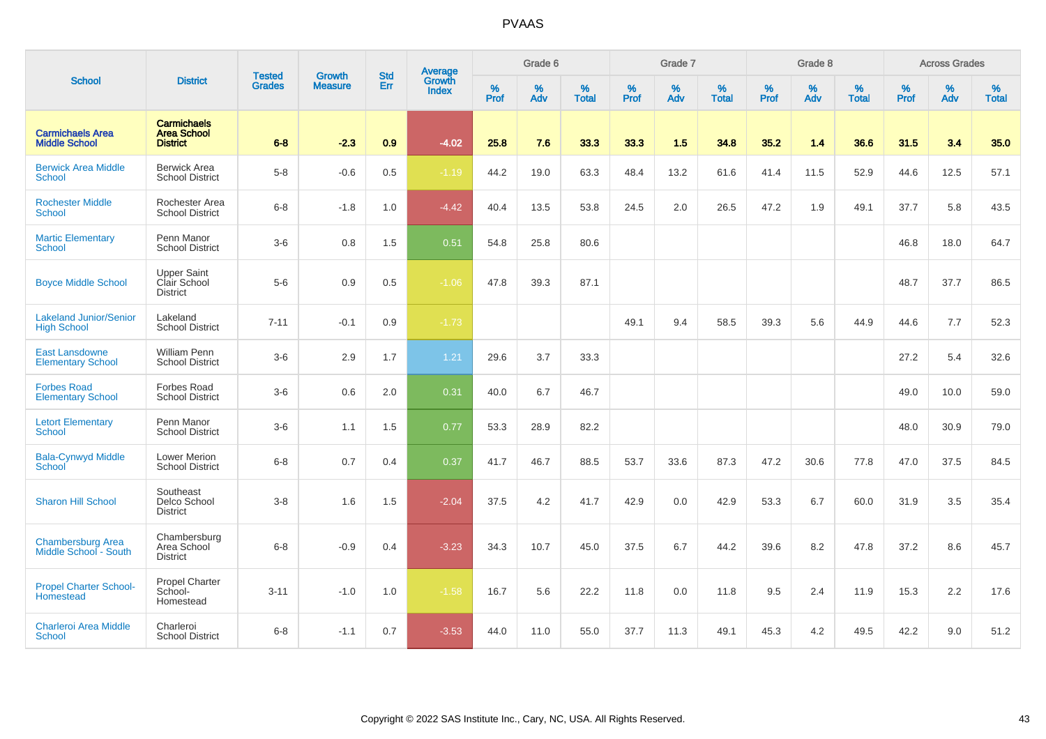|                                                     |                                                             |                                |                          | <b>Std</b> |                                          |                  | Grade 6  |                   |                  | Grade 7  |                   |                  | Grade 8  |                   |                  | <b>Across Grades</b> |                   |
|-----------------------------------------------------|-------------------------------------------------------------|--------------------------------|--------------------------|------------|------------------------------------------|------------------|----------|-------------------|------------------|----------|-------------------|------------------|----------|-------------------|------------------|----------------------|-------------------|
| <b>School</b>                                       | <b>District</b>                                             | <b>Tested</b><br><b>Grades</b> | Growth<br><b>Measure</b> | Err        | <b>Average</b><br>Growth<br><b>Index</b> | %<br><b>Prof</b> | %<br>Adv | %<br><b>Total</b> | %<br><b>Prof</b> | %<br>Adv | %<br><b>Total</b> | %<br><b>Prof</b> | %<br>Adv | %<br><b>Total</b> | %<br><b>Prof</b> | %<br>Adv             | %<br><b>Total</b> |
| <b>Carmichaels Area</b><br><b>Middle School</b>     | <b>Carmichaels</b><br><b>Area School</b><br><b>District</b> | $6 - 8$                        | $-2.3$                   | 0.9        | $-4.02$                                  | 25.8             | 7.6      | 33.3              | 33.3             | 1.5      | 34.8              | 35.2             | 1.4      | 36.6              | 31.5             | 3.4                  | 35.0              |
| <b>Berwick Area Middle</b><br>School                | <b>Berwick Area</b><br><b>School District</b>               | $5-8$                          | $-0.6$                   | $0.5\,$    | $-1.19$                                  | 44.2             | 19.0     | 63.3              | 48.4             | 13.2     | 61.6              | 41.4             | 11.5     | 52.9              | 44.6             | 12.5                 | 57.1              |
| <b>Rochester Middle</b><br><b>School</b>            | Rochester Area<br><b>School District</b>                    | $6 - 8$                        | $-1.8$                   | 1.0        | $-4.42$                                  | 40.4             | 13.5     | 53.8              | 24.5             | 2.0      | 26.5              | 47.2             | 1.9      | 49.1              | 37.7             | 5.8                  | 43.5              |
| <b>Martic Elementary</b><br><b>School</b>           | Penn Manor<br><b>School District</b>                        | $3-6$                          | 0.8                      | 1.5        | 0.51                                     | 54.8             | 25.8     | 80.6              |                  |          |                   |                  |          |                   | 46.8             | 18.0                 | 64.7              |
| <b>Boyce Middle School</b>                          | <b>Upper Saint</b><br>Clair School<br><b>District</b>       | $5-6$                          | 0.9                      | 0.5        | $-1.06$                                  | 47.8             | 39.3     | 87.1              |                  |          |                   |                  |          |                   | 48.7             | 37.7                 | 86.5              |
| <b>Lakeland Junior/Senior</b><br><b>High School</b> | Lakeland<br><b>School District</b>                          | $7 - 11$                       | $-0.1$                   | 0.9        | $-1.73$                                  |                  |          |                   | 49.1             | 9.4      | 58.5              | 39.3             | 5.6      | 44.9              | 44.6             | 7.7                  | 52.3              |
| <b>East Lansdowne</b><br><b>Elementary School</b>   | <b>William Penn</b><br><b>School District</b>               | $3-6$                          | 2.9                      | 1.7        | 1.21                                     | 29.6             | 3.7      | 33.3              |                  |          |                   |                  |          |                   | 27.2             | 5.4                  | 32.6              |
| <b>Forbes Road</b><br><b>Elementary School</b>      | Forbes Road<br><b>School District</b>                       | $3-6$                          | 0.6                      | 2.0        | 0.31                                     | 40.0             | 6.7      | 46.7              |                  |          |                   |                  |          |                   | 49.0             | 10.0                 | 59.0              |
| <b>Letort Elementary</b><br><b>School</b>           | Penn Manor<br><b>School District</b>                        | $3-6$                          | 1.1                      | 1.5        | 0.77                                     | 53.3             | 28.9     | 82.2              |                  |          |                   |                  |          |                   | 48.0             | 30.9                 | 79.0              |
| <b>Bala-Cynwyd Middle</b><br>School                 | Lower Merion<br><b>School District</b>                      | $6 - 8$                        | 0.7                      | 0.4        | 0.37                                     | 41.7             | 46.7     | 88.5              | 53.7             | 33.6     | 87.3              | 47.2             | 30.6     | 77.8              | 47.0             | 37.5                 | 84.5              |
| <b>Sharon Hill School</b>                           | Southeast<br>Delco School<br><b>District</b>                | $3 - 8$                        | 1.6                      | 1.5        | $-2.04$                                  | 37.5             | 4.2      | 41.7              | 42.9             | 0.0      | 42.9              | 53.3             | 6.7      | 60.0              | 31.9             | 3.5                  | 35.4              |
| <b>Chambersburg Area</b><br>Middle School - South   | Chambersburg<br>Area School<br><b>District</b>              | $6 - 8$                        | $-0.9$                   | 0.4        | $-3.23$                                  | 34.3             | 10.7     | 45.0              | 37.5             | 6.7      | 44.2              | 39.6             | 8.2      | 47.8              | 37.2             | 8.6                  | 45.7              |
| <b>Propel Charter School-</b><br>Homestead          | <b>Propel Charter</b><br>School-<br>Homestead               | $3 - 11$                       | $-1.0$                   | 1.0        | $-1.58$                                  | 16.7             | 5.6      | 22.2              | 11.8             | 0.0      | 11.8              | 9.5              | 2.4      | 11.9              | 15.3             | 2.2                  | 17.6              |
| <b>Charleroi Area Middle</b><br>School              | Charleroi<br><b>School District</b>                         | $6 - 8$                        | $-1.1$                   | 0.7        | $-3.53$                                  | 44.0             | 11.0     | 55.0              | 37.7             | 11.3     | 49.1              | 45.3             | 4.2      | 49.5              | 42.2             | 9.0                  | 51.2              |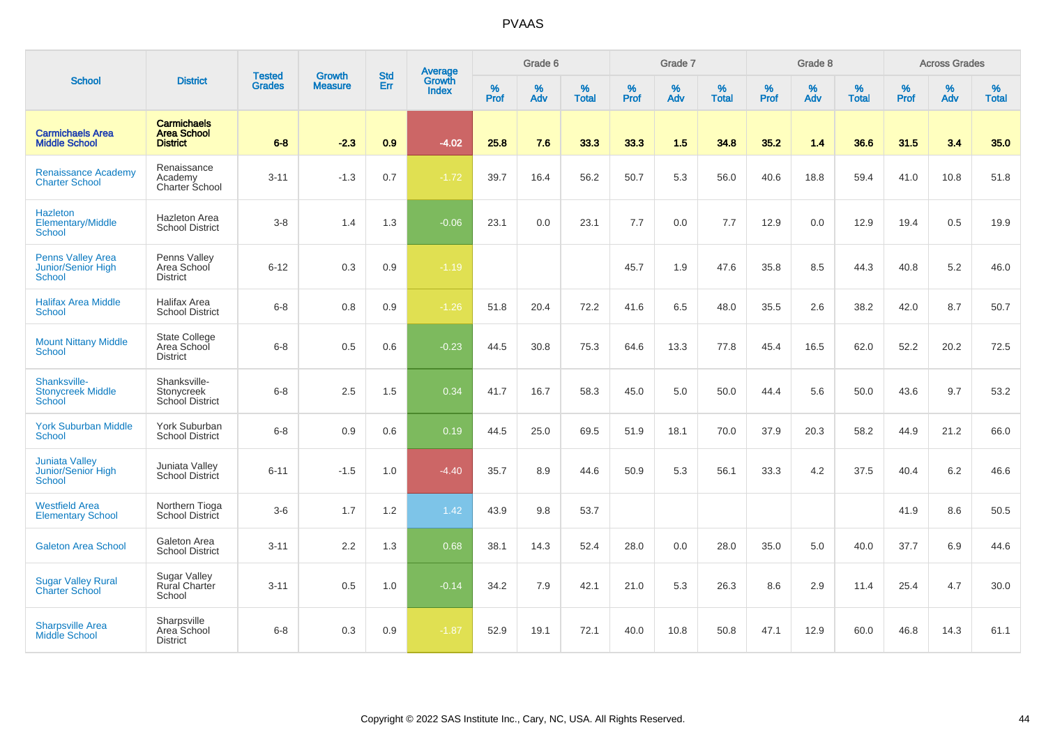|                                                              |                                                             |                                |                                 |                   |                                          |           | Grade 6  |                   |           | Grade 7  |                   |           | Grade 8  |                   |           | <b>Across Grades</b> |                   |
|--------------------------------------------------------------|-------------------------------------------------------------|--------------------------------|---------------------------------|-------------------|------------------------------------------|-----------|----------|-------------------|-----------|----------|-------------------|-----------|----------|-------------------|-----------|----------------------|-------------------|
| <b>School</b>                                                | <b>District</b>                                             | <b>Tested</b><br><b>Grades</b> | <b>Growth</b><br><b>Measure</b> | <b>Std</b><br>Err | <b>Average</b><br>Growth<br><b>Index</b> | %<br>Prof | %<br>Adv | %<br><b>Total</b> | %<br>Prof | %<br>Adv | %<br><b>Total</b> | %<br>Prof | %<br>Adv | %<br><b>Total</b> | %<br>Prof | %<br>Adv             | %<br><b>Total</b> |
| <b>Carmichaels Area</b><br><b>Middle School</b>              | <b>Carmichaels</b><br><b>Area School</b><br><b>District</b> | $6 - 8$                        | $-2.3$                          | 0.9               | $-4.02$                                  | 25.8      | 7.6      | 33.3              | 33.3      | 1.5      | 34.8              | 35.2      | 1.4      | 36.6              | 31.5      | 3.4                  | 35.0              |
| <b>Renaissance Academy</b><br><b>Charter School</b>          | Renaissance<br>Academy<br>Charter School                    | $3 - 11$                       | $-1.3$                          | 0.7               | $-1.72$                                  | 39.7      | 16.4     | 56.2              | 50.7      | 5.3      | 56.0              | 40.6      | 18.8     | 59.4              | 41.0      | 10.8                 | 51.8              |
| <b>Hazleton</b><br>Elementary/Middle<br><b>School</b>        | <b>Hazleton Area</b><br><b>School District</b>              | $3-8$                          | 1.4                             | 1.3               | $-0.06$                                  | 23.1      | 0.0      | 23.1              | 7.7       | 0.0      | 7.7               | 12.9      | 0.0      | 12.9              | 19.4      | $0.5\,$              | 19.9              |
| <b>Penns Valley Area</b><br>Junior/Senior High<br>School     | Penns Valley<br>Area School<br><b>District</b>              | $6 - 12$                       | 0.3                             | 0.9               | $-1.19$                                  |           |          |                   | 45.7      | 1.9      | 47.6              | 35.8      | 8.5      | 44.3              | 40.8      | $5.2\,$              | 46.0              |
| <b>Halifax Area Middle</b><br><b>School</b>                  | Halifax Area<br><b>School District</b>                      | $6 - 8$                        | 0.8                             | 0.9               | $-1.26$                                  | 51.8      | 20.4     | 72.2              | 41.6      | 6.5      | 48.0              | 35.5      | 2.6      | 38.2              | 42.0      | 8.7                  | 50.7              |
| <b>Mount Nittany Middle</b><br>School                        | <b>State College</b><br>Area School<br><b>District</b>      | $6 - 8$                        | 0.5                             | 0.6               | $-0.23$                                  | 44.5      | 30.8     | 75.3              | 64.6      | 13.3     | 77.8              | 45.4      | 16.5     | 62.0              | 52.2      | 20.2                 | 72.5              |
| Shanksville-<br><b>Stonycreek Middle</b><br>School           | Shanksville-<br>Stonycreek<br>School District               | $6 - 8$                        | 2.5                             | 1.5               | 0.34                                     | 41.7      | 16.7     | 58.3              | 45.0      | 5.0      | 50.0              | 44.4      | 5.6      | 50.0              | 43.6      | 9.7                  | 53.2              |
| <b>York Suburban Middle</b><br>School                        | York Suburban<br><b>School District</b>                     | $6 - 8$                        | 0.9                             | 0.6               | 0.19                                     | 44.5      | 25.0     | 69.5              | 51.9      | 18.1     | 70.0              | 37.9      | 20.3     | 58.2              | 44.9      | 21.2                 | 66.0              |
| <b>Juniata Valley</b><br>Junior/Senior High<br><b>School</b> | Juniata Valley<br><b>School District</b>                    | $6 - 11$                       | $-1.5$                          | 1.0               | $-4.40$                                  | 35.7      | 8.9      | 44.6              | 50.9      | 5.3      | 56.1              | 33.3      | 4.2      | 37.5              | 40.4      | 6.2                  | 46.6              |
| <b>Westfield Area</b><br><b>Elementary School</b>            | Northern Tioga<br>School District                           | $3-6$                          | 1.7                             | 1.2               | 1.42                                     | 43.9      | 9.8      | 53.7              |           |          |                   |           |          |                   | 41.9      | 8.6                  | 50.5              |
| <b>Galeton Area School</b>                                   | Galeton Area<br><b>School District</b>                      | $3 - 11$                       | 2.2                             | 1.3               | 0.68                                     | 38.1      | 14.3     | 52.4              | 28.0      | 0.0      | 28.0              | 35.0      | 5.0      | 40.0              | 37.7      | 6.9                  | 44.6              |
| <b>Sugar Valley Rural</b><br><b>Charter School</b>           | <b>Sugar Valley</b><br><b>Rural Charter</b><br>School       | $3 - 11$                       | 0.5                             | 1.0               | $-0.14$                                  | 34.2      | 7.9      | 42.1              | 21.0      | 5.3      | 26.3              | 8.6       | 2.9      | 11.4              | 25.4      | 4.7                  | 30.0              |
| <b>Sharpsville Area</b><br><b>Middle School</b>              | Sharpsville<br>Area School<br><b>District</b>               | $6 - 8$                        | 0.3                             | 0.9               | $-1.87$                                  | 52.9      | 19.1     | 72.1              | 40.0      | 10.8     | 50.8              | 47.1      | 12.9     | 60.0              | 46.8      | 14.3                 | 61.1              |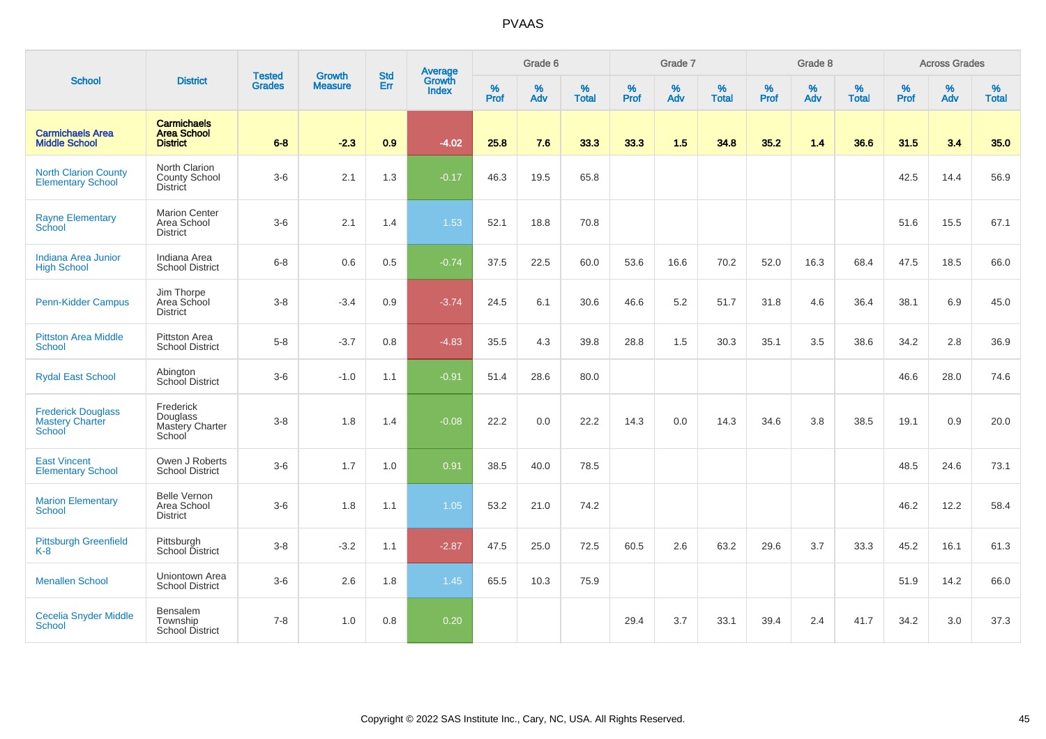|                                                               |                                                             | <b>Tested</b> | <b>Growth</b>  | <b>Std</b> |                                          |                  | Grade 6  |                   |           | Grade 7  |                   |           | Grade 8  |                   |           | <b>Across Grades</b> |                   |
|---------------------------------------------------------------|-------------------------------------------------------------|---------------|----------------|------------|------------------------------------------|------------------|----------|-------------------|-----------|----------|-------------------|-----------|----------|-------------------|-----------|----------------------|-------------------|
| <b>School</b>                                                 | <b>District</b>                                             | <b>Grades</b> | <b>Measure</b> | Err        | <b>Average</b><br>Growth<br><b>Index</b> | %<br><b>Prof</b> | %<br>Adv | %<br><b>Total</b> | %<br>Prof | %<br>Adv | %<br><b>Total</b> | %<br>Prof | %<br>Adv | %<br><b>Total</b> | %<br>Prof | %<br>Adv             | %<br><b>Total</b> |
| <b>Carmichaels Area</b><br><b>Middle School</b>               | <b>Carmichaels</b><br><b>Area School</b><br><b>District</b> | $6 - 8$       | $-2.3$         | 0.9        | $-4.02$                                  | 25.8             | 7.6      | 33.3              | 33.3      | 1.5      | 34.8              | 35.2      | 1.4      | 36.6              | 31.5      | 3.4                  | 35.0              |
| <b>North Clarion County</b><br><b>Elementary School</b>       | North Clarion<br>County School<br><b>District</b>           | $3-6$         | 2.1            | 1.3        | $-0.17$                                  | 46.3             | 19.5     | 65.8              |           |          |                   |           |          |                   | 42.5      | 14.4                 | 56.9              |
| <b>Rayne Elementary</b><br><b>School</b>                      | <b>Marion Center</b><br>Area School<br><b>District</b>      | $3-6$         | 2.1            | 1.4        | 1.53                                     | 52.1             | 18.8     | 70.8              |           |          |                   |           |          |                   | 51.6      | 15.5                 | 67.1              |
| <b>Indiana Area Junior</b><br><b>High School</b>              | Indiana Area<br><b>School District</b>                      | $6 - 8$       | 0.6            | 0.5        | $-0.74$                                  | 37.5             | 22.5     | 60.0              | 53.6      | 16.6     | 70.2              | 52.0      | 16.3     | 68.4              | 47.5      | 18.5                 | 66.0              |
| Penn-Kidder Campus                                            | Jim Thorpe<br>Area School<br><b>District</b>                | $3 - 8$       | $-3.4$         | 0.9        | $-3.74$                                  | 24.5             | 6.1      | 30.6              | 46.6      | 5.2      | 51.7              | 31.8      | 4.6      | 36.4              | 38.1      | 6.9                  | 45.0              |
| <b>Pittston Area Middle</b><br><b>School</b>                  | Pittston Area<br><b>School District</b>                     | $5-8$         | $-3.7$         | 0.8        | $-4.83$                                  | 35.5             | 4.3      | 39.8              | 28.8      | 1.5      | 30.3              | 35.1      | 3.5      | 38.6              | 34.2      | 2.8                  | 36.9              |
| <b>Rydal East School</b>                                      | Abington<br>School District                                 | $3-6$         | $-1.0$         | 1.1        | $-0.91$                                  | 51.4             | 28.6     | 80.0              |           |          |                   |           |          |                   | 46.6      | 28.0                 | 74.6              |
| <b>Frederick Douglass</b><br><b>Mastery Charter</b><br>School | Frederick<br>Douglass<br>Mastery Charter<br>School          | $3 - 8$       | 1.8            | 1.4        | $-0.08$                                  | 22.2             | 0.0      | 22.2              | 14.3      | 0.0      | 14.3              | 34.6      | 3.8      | 38.5              | 19.1      | 0.9                  | 20.0              |
| <b>East Vincent</b><br><b>Elementary School</b>               | Owen J Roberts<br><b>School District</b>                    | $3-6$         | 1.7            | 1.0        | 0.91                                     | 38.5             | 40.0     | 78.5              |           |          |                   |           |          |                   | 48.5      | 24.6                 | 73.1              |
| <b>Marion Elementary</b><br><b>School</b>                     | <b>Belle Vernon</b><br>Area School<br><b>District</b>       | $3-6$         | 1.8            | 1.1        | 1.05                                     | 53.2             | 21.0     | 74.2              |           |          |                   |           |          |                   | 46.2      | 12.2                 | 58.4              |
| <b>Pittsburgh Greenfield</b><br>K-8                           | Pittsburgh<br>School District                               | $3 - 8$       | $-3.2$         | 1.1        | $-2.87$                                  | 47.5             | 25.0     | 72.5              | 60.5      | 2.6      | 63.2              | 29.6      | 3.7      | 33.3              | 45.2      | 16.1                 | 61.3              |
| <b>Menallen School</b>                                        | Uniontown Area<br><b>School District</b>                    | $3-6$         | 2.6            | 1.8        | 1.45                                     | 65.5             | 10.3     | 75.9              |           |          |                   |           |          |                   | 51.9      | 14.2                 | 66.0              |
| <b>Cecelia Snyder Middle</b><br>School                        | Bensalem<br>Township<br><b>School District</b>              | $7 - 8$       | 1.0            | 0.8        | 0.20                                     |                  |          |                   | 29.4      | 3.7      | 33.1              | 39.4      | 2.4      | 41.7              | 34.2      | 3.0                  | 37.3              |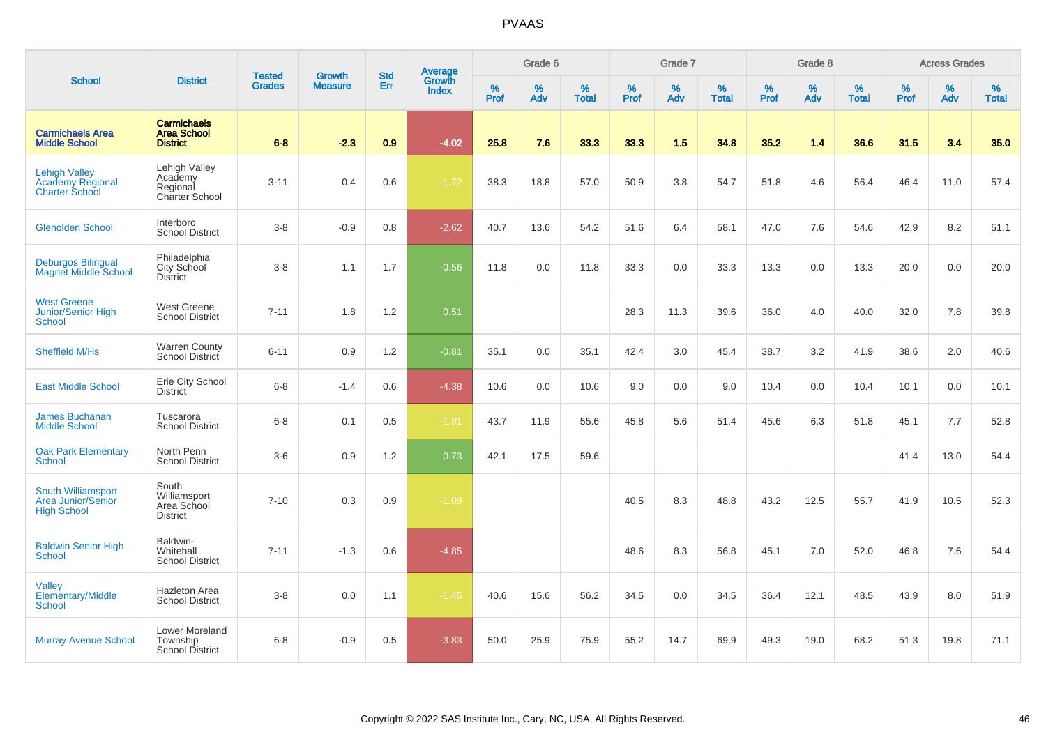|                                                                          |                                                             |                                | <b>Growth</b>  | <b>Std</b> |                                          |                  | Grade 6  |                   |           | Grade 7  |                   |           | Grade 8  |                   |           | <b>Across Grades</b> |                   |
|--------------------------------------------------------------------------|-------------------------------------------------------------|--------------------------------|----------------|------------|------------------------------------------|------------------|----------|-------------------|-----------|----------|-------------------|-----------|----------|-------------------|-----------|----------------------|-------------------|
| <b>School</b>                                                            | <b>District</b>                                             | <b>Tested</b><br><b>Grades</b> | <b>Measure</b> | Err        | <b>Average</b><br>Growth<br><b>Index</b> | %<br><b>Prof</b> | %<br>Adv | %<br><b>Total</b> | %<br>Prof | %<br>Adv | %<br><b>Total</b> | %<br>Prof | %<br>Adv | %<br><b>Total</b> | %<br>Prof | %<br>Adv             | %<br><b>Total</b> |
| <b>Carmichaels Area</b><br><b>Middle School</b>                          | <b>Carmichaels</b><br><b>Area School</b><br><b>District</b> | $6 - 8$                        | $-2.3$         | 0.9        | $-4.02$                                  | 25.8             | 7.6      | 33.3              | 33.3      | 1.5      | 34.8              | 35.2      | 1.4      | 36.6              | 31.5      | 3.4                  | 35.0              |
| <b>Lehigh Valley</b><br><b>Academy Regional</b><br><b>Charter School</b> | Lehigh Valley<br>Academy<br>Regional<br>Charter School      | $3 - 11$                       | 0.4            | 0.6        | $-1.72$                                  | 38.3             | 18.8     | 57.0              | 50.9      | 3.8      | 54.7              | 51.8      | 4.6      | 56.4              | 46.4      | 11.0                 | 57.4              |
| <b>Glenolden School</b>                                                  | Interboro<br><b>School District</b>                         | $3-8$                          | $-0.9$         | 0.8        | $-2.62$                                  | 40.7             | 13.6     | 54.2              | 51.6      | 6.4      | 58.1              | 47.0      | 7.6      | 54.6              | 42.9      | 8.2                  | 51.1              |
| <b>Deburgos Bilingual</b><br><b>Magnet Middle School</b>                 | Philadelphia<br>City School<br><b>District</b>              | $3-8$                          | 1.1            | 1.7        | $-0.56$                                  | 11.8             | 0.0      | 11.8              | 33.3      | 0.0      | 33.3              | 13.3      | 0.0      | 13.3              | 20.0      | 0.0                  | 20.0              |
| <b>West Greene</b><br>Junior/Senior High<br>School                       | West Greene<br><b>School District</b>                       | $7 - 11$                       | 1.8            | 1.2        | 0.51                                     |                  |          |                   | 28.3      | 11.3     | 39.6              | 36.0      | 4.0      | 40.0              | 32.0      | 7.8                  | 39.8              |
| Sheffield M/Hs                                                           | Warren County<br>School District                            | $6 - 11$                       | 0.9            | 1.2        | $-0.81$                                  | 35.1             | 0.0      | 35.1              | 42.4      | 3.0      | 45.4              | 38.7      | 3.2      | 41.9              | 38.6      | 2.0                  | 40.6              |
| <b>East Middle School</b>                                                | Erie City School<br><b>District</b>                         | $6 - 8$                        | $-1.4$         | 0.6        | $-4.38$                                  | 10.6             | 0.0      | 10.6              | 9.0       | 0.0      | 9.0               | 10.4      | 0.0      | 10.4              | 10.1      | 0.0                  | 10.1              |
| <b>James Buchanan</b><br><b>Middle School</b>                            | Tuscarora<br><b>School District</b>                         | $6 - 8$                        | 0.1            | 0.5        | $-1.91$                                  | 43.7             | 11.9     | 55.6              | 45.8      | 5.6      | 51.4              | 45.6      | 6.3      | 51.8              | 45.1      | 7.7                  | 52.8              |
| <b>Oak Park Elementary</b><br><b>School</b>                              | North Penn<br><b>School District</b>                        | $3-6$                          | 0.9            | 1.2        | 0.73                                     | 42.1             | 17.5     | 59.6              |           |          |                   |           |          |                   | 41.4      | 13.0                 | 54.4              |
| South Williamsport<br><b>Area Junior/Senior</b><br><b>High School</b>    | South<br>Williamsport<br>Area School<br><b>District</b>     | $7 - 10$                       | 0.3            | 0.9        | $-1.09$                                  |                  |          |                   | 40.5      | 8.3      | 48.8              | 43.2      | 12.5     | 55.7              | 41.9      | 10.5                 | 52.3              |
| <b>Baldwin Senior High</b><br><b>School</b>                              | Baldwin-<br>Whitehall<br><b>School District</b>             | $7 - 11$                       | $-1.3$         | 0.6        | $-4.85$                                  |                  |          |                   | 48.6      | 8.3      | 56.8              | 45.1      | 7.0      | 52.0              | 46.8      | 7.6                  | 54.4              |
| <b>Valley</b><br>Elementary/Middle<br>School                             | Hazleton Area<br><b>School District</b>                     | $3-8$                          | 0.0            | 1.1        | $-1.45$                                  | 40.6             | 15.6     | 56.2              | 34.5      | 0.0      | 34.5              | 36.4      | 12.1     | 48.5              | 43.9      | 8.0                  | 51.9              |
| <b>Murray Avenue School</b>                                              | Lower Moreland<br>Township<br><b>School District</b>        | $6-8$                          | $-0.9$         | 0.5        | $-3.83$                                  | 50.0             | 25.9     | 75.9              | 55.2      | 14.7     | 69.9              | 49.3      | 19.0     | 68.2              | 51.3      | 19.8                 | 71.1              |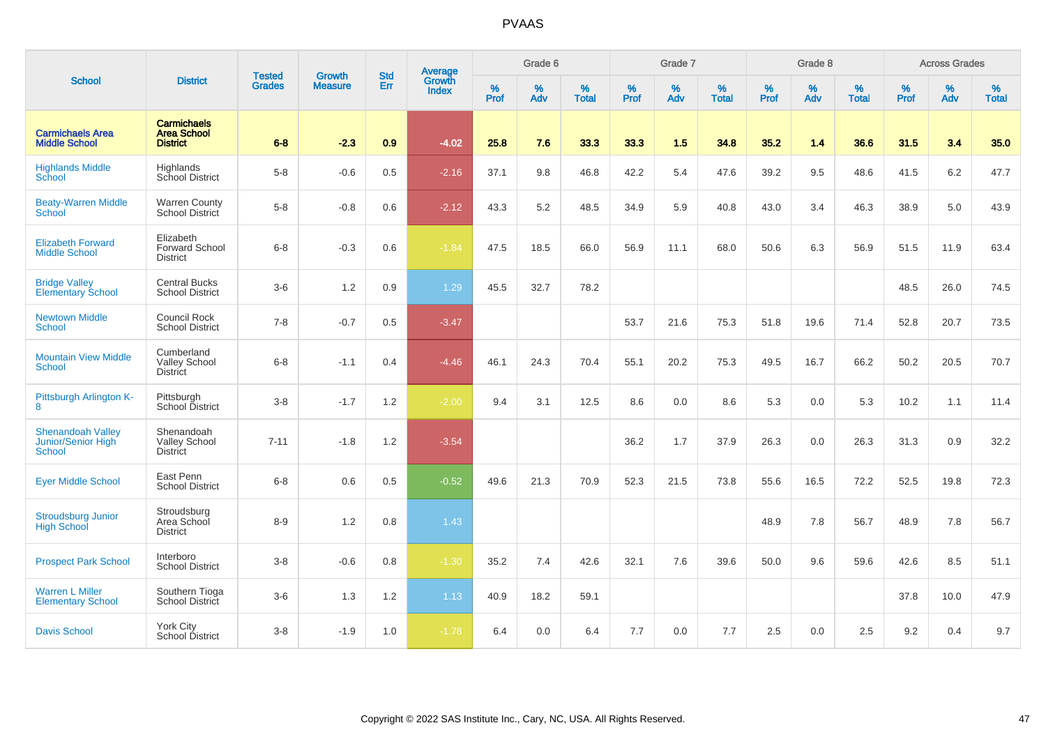|                                                                 |                                                             |                                |                                 | <b>Std</b> |                                          |                  | Grade 6  |                   |                  | Grade 7     |                   |                  | Grade 8  |                   |           | <b>Across Grades</b> |                   |
|-----------------------------------------------------------------|-------------------------------------------------------------|--------------------------------|---------------------------------|------------|------------------------------------------|------------------|----------|-------------------|------------------|-------------|-------------------|------------------|----------|-------------------|-----------|----------------------|-------------------|
| <b>School</b>                                                   | <b>District</b>                                             | <b>Tested</b><br><b>Grades</b> | <b>Growth</b><br><b>Measure</b> | Err        | <b>Average</b><br>Growth<br><b>Index</b> | %<br><b>Prof</b> | %<br>Adv | %<br><b>Total</b> | %<br><b>Prof</b> | $\%$<br>Adv | %<br><b>Total</b> | %<br><b>Prof</b> | %<br>Adv | %<br><b>Total</b> | %<br>Prof | %<br>Adv             | %<br><b>Total</b> |
| <b>Carmichaels Area</b><br><b>Middle School</b>                 | <b>Carmichaels</b><br><b>Area School</b><br><b>District</b> | $6 - 8$                        | $-2.3$                          | 0.9        | $-4.02$                                  | 25.8             | 7.6      | 33.3              | 33.3             | 1.5         | 34.8              | 35.2             | 1.4      | 36.6              | 31.5      | 3.4                  | 35.0              |
| <b>Highlands Middle</b><br>School                               | Highlands<br>School District                                | $5-8$                          | $-0.6$                          | 0.5        | $-2.16$                                  | 37.1             | 9.8      | 46.8              | 42.2             | 5.4         | 47.6              | 39.2             | 9.5      | 48.6              | 41.5      | 6.2                  | 47.7              |
| <b>Beaty-Warren Middle</b><br>School                            | <b>Warren County</b><br>School District                     | $5-8$                          | $-0.8$                          | 0.6        | $-2.12$                                  | 43.3             | 5.2      | 48.5              | 34.9             | 5.9         | 40.8              | 43.0             | 3.4      | 46.3              | 38.9      | 5.0                  | 43.9              |
| <b>Elizabeth Forward</b><br><b>Middle School</b>                | Elizabeth<br>Forward School<br><b>District</b>              | $6 - 8$                        | $-0.3$                          | 0.6        | $-1.84$                                  | 47.5             | 18.5     | 66.0              | 56.9             | 11.1        | 68.0              | 50.6             | 6.3      | 56.9              | 51.5      | 11.9                 | 63.4              |
| <b>Bridge Valley</b><br><b>Elementary School</b>                | <b>Central Bucks</b><br><b>School District</b>              | $3-6$                          | 1.2                             | 0.9        | 1.29                                     | 45.5             | 32.7     | 78.2              |                  |             |                   |                  |          |                   | 48.5      | 26.0                 | 74.5              |
| <b>Newtown Middle</b><br><b>School</b>                          | Council Rock<br><b>School District</b>                      | $7 - 8$                        | $-0.7$                          | 0.5        | $-3.47$                                  |                  |          |                   | 53.7             | 21.6        | 75.3              | 51.8             | 19.6     | 71.4              | 52.8      | 20.7                 | 73.5              |
| <b>Mountain View Middle</b><br><b>School</b>                    | Cumberland<br><b>Valley School</b><br><b>District</b>       | $6 - 8$                        | $-1.1$                          | 0.4        | $-4.46$                                  | 46.1             | 24.3     | 70.4              | 55.1             | 20.2        | 75.3              | 49.5             | 16.7     | 66.2              | 50.2      | 20.5                 | 70.7              |
| Pittsburgh Arlington K-<br>8                                    | Pittsburgh<br>School District                               | $3 - 8$                        | $-1.7$                          | 1.2        | $-2.00$                                  | 9.4              | 3.1      | 12.5              | 8.6              | 0.0         | 8.6               | 5.3              | 0.0      | 5.3               | 10.2      | 1.1                  | 11.4              |
| <b>Shenandoah Valley</b><br>Junior/Senior High<br><b>School</b> | Shenandoah<br><b>Valley School</b><br><b>District</b>       | $7 - 11$                       | $-1.8$                          | 1.2        | $-3.54$                                  |                  |          |                   | 36.2             | 1.7         | 37.9              | 26.3             | 0.0      | 26.3              | 31.3      | 0.9                  | 32.2              |
| <b>Eyer Middle School</b>                                       | East Penn<br><b>School District</b>                         | $6 - 8$                        | 0.6                             | 0.5        | $-0.52$                                  | 49.6             | 21.3     | 70.9              | 52.3             | 21.5        | 73.8              | 55.6             | 16.5     | 72.2              | 52.5      | 19.8                 | 72.3              |
| <b>Stroudsburg Junior</b><br><b>High School</b>                 | Stroudsburg<br>Area School<br><b>District</b>               | $8 - 9$                        | 1.2                             | 0.8        | 1.43                                     |                  |          |                   |                  |             |                   | 48.9             | 7.8      | 56.7              | 48.9      | 7.8                  | 56.7              |
| <b>Prospect Park School</b>                                     | Interboro<br><b>School District</b>                         | $3 - 8$                        | $-0.6$                          | 0.8        | $-1.30$                                  | 35.2             | 7.4      | 42.6              | 32.1             | 7.6         | 39.6              | 50.0             | 9.6      | 59.6              | 42.6      | 8.5                  | 51.1              |
| <b>Warren L Miller</b><br><b>Elementary School</b>              | Southern Tioga<br><b>School District</b>                    | $3-6$                          | 1.3                             | 1.2        | 1.13                                     | 40.9             | 18.2     | 59.1              |                  |             |                   |                  |          |                   | 37.8      | 10.0                 | 47.9              |
| <b>Davis School</b>                                             | <b>York City</b><br><b>School District</b>                  | $3 - 8$                        | $-1.9$                          | 1.0        | $-1.78$                                  | 6.4              | 0.0      | 6.4               | 7.7              | 0.0         | 7.7               | 2.5              | 0.0      | 2.5               | 9.2       | 0.4                  | 9.7               |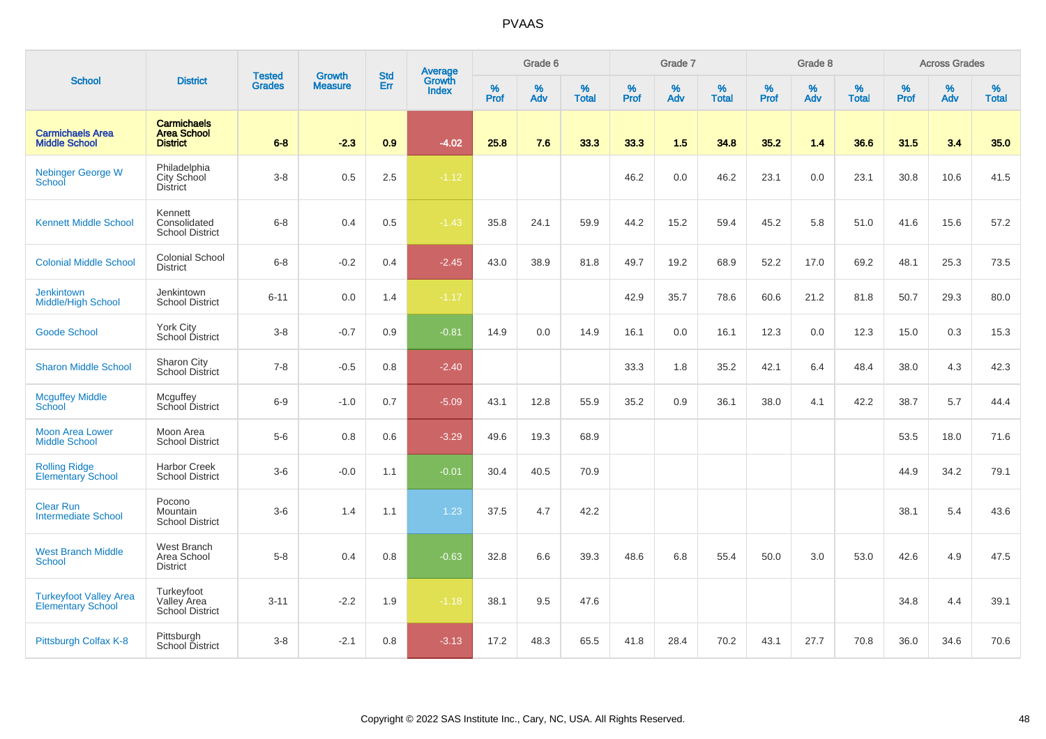|                                                           |                                                             | <b>Tested</b> | <b>Growth</b>  | <b>Std</b> |                                          |                  | Grade 6     |                      |                  | Grade 7  |                   |                  | Grade 8  |                   |           | <b>Across Grades</b> |                   |
|-----------------------------------------------------------|-------------------------------------------------------------|---------------|----------------|------------|------------------------------------------|------------------|-------------|----------------------|------------------|----------|-------------------|------------------|----------|-------------------|-----------|----------------------|-------------------|
| <b>School</b>                                             | <b>District</b>                                             | <b>Grades</b> | <b>Measure</b> | <b>Err</b> | <b>Average</b><br>Growth<br><b>Index</b> | %<br><b>Prof</b> | $\%$<br>Adv | $\%$<br><b>Total</b> | %<br><b>Prof</b> | %<br>Adv | %<br><b>Total</b> | %<br><b>Prof</b> | %<br>Adv | %<br><b>Total</b> | %<br>Prof | $\%$<br>Adv          | %<br><b>Total</b> |
| <b>Carmichaels Area</b><br><b>Middle School</b>           | <b>Carmichaels</b><br><b>Area School</b><br><b>District</b> | $6 - 8$       | $-2.3$         | 0.9        | $-4.02$                                  | 25.8             | 7.6         | 33.3                 | 33.3             | 1.5      | 34.8              | 35.2             | 1.4      | 36.6              | 31.5      | 3.4                  | 35.0              |
| <b>Nebinger George W</b><br>School                        | Philadelphia<br>City School<br><b>District</b>              | $3 - 8$       | 0.5            | 2.5        | $-1.12$                                  |                  |             |                      | 46.2             | 0.0      | 46.2              | 23.1             | 0.0      | 23.1              | 30.8      | 10.6                 | 41.5              |
| <b>Kennett Middle School</b>                              | Kennett<br>Consolidated<br><b>School District</b>           | $6 - 8$       | 0.4            | 0.5        | $-1.43$                                  | 35.8             | 24.1        | 59.9                 | 44.2             | 15.2     | 59.4              | 45.2             | 5.8      | 51.0              | 41.6      | 15.6                 | 57.2              |
| <b>Colonial Middle School</b>                             | Colonial School<br><b>District</b>                          | $6 - 8$       | $-0.2$         | 0.4        | $-2.45$                                  | 43.0             | 38.9        | 81.8                 | 49.7             | 19.2     | 68.9              | 52.2             | 17.0     | 69.2              | 48.1      | 25.3                 | 73.5              |
| <b>Jenkintown</b><br><b>Middle/High School</b>            | Jenkintown<br><b>School District</b>                        | $6 - 11$      | 0.0            | 1.4        | $-1.17$                                  |                  |             |                      | 42.9             | 35.7     | 78.6              | 60.6             | 21.2     | 81.8              | 50.7      | 29.3                 | 80.0              |
| <b>Goode School</b>                                       | York City<br>School District                                | $3 - 8$       | $-0.7$         | 0.9        | $-0.81$                                  | 14.9             | 0.0         | 14.9                 | 16.1             | 0.0      | 16.1              | 12.3             | 0.0      | 12.3              | 15.0      | 0.3                  | 15.3              |
| <b>Sharon Middle School</b>                               | Sharon City<br><b>School District</b>                       | $7 - 8$       | $-0.5$         | 0.8        | $-2.40$                                  |                  |             |                      | 33.3             | 1.8      | 35.2              | 42.1             | 6.4      | 48.4              | 38.0      | 4.3                  | 42.3              |
| <b>Mcguffey Middle</b><br>School                          | Mcguffey<br>School District                                 | $6-9$         | $-1.0$         | 0.7        | $-5.09$                                  | 43.1             | 12.8        | 55.9                 | 35.2             | 0.9      | 36.1              | 38.0             | 4.1      | 42.2              | 38.7      | 5.7                  | 44.4              |
| <b>Moon Area Lower</b><br><b>Middle School</b>            | Moon Area<br><b>School District</b>                         | $5-6$         | 0.8            | 0.6        | $-3.29$                                  | 49.6             | 19.3        | 68.9                 |                  |          |                   |                  |          |                   | 53.5      | 18.0                 | 71.6              |
| <b>Rolling Ridge</b><br><b>Elementary School</b>          | <b>Harbor Creek</b><br><b>School District</b>               | $3-6$         | $-0.0$         | 1.1        | $-0.01$                                  | 30.4             | 40.5        | 70.9                 |                  |          |                   |                  |          |                   | 44.9      | 34.2                 | 79.1              |
| <b>Clear Run</b><br><b>Intermediate School</b>            | Pocono<br>Mountain<br><b>School District</b>                | $3-6$         | 1.4            | 1.1        | 1.23                                     | 37.5             | 4.7         | 42.2                 |                  |          |                   |                  |          |                   | 38.1      | 5.4                  | 43.6              |
| <b>West Branch Middle</b><br><b>School</b>                | <b>West Branch</b><br>Area School<br><b>District</b>        | $5 - 8$       | 0.4            | 0.8        | $-0.63$                                  | 32.8             | 6.6         | 39.3                 | 48.6             | 6.8      | 55.4              | 50.0             | 3.0      | 53.0              | 42.6      | 4.9                  | 47.5              |
| <b>Turkeyfoot Valley Area</b><br><b>Elementary School</b> | Turkeyfoot<br>Valley Area<br>School District                | $3 - 11$      | $-2.2$         | 1.9        | $-1.18$                                  | 38.1             | 9.5         | 47.6                 |                  |          |                   |                  |          |                   | 34.8      | 4.4                  | 39.1              |
| Pittsburgh Colfax K-8                                     | Pittsburgh<br>School District                               | $3 - 8$       | $-2.1$         | 0.8        | $-3.13$                                  | 17.2             | 48.3        | 65.5                 | 41.8             | 28.4     | 70.2              | 43.1             | 27.7     | 70.8              | 36.0      | 34.6                 | 70.6              |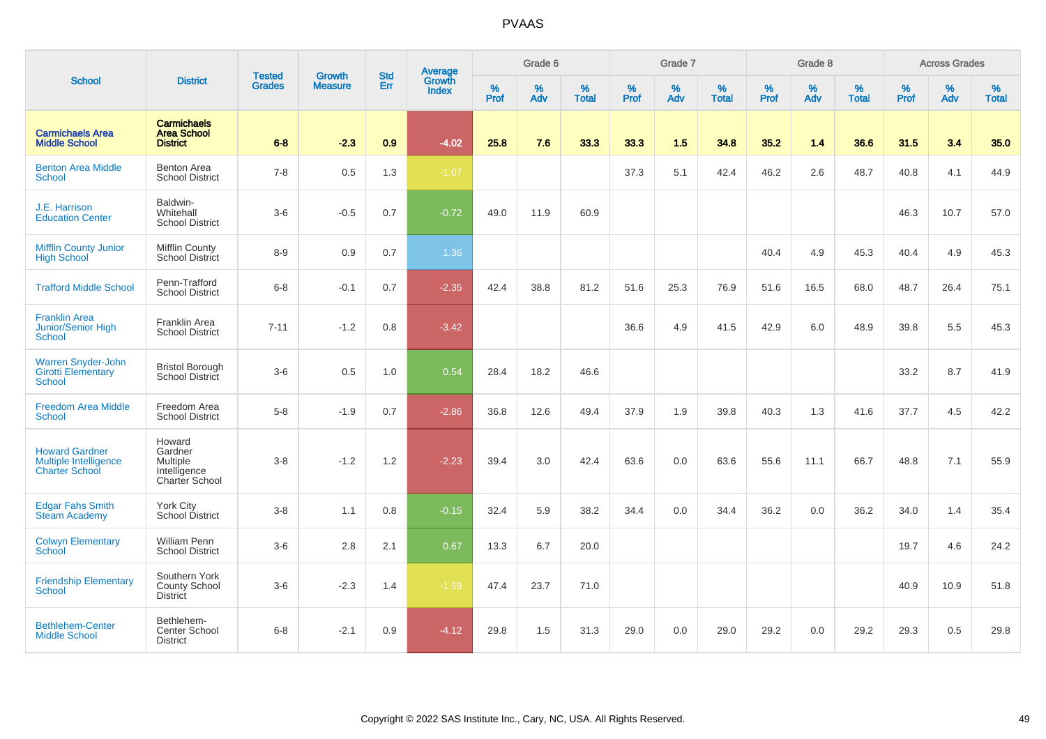|                                                                                |                                                                               | <b>Tested</b> | <b>Growth</b>  | <b>Std</b> | <b>Average</b><br>Growth |                  | Grade 6  |                   |           | Grade 7  |                   |           | Grade 8  |                   |           | <b>Across Grades</b> |                   |
|--------------------------------------------------------------------------------|-------------------------------------------------------------------------------|---------------|----------------|------------|--------------------------|------------------|----------|-------------------|-----------|----------|-------------------|-----------|----------|-------------------|-----------|----------------------|-------------------|
| <b>School</b>                                                                  | <b>District</b>                                                               | <b>Grades</b> | <b>Measure</b> | Err        | <b>Index</b>             | %<br><b>Prof</b> | %<br>Adv | %<br><b>Total</b> | %<br>Prof | %<br>Adv | %<br><b>Total</b> | %<br>Prof | %<br>Adv | %<br><b>Total</b> | %<br>Prof | %<br>Adv             | %<br><b>Total</b> |
| <b>Carmichaels Area</b><br><b>Middle School</b>                                | <b>Carmichaels</b><br><b>Area School</b><br><b>District</b>                   | $6 - 8$       | $-2.3$         | 0.9        | $-4.02$                  | 25.8             | 7.6      | 33.3              | 33.3      | 1.5      | 34.8              | 35.2      | 1.4      | 36.6              | 31.5      | 3.4                  | 35.0              |
| <b>Benton Area Middle</b><br><b>School</b>                                     | Benton Area<br><b>School District</b>                                         | $7 - 8$       | 0.5            | 1.3        | $-1.07$                  |                  |          |                   | 37.3      | 5.1      | 42.4              | 46.2      | 2.6      | 48.7              | 40.8      | 4.1                  | 44.9              |
| J.E. Harrison<br><b>Education Center</b>                                       | Baldwin-<br>Whitehall<br><b>School District</b>                               | $3-6$         | $-0.5$         | 0.7        | $-0.72$                  | 49.0             | 11.9     | 60.9              |           |          |                   |           |          |                   | 46.3      | 10.7                 | 57.0              |
| <b>Mifflin County Junior</b><br><b>High School</b>                             | <b>Mifflin County</b><br><b>School District</b>                               | $8 - 9$       | 0.9            | 0.7        | 1.36                     |                  |          |                   |           |          |                   | 40.4      | 4.9      | 45.3              | 40.4      | 4.9                  | 45.3              |
| <b>Trafford Middle School</b>                                                  | Penn-Trafford<br><b>School District</b>                                       | $6 - 8$       | $-0.1$         | 0.7        | $-2.35$                  | 42.4             | 38.8     | 81.2              | 51.6      | 25.3     | 76.9              | 51.6      | 16.5     | 68.0              | 48.7      | 26.4                 | 75.1              |
| <b>Franklin Area</b><br><b>Junior/Senior High</b><br><b>School</b>             | Franklin Area<br><b>School District</b>                                       | $7 - 11$      | $-1.2$         | 0.8        | $-3.42$                  |                  |          |                   | 36.6      | 4.9      | 41.5              | 42.9      | 6.0      | 48.9              | 39.8      | 5.5                  | 45.3              |
| <b>Warren Snyder-John</b><br><b>Girotti Elementary</b><br><b>School</b>        | <b>Bristol Borough</b><br>School District                                     | $3-6$         | 0.5            | 1.0        | 0.54                     | 28.4             | 18.2     | 46.6              |           |          |                   |           |          |                   | 33.2      | 8.7                  | 41.9              |
| <b>Freedom Area Middle</b><br>School                                           | Freedom Area<br><b>School District</b>                                        | $5-8$         | $-1.9$         | 0.7        | $-2.86$                  | 36.8             | 12.6     | 49.4              | 37.9      | 1.9      | 39.8              | 40.3      | 1.3      | 41.6              | 37.7      | 4.5                  | 42.2              |
| <b>Howard Gardner</b><br><b>Multiple Intelligence</b><br><b>Charter School</b> | Howard<br>Gardner<br><b>Multiple</b><br>Intelligence<br><b>Charter School</b> | $3 - 8$       | $-1.2$         | 1.2        | $-2.23$                  | 39.4             | 3.0      | 42.4              | 63.6      | 0.0      | 63.6              | 55.6      | 11.1     | 66.7              | 48.8      | 7.1                  | 55.9              |
| <b>Edgar Fahs Smith</b><br><b>Steam Academy</b>                                | <b>York City</b><br>School District                                           | $3-8$         | 1.1            | 0.8        | $-0.15$                  | 32.4             | 5.9      | 38.2              | 34.4      | 0.0      | 34.4              | 36.2      | 0.0      | 36.2              | 34.0      | 1.4                  | 35.4              |
| <b>Colwyn Elementary</b><br><b>School</b>                                      | <b>William Penn</b><br><b>School District</b>                                 | $3-6$         | 2.8            | 2.1        | 0.67                     | 13.3             | 6.7      | 20.0              |           |          |                   |           |          |                   | 19.7      | 4.6                  | 24.2              |
| <b>Friendship Elementary</b><br><b>School</b>                                  | Southern York<br><b>County School</b><br><b>District</b>                      | $3-6$         | $-2.3$         | 1.4        | $-1.59$                  | 47.4             | 23.7     | 71.0              |           |          |                   |           |          |                   | 40.9      | 10.9                 | 51.8              |
| <b>Bethlehem-Center</b><br><b>Middle School</b>                                | Bethlehem-<br>Center School<br><b>District</b>                                | $6 - 8$       | $-2.1$         | 0.9        | $-4.12$                  | 29.8             | 1.5      | 31.3              | 29.0      | 0.0      | 29.0              | 29.2      | 0.0      | 29.2              | 29.3      | 0.5                  | 29.8              |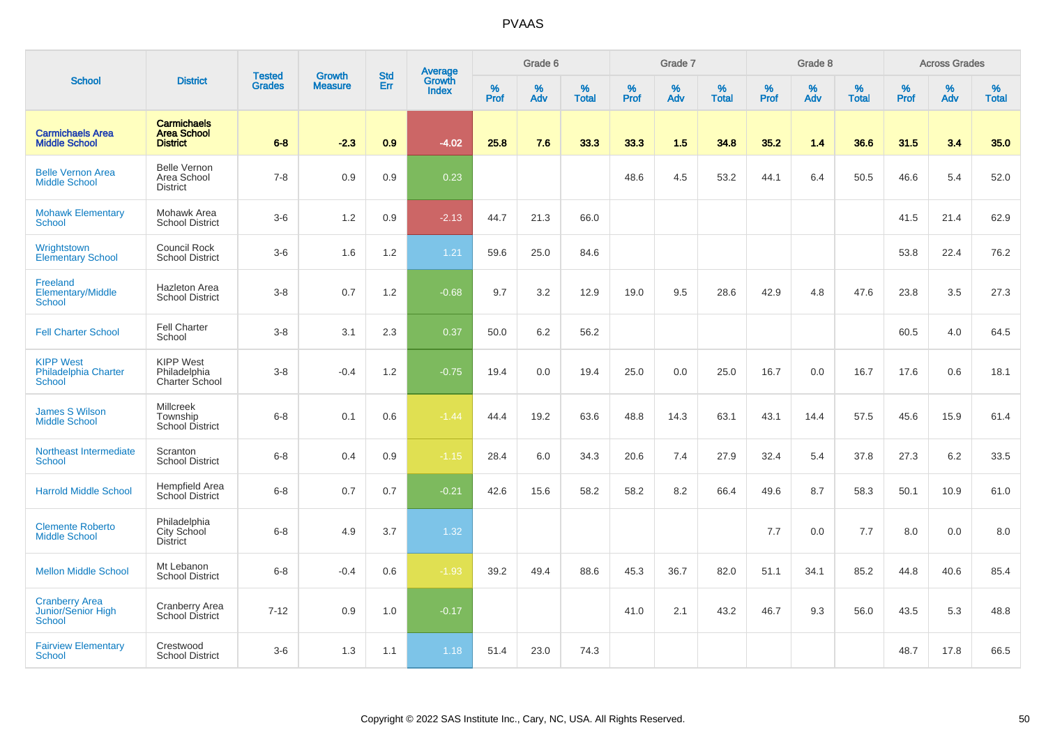|                                                           |                                                             |                                |                                 | <b>Std</b> |                                          |                  | Grade 6     |                   |           | Grade 7  |                   |                  | Grade 8  |                   |           | <b>Across Grades</b> |                   |
|-----------------------------------------------------------|-------------------------------------------------------------|--------------------------------|---------------------------------|------------|------------------------------------------|------------------|-------------|-------------------|-----------|----------|-------------------|------------------|----------|-------------------|-----------|----------------------|-------------------|
| <b>School</b>                                             | <b>District</b>                                             | <b>Tested</b><br><b>Grades</b> | <b>Growth</b><br><b>Measure</b> | Err        | <b>Average</b><br>Growth<br><b>Index</b> | %<br><b>Prof</b> | $\%$<br>Adv | %<br><b>Total</b> | %<br>Prof | %<br>Adv | %<br><b>Total</b> | %<br><b>Prof</b> | %<br>Adv | %<br><b>Total</b> | %<br>Prof | %<br>Adv             | %<br><b>Total</b> |
| <b>Carmichaels Area</b><br><b>Middle School</b>           | <b>Carmichaels</b><br><b>Area School</b><br><b>District</b> | $6 - 8$                        | $-2.3$                          | 0.9        | $-4.02$                                  | 25.8             | 7.6         | 33.3              | 33.3      | 1.5      | 34.8              | 35.2             | 1.4      | 36.6              | 31.5      | 3.4                  | 35.0              |
| <b>Belle Vernon Area</b><br><b>Middle School</b>          | <b>Belle Vernon</b><br>Area School<br><b>District</b>       | $7 - 8$                        | 0.9                             | 0.9        | 0.23                                     |                  |             |                   | 48.6      | 4.5      | 53.2              | 44.1             | 6.4      | 50.5              | 46.6      | 5.4                  | 52.0              |
| <b>Mohawk Elementary</b><br><b>School</b>                 | Mohawk Area<br><b>School District</b>                       | $3-6$                          | 1.2                             | 0.9        | $-2.13$                                  | 44.7             | 21.3        | 66.0              |           |          |                   |                  |          |                   | 41.5      | 21.4                 | 62.9              |
| Wrightstown<br><b>Elementary School</b>                   | Council Rock<br><b>School District</b>                      | $3-6$                          | 1.6                             | 1.2        | 1.21                                     | 59.6             | 25.0        | 84.6              |           |          |                   |                  |          |                   | 53.8      | 22.4                 | 76.2              |
| Freeland<br>Elementary/Middle<br><b>School</b>            | <b>Hazleton Area</b><br><b>School District</b>              | $3-8$                          | 0.7                             | 1.2        | $-0.68$                                  | 9.7              | 3.2         | 12.9              | 19.0      | 9.5      | 28.6              | 42.9             | 4.8      | 47.6              | 23.8      | 3.5                  | 27.3              |
| <b>Fell Charter School</b>                                | <b>Fell Charter</b><br>School                               | $3-8$                          | 3.1                             | 2.3        | 0.37                                     | 50.0             | 6.2         | 56.2              |           |          |                   |                  |          |                   | 60.5      | 4.0                  | 64.5              |
| <b>KIPP West</b><br>Philadelphia Charter<br><b>School</b> | <b>KIPP West</b><br>Philadelphia<br>Charter School          | $3-8$                          | $-0.4$                          | 1.2        | $-0.75$                                  | 19.4             | 0.0         | 19.4              | 25.0      | 0.0      | 25.0              | 16.7             | 0.0      | 16.7              | 17.6      | 0.6                  | 18.1              |
| <b>James S Wilson</b><br><b>Middle School</b>             | <b>Millcreek</b><br>Township<br>School District             | $6 - 8$                        | 0.1                             | 0.6        | $-1.44$                                  | 44.4             | 19.2        | 63.6              | 48.8      | 14.3     | 63.1              | 43.1             | 14.4     | 57.5              | 45.6      | 15.9                 | 61.4              |
| Northeast Intermediate<br>School                          | Scranton<br><b>School District</b>                          | $6 - 8$                        | 0.4                             | 0.9        | $-1.15$                                  | 28.4             | 6.0         | 34.3              | 20.6      | 7.4      | 27.9              | 32.4             | 5.4      | 37.8              | 27.3      | 6.2                  | 33.5              |
| <b>Harrold Middle School</b>                              | <b>Hempfield Area</b><br>School District                    | $6-8$                          | 0.7                             | 0.7        | $-0.21$                                  | 42.6             | 15.6        | 58.2              | 58.2      | 8.2      | 66.4              | 49.6             | 8.7      | 58.3              | 50.1      | 10.9                 | 61.0              |
| <b>Clemente Roberto</b><br><b>Middle School</b>           | Philadelphia<br>City School<br><b>District</b>              | $6-8$                          | 4.9                             | 3.7        | 1.32                                     |                  |             |                   |           |          |                   | 7.7              | 0.0      | 7.7               | 8.0       | 0.0                  | 8.0               |
| <b>Mellon Middle School</b>                               | Mt Lebanon<br><b>School District</b>                        | $6 - 8$                        | $-0.4$                          | 0.6        | $-1.93$                                  | 39.2             | 49.4        | 88.6              | 45.3      | 36.7     | 82.0              | 51.1             | 34.1     | 85.2              | 44.8      | 40.6                 | 85.4              |
| <b>Cranberry Area</b><br>Junior/Senior High<br>School     | <b>Cranberry Area</b><br>School District                    | $7 - 12$                       | 0.9                             | 1.0        | $-0.17$                                  |                  |             |                   | 41.0      | 2.1      | 43.2              | 46.7             | 9.3      | 56.0              | 43.5      | 5.3                  | 48.8              |
| <b>Fairview Elementary</b><br>School                      | Crestwood<br><b>School District</b>                         | $3-6$                          | 1.3                             | 1.1        | 1.18                                     | 51.4             | 23.0        | 74.3              |           |          |                   |                  |          |                   | 48.7      | 17.8                 | 66.5              |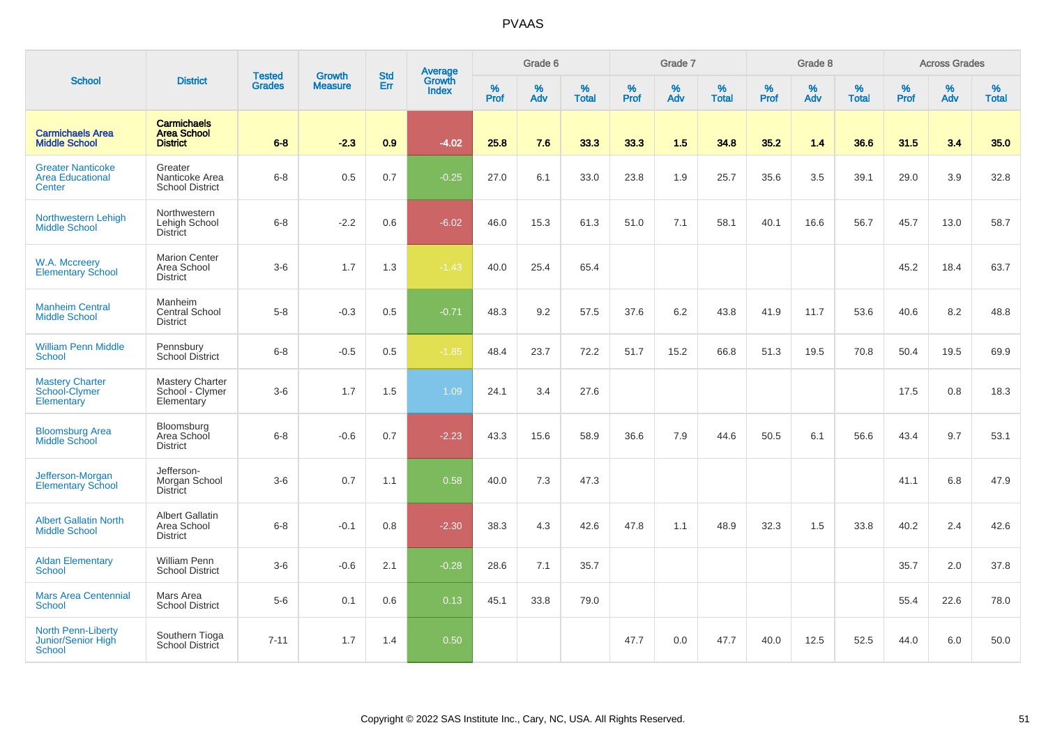|                                                                  |                                                             |                                | <b>Growth</b>  | <b>Std</b> |                                          |                  | Grade 6  |                   |           | Grade 7  |                   |           | Grade 8  |                   |           | <b>Across Grades</b> |                   |
|------------------------------------------------------------------|-------------------------------------------------------------|--------------------------------|----------------|------------|------------------------------------------|------------------|----------|-------------------|-----------|----------|-------------------|-----------|----------|-------------------|-----------|----------------------|-------------------|
| <b>School</b>                                                    | <b>District</b>                                             | <b>Tested</b><br><b>Grades</b> | <b>Measure</b> | Err        | <b>Average</b><br>Growth<br><b>Index</b> | %<br><b>Prof</b> | %<br>Adv | %<br><b>Total</b> | %<br>Prof | %<br>Adv | %<br><b>Total</b> | %<br>Prof | %<br>Adv | %<br><b>Total</b> | %<br>Prof | %<br>Adv             | %<br><b>Total</b> |
| <b>Carmichaels Area</b><br><b>Middle School</b>                  | <b>Carmichaels</b><br><b>Area School</b><br><b>District</b> | $6 - 8$                        | $-2.3$         | 0.9        | $-4.02$                                  | 25.8             | 7.6      | 33.3              | 33.3      | 1.5      | 34.8              | 35.2      | 1.4      | 36.6              | 31.5      | 3.4                  | 35.0              |
| <b>Greater Nanticoke</b><br><b>Area Educational</b><br>Center    | Greater<br>Nanticoke Area<br><b>School District</b>         | $6 - 8$                        | 0.5            | 0.7        | $-0.25$                                  | 27.0             | 6.1      | 33.0              | 23.8      | 1.9      | 25.7              | 35.6      | 3.5      | 39.1              | 29.0      | 3.9                  | 32.8              |
| Northwestern Lehigh<br><b>Middle School</b>                      | Northwestern<br>Lehigh School<br><b>District</b>            | $6 - 8$                        | $-2.2$         | 0.6        | $-6.02$                                  | 46.0             | 15.3     | 61.3              | 51.0      | 7.1      | 58.1              | 40.1      | 16.6     | 56.7              | 45.7      | 13.0                 | 58.7              |
| W.A. Mccreery<br><b>Elementary School</b>                        | <b>Marion Center</b><br>Area School<br><b>District</b>      | $3-6$                          | 1.7            | 1.3        | $-1.43$                                  | 40.0             | 25.4     | 65.4              |           |          |                   |           |          |                   | 45.2      | 18.4                 | 63.7              |
| <b>Manheim Central</b><br><b>Middle School</b>                   | Manheim<br><b>Central School</b><br><b>District</b>         | $5-8$                          | $-0.3$         | 0.5        | $-0.71$                                  | 48.3             | 9.2      | 57.5              | 37.6      | 6.2      | 43.8              | 41.9      | 11.7     | 53.6              | 40.6      | 8.2                  | 48.8              |
| <b>William Penn Middle</b><br>School                             | Pennsbury<br><b>School District</b>                         | $6 - 8$                        | $-0.5$         | 0.5        | $-1.85$                                  | 48.4             | 23.7     | 72.2              | 51.7      | 15.2     | 66.8              | 51.3      | 19.5     | 70.8              | 50.4      | 19.5                 | 69.9              |
| <b>Mastery Charter</b><br>School-Clymer<br>Elementary            | Mastery Charter<br>School - Clymer<br>Elementary            | $3-6$                          | 1.7            | 1.5        | 1.09                                     | 24.1             | 3.4      | 27.6              |           |          |                   |           |          |                   | 17.5      | 0.8                  | 18.3              |
| <b>Bloomsburg Area</b><br><b>Middle School</b>                   | Bloomsburg<br>Area School<br><b>District</b>                | $6-8$                          | $-0.6$         | 0.7        | $-2.23$                                  | 43.3             | 15.6     | 58.9              | 36.6      | 7.9      | 44.6              | 50.5      | 6.1      | 56.6              | 43.4      | 9.7                  | 53.1              |
| Jefferson-Morgan<br><b>Elementary School</b>                     | Jefferson-<br>Morgan School<br><b>District</b>              | $3-6$                          | 0.7            | 1.1        | 0.58                                     | 40.0             | 7.3      | 47.3              |           |          |                   |           |          |                   | 41.1      | 6.8                  | 47.9              |
| <b>Albert Gallatin North</b><br><b>Middle School</b>             | <b>Albert Gallatin</b><br>Area School<br><b>District</b>    | $6-8$                          | $-0.1$         | 0.8        | $-2.30$                                  | 38.3             | 4.3      | 42.6              | 47.8      | 1.1      | 48.9              | 32.3      | 1.5      | 33.8              | 40.2      | 2.4                  | 42.6              |
| <b>Aldan Elementary</b><br><b>School</b>                         | <b>William Penn</b><br><b>School District</b>               | $3-6$                          | $-0.6$         | 2.1        | $-0.28$                                  | 28.6             | 7.1      | 35.7              |           |          |                   |           |          |                   | 35.7      | 2.0                  | 37.8              |
| <b>Mars Area Centennial</b><br>School                            | Mars Area<br><b>School District</b>                         | $5-6$                          | 0.1            | 0.6        | 0.13                                     | 45.1             | 33.8     | 79.0              |           |          |                   |           |          |                   | 55.4      | 22.6                 | 78.0              |
| <b>North Penn-Liberty</b><br>Junior/Senior High<br><b>School</b> | Southern Tioga<br><b>School District</b>                    | $7 - 11$                       | 1.7            | 1.4        | 0.50                                     |                  |          |                   | 47.7      | 0.0      | 47.7              | 40.0      | 12.5     | 52.5              | 44.0      | 6.0                  | 50.0              |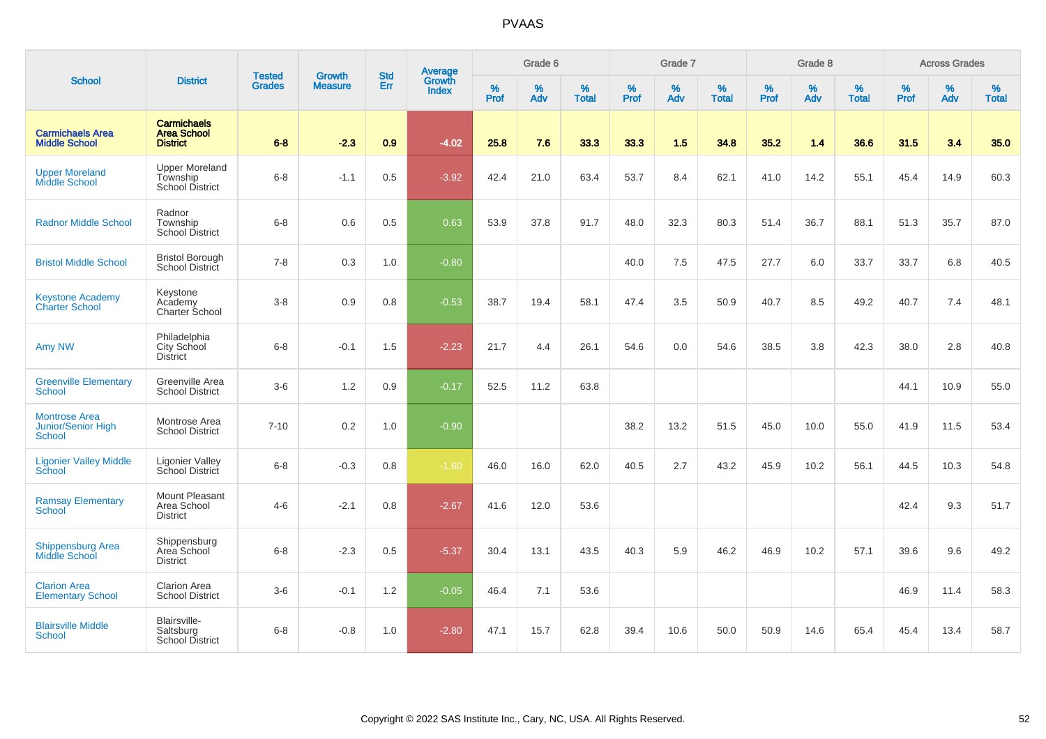|                                                             |                                                             |                                |                                 | <b>Std</b> |                                          |           | Grade 6  |                   |           | Grade 7  |                   |           | Grade 8  |                   |           | <b>Across Grades</b> |                   |
|-------------------------------------------------------------|-------------------------------------------------------------|--------------------------------|---------------------------------|------------|------------------------------------------|-----------|----------|-------------------|-----------|----------|-------------------|-----------|----------|-------------------|-----------|----------------------|-------------------|
| <b>School</b>                                               | <b>District</b>                                             | <b>Tested</b><br><b>Grades</b> | <b>Growth</b><br><b>Measure</b> | Err        | <b>Average</b><br>Growth<br><b>Index</b> | %<br>Prof | %<br>Adv | %<br><b>Total</b> | %<br>Prof | %<br>Adv | %<br><b>Total</b> | %<br>Prof | %<br>Adv | %<br><b>Total</b> | %<br>Prof | %<br>Adv             | %<br><b>Total</b> |
| <b>Carmichaels Area</b><br><b>Middle School</b>             | <b>Carmichaels</b><br><b>Area School</b><br><b>District</b> | $6 - 8$                        | $-2.3$                          | 0.9        | $-4.02$                                  | 25.8      | 7.6      | 33.3              | 33.3      | 1.5      | 34.8              | 35.2      | 1.4      | 36.6              | 31.5      | 3.4                  | 35.0              |
| <b>Upper Moreland</b><br><b>Middle School</b>               | <b>Upper Moreland</b><br>Township<br>School District        | $6 - 8$                        | $-1.1$                          | 0.5        | $-3.92$                                  | 42.4      | 21.0     | 63.4              | 53.7      | 8.4      | 62.1              | 41.0      | 14.2     | 55.1              | 45.4      | 14.9                 | 60.3              |
| <b>Radnor Middle School</b>                                 | Radnor<br>Township<br>School District                       | $6 - 8$                        | 0.6                             | 0.5        | 0.63                                     | 53.9      | 37.8     | 91.7              | 48.0      | 32.3     | 80.3              | 51.4      | 36.7     | 88.1              | 51.3      | 35.7                 | 87.0              |
| <b>Bristol Middle School</b>                                | <b>Bristol Borough</b><br><b>School District</b>            | $7 - 8$                        | 0.3                             | 1.0        | $-0.80$                                  |           |          |                   | 40.0      | $7.5\,$  | 47.5              | 27.7      | 6.0      | 33.7              | 33.7      | 6.8                  | 40.5              |
| <b>Keystone Academy</b><br><b>Charter School</b>            | Keystone<br>Academy<br>Charter School                       | $3 - 8$                        | 0.9                             | 0.8        | $-0.53$                                  | 38.7      | 19.4     | 58.1              | 47.4      | 3.5      | 50.9              | 40.7      | 8.5      | 49.2              | 40.7      | 7.4                  | 48.1              |
| Amy NW                                                      | Philadelphia<br>City School<br><b>District</b>              | $6 - 8$                        | $-0.1$                          | 1.5        | $-2.23$                                  | 21.7      | 4.4      | 26.1              | 54.6      | 0.0      | 54.6              | 38.5      | 3.8      | 42.3              | 38.0      | 2.8                  | 40.8              |
| <b>Greenville Elementary</b><br><b>School</b>               | Greenville Area<br><b>School District</b>                   | $3-6$                          | 1.2                             | 0.9        | $-0.17$                                  | 52.5      | 11.2     | 63.8              |           |          |                   |           |          |                   | 44.1      | 10.9                 | 55.0              |
| <b>Montrose Area</b><br><b>Junior/Senior High</b><br>School | Montrose Area<br><b>School District</b>                     | $7 - 10$                       | 0.2                             | 1.0        | $-0.90$                                  |           |          |                   | 38.2      | 13.2     | 51.5              | 45.0      | 10.0     | 55.0              | 41.9      | 11.5                 | 53.4              |
| <b>Ligonier Valley Middle</b><br>School                     | <b>Ligonier Valley</b><br>School District                   | $6 - 8$                        | $-0.3$                          | 0.8        | $-1.60$                                  | 46.0      | 16.0     | 62.0              | 40.5      | 2.7      | 43.2              | 45.9      | 10.2     | 56.1              | 44.5      | 10.3                 | 54.8              |
| <b>Ramsay Elementary</b><br><b>School</b>                   | Mount Pleasant<br>Area School<br><b>District</b>            | $4 - 6$                        | $-2.1$                          | 0.8        | $-2.67$                                  | 41.6      | 12.0     | 53.6              |           |          |                   |           |          |                   | 42.4      | 9.3                  | 51.7              |
| <b>Shippensburg Area</b><br>Middle School                   | Shippensburg<br>Area School<br><b>District</b>              | $6 - 8$                        | $-2.3$                          | 0.5        | $-5.37$                                  | 30.4      | 13.1     | 43.5              | 40.3      | 5.9      | 46.2              | 46.9      | 10.2     | 57.1              | 39.6      | 9.6                  | 49.2              |
| <b>Clarion Area</b><br><b>Elementary School</b>             | <b>Clarion Area</b><br><b>School District</b>               | $3-6$                          | $-0.1$                          | 1.2        | $-0.05$                                  | 46.4      | 7.1      | 53.6              |           |          |                   |           |          |                   | 46.9      | 11.4                 | 58.3              |
| <b>Blairsville Middle</b><br>School                         | Blairsville-<br>Saltsburg<br><b>School District</b>         | $6 - 8$                        | $-0.8$                          | 1.0        | $-2.80$                                  | 47.1      | 15.7     | 62.8              | 39.4      | 10.6     | 50.0              | 50.9      | 14.6     | 65.4              | 45.4      | 13.4                 | 58.7              |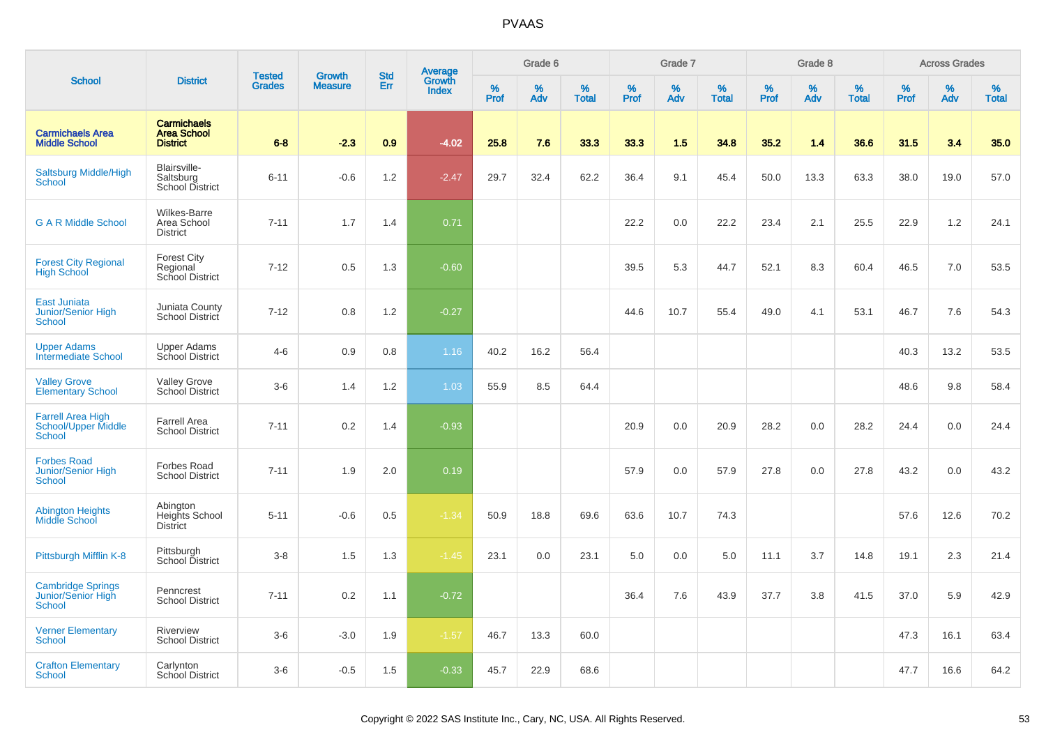|                                                                  |                                                             |                                |                                 | <b>Std</b> |                                          |                  | Grade 6  |                   |           | Grade 7  |                   |           | Grade 8  |                   |           | <b>Across Grades</b> |                   |
|------------------------------------------------------------------|-------------------------------------------------------------|--------------------------------|---------------------------------|------------|------------------------------------------|------------------|----------|-------------------|-----------|----------|-------------------|-----------|----------|-------------------|-----------|----------------------|-------------------|
| <b>School</b>                                                    | <b>District</b>                                             | <b>Tested</b><br><b>Grades</b> | <b>Growth</b><br><b>Measure</b> | Err        | <b>Average</b><br>Growth<br><b>Index</b> | %<br><b>Prof</b> | %<br>Adv | %<br><b>Total</b> | %<br>Prof | %<br>Adv | %<br><b>Total</b> | %<br>Prof | %<br>Adv | %<br><b>Total</b> | %<br>Prof | %<br>Adv             | %<br><b>Total</b> |
| <b>Carmichaels Area</b><br><b>Middle School</b>                  | <b>Carmichaels</b><br><b>Area School</b><br><b>District</b> | $6 - 8$                        | $-2.3$                          | 0.9        | $-4.02$                                  | 25.8             | 7.6      | 33.3              | 33.3      | 1.5      | 34.8              | 35.2      | 1.4      | 36.6              | 31.5      | 3.4                  | 35.0              |
| <b>Saltsburg Middle/High</b><br>School                           | Blairsville-<br>Saltsburg<br><b>School District</b>         | $6 - 11$                       | $-0.6$                          | 1.2        | $-2.47$                                  | 29.7             | 32.4     | 62.2              | 36.4      | 9.1      | 45.4              | 50.0      | 13.3     | 63.3              | 38.0      | 19.0                 | 57.0              |
| <b>G A R Middle School</b>                                       | Wilkes-Barre<br>Area School<br><b>District</b>              | $7 - 11$                       | 1.7                             | 1.4        | 0.71                                     |                  |          |                   | 22.2      | 0.0      | 22.2              | 23.4      | 2.1      | 25.5              | 22.9      | 1.2                  | 24.1              |
| <b>Forest City Regional</b><br><b>High School</b>                | <b>Forest City</b><br>Regional<br>School District           | $7 - 12$                       | 0.5                             | 1.3        | $-0.60$                                  |                  |          |                   | 39.5      | 5.3      | 44.7              | 52.1      | 8.3      | 60.4              | 46.5      | 7.0                  | 53.5              |
| <b>East Juniata</b><br>Junior/Senior High<br><b>School</b>       | Juniata County<br>School District                           | $7 - 12$                       | 0.8                             | 1.2        | $-0.27$                                  |                  |          |                   | 44.6      | 10.7     | 55.4              | 49.0      | 4.1      | 53.1              | 46.7      | 7.6                  | 54.3              |
| <b>Upper Adams</b><br><b>Intermediate School</b>                 | <b>Upper Adams</b><br>School District                       | $4 - 6$                        | 0.9                             | 0.8        | 1.16                                     | 40.2             | 16.2     | 56.4              |           |          |                   |           |          |                   | 40.3      | 13.2                 | 53.5              |
| <b>Valley Grove</b><br><b>Elementary School</b>                  | <b>Valley Grove</b><br>School District                      | $3-6$                          | 1.4                             | 1.2        | 1.03                                     | 55.9             | 8.5      | 64.4              |           |          |                   |           |          |                   | 48.6      | 9.8                  | 58.4              |
| <b>Farrell Area High</b><br><b>School/Upper Middle</b><br>School | <b>Farrell Area</b><br><b>School District</b>               | $7 - 11$                       | 0.2                             | 1.4        | $-0.93$                                  |                  |          |                   | 20.9      | 0.0      | 20.9              | 28.2      | 0.0      | 28.2              | 24.4      | 0.0                  | 24.4              |
| <b>Forbes Road</b><br>Junior/Senior High<br>School               | <b>Forbes Road</b><br><b>School District</b>                | $7 - 11$                       | 1.9                             | 2.0        | 0.19                                     |                  |          |                   | 57.9      | 0.0      | 57.9              | 27.8      | 0.0      | 27.8              | 43.2      | 0.0                  | 43.2              |
| <b>Abington Heights</b><br>Middle School                         | Abington<br>Heights School<br><b>District</b>               | $5 - 11$                       | $-0.6$                          | 0.5        | $-1.34$                                  | 50.9             | 18.8     | 69.6              | 63.6      | 10.7     | 74.3              |           |          |                   | 57.6      | 12.6                 | 70.2              |
| Pittsburgh Mifflin K-8                                           | Pittsburgh<br>School District                               | $3 - 8$                        | 1.5                             | 1.3        | $-1.45$                                  | 23.1             | 0.0      | 23.1              | 5.0       | 0.0      | 5.0               | 11.1      | 3.7      | 14.8              | 19.1      | 2.3                  | 21.4              |
| <b>Cambridge Springs</b><br>Junior/Senior High<br>School         | Penncrest<br><b>School District</b>                         | $7 - 11$                       | 0.2                             | 1.1        | $-0.72$                                  |                  |          |                   | 36.4      | 7.6      | 43.9              | 37.7      | 3.8      | 41.5              | 37.0      | 5.9                  | 42.9              |
| <b>Verner Elementary</b><br><b>School</b>                        | Riverview<br><b>School District</b>                         | $3-6$                          | $-3.0$                          | 1.9        | $-1.57$                                  | 46.7             | 13.3     | 60.0              |           |          |                   |           |          |                   | 47.3      | 16.1                 | 63.4              |
| <b>Crafton Elementary</b><br>School                              | Carlynton<br><b>School District</b>                         | $3-6$                          | $-0.5$                          | 1.5        | $-0.33$                                  | 45.7             | 22.9     | 68.6              |           |          |                   |           |          |                   | 47.7      | 16.6                 | 64.2              |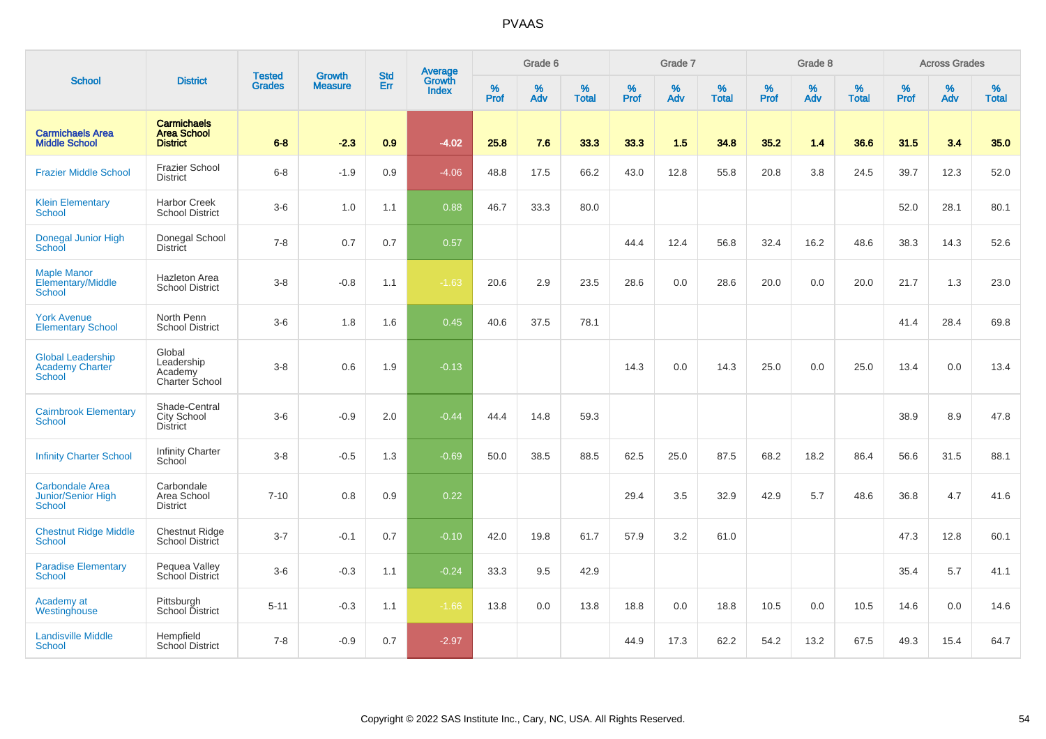|                                                               |                                                             |                                |                                 | <b>Std</b> |                                          |                  | Grade 6     |                   |           | Grade 7  |                   |           | Grade 8  |                   |           | <b>Across Grades</b> |                   |
|---------------------------------------------------------------|-------------------------------------------------------------|--------------------------------|---------------------------------|------------|------------------------------------------|------------------|-------------|-------------------|-----------|----------|-------------------|-----------|----------|-------------------|-----------|----------------------|-------------------|
| <b>School</b>                                                 | <b>District</b>                                             | <b>Tested</b><br><b>Grades</b> | <b>Growth</b><br><b>Measure</b> | Err        | <b>Average</b><br>Growth<br><b>Index</b> | %<br><b>Prof</b> | $\%$<br>Adv | %<br><b>Total</b> | %<br>Prof | %<br>Adv | %<br><b>Total</b> | %<br>Prof | %<br>Adv | %<br><b>Total</b> | %<br>Prof | %<br>Adv             | %<br><b>Total</b> |
| <b>Carmichaels Area</b><br><b>Middle School</b>               | <b>Carmichaels</b><br><b>Area School</b><br><b>District</b> | $6 - 8$                        | $-2.3$                          | 0.9        | $-4.02$                                  | 25.8             | 7.6         | 33.3              | 33.3      | 1.5      | 34.8              | 35.2      | 1.4      | 36.6              | 31.5      | 3.4                  | 35.0              |
| <b>Frazier Middle School</b>                                  | <b>Frazier School</b><br><b>District</b>                    | $6 - 8$                        | $-1.9$                          | 0.9        | $-4.06$                                  | 48.8             | 17.5        | 66.2              | 43.0      | 12.8     | 55.8              | 20.8      | 3.8      | 24.5              | 39.7      | 12.3                 | 52.0              |
| <b>Klein Elementary</b><br><b>School</b>                      | <b>Harbor Creek</b><br><b>School District</b>               | $3-6$                          | 1.0                             | 1.1        | 0.88                                     | 46.7             | 33.3        | 80.0              |           |          |                   |           |          |                   | 52.0      | 28.1                 | 80.1              |
| Donegal Junior High<br>School                                 | Donegal School<br><b>District</b>                           | $7 - 8$                        | 0.7                             | 0.7        | 0.57                                     |                  |             |                   | 44.4      | 12.4     | 56.8              | 32.4      | 16.2     | 48.6              | 38.3      | 14.3                 | 52.6              |
| <b>Maple Manor</b><br>Elementary/Middle<br><b>School</b>      | <b>Hazleton Area</b><br><b>School District</b>              | $3 - 8$                        | $-0.8$                          | 1.1        | $-1.63$                                  | 20.6             | 2.9         | 23.5              | 28.6      | 0.0      | 28.6              | 20.0      | 0.0      | 20.0              | 21.7      | 1.3                  | 23.0              |
| <b>York Avenue</b><br><b>Elementary School</b>                | North Penn<br><b>School District</b>                        | $3-6$                          | 1.8                             | 1.6        | 0.45                                     | 40.6             | 37.5        | 78.1              |           |          |                   |           |          |                   | 41.4      | 28.4                 | 69.8              |
| <b>Global Leadership</b><br><b>Academy Charter</b><br>School  | Global<br>Leadership<br>Academy<br>Charter School           | $3 - 8$                        | 0.6                             | 1.9        | $-0.13$                                  |                  |             |                   | 14.3      | 0.0      | 14.3              | 25.0      | 0.0      | 25.0              | 13.4      | 0.0                  | 13.4              |
| <b>Cairnbrook Elementary</b><br>School                        | Shade-Central<br>City School<br>District                    | $3-6$                          | $-0.9$                          | 2.0        | $-0.44$                                  | 44.4             | 14.8        | 59.3              |           |          |                   |           |          |                   | 38.9      | 8.9                  | 47.8              |
| <b>Infinity Charter School</b>                                | <b>Infinity Charter</b><br>School                           | $3 - 8$                        | $-0.5$                          | 1.3        | $-0.69$                                  | 50.0             | 38.5        | 88.5              | 62.5      | 25.0     | 87.5              | 68.2      | 18.2     | 86.4              | 56.6      | 31.5                 | 88.1              |
| <b>Carbondale Area</b><br><b>Junior/Senior High</b><br>School | Carbondale<br>Area School<br><b>District</b>                | $7 - 10$                       | 0.8                             | 0.9        | 0.22                                     |                  |             |                   | 29.4      | 3.5      | 32.9              | 42.9      | 5.7      | 48.6              | 36.8      | 4.7                  | 41.6              |
| <b>Chestnut Ridge Middle</b><br>School                        | Chestnut Ridge<br>School District                           | $3 - 7$                        | $-0.1$                          | 0.7        | $-0.10$                                  | 42.0             | 19.8        | 61.7              | 57.9      | 3.2      | 61.0              |           |          |                   | 47.3      | 12.8                 | 60.1              |
| <b>Paradise Elementary</b><br><b>School</b>                   | Pequea Valley<br>School District                            | $3-6$                          | $-0.3$                          | 1.1        | $-0.24$                                  | 33.3             | 9.5         | 42.9              |           |          |                   |           |          |                   | 35.4      | 5.7                  | 41.1              |
| Academy at<br>Westinghouse                                    | Pittsburgh<br>School District                               | $5 - 11$                       | $-0.3$                          | 1.1        | $-1.66$                                  | 13.8             | 0.0         | 13.8              | 18.8      | 0.0      | 18.8              | 10.5      | 0.0      | 10.5              | 14.6      | 0.0                  | 14.6              |
| <b>Landisville Middle</b><br><b>School</b>                    | Hempfield<br><b>School District</b>                         | $7 - 8$                        | $-0.9$                          | 0.7        | $-2.97$                                  |                  |             |                   | 44.9      | 17.3     | 62.2              | 54.2      | 13.2     | 67.5              | 49.3      | 15.4                 | 64.7              |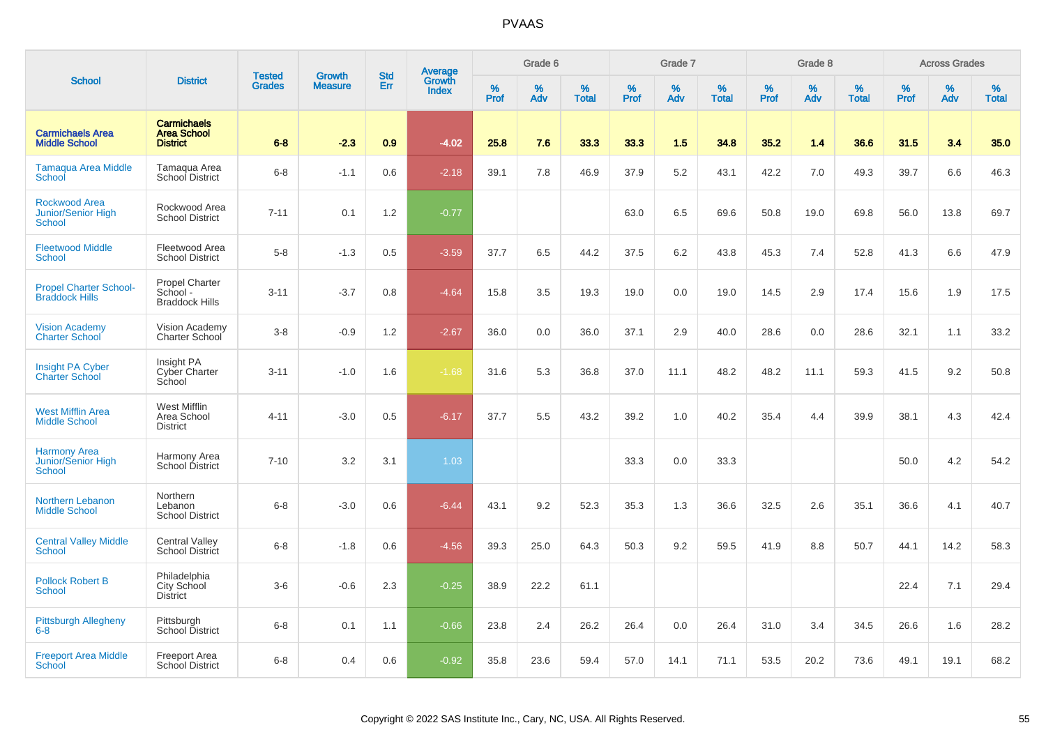|                                                                    |                                                             | <b>Tested</b> | <b>Growth</b>  | <b>Std</b> |                                          |                  | Grade 6     |                   |           | Grade 7     |                   |           | Grade 8  |                   |              | <b>Across Grades</b> |                   |
|--------------------------------------------------------------------|-------------------------------------------------------------|---------------|----------------|------------|------------------------------------------|------------------|-------------|-------------------|-----------|-------------|-------------------|-----------|----------|-------------------|--------------|----------------------|-------------------|
| <b>School</b>                                                      | <b>District</b>                                             | <b>Grades</b> | <b>Measure</b> | Err        | <b>Average</b><br>Growth<br><b>Index</b> | %<br><b>Prof</b> | $\%$<br>Adv | %<br><b>Total</b> | %<br>Prof | $\%$<br>Adv | %<br><b>Total</b> | %<br>Prof | %<br>Adv | %<br><b>Total</b> | $\%$<br>Prof | $\%$<br>Adv          | %<br><b>Total</b> |
| <b>Carmichaels Area</b><br><b>Middle School</b>                    | <b>Carmichaels</b><br><b>Area School</b><br><b>District</b> | $6 - 8$       | $-2.3$         | 0.9        | $-4.02$                                  | 25.8             | 7.6         | 33.3              | 33.3      | 1.5         | 34.8              | 35.2      | 1.4      | 36.6              | 31.5         | 3.4                  | 35.0              |
| <b>Tamaqua Area Middle</b><br>School                               | Tamaqua Area<br><b>School District</b>                      | $6-8$         | $-1.1$         | 0.6        | $-2.18$                                  | 39.1             | 7.8         | 46.9              | 37.9      | 5.2         | 43.1              | 42.2      | 7.0      | 49.3              | 39.7         | 6.6                  | 46.3              |
| <b>Rockwood Area</b><br><b>Junior/Senior High</b><br><b>School</b> | Rockwood Area<br><b>School District</b>                     | $7 - 11$      | 0.1            | 1.2        | $-0.77$                                  |                  |             |                   | 63.0      | 6.5         | 69.6              | 50.8      | 19.0     | 69.8              | 56.0         | 13.8                 | 69.7              |
| <b>Fleetwood Middle</b><br><b>School</b>                           | Fleetwood Area<br><b>School District</b>                    | $5-8$         | $-1.3$         | 0.5        | $-3.59$                                  | 37.7             | 6.5         | 44.2              | 37.5      | 6.2         | 43.8              | 45.3      | 7.4      | 52.8              | 41.3         | 6.6                  | 47.9              |
| <b>Propel Charter School-</b><br><b>Braddock Hills</b>             | <b>Propel Charter</b><br>School -<br><b>Braddock Hills</b>  | $3 - 11$      | $-3.7$         | 0.8        | $-4.64$                                  | 15.8             | 3.5         | 19.3              | 19.0      | 0.0         | 19.0              | 14.5      | 2.9      | 17.4              | 15.6         | 1.9                  | 17.5              |
| <b>Vision Academy</b><br><b>Charter School</b>                     | Vision Academy<br>Charter School                            | $3-8$         | $-0.9$         | 1.2        | $-2.67$                                  | 36.0             | 0.0         | 36.0              | 37.1      | 2.9         | 40.0              | 28.6      | 0.0      | 28.6              | 32.1         | 1.1                  | 33.2              |
| Insight PA Cyber<br><b>Charter School</b>                          | Insight PA<br><b>Cyber Charter</b><br>School                | $3 - 11$      | $-1.0$         | 1.6        | $-1.68$                                  | 31.6             | 5.3         | 36.8              | 37.0      | 11.1        | 48.2              | 48.2      | 11.1     | 59.3              | 41.5         | 9.2                  | 50.8              |
| <b>West Mifflin Area</b><br><b>Middle School</b>                   | West Mifflin<br>Area School<br><b>District</b>              | $4 - 11$      | $-3.0$         | 0.5        | $-6.17$                                  | 37.7             | 5.5         | 43.2              | 39.2      | 1.0         | 40.2              | 35.4      | 4.4      | 39.9              | 38.1         | 4.3                  | 42.4              |
| <b>Harmony Area</b><br>Junior/Senior High<br>School                | Harmony Area<br>School District                             | $7 - 10$      | 3.2            | 3.1        | 1.03                                     |                  |             |                   | 33.3      | 0.0         | 33.3              |           |          |                   | 50.0         | 4.2                  | 54.2              |
| <b>Northern Lebanon</b><br><b>Middle School</b>                    | Northern<br>Lebanon<br><b>School District</b>               | $6 - 8$       | $-3.0$         | 0.6        | $-6.44$                                  | 43.1             | 9.2         | 52.3              | 35.3      | 1.3         | 36.6              | 32.5      | 2.6      | 35.1              | 36.6         | 4.1                  | 40.7              |
| <b>Central Valley Middle</b><br>School                             | <b>Central Valley</b><br><b>School District</b>             | $6 - 8$       | $-1.8$         | 0.6        | $-4.56$                                  | 39.3             | 25.0        | 64.3              | 50.3      | 9.2         | 59.5              | 41.9      | 8.8      | 50.7              | 44.1         | 14.2                 | 58.3              |
| <b>Pollock Robert B</b><br><b>School</b>                           | Philadelphia<br>City School<br><b>District</b>              | $3-6$         | $-0.6$         | 2.3        | $-0.25$                                  | 38.9             | 22.2        | 61.1              |           |             |                   |           |          |                   | 22.4         | 7.1                  | 29.4              |
| <b>Pittsburgh Allegheny</b><br>$6 - 8$                             | Pittsburgh<br>School District                               | $6 - 8$       | 0.1            | 1.1        | $-0.66$                                  | 23.8             | 2.4         | 26.2              | 26.4      | 0.0         | 26.4              | 31.0      | 3.4      | 34.5              | 26.6         | 1.6                  | 28.2              |
| <b>Freeport Area Middle</b><br>School                              | Freeport Area<br>School District                            | $6 - 8$       | 0.4            | 0.6        | $-0.92$                                  | 35.8             | 23.6        | 59.4              | 57.0      | 14.1        | 71.1              | 53.5      | 20.2     | 73.6              | 49.1         | 19.1                 | 68.2              |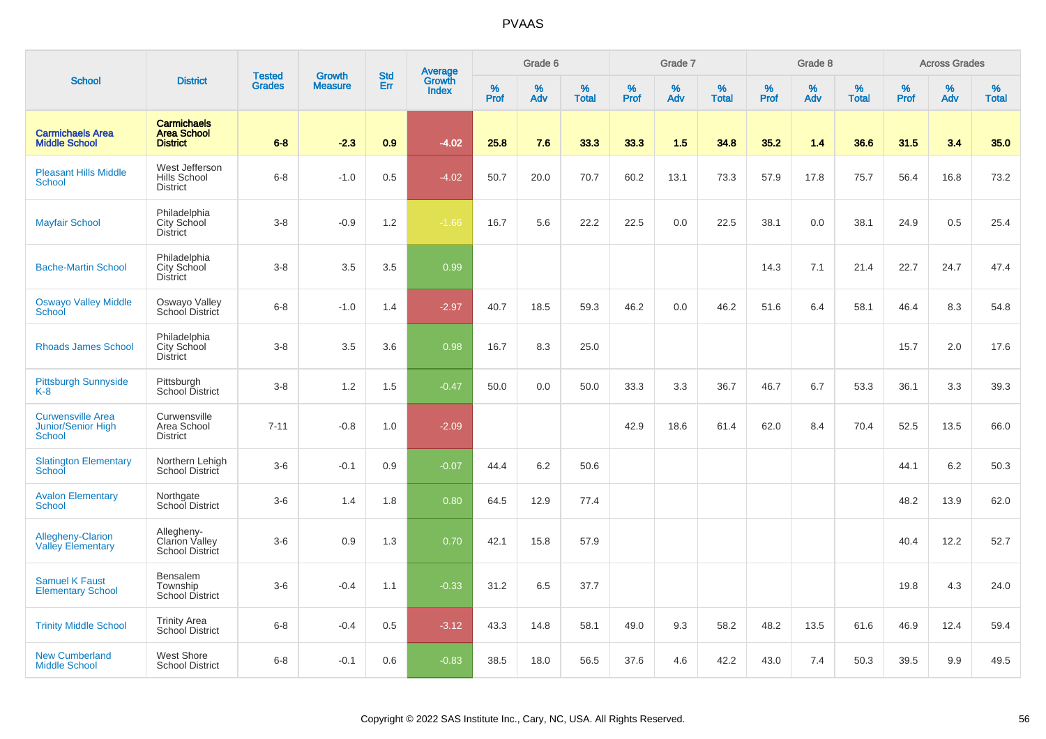|                                                                 |                                                             | <b>Tested</b> | <b>Growth</b>  | <b>Std</b> |                                   |                  | Grade 6  |                   |           | Grade 7  |                   |              | Grade 8  |                   |              | <b>Across Grades</b> |                   |
|-----------------------------------------------------------------|-------------------------------------------------------------|---------------|----------------|------------|-----------------------------------|------------------|----------|-------------------|-----------|----------|-------------------|--------------|----------|-------------------|--------------|----------------------|-------------------|
| <b>School</b>                                                   | <b>District</b>                                             | <b>Grades</b> | <b>Measure</b> | <b>Err</b> | Average<br>Growth<br><b>Index</b> | %<br><b>Prof</b> | %<br>Adv | %<br><b>Total</b> | %<br>Prof | %<br>Adv | %<br><b>Total</b> | $\%$<br>Prof | %<br>Adv | %<br><b>Total</b> | $\%$<br>Prof | $\%$<br>Adv          | %<br><b>Total</b> |
| <b>Carmichaels Area</b><br><b>Middle School</b>                 | <b>Carmichaels</b><br><b>Area School</b><br><b>District</b> | $6 - 8$       | $-2.3$         | 0.9        | $-4.02$                           | 25.8             | 7.6      | 33.3              | 33.3      | 1.5      | 34.8              | 35.2         | 1.4      | 36.6              | 31.5         | 3.4                  | 35.0              |
| <b>Pleasant Hills Middle</b><br>School                          | West Jefferson<br>Hills School<br><b>District</b>           | $6-8$         | $-1.0$         | 0.5        | $-4.02$                           | 50.7             | 20.0     | 70.7              | 60.2      | 13.1     | 73.3              | 57.9         | 17.8     | 75.7              | 56.4         | 16.8                 | 73.2              |
| <b>Mayfair School</b>                                           | Philadelphia<br>City School<br><b>District</b>              | $3 - 8$       | $-0.9$         | 1.2        | $-1.66$                           | 16.7             | 5.6      | 22.2              | 22.5      | 0.0      | 22.5              | 38.1         | 0.0      | 38.1              | 24.9         | 0.5                  | 25.4              |
| <b>Bache-Martin School</b>                                      | Philadelphia<br>City School<br><b>District</b>              | $3 - 8$       | 3.5            | 3.5        | 0.99                              |                  |          |                   |           |          |                   | 14.3         | 7.1      | 21.4              | 22.7         | 24.7                 | 47.4              |
| <b>Oswayo Valley Middle</b><br>School                           | Oswayo Valley<br>School District                            | $6 - 8$       | $-1.0$         | 1.4        | $-2.97$                           | 40.7             | 18.5     | 59.3              | 46.2      | 0.0      | 46.2              | 51.6         | 6.4      | 58.1              | 46.4         | 8.3                  | 54.8              |
| <b>Rhoads James School</b>                                      | Philadelphia<br>City School<br><b>District</b>              | $3 - 8$       | 3.5            | 3.6        | 0.98                              | 16.7             | 8.3      | 25.0              |           |          |                   |              |          |                   | 15.7         | 2.0                  | 17.6              |
| <b>Pittsburgh Sunnyside</b><br>$K-8$                            | Pittsburgh<br>School District                               | $3 - 8$       | 1.2            | 1.5        | $-0.47$                           | 50.0             | 0.0      | 50.0              | 33.3      | 3.3      | 36.7              | 46.7         | 6.7      | 53.3              | 36.1         | 3.3                  | 39.3              |
| <b>Curwensville Area</b><br><b>Junior/Senior High</b><br>School | Curwensville<br>Area School<br>District                     | $7 - 11$      | $-0.8$         | 1.0        | $-2.09$                           |                  |          |                   | 42.9      | 18.6     | 61.4              | 62.0         | 8.4      | 70.4              | 52.5         | 13.5                 | 66.0              |
| <b>Slatington Elementary</b><br>School                          | Northern Lehigh<br>School District                          | $3-6$         | $-0.1$         | 0.9        | $-0.07$                           | 44.4             | 6.2      | 50.6              |           |          |                   |              |          |                   | 44.1         | 6.2                  | 50.3              |
| <b>Avalon Elementary</b><br>School                              | Northgate<br>School District                                | $3-6$         | 1.4            | 1.8        | 0.80                              | 64.5             | 12.9     | 77.4              |           |          |                   |              |          |                   | 48.2         | 13.9                 | 62.0              |
| <b>Allegheny-Clarion</b><br><b>Valley Elementary</b>            | Allegheny-<br>Clarion Valley<br><b>School District</b>      | $3-6$         | 0.9            | 1.3        | 0.70                              | 42.1             | 15.8     | 57.9              |           |          |                   |              |          |                   | 40.4         | 12.2                 | 52.7              |
| <b>Samuel K Faust</b><br><b>Elementary School</b>               | <b>Bensalem</b><br>Township<br><b>School District</b>       | $3-6$         | $-0.4$         | 1.1        | $-0.33$                           | 31.2             | 6.5      | 37.7              |           |          |                   |              |          |                   | 19.8         | 4.3                  | 24.0              |
| <b>Trinity Middle School</b>                                    | <b>Trinity Area</b><br>School District                      | $6 - 8$       | $-0.4$         | 0.5        | $-3.12$                           | 43.3             | 14.8     | 58.1              | 49.0      | 9.3      | 58.2              | 48.2         | 13.5     | 61.6              | 46.9         | 12.4                 | 59.4              |
| <b>New Cumberland</b><br><b>Middle School</b>                   | West Shore<br><b>School District</b>                        | $6 - 8$       | $-0.1$         | 0.6        | $-0.83$                           | 38.5             | 18.0     | 56.5              | 37.6      | 4.6      | 42.2              | 43.0         | 7.4      | 50.3              | 39.5         | 9.9                  | 49.5              |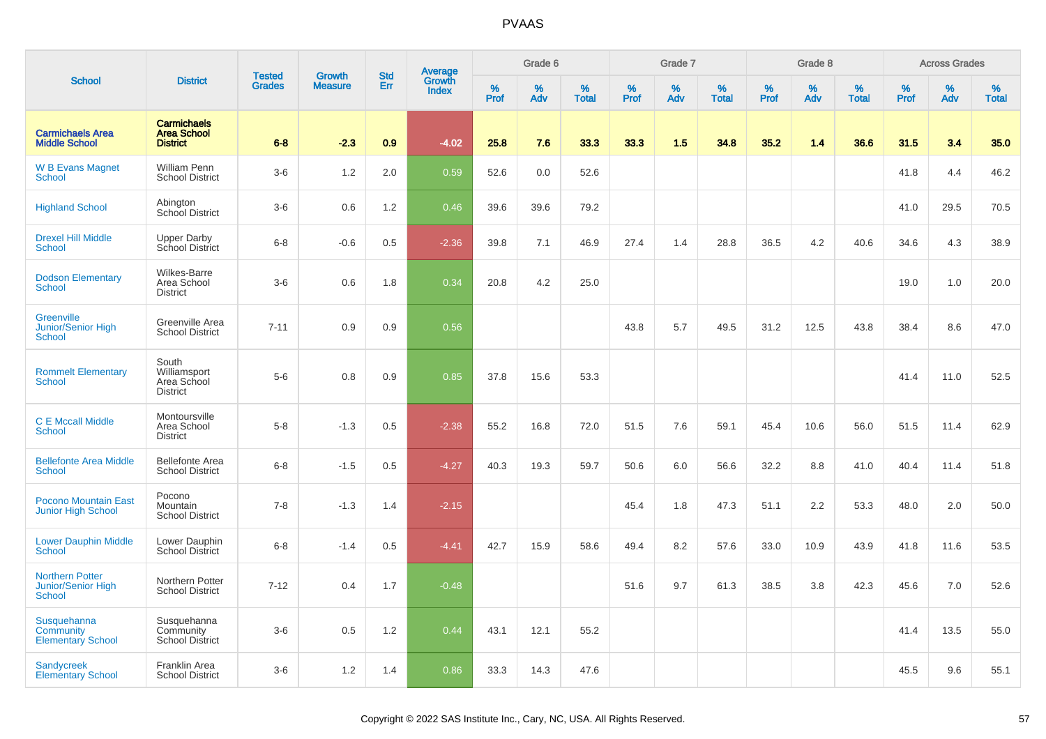|                                                               |                                                             |                                |                                 | <b>Std</b> |                                          |                  | Grade 6  |                   |           | Grade 7  |                   |           | Grade 8  |                   |           | <b>Across Grades</b> |                   |
|---------------------------------------------------------------|-------------------------------------------------------------|--------------------------------|---------------------------------|------------|------------------------------------------|------------------|----------|-------------------|-----------|----------|-------------------|-----------|----------|-------------------|-----------|----------------------|-------------------|
| <b>School</b>                                                 | <b>District</b>                                             | <b>Tested</b><br><b>Grades</b> | <b>Growth</b><br><b>Measure</b> | Err        | <b>Average</b><br>Growth<br><b>Index</b> | %<br><b>Prof</b> | %<br>Adv | %<br><b>Total</b> | %<br>Prof | %<br>Adv | %<br><b>Total</b> | %<br>Prof | %<br>Adv | %<br><b>Total</b> | %<br>Prof | %<br>Adv             | %<br><b>Total</b> |
| <b>Carmichaels Area</b><br><b>Middle School</b>               | <b>Carmichaels</b><br><b>Area School</b><br><b>District</b> | $6 - 8$                        | $-2.3$                          | 0.9        | $-4.02$                                  | 25.8             | 7.6      | 33.3              | 33.3      | 1.5      | 34.8              | 35.2      | 1.4      | 36.6              | 31.5      | 3.4                  | 35.0              |
| <b>W B Evans Magnet</b><br>School                             | <b>William Penn</b><br><b>School District</b>               | $3-6$                          | 1.2                             | 2.0        | 0.59                                     | 52.6             | 0.0      | 52.6              |           |          |                   |           |          |                   | 41.8      | 4.4                  | 46.2              |
| <b>Highland School</b>                                        | Abington<br>School District                                 | $3-6$                          | 0.6                             | 1.2        | 0.46                                     | 39.6             | 39.6     | 79.2              |           |          |                   |           |          |                   | 41.0      | 29.5                 | 70.5              |
| <b>Drexel Hill Middle</b><br><b>School</b>                    | <b>Upper Darby</b><br>School District                       | $6 - 8$                        | $-0.6$                          | 0.5        | $-2.36$                                  | 39.8             | 7.1      | 46.9              | 27.4      | 1.4      | 28.8              | 36.5      | 4.2      | 40.6              | 34.6      | 4.3                  | 38.9              |
| <b>Dodson Elementary</b><br><b>School</b>                     | <b>Wilkes-Barre</b><br>Area School<br><b>District</b>       | $3-6$                          | 0.6                             | 1.8        | 0.34                                     | 20.8             | 4.2      | 25.0              |           |          |                   |           |          |                   | 19.0      | 1.0                  | 20.0              |
| Greenville<br>Junior/Senior High<br><b>School</b>             | Greenville Area<br><b>School District</b>                   | $7 - 11$                       | 0.9                             | 0.9        | 0.56                                     |                  |          |                   | 43.8      | 5.7      | 49.5              | 31.2      | 12.5     | 43.8              | 38.4      | 8.6                  | 47.0              |
| <b>Rommelt Elementary</b><br><b>School</b>                    | South<br>Williamsport<br>Area School<br><b>District</b>     | $5-6$                          | 0.8                             | 0.9        | 0.85                                     | 37.8             | 15.6     | 53.3              |           |          |                   |           |          |                   | 41.4      | 11.0                 | 52.5              |
| <b>C E Mccall Middle</b><br><b>School</b>                     | Montoursville<br>Area School<br><b>District</b>             | $5-8$                          | $-1.3$                          | 0.5        | $-2.38$                                  | 55.2             | 16.8     | 72.0              | 51.5      | 7.6      | 59.1              | 45.4      | 10.6     | 56.0              | 51.5      | 11.4                 | 62.9              |
| <b>Bellefonte Area Middle</b><br>School                       | <b>Bellefonte Area</b><br><b>School District</b>            | $6-8$                          | $-1.5$                          | 0.5        | $-4.27$                                  | 40.3             | 19.3     | 59.7              | 50.6      | 6.0      | 56.6              | 32.2      | 8.8      | 41.0              | 40.4      | 11.4                 | 51.8              |
| <b>Pocono Mountain East</b><br><b>Junior High School</b>      | Pocono<br>Mountain<br><b>School District</b>                | $7 - 8$                        | $-1.3$                          | 1.4        | $-2.15$                                  |                  |          |                   | 45.4      | 1.8      | 47.3              | 51.1      | 2.2      | 53.3              | 48.0      | 2.0                  | 50.0              |
| <b>Lower Dauphin Middle</b><br><b>School</b>                  | Lower Dauphin<br><b>School District</b>                     | $6-8$                          | $-1.4$                          | 0.5        | $-4.41$                                  | 42.7             | 15.9     | 58.6              | 49.4      | 8.2      | 57.6              | 33.0      | 10.9     | 43.9              | 41.8      | 11.6                 | 53.5              |
| <b>Northern Potter</b><br>Junior/Senior High<br><b>School</b> | Northern Potter<br><b>School District</b>                   | $7 - 12$                       | 0.4                             | 1.7        | $-0.48$                                  |                  |          |                   | 51.6      | 9.7      | 61.3              | 38.5      | 3.8      | 42.3              | 45.6      | 7.0                  | 52.6              |
| Susquehanna<br>Community<br><b>Elementary School</b>          | Susquehanna<br>Community<br>School District                 | $3-6$                          | 0.5                             | 1.2        | 0.44                                     | 43.1             | 12.1     | 55.2              |           |          |                   |           |          |                   | 41.4      | 13.5                 | 55.0              |
| <b>Sandycreek</b><br><b>Elementary School</b>                 | Franklin Area<br><b>School District</b>                     | $3-6$                          | 1.2                             | 1.4        | 0.86                                     | 33.3             | 14.3     | 47.6              |           |          |                   |           |          |                   | 45.5      | 9.6                  | 55.1              |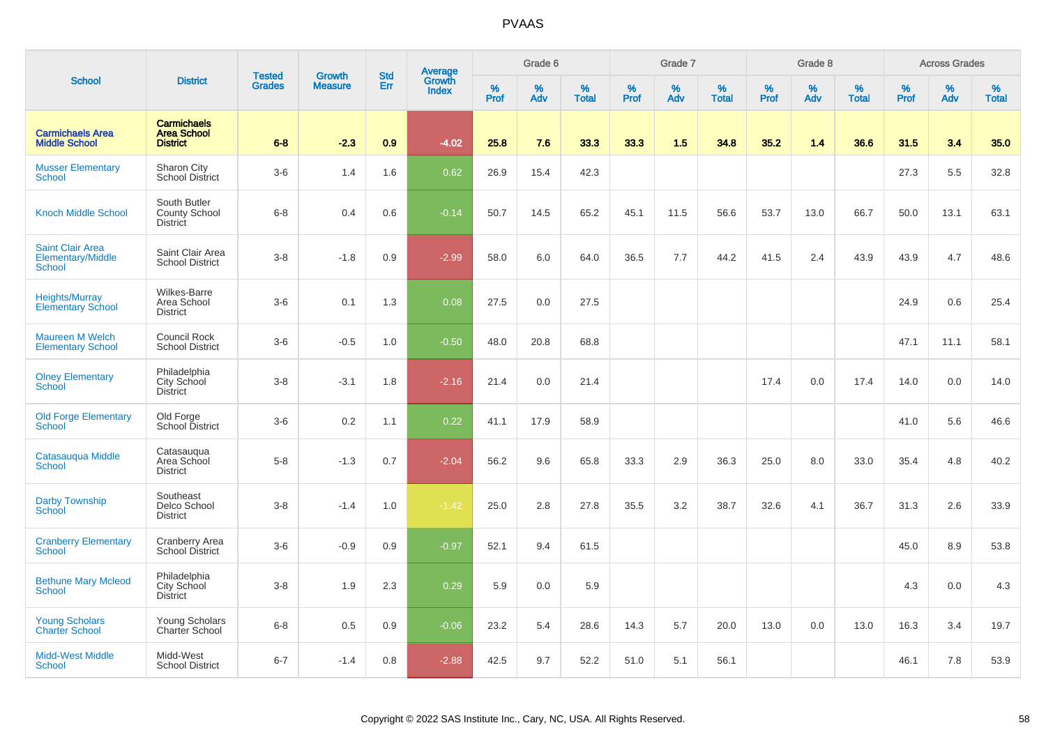|                                                               |                                                             | <b>Tested</b> | <b>Growth</b>  | <b>Std</b> |                                          |                  | Grade 6     |                   |           | Grade 7  |                   |              | Grade 8  |                   |              | <b>Across Grades</b> |                   |
|---------------------------------------------------------------|-------------------------------------------------------------|---------------|----------------|------------|------------------------------------------|------------------|-------------|-------------------|-----------|----------|-------------------|--------------|----------|-------------------|--------------|----------------------|-------------------|
| <b>School</b>                                                 | <b>District</b>                                             | <b>Grades</b> | <b>Measure</b> | Err        | <b>Average</b><br>Growth<br><b>Index</b> | %<br><b>Prof</b> | $\%$<br>Adv | %<br><b>Total</b> | %<br>Prof | %<br>Adv | %<br><b>Total</b> | $\%$<br>Prof | %<br>Adv | %<br><b>Total</b> | $\%$<br>Prof | $\%$<br>Adv          | %<br><b>Total</b> |
| <b>Carmichaels Area</b><br><b>Middle School</b>               | <b>Carmichaels</b><br><b>Area School</b><br><b>District</b> | $6 - 8$       | $-2.3$         | 0.9        | $-4.02$                                  | 25.8             | 7.6         | 33.3              | 33.3      | 1.5      | 34.8              | 35.2         | 1.4      | 36.6              | 31.5         | 3.4                  | 35.0              |
| <b>Musser Elementary</b><br>School                            | Sharon City<br><b>School District</b>                       | $3-6$         | 1.4            | 1.6        | 0.62                                     | 26.9             | 15.4        | 42.3              |           |          |                   |              |          |                   | 27.3         | 5.5                  | 32.8              |
| <b>Knoch Middle School</b>                                    | South Butler<br><b>County School</b><br><b>District</b>     | $6 - 8$       | 0.4            | 0.6        | $-0.14$                                  | 50.7             | 14.5        | 65.2              | 45.1      | 11.5     | 56.6              | 53.7         | 13.0     | 66.7              | 50.0         | 13.1                 | 63.1              |
| <b>Saint Clair Area</b><br>Elementary/Middle<br><b>School</b> | Saint Clair Area<br><b>School District</b>                  | $3 - 8$       | $-1.8$         | 0.9        | $-2.99$                                  | 58.0             | 6.0         | 64.0              | 36.5      | 7.7      | 44.2              | 41.5         | 2.4      | 43.9              | 43.9         | 4.7                  | 48.6              |
| Heights/Murray<br><b>Elementary School</b>                    | Wilkes-Barre<br>Area School<br><b>District</b>              | $3-6$         | 0.1            | 1.3        | 0.08                                     | 27.5             | 0.0         | 27.5              |           |          |                   |              |          |                   | 24.9         | 0.6                  | 25.4              |
| <b>Maureen M Welch</b><br><b>Elementary School</b>            | Council Rock<br><b>School District</b>                      | $3-6$         | $-0.5$         | 1.0        | $-0.50$                                  | 48.0             | 20.8        | 68.8              |           |          |                   |              |          |                   | 47.1         | 11.1                 | 58.1              |
| <b>Olney Elementary</b><br>School                             | Philadelphia<br>City School<br><b>District</b>              | $3 - 8$       | $-3.1$         | 1.8        | $-2.16$                                  | 21.4             | 0.0         | 21.4              |           |          |                   | 17.4         | 0.0      | 17.4              | 14.0         | 0.0                  | 14.0              |
| <b>Old Forge Elementary</b><br><b>School</b>                  | Old Forge<br>School District                                | $3-6$         | 0.2            | 1.1        | 0.22                                     | 41.1             | 17.9        | 58.9              |           |          |                   |              |          |                   | 41.0         | 5.6                  | 46.6              |
| Catasauqua Middle<br>School                                   | Catasaugua<br>Area School<br><b>District</b>                | $5-8$         | $-1.3$         | 0.7        | $-2.04$                                  | 56.2             | 9.6         | 65.8              | 33.3      | 2.9      | 36.3              | 25.0         | 8.0      | 33.0              | 35.4         | 4.8                  | 40.2              |
| Darby Township<br>School                                      | Southeast<br>Delco School<br><b>District</b>                | $3 - 8$       | $-1.4$         | 1.0        | $-1.42$                                  | 25.0             | 2.8         | 27.8              | 35.5      | 3.2      | 38.7              | 32.6         | 4.1      | 36.7              | 31.3         | 2.6                  | 33.9              |
| <b>Cranberry Elementary</b><br>School                         | <b>Cranberry Area</b><br>School District                    | $3-6$         | $-0.9$         | 0.9        | $-0.97$                                  | 52.1             | 9.4         | 61.5              |           |          |                   |              |          |                   | 45.0         | 8.9                  | 53.8              |
| <b>Bethune Mary Mcleod</b><br>School                          | Philadelphia<br>City School<br><b>District</b>              | $3-8$         | 1.9            | 2.3        | 0.29                                     | 5.9              | 0.0         | 5.9               |           |          |                   |              |          |                   | 4.3          | 0.0                  | 4.3               |
| <b>Young Scholars</b><br><b>Charter School</b>                | <b>Young Scholars</b><br>Charter School                     | $6 - 8$       | 0.5            | 0.9        | $-0.06$                                  | 23.2             | 5.4         | 28.6              | 14.3      | 5.7      | 20.0              | 13.0         | 0.0      | 13.0              | 16.3         | 3.4                  | 19.7              |
| <b>Midd-West Middle</b><br>School                             | Midd-West<br><b>School District</b>                         | $6 - 7$       | $-1.4$         | 0.8        | $-2.88$                                  | 42.5             | 9.7         | 52.2              | 51.0      | 5.1      | 56.1              |              |          |                   | 46.1         | 7.8                  | 53.9              |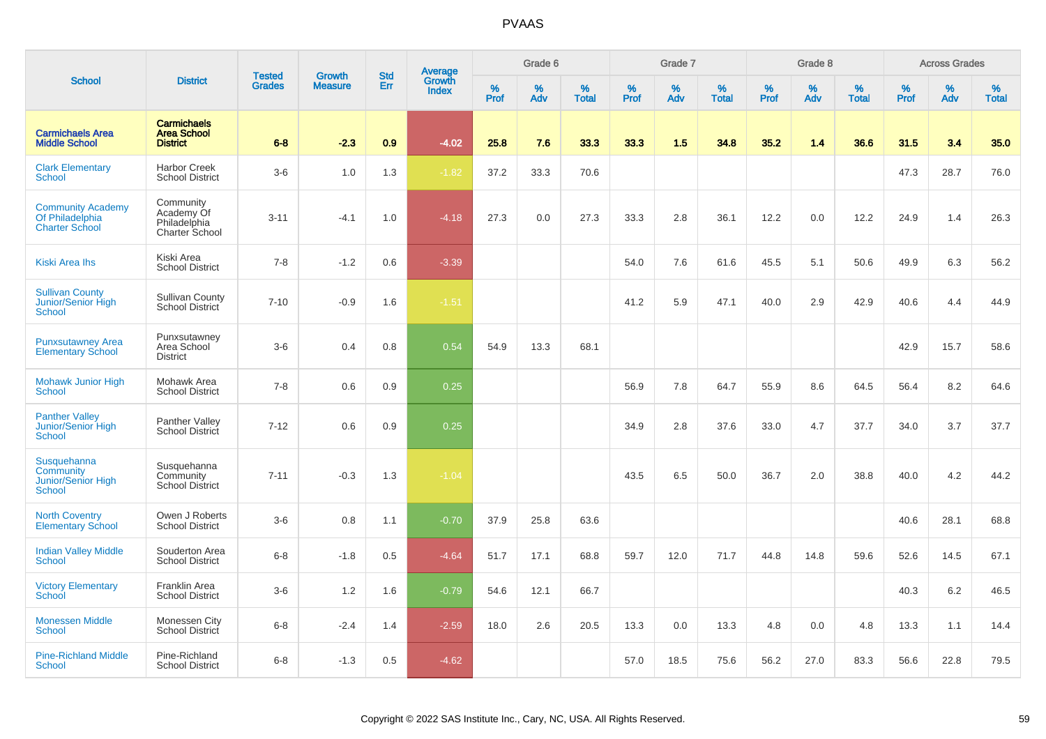|                                                                      |                                                             | <b>Tested</b> | <b>Growth</b>  | <b>Std</b> | <b>Average</b><br>Growth |                  | Grade 6     |                   |           | Grade 7  |                   |           | Grade 8  |                   |              | <b>Across Grades</b> |                   |
|----------------------------------------------------------------------|-------------------------------------------------------------|---------------|----------------|------------|--------------------------|------------------|-------------|-------------------|-----------|----------|-------------------|-----------|----------|-------------------|--------------|----------------------|-------------------|
| <b>School</b>                                                        | <b>District</b>                                             | <b>Grades</b> | <b>Measure</b> | Err        | <b>Index</b>             | %<br><b>Prof</b> | $\%$<br>Adv | %<br><b>Total</b> | %<br>Prof | %<br>Adv | %<br><b>Total</b> | %<br>Prof | %<br>Adv | %<br><b>Total</b> | $\%$<br>Prof | $\%$<br>Adv          | %<br><b>Total</b> |
| <b>Carmichaels Area</b><br><b>Middle School</b>                      | <b>Carmichaels</b><br><b>Area School</b><br><b>District</b> | $6 - 8$       | $-2.3$         | 0.9        | $-4.02$                  | 25.8             | 7.6         | 33.3              | 33.3      | 1.5      | 34.8              | 35.2      | 1.4      | 36.6              | 31.5         | 3.4                  | 35.0              |
| <b>Clark Elementary</b><br>School                                    | <b>Harbor Creek</b><br><b>School District</b>               | $3-6$         | 1.0            | 1.3        | $-1.82$                  | 37.2             | 33.3        | 70.6              |           |          |                   |           |          |                   | 47.3         | 28.7                 | 76.0              |
| <b>Community Academy</b><br>Of Philadelphia<br><b>Charter School</b> | Community<br>Academy Of<br>Philadelphia<br>Charter School   | $3 - 11$      | $-4.1$         | 1.0        | $-4.18$                  | 27.3             | 0.0         | 27.3              | 33.3      | 2.8      | 36.1              | 12.2      | 0.0      | 12.2              | 24.9         | 1.4                  | 26.3              |
| Kiski Area Ihs                                                       | Kiski Area<br><b>School District</b>                        | $7 - 8$       | $-1.2$         | 0.6        | $-3.39$                  |                  |             |                   | 54.0      | 7.6      | 61.6              | 45.5      | 5.1      | 50.6              | 49.9         | 6.3                  | 56.2              |
| <b>Sullivan County</b><br>Junior/Senior High<br>School               | <b>Sullivan County</b><br>School District                   | $7 - 10$      | $-0.9$         | 1.6        | $-1.51$                  |                  |             |                   | 41.2      | 5.9      | 47.1              | 40.0      | 2.9      | 42.9              | 40.6         | 4.4                  | 44.9              |
| <b>Punxsutawney Area</b><br><b>Elementary School</b>                 | Punxsutawney<br>Area School<br><b>District</b>              | $3-6$         | 0.4            | 0.8        | 0.54                     | 54.9             | 13.3        | 68.1              |           |          |                   |           |          |                   | 42.9         | 15.7                 | 58.6              |
| Mohawk Junior High<br><b>School</b>                                  | Mohawk Area<br><b>School District</b>                       | $7 - 8$       | 0.6            | 0.9        | 0.25                     |                  |             |                   | 56.9      | 7.8      | 64.7              | 55.9      | 8.6      | 64.5              | 56.4         | 8.2                  | 64.6              |
| <b>Panther Valley</b><br>Junior/Senior High<br><b>School</b>         | <b>Panther Valley</b><br>School District                    | $7 - 12$      | 0.6            | 0.9        | 0.25                     |                  |             |                   | 34.9      | 2.8      | 37.6              | 33.0      | 4.7      | 37.7              | 34.0         | 3.7                  | 37.7              |
| Susquehanna<br>Community<br>Junior/Senior High<br><b>School</b>      | Susquehanna<br>Community<br><b>School District</b>          | $7 - 11$      | $-0.3$         | 1.3        | $-1.04$                  |                  |             |                   | 43.5      | 6.5      | 50.0              | 36.7      | 2.0      | 38.8              | 40.0         | 4.2                  | 44.2              |
| <b>North Coventry</b><br><b>Elementary School</b>                    | Owen J Roberts<br><b>School District</b>                    | $3-6$         | 0.8            | 1.1        | $-0.70$                  | 37.9             | 25.8        | 63.6              |           |          |                   |           |          |                   | 40.6         | 28.1                 | 68.8              |
| <b>Indian Valley Middle</b><br>School                                | Souderton Area<br><b>School District</b>                    | $6 - 8$       | $-1.8$         | 0.5        | $-4.64$                  | 51.7             | 17.1        | 68.8              | 59.7      | 12.0     | 71.7              | 44.8      | 14.8     | 59.6              | 52.6         | 14.5                 | 67.1              |
| <b>Victory Elementary</b><br>School                                  | Franklin Area<br><b>School District</b>                     | $3-6$         | 1.2            | 1.6        | $-0.79$                  | 54.6             | 12.1        | 66.7              |           |          |                   |           |          |                   | 40.3         | 6.2                  | 46.5              |
| <b>Monessen Middle</b><br>School                                     | Monessen City<br>School District                            | $6-8$         | $-2.4$         | 1.4        | $-2.59$                  | 18.0             | 2.6         | 20.5              | 13.3      | 0.0      | 13.3              | 4.8       | 0.0      | 4.8               | 13.3         | 1.1                  | 14.4              |
| <b>Pine-Richland Middle</b><br>School                                | Pine-Richland<br><b>School District</b>                     | $6-8$         | $-1.3$         | 0.5        | $-4.62$                  |                  |             |                   | 57.0      | 18.5     | 75.6              | 56.2      | 27.0     | 83.3              | 56.6         | 22.8                 | 79.5              |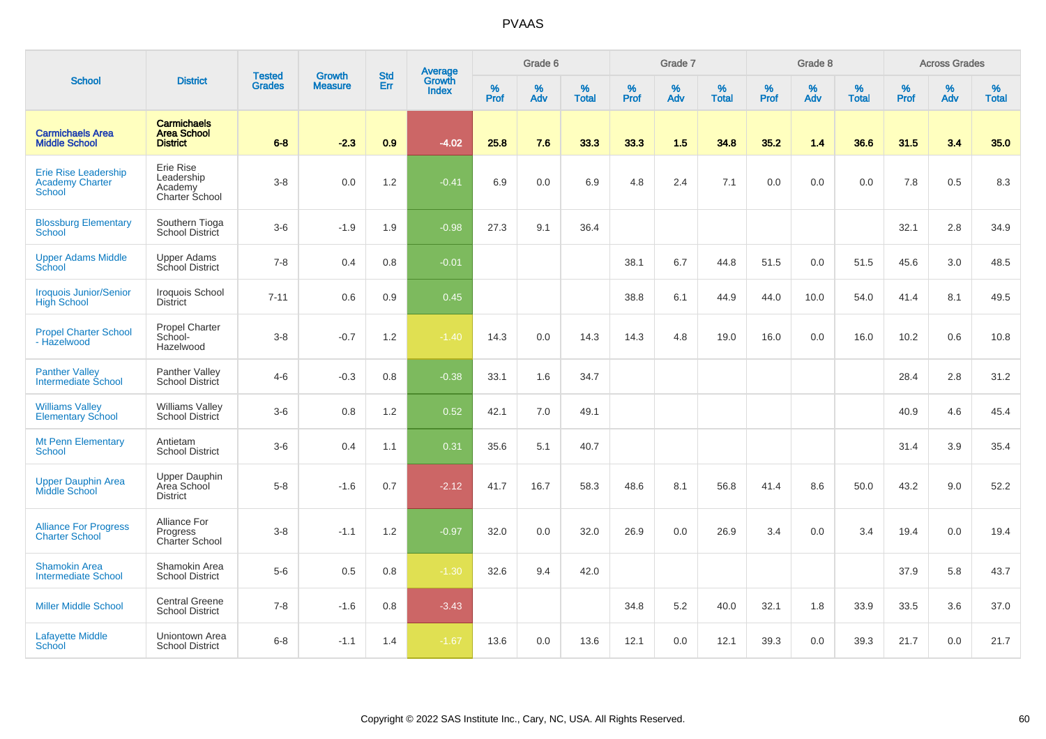|                                                                 |                                                             |                                | <b>Growth</b>  | <b>Std</b> | <b>Average</b><br>Growth |                  | Grade 6     |                   |           | Grade 7  |                   |           | Grade 8  |                   |           | <b>Across Grades</b> |                   |
|-----------------------------------------------------------------|-------------------------------------------------------------|--------------------------------|----------------|------------|--------------------------|------------------|-------------|-------------------|-----------|----------|-------------------|-----------|----------|-------------------|-----------|----------------------|-------------------|
| <b>School</b>                                                   | <b>District</b>                                             | <b>Tested</b><br><b>Grades</b> | <b>Measure</b> | Err        | <b>Index</b>             | %<br><b>Prof</b> | $\%$<br>Adv | %<br><b>Total</b> | %<br>Prof | %<br>Adv | %<br><b>Total</b> | %<br>Prof | %<br>Adv | %<br><b>Total</b> | %<br>Prof | $\%$<br>Adv          | %<br><b>Total</b> |
| <b>Carmichaels Area</b><br><b>Middle School</b>                 | <b>Carmichaels</b><br><b>Area School</b><br><b>District</b> | $6 - 8$                        | $-2.3$         | 0.9        | $-4.02$                  | 25.8             | 7.6         | 33.3              | 33.3      | 1.5      | 34.8              | 35.2      | 1.4      | 36.6              | 31.5      | 3.4                  | 35.0              |
| Erie Rise Leadership<br><b>Academy Charter</b><br><b>School</b> | Erie Rise<br>Leadership<br>Academy<br>Charter School        | $3-8$                          | 0.0            | 1.2        | $-0.41$                  | 6.9              | 0.0         | 6.9               | 4.8       | 2.4      | 7.1               | 0.0       | 0.0      | 0.0               | 7.8       | 0.5                  | 8.3               |
| <b>Blossburg Elementary</b><br><b>School</b>                    | Southern Tioga<br>School District                           | $3-6$                          | $-1.9$         | 1.9        | $-0.98$                  | 27.3             | 9.1         | 36.4              |           |          |                   |           |          |                   | 32.1      | 2.8                  | 34.9              |
| <b>Upper Adams Middle</b><br>School                             | Upper Adams<br>School District                              | $7 - 8$                        | 0.4            | 0.8        | $-0.01$                  |                  |             |                   | 38.1      | 6.7      | 44.8              | 51.5      | 0.0      | 51.5              | 45.6      | 3.0                  | 48.5              |
| <b>Iroquois Junior/Senior</b><br><b>High School</b>             | Iroquois School<br><b>District</b>                          | $7 - 11$                       | 0.6            | 0.9        | 0.45                     |                  |             |                   | 38.8      | 6.1      | 44.9              | 44.0      | 10.0     | 54.0              | 41.4      | 8.1                  | 49.5              |
| <b>Propel Charter School</b><br>- Hazelwood                     | Propel Charter<br>School-<br>Hazelwood                      | $3-8$                          | $-0.7$         | 1.2        | $-1.40$                  | 14.3             | 0.0         | 14.3              | 14.3      | 4.8      | 19.0              | 16.0      | 0.0      | 16.0              | 10.2      | 0.6                  | 10.8              |
| <b>Panther Valley</b><br>Intermediate School                    | Panther Valley<br>School District                           | $4 - 6$                        | $-0.3$         | 0.8        | $-0.38$                  | 33.1             | 1.6         | 34.7              |           |          |                   |           |          |                   | 28.4      | 2.8                  | 31.2              |
| <b>Williams Valley</b><br><b>Elementary School</b>              | <b>Williams Valley</b><br>School District                   | $3-6$                          | 0.8            | 1.2        | 0.52                     | 42.1             | 7.0         | 49.1              |           |          |                   |           |          |                   | 40.9      | 4.6                  | 45.4              |
| <b>Mt Penn Elementary</b><br><b>School</b>                      | Antietam<br><b>School District</b>                          | $3-6$                          | 0.4            | 1.1        | 0.31                     | 35.6             | 5.1         | 40.7              |           |          |                   |           |          |                   | 31.4      | 3.9                  | 35.4              |
| <b>Upper Dauphin Area</b><br>Middle School                      | <b>Upper Dauphin</b><br>Area School<br><b>District</b>      | $5-8$                          | $-1.6$         | 0.7        | $-2.12$                  | 41.7             | 16.7        | 58.3              | 48.6      | 8.1      | 56.8              | 41.4      | 8.6      | 50.0              | 43.2      | 9.0                  | 52.2              |
| <b>Alliance For Progress</b><br><b>Charter School</b>           | Alliance For<br>Progress<br>Charter School                  | $3-8$                          | $-1.1$         | 1.2        | $-0.97$                  | 32.0             | 0.0         | 32.0              | 26.9      | 0.0      | 26.9              | 3.4       | 0.0      | 3.4               | 19.4      | 0.0                  | 19.4              |
| <b>Shamokin Area</b><br><b>Intermediate School</b>              | Shamokin Area<br><b>School District</b>                     | $5-6$                          | 0.5            | 0.8        | $-1.30$                  | 32.6             | 9.4         | 42.0              |           |          |                   |           |          |                   | 37.9      | 5.8                  | 43.7              |
| <b>Miller Middle School</b>                                     | <b>Central Greene</b><br><b>School District</b>             | $7 - 8$                        | $-1.6$         | 0.8        | $-3.43$                  |                  |             |                   | 34.8      | 5.2      | 40.0              | 32.1      | 1.8      | 33.9              | 33.5      | 3.6                  | 37.0              |
| <b>Lafayette Middle</b><br><b>School</b>                        | Uniontown Area<br><b>School District</b>                    | $6 - 8$                        | $-1.1$         | 1.4        | $-1.67$                  | 13.6             | 0.0         | 13.6              | 12.1      | 0.0      | 12.1              | 39.3      | 0.0      | 39.3              | 21.7      | 0.0                  | 21.7              |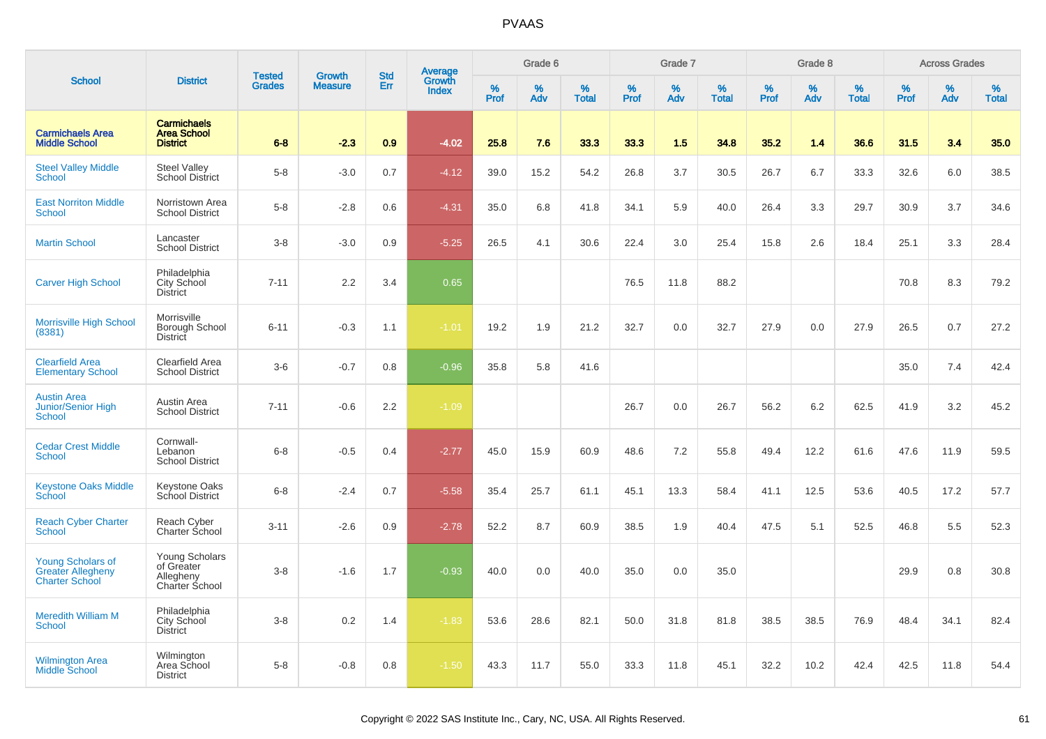|                                                                               |                                                             |                                |                                 |                   |                                          |                  | Grade 6     |                   |              | Grade 7  |                   |           | Grade 8  |                   |                     | <b>Across Grades</b> |                   |
|-------------------------------------------------------------------------------|-------------------------------------------------------------|--------------------------------|---------------------------------|-------------------|------------------------------------------|------------------|-------------|-------------------|--------------|----------|-------------------|-----------|----------|-------------------|---------------------|----------------------|-------------------|
| <b>School</b>                                                                 | <b>District</b>                                             | <b>Tested</b><br><b>Grades</b> | <b>Growth</b><br><b>Measure</b> | <b>Std</b><br>Err | <b>Average</b><br>Growth<br><b>Index</b> | %<br><b>Prof</b> | $\%$<br>Adv | %<br><b>Total</b> | $\%$<br>Prof | %<br>Adv | %<br><b>Total</b> | %<br>Prof | %<br>Adv | %<br><b>Total</b> | $\%$<br><b>Prof</b> | $\%$<br>Adv          | %<br><b>Total</b> |
| <b>Carmichaels Area</b><br><b>Middle School</b>                               | <b>Carmichaels</b><br><b>Area School</b><br><b>District</b> | $6 - 8$                        | $-2.3$                          | 0.9               | $-4.02$                                  | 25.8             | 7.6         | 33.3              | 33.3         | 1.5      | 34.8              | 35.2      | 1.4      | 36.6              | 31.5                | 3.4                  | 35.0              |
| <b>Steel Valley Middle</b><br><b>School</b>                                   | <b>Steel Valley</b><br>School District                      | $5-8$                          | $-3.0$                          | 0.7               | $-4.12$                                  | 39.0             | 15.2        | 54.2              | 26.8         | 3.7      | 30.5              | 26.7      | 6.7      | 33.3              | 32.6                | 6.0                  | 38.5              |
| <b>East Norriton Middle</b><br><b>School</b>                                  | Norristown Area<br><b>School District</b>                   | $5-8$                          | $-2.8$                          | 0.6               | $-4.31$                                  | 35.0             | 6.8         | 41.8              | 34.1         | 5.9      | 40.0              | 26.4      | 3.3      | 29.7              | 30.9                | 3.7                  | 34.6              |
| <b>Martin School</b>                                                          | Lancaster<br><b>School District</b>                         | $3-8$                          | $-3.0$                          | 0.9               | $-5.25$                                  | 26.5             | 4.1         | 30.6              | 22.4         | 3.0      | 25.4              | 15.8      | 2.6      | 18.4              | 25.1                | 3.3                  | 28.4              |
| <b>Carver High School</b>                                                     | Philadelphia<br>City School<br><b>District</b>              | $7 - 11$                       | 2.2                             | 3.4               | 0.65                                     |                  |             |                   | 76.5         | 11.8     | 88.2              |           |          |                   | 70.8                | 8.3                  | 79.2              |
| <b>Morrisville High School</b><br>(8381)                                      | Morrisville<br>Borough School<br><b>District</b>            | $6 - 11$                       | $-0.3$                          | 1.1               | $-1.01$                                  | 19.2             | 1.9         | 21.2              | 32.7         | 0.0      | 32.7              | 27.9      | 0.0      | 27.9              | 26.5                | 0.7                  | 27.2              |
| <b>Clearfield Area</b><br><b>Elementary School</b>                            | <b>Clearfield Area</b><br><b>School District</b>            | $3-6$                          | $-0.7$                          | 0.8               | $-0.96$                                  | 35.8             | 5.8         | 41.6              |              |          |                   |           |          |                   | 35.0                | 7.4                  | 42.4              |
| <b>Austin Area</b><br><b>Junior/Senior High</b><br><b>School</b>              | Austin Area<br><b>School District</b>                       | $7 - 11$                       | $-0.6$                          | 2.2               | $-1.09$                                  |                  |             |                   | 26.7         | 0.0      | 26.7              | 56.2      | $6.2\,$  | 62.5              | 41.9                | 3.2                  | 45.2              |
| <b>Cedar Crest Middle</b><br><b>School</b>                                    | Cornwall-<br>Lebanon<br><b>School District</b>              | $6 - 8$                        | $-0.5$                          | 0.4               | $-2.77$                                  | 45.0             | 15.9        | 60.9              | 48.6         | 7.2      | 55.8              | 49.4      | 12.2     | 61.6              | 47.6                | 11.9                 | 59.5              |
| <b>Keystone Oaks Middle</b><br>School                                         | <b>Keystone Oaks</b><br>School District                     | $6-8$                          | $-2.4$                          | 0.7               | $-5.58$                                  | 35.4             | 25.7        | 61.1              | 45.1         | 13.3     | 58.4              | 41.1      | 12.5     | 53.6              | 40.5                | 17.2                 | 57.7              |
| <b>Reach Cyber Charter</b><br><b>School</b>                                   | Reach Cyber<br>Charter School                               | $3 - 11$                       | $-2.6$                          | 0.9               | $-2.78$                                  | 52.2             | 8.7         | 60.9              | 38.5         | 1.9      | 40.4              | 47.5      | 5.1      | 52.5              | 46.8                | 5.5                  | 52.3              |
| <b>Young Scholars of</b><br><b>Greater Allegheny</b><br><b>Charter School</b> | Young Scholars<br>of Greater<br>Allegheny<br>Charter School | $3 - 8$                        | $-1.6$                          | 1.7               | $-0.93$                                  | 40.0             | 0.0         | 40.0              | 35.0         | 0.0      | 35.0              |           |          |                   | 29.9                | 0.8                  | 30.8              |
| <b>Meredith William M</b><br>School                                           | Philadelphia<br>City School<br><b>District</b>              | $3-8$                          | 0.2                             | 1.4               | $-1.83$                                  | 53.6             | 28.6        | 82.1              | 50.0         | 31.8     | 81.8              | 38.5      | 38.5     | 76.9              | 48.4                | 34.1                 | 82.4              |
| <b>Wilmington Area</b><br><b>Middle School</b>                                | Wilmington<br>Area School<br><b>District</b>                | $5-8$                          | $-0.8$                          | 0.8               | $-1.50$                                  | 43.3             | 11.7        | 55.0              | 33.3         | 11.8     | 45.1              | 32.2      | 10.2     | 42.4              | 42.5                | 11.8                 | 54.4              |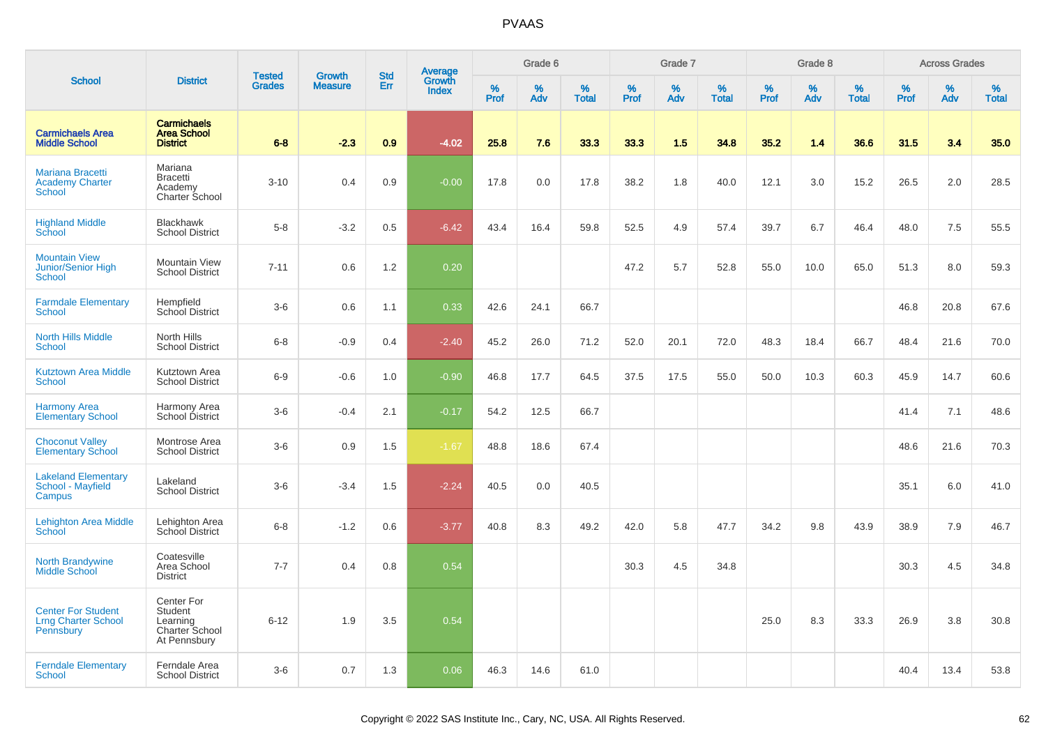|                                                                      |                                                                     | <b>Tested</b> | <b>Growth</b>  | <b>Std</b> |                                          |           | Grade 6  |                   |           | Grade 7  |                   |           | Grade 8  |                   |           | <b>Across Grades</b> |                   |
|----------------------------------------------------------------------|---------------------------------------------------------------------|---------------|----------------|------------|------------------------------------------|-----------|----------|-------------------|-----------|----------|-------------------|-----------|----------|-------------------|-----------|----------------------|-------------------|
| <b>School</b>                                                        | <b>District</b>                                                     | <b>Grades</b> | <b>Measure</b> | Err        | <b>Average</b><br>Growth<br><b>Index</b> | %<br>Prof | %<br>Adv | %<br><b>Total</b> | %<br>Prof | %<br>Adv | %<br><b>Total</b> | %<br>Prof | %<br>Adv | %<br><b>Total</b> | %<br>Prof | %<br>Adv             | %<br><b>Total</b> |
| <b>Carmichaels Area</b><br><b>Middle School</b>                      | <b>Carmichaels</b><br><b>Area School</b><br><b>District</b>         | $6 - 8$       | $-2.3$         | 0.9        | $-4.02$                                  | 25.8      | 7.6      | 33.3              | 33.3      | 1.5      | 34.8              | 35.2      | 1.4      | 36.6              | 31.5      | 3.4                  | 35.0              |
| <b>Mariana Bracetti</b><br><b>Academy Charter</b><br><b>School</b>   | Mariana<br><b>Bracetti</b><br>Academy<br><b>Charter School</b>      | $3 - 10$      | 0.4            | 0.9        | $-0.00$                                  | 17.8      | 0.0      | 17.8              | 38.2      | 1.8      | 40.0              | 12.1      | 3.0      | 15.2              | 26.5      | 2.0                  | 28.5              |
| <b>Highland Middle</b><br>School                                     | <b>Blackhawk</b><br><b>School District</b>                          | $5-8$         | $-3.2$         | 0.5        | $-6.42$                                  | 43.4      | 16.4     | 59.8              | 52.5      | 4.9      | 57.4              | 39.7      | 6.7      | 46.4              | 48.0      | 7.5                  | 55.5              |
| <b>Mountain View</b><br><b>Junior/Senior High</b><br><b>School</b>   | <b>Mountain View</b><br><b>School District</b>                      | $7 - 11$      | 0.6            | 1.2        | 0.20                                     |           |          |                   | 47.2      | 5.7      | 52.8              | 55.0      | 10.0     | 65.0              | 51.3      | 8.0                  | 59.3              |
| <b>Farmdale Elementary</b><br><b>School</b>                          | Hempfield<br><b>School District</b>                                 | $3-6$         | 0.6            | 1.1        | 0.33                                     | 42.6      | 24.1     | 66.7              |           |          |                   |           |          |                   | 46.8      | 20.8                 | 67.6              |
| <b>North Hills Middle</b><br><b>School</b>                           | North Hills<br><b>School District</b>                               | $6-8$         | $-0.9$         | 0.4        | $-2.40$                                  | 45.2      | 26.0     | 71.2              | 52.0      | 20.1     | 72.0              | 48.3      | 18.4     | 66.7              | 48.4      | 21.6                 | 70.0              |
| <b>Kutztown Area Middle</b><br><b>School</b>                         | Kutztown Area<br><b>School District</b>                             | $6-9$         | $-0.6$         | 1.0        | $-0.90$                                  | 46.8      | 17.7     | 64.5              | 37.5      | 17.5     | 55.0              | 50.0      | 10.3     | 60.3              | 45.9      | 14.7                 | 60.6              |
| <b>Harmony Area</b><br><b>Elementary School</b>                      | Harmony Area<br>School District                                     | $3-6$         | $-0.4$         | 2.1        | $-0.17$                                  | 54.2      | 12.5     | 66.7              |           |          |                   |           |          |                   | 41.4      | 7.1                  | 48.6              |
| <b>Choconut Valley</b><br><b>Elementary School</b>                   | Montrose Area<br><b>School District</b>                             | $3-6$         | 0.9            | 1.5        | $-1.67$                                  | 48.8      | 18.6     | 67.4              |           |          |                   |           |          |                   | 48.6      | 21.6                 | 70.3              |
| <b>Lakeland Elementary</b><br>School - Mayfield<br>Campus            | Lakeland<br><b>School District</b>                                  | $3-6$         | $-3.4$         | 1.5        | $-2.24$                                  | 40.5      | 0.0      | 40.5              |           |          |                   |           |          |                   | 35.1      | 6.0                  | 41.0              |
| <b>Lehighton Area Middle</b><br>School                               | Lehighton Area<br>School District                                   | $6 - 8$       | $-1.2$         | 0.6        | $-3.77$                                  | 40.8      | 8.3      | 49.2              | 42.0      | 5.8      | 47.7              | 34.2      | 9.8      | 43.9              | 38.9      | 7.9                  | 46.7              |
| <b>North Brandywine</b><br><b>Middle School</b>                      | Coatesville<br>Area School<br><b>District</b>                       | $7 - 7$       | 0.4            | 0.8        | 0.54                                     |           |          |                   | 30.3      | 4.5      | 34.8              |           |          |                   | 30.3      | 4.5                  | 34.8              |
| <b>Center For Student</b><br><b>Lrng Charter School</b><br>Pennsbury | Center For<br>Student<br>Learning<br>Charter School<br>At Pennsbury | $6 - 12$      | 1.9            | 3.5        | 0.54                                     |           |          |                   |           |          |                   | 25.0      | 8.3      | 33.3              | 26.9      | 3.8                  | 30.8              |
| <b>Ferndale Elementary</b><br><b>School</b>                          | Ferndale Area<br><b>School District</b>                             | $3-6$         | 0.7            | 1.3        | 0.06                                     | 46.3      | 14.6     | 61.0              |           |          |                   |           |          |                   | 40.4      | 13.4                 | 53.8              |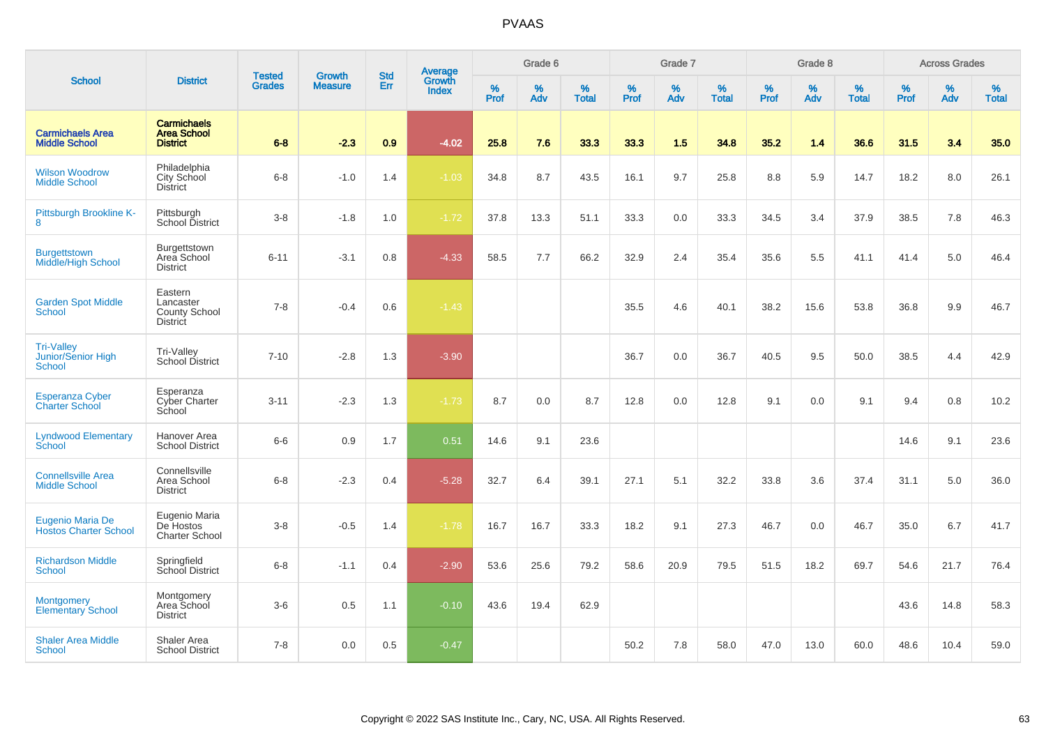|                                                   |                                                                 |                                | <b>Growth</b>  | <b>Std</b> |                                          |                  | Grade 6  |                   |           | Grade 7  |                   |           | Grade 8  |                   |           | <b>Across Grades</b> |                      |
|---------------------------------------------------|-----------------------------------------------------------------|--------------------------------|----------------|------------|------------------------------------------|------------------|----------|-------------------|-----------|----------|-------------------|-----------|----------|-------------------|-----------|----------------------|----------------------|
| <b>School</b>                                     | <b>District</b>                                                 | <b>Tested</b><br><b>Grades</b> | <b>Measure</b> | Err        | <b>Average</b><br>Growth<br><b>Index</b> | %<br><b>Prof</b> | %<br>Adv | %<br><b>Total</b> | %<br>Prof | %<br>Adv | %<br><b>Total</b> | %<br>Prof | %<br>Adv | %<br><b>Total</b> | %<br>Prof | $\%$<br>Adv          | $\%$<br><b>Total</b> |
| <b>Carmichaels Area</b><br><b>Middle School</b>   | <b>Carmichaels</b><br><b>Area School</b><br><b>District</b>     | $6 - 8$                        | $-2.3$         | 0.9        | $-4.02$                                  | 25.8             | 7.6      | 33.3              | 33.3      | 1.5      | 34.8              | 35.2      | 1.4      | 36.6              | 31.5      | 3.4                  | 35.0                 |
| <b>Wilson Woodrow</b><br><b>Middle School</b>     | Philadelphia<br>City School<br><b>District</b>                  | $6 - 8$                        | $-1.0$         | 1.4        | $-1.03$                                  | 34.8             | 8.7      | 43.5              | 16.1      | 9.7      | 25.8              | 8.8       | 5.9      | 14.7              | 18.2      | 8.0                  | 26.1                 |
| Pittsburgh Brookline K-<br>8                      | Pittsburgh<br>School District                                   | $3 - 8$                        | $-1.8$         | 1.0        | $-1.72$                                  | 37.8             | 13.3     | 51.1              | 33.3      | 0.0      | 33.3              | 34.5      | 3.4      | 37.9              | 38.5      | 7.8                  | 46.3                 |
| <b>Burgettstown</b><br><b>Middle/High School</b>  | Burgettstown<br>Area School<br><b>District</b>                  | $6 - 11$                       | $-3.1$         | 0.8        | $-4.33$                                  | 58.5             | 7.7      | 66.2              | 32.9      | 2.4      | 35.4              | 35.6      | 5.5      | 41.1              | 41.4      | 5.0                  | 46.4                 |
| <b>Garden Spot Middle</b><br><b>School</b>        | Eastern<br>Lancaster<br><b>County School</b><br><b>District</b> | $7 - 8$                        | $-0.4$         | 0.6        | $-1.43$                                  |                  |          |                   | 35.5      | 4.6      | 40.1              | 38.2      | 15.6     | 53.8              | 36.8      | 9.9                  | 46.7                 |
| <b>Tri-Valley</b><br>Junior/Senior High<br>School | Tri-Valley<br><b>School District</b>                            | $7 - 10$                       | $-2.8$         | 1.3        | $-3.90$                                  |                  |          |                   | 36.7      | 0.0      | 36.7              | 40.5      | 9.5      | 50.0              | 38.5      | 4.4                  | 42.9                 |
| <b>Esperanza Cyber</b><br><b>Charter School</b>   | Esperanza<br>Cyber Charter<br>School                            | $3 - 11$                       | $-2.3$         | 1.3        | $-1.73$                                  | 8.7              | 0.0      | 8.7               | 12.8      | 0.0      | 12.8              | 9.1       | 0.0      | 9.1               | 9.4       | 0.8                  | 10.2                 |
| <b>Lyndwood Elementary</b><br>School              | Hanover Area<br><b>School District</b>                          | $6-6$                          | 0.9            | 1.7        | 0.51                                     | 14.6             | 9.1      | 23.6              |           |          |                   |           |          |                   | 14.6      | 9.1                  | 23.6                 |
| <b>Connellsville Area</b><br><b>Middle School</b> | Connellsville<br>Area School<br><b>District</b>                 | $6 - 8$                        | $-2.3$         | 0.4        | $-5.28$                                  | 32.7             | 6.4      | 39.1              | 27.1      | 5.1      | 32.2              | 33.8      | 3.6      | 37.4              | 31.1      | 5.0                  | 36.0                 |
| Eugenio Maria De<br><b>Hostos Charter School</b>  | Eugenio Maria<br>De Hostos<br><b>Charter School</b>             | $3 - 8$                        | $-0.5$         | 1.4        | $-1.78$                                  | 16.7             | 16.7     | 33.3              | 18.2      | 9.1      | 27.3              | 46.7      | 0.0      | 46.7              | 35.0      | 6.7                  | 41.7                 |
| <b>Richardson Middle</b><br><b>School</b>         | Springfield<br>School District                                  | $6 - 8$                        | $-1.1$         | 0.4        | $-2.90$                                  | 53.6             | 25.6     | 79.2              | 58.6      | 20.9     | 79.5              | 51.5      | 18.2     | 69.7              | 54.6      | 21.7                 | 76.4                 |
| <b>Montgomery</b><br><b>Elementary School</b>     | Montgomery<br>Area School<br><b>District</b>                    | $3-6$                          | 0.5            | 1.1        | $-0.10$                                  | 43.6             | 19.4     | 62.9              |           |          |                   |           |          |                   | 43.6      | 14.8                 | 58.3                 |
| <b>Shaler Area Middle</b><br>School               | Shaler Area<br><b>School District</b>                           | $7 - 8$                        | 0.0            | 0.5        | $-0.47$                                  |                  |          |                   | 50.2      | 7.8      | 58.0              | 47.0      | 13.0     | 60.0              | 48.6      | 10.4                 | 59.0                 |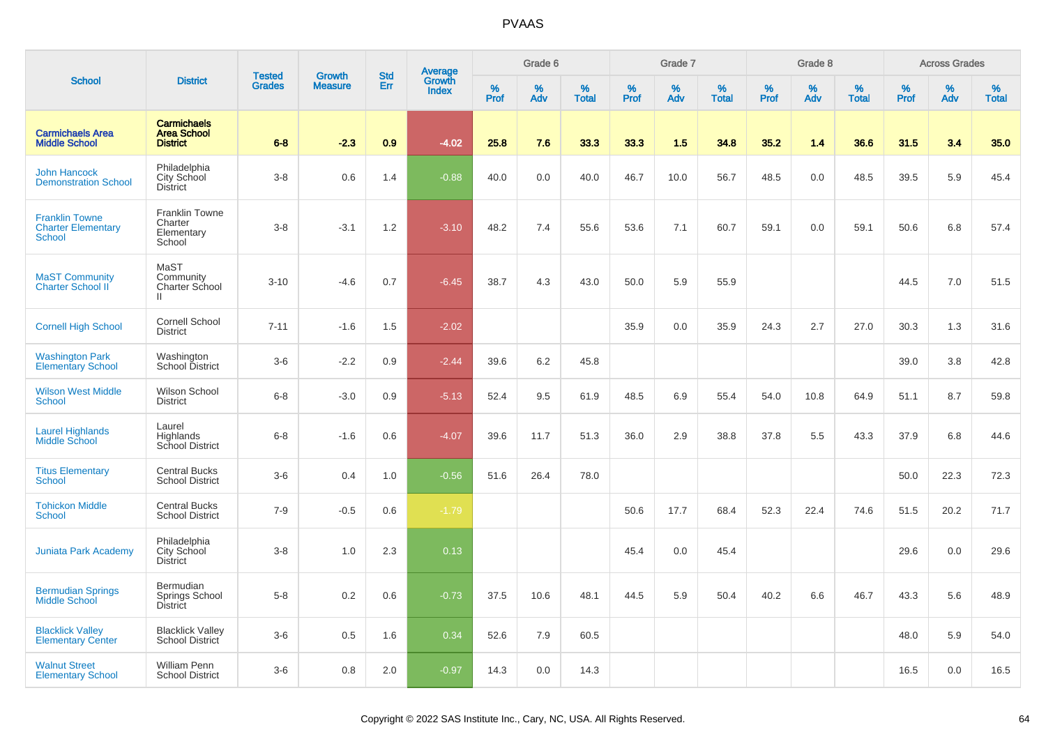|                                                                     |                                                             | <b>Tested</b> | <b>Growth</b>  | <b>Std</b> |                                          |           | Grade 6  |                   |           | Grade 7  |                   |           | Grade 8  |                   |           | <b>Across Grades</b> |                   |
|---------------------------------------------------------------------|-------------------------------------------------------------|---------------|----------------|------------|------------------------------------------|-----------|----------|-------------------|-----------|----------|-------------------|-----------|----------|-------------------|-----------|----------------------|-------------------|
| <b>School</b>                                                       | <b>District</b>                                             | <b>Grades</b> | <b>Measure</b> | Err        | <b>Average</b><br>Growth<br><b>Index</b> | %<br>Prof | %<br>Adv | %<br><b>Total</b> | %<br>Prof | %<br>Adv | %<br><b>Total</b> | %<br>Prof | %<br>Adv | %<br><b>Total</b> | %<br>Prof | %<br>Adv             | %<br><b>Total</b> |
| <b>Carmichaels Area</b><br><b>Middle School</b>                     | <b>Carmichaels</b><br><b>Area School</b><br><b>District</b> | $6 - 8$       | $-2.3$         | 0.9        | $-4.02$                                  | 25.8      | 7.6      | 33.3              | 33.3      | 1.5      | 34.8              | 35.2      | 1.4      | 36.6              | 31.5      | 3.4                  | 35.0              |
| <b>John Hancock</b><br><b>Demonstration School</b>                  | Philadelphia<br>City School<br><b>District</b>              | $3-8$         | 0.6            | 1.4        | $-0.88$                                  | 40.0      | 0.0      | 40.0              | 46.7      | 10.0     | 56.7              | 48.5      | 0.0      | 48.5              | 39.5      | 5.9                  | 45.4              |
| <b>Franklin Towne</b><br><b>Charter Elementary</b><br><b>School</b> | <b>Franklin Towne</b><br>Charter<br>Elementary<br>School    | $3-8$         | $-3.1$         | 1.2        | $-3.10$                                  | 48.2      | 7.4      | 55.6              | 53.6      | 7.1      | 60.7              | 59.1      | 0.0      | 59.1              | 50.6      | 6.8                  | 57.4              |
| <b>MaST Community</b><br>Charter School II                          | MaST<br>Community<br>Charter School<br>Ш.                   | $3 - 10$      | $-4.6$         | 0.7        | $-6.45$                                  | 38.7      | 4.3      | 43.0              | 50.0      | 5.9      | 55.9              |           |          |                   | 44.5      | 7.0                  | 51.5              |
| <b>Cornell High School</b>                                          | <b>Cornell School</b><br><b>District</b>                    | $7 - 11$      | $-1.6$         | 1.5        | $-2.02$                                  |           |          |                   | 35.9      | 0.0      | 35.9              | 24.3      | 2.7      | 27.0              | 30.3      | 1.3                  | 31.6              |
| <b>Washington Park</b><br><b>Elementary School</b>                  | Washington<br>School District                               | $3-6$         | $-2.2$         | 0.9        | $-2.44$                                  | 39.6      | 6.2      | 45.8              |           |          |                   |           |          |                   | 39.0      | 3.8                  | 42.8              |
| <b>Wilson West Middle</b><br><b>School</b>                          | Wilson School<br><b>District</b>                            | $6 - 8$       | $-3.0$         | 0.9        | $-5.13$                                  | 52.4      | 9.5      | 61.9              | 48.5      | 6.9      | 55.4              | 54.0      | 10.8     | 64.9              | 51.1      | 8.7                  | 59.8              |
| <b>Laurel Highlands</b><br>Middle School                            | Laurel<br>Highlands<br>School District                      | $6-8$         | $-1.6$         | 0.6        | $-4.07$                                  | 39.6      | 11.7     | 51.3              | 36.0      | 2.9      | 38.8              | 37.8      | 5.5      | 43.3              | 37.9      | 6.8                  | 44.6              |
| <b>Titus Elementary</b><br><b>School</b>                            | <b>Central Bucks</b><br><b>School District</b>              | $3-6$         | 0.4            | 1.0        | $-0.56$                                  | 51.6      | 26.4     | 78.0              |           |          |                   |           |          |                   | 50.0      | 22.3                 | 72.3              |
| <b>Tohickon Middle</b><br>School                                    | <b>Central Bucks</b><br><b>School District</b>              | $7-9$         | $-0.5$         | 0.6        | $-1.79$                                  |           |          |                   | 50.6      | 17.7     | 68.4              | 52.3      | 22.4     | 74.6              | 51.5      | 20.2                 | 71.7              |
| <b>Juniata Park Academy</b>                                         | Philadelphia<br>City School<br><b>District</b>              | $3-8$         | 1.0            | 2.3        | 0.13                                     |           |          |                   | 45.4      | 0.0      | 45.4              |           |          |                   | 29.6      | 0.0                  | 29.6              |
| <b>Bermudian Springs</b><br><b>Middle School</b>                    | Bermudian<br>Springs School<br>District                     | $5-8$         | 0.2            | 0.6        | $-0.73$                                  | 37.5      | 10.6     | 48.1              | 44.5      | 5.9      | 50.4              | 40.2      | 6.6      | 46.7              | 43.3      | 5.6                  | 48.9              |
| <b>Blacklick Valley</b><br><b>Elementary Center</b>                 | <b>Blacklick Valley</b><br>School District                  | $3-6$         | 0.5            | 1.6        | 0.34                                     | 52.6      | 7.9      | 60.5              |           |          |                   |           |          |                   | 48.0      | 5.9                  | 54.0              |
| <b>Walnut Street</b><br><b>Elementary School</b>                    | <b>William Penn</b><br><b>School District</b>               | $3-6$         | 0.8            | 2.0        | $-0.97$                                  | 14.3      | 0.0      | 14.3              |           |          |                   |           |          |                   | 16.5      | 0.0                  | 16.5              |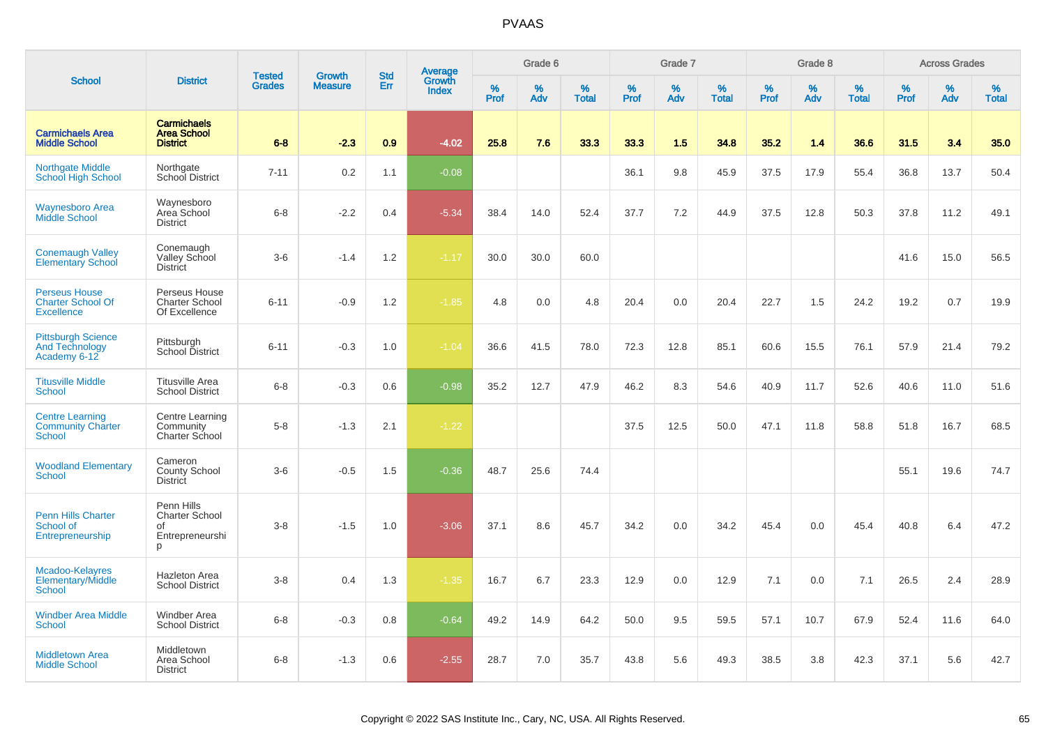|                                                                       |                                                                   |                                |                                 | <b>Std</b> |                                          |                  | Grade 6     |                   |                     | Grade 7     |                   |              | Grade 8  |                   |              | <b>Across Grades</b> |                   |
|-----------------------------------------------------------------------|-------------------------------------------------------------------|--------------------------------|---------------------------------|------------|------------------------------------------|------------------|-------------|-------------------|---------------------|-------------|-------------------|--------------|----------|-------------------|--------------|----------------------|-------------------|
| <b>School</b>                                                         | <b>District</b>                                                   | <b>Tested</b><br><b>Grades</b> | <b>Growth</b><br><b>Measure</b> | Err        | <b>Average</b><br>Growth<br><b>Index</b> | %<br><b>Prof</b> | $\%$<br>Adv | %<br><b>Total</b> | $\%$<br><b>Prof</b> | $\%$<br>Adv | %<br><b>Total</b> | $\%$<br>Prof | %<br>Adv | %<br><b>Total</b> | $\%$<br>Prof | $\%$<br>Adv          | %<br><b>Total</b> |
| <b>Carmichaels Area</b><br><b>Middle School</b>                       | <b>Carmichaels</b><br><b>Area School</b><br><b>District</b>       | $6 - 8$                        | $-2.3$                          | 0.9        | $-4.02$                                  | 25.8             | 7.6         | 33.3              | 33.3                | 1.5         | 34.8              | 35.2         | 1.4      | 36.6              | 31.5         | 3.4                  | 35.0              |
| <b>Northgate Middle</b><br><b>School High School</b>                  | Northgate<br>School District                                      | $7 - 11$                       | 0.2                             | 1.1        | $-0.08$                                  |                  |             |                   | 36.1                | 9.8         | 45.9              | 37.5         | 17.9     | 55.4              | 36.8         | 13.7                 | 50.4              |
| <b>Waynesboro Area</b><br><b>Middle School</b>                        | Waynesboro<br>Area School<br><b>District</b>                      | $6-8$                          | $-2.2$                          | 0.4        | $-5.34$                                  | 38.4             | 14.0        | 52.4              | 37.7                | 7.2         | 44.9              | 37.5         | 12.8     | 50.3              | 37.8         | 11.2                 | 49.1              |
| <b>Conemaugh Valley</b><br><b>Elementary School</b>                   | Conemaugh<br>Valley School<br><b>District</b>                     | $3-6$                          | $-1.4$                          | 1.2        | $-1.17$                                  | 30.0             | 30.0        | 60.0              |                     |             |                   |              |          |                   | 41.6         | 15.0                 | 56.5              |
| <b>Perseus House</b><br><b>Charter School Of</b><br><b>Excellence</b> | Perseus House<br><b>Charter School</b><br>Of Excellence           | $6 - 11$                       | $-0.9$                          | 1.2        | $-1.85$                                  | 4.8              | 0.0         | 4.8               | 20.4                | 0.0         | 20.4              | 22.7         | 1.5      | 24.2              | 19.2         | 0.7                  | 19.9              |
| <b>Pittsburgh Science</b><br><b>And Technology</b><br>Academy 6-12    | Pittsburgh<br>School District                                     | $6 - 11$                       | $-0.3$                          | 1.0        | $-1.04$                                  | 36.6             | 41.5        | 78.0              | 72.3                | 12.8        | 85.1              | 60.6         | 15.5     | 76.1              | 57.9         | 21.4                 | 79.2              |
| <b>Titusville Middle</b><br><b>School</b>                             | <b>Titusville Area</b><br><b>School District</b>                  | $6 - 8$                        | $-0.3$                          | 0.6        | $-0.98$                                  | 35.2             | 12.7        | 47.9              | 46.2                | 8.3         | 54.6              | 40.9         | 11.7     | 52.6              | 40.6         | 11.0                 | 51.6              |
| <b>Centre Learning</b><br><b>Community Charter</b><br>School          | Centre Learning<br>Community<br>Charter School                    | $5-8$                          | $-1.3$                          | 2.1        | $-1.22$                                  |                  |             |                   | 37.5                | 12.5        | 50.0              | 47.1         | 11.8     | 58.8              | 51.8         | 16.7                 | 68.5              |
| <b>Woodland Elementary</b><br><b>School</b>                           | Cameron<br>County School<br>District                              | $3-6$                          | $-0.5$                          | 1.5        | $-0.36$                                  | 48.7             | 25.6        | 74.4              |                     |             |                   |              |          |                   | 55.1         | 19.6                 | 74.7              |
| <b>Penn Hills Charter</b><br>School of<br>Entrepreneurship            | Penn Hills<br><b>Charter School</b><br>of<br>Entrepreneurshi<br>p | $3-8$                          | $-1.5$                          | 1.0        | $-3.06$                                  | 37.1             | 8.6         | 45.7              | 34.2                | 0.0         | 34.2              | 45.4         | 0.0      | 45.4              | 40.8         | 6.4                  | 47.2              |
| Mcadoo-Kelayres<br>Elementary/Middle<br><b>School</b>                 | Hazleton Area<br><b>School District</b>                           | $3-8$                          | 0.4                             | 1.3        | $-1.35$                                  | 16.7             | 6.7         | 23.3              | 12.9                | 0.0         | 12.9              | 7.1          | 0.0      | 7.1               | 26.5         | 2.4                  | 28.9              |
| <b>Windber Area Middle</b><br><b>School</b>                           | Windber Area<br><b>School District</b>                            | $6 - 8$                        | $-0.3$                          | 0.8        | $-0.64$                                  | 49.2             | 14.9        | 64.2              | 50.0                | 9.5         | 59.5              | 57.1         | 10.7     | 67.9              | 52.4         | 11.6                 | 64.0              |
| <b>Middletown Area</b><br><b>Middle School</b>                        | Middletown<br>Area School<br><b>District</b>                      | $6 - 8$                        | $-1.3$                          | 0.6        | $-2.55$                                  | 28.7             | 7.0         | 35.7              | 43.8                | 5.6         | 49.3              | 38.5         | 3.8      | 42.3              | 37.1         | 5.6                  | 42.7              |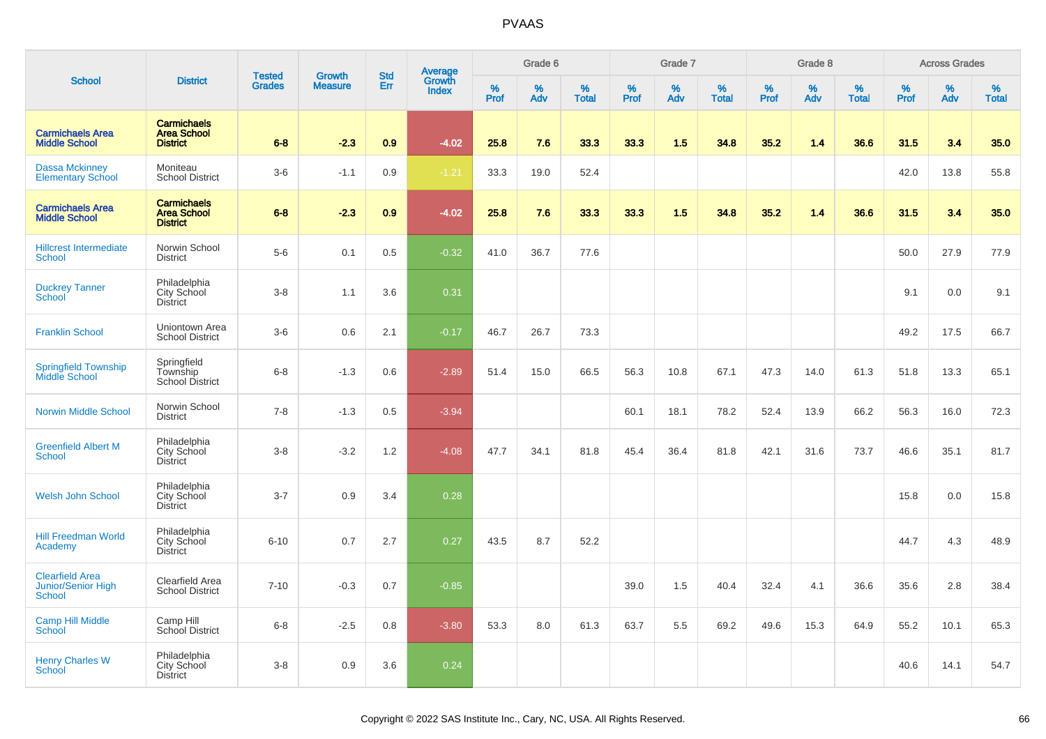|                                                        |                                                             | <b>Tested</b> | Growth         | <b>Std</b> |                                   |           | Grade 6  |                   |           | Grade 7  |                   |           | Grade 8  |                   |           | <b>Across Grades</b> |                   |
|--------------------------------------------------------|-------------------------------------------------------------|---------------|----------------|------------|-----------------------------------|-----------|----------|-------------------|-----------|----------|-------------------|-----------|----------|-------------------|-----------|----------------------|-------------------|
| <b>School</b>                                          | <b>District</b>                                             | <b>Grades</b> | <b>Measure</b> | Err        | Average<br>Growth<br><b>Index</b> | %<br>Prof | %<br>Adv | %<br><b>Total</b> | %<br>Prof | %<br>Adv | %<br><b>Total</b> | %<br>Prof | %<br>Adv | %<br><b>Total</b> | %<br>Prof | %<br>Adv             | %<br><b>Total</b> |
| <b>Carmichaels Area</b><br><b>Middle School</b>        | <b>Carmichaels</b><br><b>Area School</b><br><b>District</b> | $6 - 8$       | $-2.3$         | 0.9        | $-4.02$                           | 25.8      | 7.6      | 33.3              | 33.3      | 1.5      | 34.8              | 35.2      | 1.4      | 36.6              | 31.5      | 3.4                  | 35.0              |
| <b>Dassa Mckinney</b><br><b>Elementary School</b>      | Moniteau<br><b>School District</b>                          | $3-6$         | $-1.1$         | 0.9        | $-1.21$                           | 33.3      | 19.0     | 52.4              |           |          |                   |           |          |                   | 42.0      | 13.8                 | 55.8              |
| <b>Carmichaels Area</b><br><b>Middle School</b>        | <b>Carmichaels</b><br><b>Area School</b><br><b>District</b> | $6 - 8$       | $-2.3$         | 0.9        | $-4.02$                           | 25.8      | 7.6      | 33.3              | 33.3      | 1.5      | 34.8              | 35.2      | 1.4      | 36.6              | 31.5      | 3.4                  | 35.0              |
| <b>Hillcrest Intermediate</b><br>School                | Norwin School<br><b>District</b>                            | $5-6$         | 0.1            | 0.5        | $-0.32$                           | 41.0      | 36.7     | 77.6              |           |          |                   |           |          |                   | 50.0      | 27.9                 | 77.9              |
| <b>Duckrey Tanner</b><br>School                        | Philadelphia<br>City School<br><b>District</b>              | $3-8$         | 1.1            | 3.6        | 0.31                              |           |          |                   |           |          |                   |           |          |                   | 9.1       | 0.0                  | 9.1               |
| <b>Franklin School</b>                                 | Uniontown Area<br><b>School District</b>                    | $3-6$         | 0.6            | 2.1        | $-0.17$                           | 46.7      | 26.7     | 73.3              |           |          |                   |           |          |                   | 49.2      | 17.5                 | 66.7              |
| <b>Springfield Township</b><br>Middle School           | Springfield<br>Township<br><b>School District</b>           | $6 - 8$       | $-1.3$         | 0.6        | $-2.89$                           | 51.4      | 15.0     | 66.5              | 56.3      | 10.8     | 67.1              | 47.3      | 14.0     | 61.3              | 51.8      | 13.3                 | 65.1              |
| <b>Norwin Middle School</b>                            | Norwin School<br><b>District</b>                            | $7 - 8$       | $-1.3$         | 0.5        | $-3.94$                           |           |          |                   | 60.1      | 18.1     | 78.2              | 52.4      | 13.9     | 66.2              | 56.3      | 16.0                 | 72.3              |
| <b>Greenfield Albert M</b><br><b>School</b>            | Philadelphia<br>City School<br><b>District</b>              | $3-8$         | $-3.2$         | 1.2        | $-4.08$                           | 47.7      | 34.1     | 81.8              | 45.4      | 36.4     | 81.8              | 42.1      | 31.6     | 73.7              | 46.6      | 35.1                 | 81.7              |
| <b>Welsh John School</b>                               | Philadelphia<br>City School<br><b>District</b>              | $3 - 7$       | 0.9            | 3.4        | 0.28                              |           |          |                   |           |          |                   |           |          |                   | 15.8      | 0.0                  | 15.8              |
| <b>Hill Freedman World</b><br>Academy                  | Philadelphia<br>City School<br><b>District</b>              | $6 - 10$      | 0.7            | 2.7        | 0.27                              | 43.5      | 8.7      | 52.2              |           |          |                   |           |          |                   | 44.7      | 4.3                  | 48.9              |
| <b>Clearfield Area</b><br>Junior/Senior High<br>School | Clearfield Area<br><b>School District</b>                   | $7 - 10$      | $-0.3$         | 0.7        | $-0.85$                           |           |          |                   | 39.0      | 1.5      | 40.4              | 32.4      | 4.1      | 36.6              | 35.6      | 2.8                  | 38.4              |
| <b>Camp Hill Middle</b><br>School                      | Camp Hill<br>School District                                | $6 - 8$       | $-2.5$         | 0.8        | $-3.80$                           | 53.3      | 8.0      | 61.3              | 63.7      | 5.5      | 69.2              | 49.6      | 15.3     | 64.9              | 55.2      | 10.1                 | 65.3              |
| <b>Henry Charles W</b><br><b>School</b>                | Philadelphia<br>City School<br><b>District</b>              | $3-8$         | 0.9            | 3.6        | 0.24                              |           |          |                   |           |          |                   |           |          |                   | 40.6      | 14.1                 | 54.7              |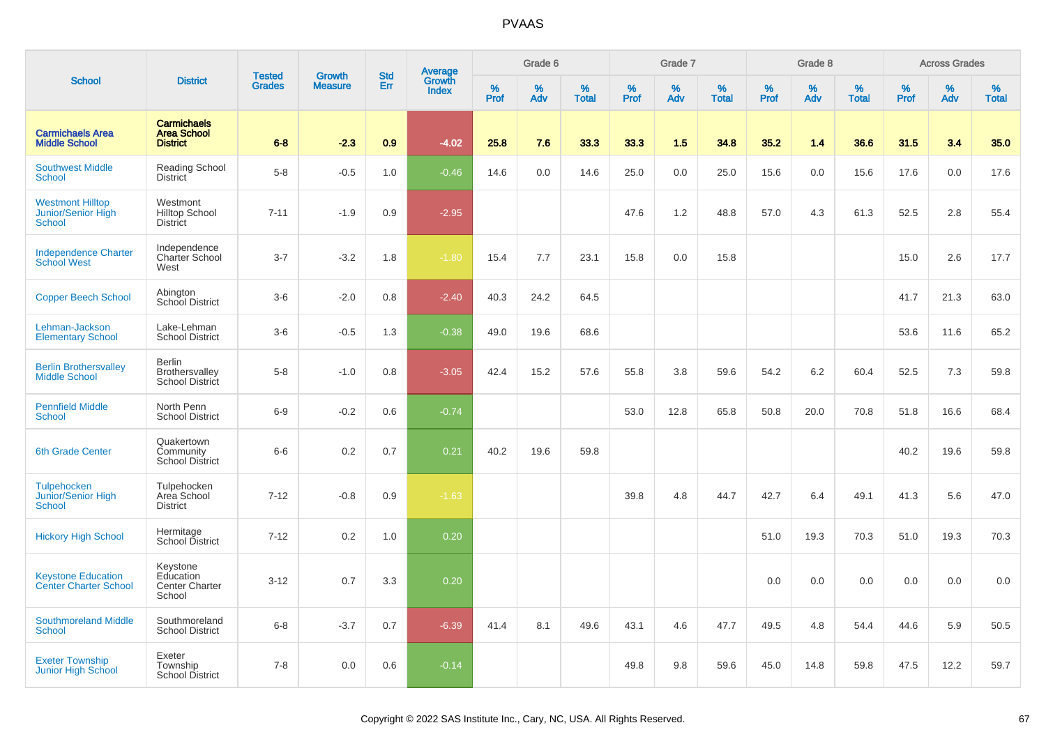|                                                           |                                                             |                                |                          | <b>Std</b> |                                          |                  | Grade 6  |                   |           | Grade 7  |                   |           | Grade 8  |                   |           | <b>Across Grades</b> |                   |
|-----------------------------------------------------------|-------------------------------------------------------------|--------------------------------|--------------------------|------------|------------------------------------------|------------------|----------|-------------------|-----------|----------|-------------------|-----------|----------|-------------------|-----------|----------------------|-------------------|
| <b>School</b>                                             | <b>District</b>                                             | <b>Tested</b><br><b>Grades</b> | Growth<br><b>Measure</b> | Err        | <b>Average</b><br>Growth<br><b>Index</b> | %<br><b>Prof</b> | %<br>Adv | %<br><b>Total</b> | %<br>Prof | %<br>Adv | %<br><b>Total</b> | %<br>Prof | %<br>Adv | %<br><b>Total</b> | %<br>Prof | %<br>Adv             | %<br><b>Total</b> |
| <b>Carmichaels Area</b><br><b>Middle School</b>           | <b>Carmichaels</b><br><b>Area School</b><br><b>District</b> | $6 - 8$                        | $-2.3$                   | 0.9        | $-4.02$                                  | 25.8             | 7.6      | 33.3              | 33.3      | 1.5      | 34.8              | 35.2      | 1.4      | 36.6              | 31.5      | 3.4                  | 35.0              |
| <b>Southwest Middle</b><br>School                         | Reading School<br><b>District</b>                           | $5-8$                          | $-0.5$                   | 1.0        | $-0.46$                                  | 14.6             | 0.0      | 14.6              | 25.0      | 0.0      | 25.0              | 15.6      | 0.0      | 15.6              | 17.6      | 0.0                  | 17.6              |
| <b>Westmont Hilltop</b><br>Junior/Senior High<br>School   | Westmont<br><b>Hilltop School</b><br><b>District</b>        | $7 - 11$                       | $-1.9$                   | 0.9        | $-2.95$                                  |                  |          |                   | 47.6      | 1.2      | 48.8              | 57.0      | 4.3      | 61.3              | 52.5      | 2.8                  | 55.4              |
| <b>Independence Charter</b><br><b>School West</b>         | Independence<br>Charter School<br>West                      | $3 - 7$                        | $-3.2$                   | 1.8        | $-1.80$                                  | 15.4             | 7.7      | 23.1              | 15.8      | 0.0      | 15.8              |           |          |                   | 15.0      | 2.6                  | 17.7              |
| <b>Copper Beech School</b>                                | Abington<br><b>School District</b>                          | $3-6$                          | $-2.0$                   | 0.8        | $-2.40$                                  | 40.3             | 24.2     | 64.5              |           |          |                   |           |          |                   | 41.7      | 21.3                 | 63.0              |
| Lehman-Jackson<br><b>Elementary School</b>                | Lake-Lehman<br><b>School District</b>                       | $3-6$                          | $-0.5$                   | 1.3        | $-0.38$                                  | 49.0             | 19.6     | 68.6              |           |          |                   |           |          |                   | 53.6      | 11.6                 | 65.2              |
| <b>Berlin Brothersvalley</b><br><b>Middle School</b>      | <b>Berlin</b><br>Brothersvalley<br>School District          | $5-8$                          | $-1.0$                   | 0.8        | $-3.05$                                  | 42.4             | 15.2     | 57.6              | 55.8      | 3.8      | 59.6              | 54.2      | 6.2      | 60.4              | 52.5      | 7.3                  | 59.8              |
| <b>Pennfield Middle</b><br>School                         | North Penn<br><b>School District</b>                        | $6-9$                          | $-0.2$                   | 0.6        | $-0.74$                                  |                  |          |                   | 53.0      | 12.8     | 65.8              | 50.8      | 20.0     | 70.8              | 51.8      | 16.6                 | 68.4              |
| <b>6th Grade Center</b>                                   | Quakertown<br>Community<br><b>School District</b>           | $6-6$                          | 0.2                      | 0.7        | 0.21                                     | 40.2             | 19.6     | 59.8              |           |          |                   |           |          |                   | 40.2      | 19.6                 | 59.8              |
| Tulpehocken<br>Junior/Senior High<br>School               | Tulpehocken<br>Area School<br><b>District</b>               | $7 - 12$                       | $-0.8$                   | 0.9        | $-1.63$                                  |                  |          |                   | 39.8      | 4.8      | 44.7              | 42.7      | 6.4      | 49.1              | 41.3      | 5.6                  | 47.0              |
| <b>Hickory High School</b>                                | Hermitage<br>School District                                | $7 - 12$                       | 0.2                      | 1.0        | 0.20                                     |                  |          |                   |           |          |                   | 51.0      | 19.3     | 70.3              | 51.0      | 19.3                 | 70.3              |
| <b>Keystone Education</b><br><b>Center Charter School</b> | Keystone<br>Education<br><b>Center Charter</b><br>School    | $3 - 12$                       | 0.7                      | 3.3        | 0.20                                     |                  |          |                   |           |          |                   | 0.0       | 0.0      | 0.0               | 0.0       | 0.0                  | 0.0               |
| <b>Southmoreland Middle</b><br>School                     | Southmoreland<br><b>School District</b>                     | $6 - 8$                        | $-3.7$                   | 0.7        | $-6.39$                                  | 41.4             | 8.1      | 49.6              | 43.1      | 4.6      | 47.7              | 49.5      | 4.8      | 54.4              | 44.6      | 5.9                  | 50.5              |
| <b>Exeter Township</b><br>Junior High School              | Exeter<br>Township<br><b>School District</b>                | $7 - 8$                        | 0.0                      | 0.6        | $-0.14$                                  |                  |          |                   | 49.8      | 9.8      | 59.6              | 45.0      | 14.8     | 59.8              | 47.5      | 12.2                 | 59.7              |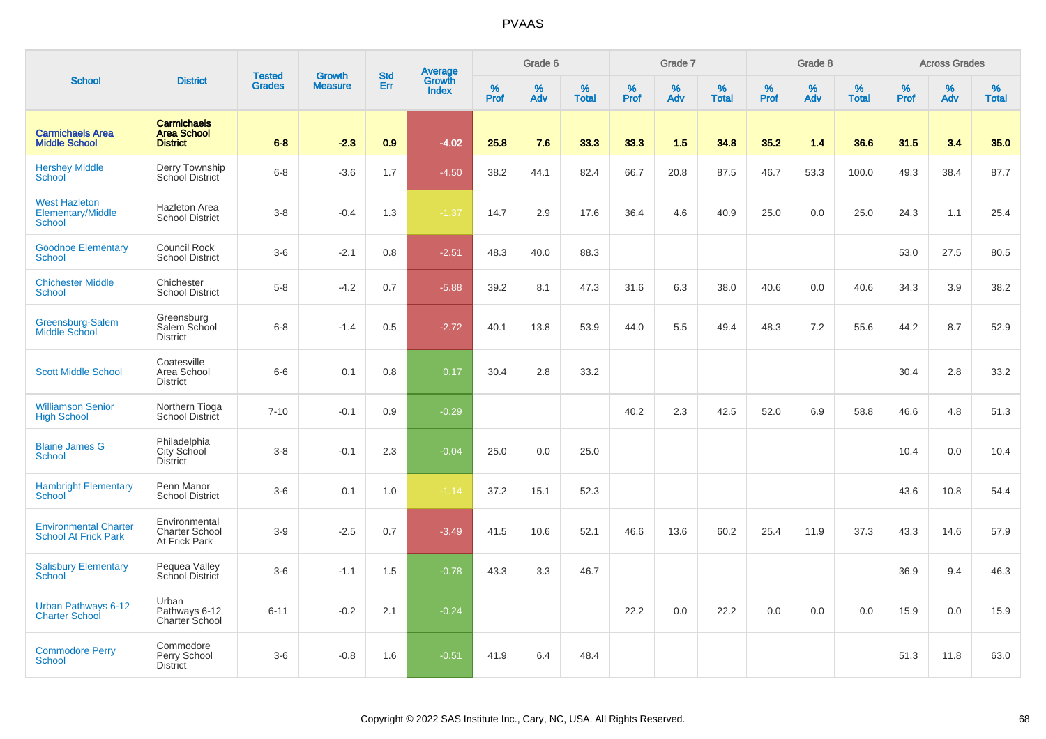|                                                             |                                                             | <b>Tested</b> | <b>Growth</b>  | <b>Std</b> |                                          |                  | Grade 6     |                   |           | Grade 7     |                   |           | Grade 8  |                   |              | <b>Across Grades</b> |                   |
|-------------------------------------------------------------|-------------------------------------------------------------|---------------|----------------|------------|------------------------------------------|------------------|-------------|-------------------|-----------|-------------|-------------------|-----------|----------|-------------------|--------------|----------------------|-------------------|
| <b>School</b>                                               | <b>District</b>                                             | <b>Grades</b> | <b>Measure</b> | Err        | <b>Average</b><br>Growth<br><b>Index</b> | %<br><b>Prof</b> | $\%$<br>Adv | %<br><b>Total</b> | %<br>Prof | $\%$<br>Adv | %<br><b>Total</b> | %<br>Prof | %<br>Adv | %<br><b>Total</b> | $\%$<br>Prof | $\%$<br>Adv          | %<br><b>Total</b> |
| <b>Carmichaels Area</b><br><b>Middle School</b>             | <b>Carmichaels</b><br><b>Area School</b><br><b>District</b> | $6 - 8$       | $-2.3$         | 0.9        | $-4.02$                                  | 25.8             | 7.6         | 33.3              | 33.3      | 1.5         | 34.8              | 35.2      | 1.4      | 36.6              | 31.5         | 3.4                  | 35.0              |
| <b>Hershey Middle</b><br><b>School</b>                      | Derry Township<br>School District                           | $6-8$         | $-3.6$         | 1.7        | $-4.50$                                  | 38.2             | 44.1        | 82.4              | 66.7      | 20.8        | 87.5              | 46.7      | 53.3     | 100.0             | 49.3         | 38.4                 | 87.7              |
| <b>West Hazleton</b><br>Elementary/Middle<br><b>School</b>  | Hazleton Area<br><b>School District</b>                     | $3-8$         | $-0.4$         | 1.3        | $-1.37$                                  | 14.7             | 2.9         | 17.6              | 36.4      | 4.6         | 40.9              | 25.0      | 0.0      | 25.0              | 24.3         | 1.1                  | 25.4              |
| <b>Goodnoe Elementary</b><br><b>School</b>                  | Council Rock<br><b>School District</b>                      | $3-6$         | $-2.1$         | 0.8        | $-2.51$                                  | 48.3             | 40.0        | 88.3              |           |             |                   |           |          |                   | 53.0         | 27.5                 | 80.5              |
| <b>Chichester Middle</b><br><b>School</b>                   | Chichester<br><b>School District</b>                        | $5-8$         | $-4.2$         | 0.7        | $-5.88$                                  | 39.2             | 8.1         | 47.3              | 31.6      | 6.3         | 38.0              | 40.6      | 0.0      | 40.6              | 34.3         | 3.9                  | 38.2              |
| Greensburg-Salem<br><b>Middle School</b>                    | Greensburg<br>Salem School<br><b>District</b>               | $6 - 8$       | $-1.4$         | 0.5        | $-2.72$                                  | 40.1             | 13.8        | 53.9              | 44.0      | 5.5         | 49.4              | 48.3      | 7.2      | 55.6              | 44.2         | 8.7                  | 52.9              |
| <b>Scott Middle School</b>                                  | Coatesville<br>Area School<br><b>District</b>               | $6-6$         | 0.1            | 0.8        | 0.17                                     | 30.4             | 2.8         | 33.2              |           |             |                   |           |          |                   | 30.4         | 2.8                  | 33.2              |
| <b>Williamson Senior</b><br><b>High School</b>              | Northern Tioga<br><b>School District</b>                    | $7 - 10$      | $-0.1$         | 0.9        | $-0.29$                                  |                  |             |                   | 40.2      | 2.3         | 42.5              | 52.0      | 6.9      | 58.8              | 46.6         | 4.8                  | 51.3              |
| <b>Blaine James G</b><br><b>School</b>                      | Philadelphia<br>City School<br><b>District</b>              | $3-8$         | $-0.1$         | 2.3        | $-0.04$                                  | 25.0             | 0.0         | 25.0              |           |             |                   |           |          |                   | 10.4         | 0.0                  | 10.4              |
| <b>Hambright Elementary</b><br>School                       | Penn Manor<br><b>School District</b>                        | $3-6$         | 0.1            | 1.0        | $-1.14$                                  | 37.2             | 15.1        | 52.3              |           |             |                   |           |          |                   | 43.6         | 10.8                 | 54.4              |
| <b>Environmental Charter</b><br><b>School At Frick Park</b> | Environmental<br><b>Charter School</b><br>At Frick Park     | $3-9$         | $-2.5$         | 0.7        | $-3.49$                                  | 41.5             | 10.6        | 52.1              | 46.6      | 13.6        | 60.2              | 25.4      | 11.9     | 37.3              | 43.3         | 14.6                 | 57.9              |
| <b>Salisbury Elementary</b><br><b>School</b>                | Pequea Valley<br>School District                            | $3-6$         | $-1.1$         | 1.5        | $-0.78$                                  | 43.3             | 3.3         | 46.7              |           |             |                   |           |          |                   | 36.9         | 9.4                  | 46.3              |
| Urban Pathways 6-12<br><b>Charter School</b>                | Urban<br>Pathways 6-12<br>Charter School                    | $6 - 11$      | $-0.2$         | 2.1        | $-0.24$                                  |                  |             |                   | 22.2      | 0.0         | 22.2              | 0.0       | 0.0      | 0.0               | 15.9         | 0.0                  | 15.9              |
| <b>Commodore Perry</b><br>School                            | Commodore<br>Perry School<br><b>District</b>                | $3-6$         | $-0.8$         | 1.6        | $-0.51$                                  | 41.9             | 6.4         | 48.4              |           |             |                   |           |          |                   | 51.3         | 11.8                 | 63.0              |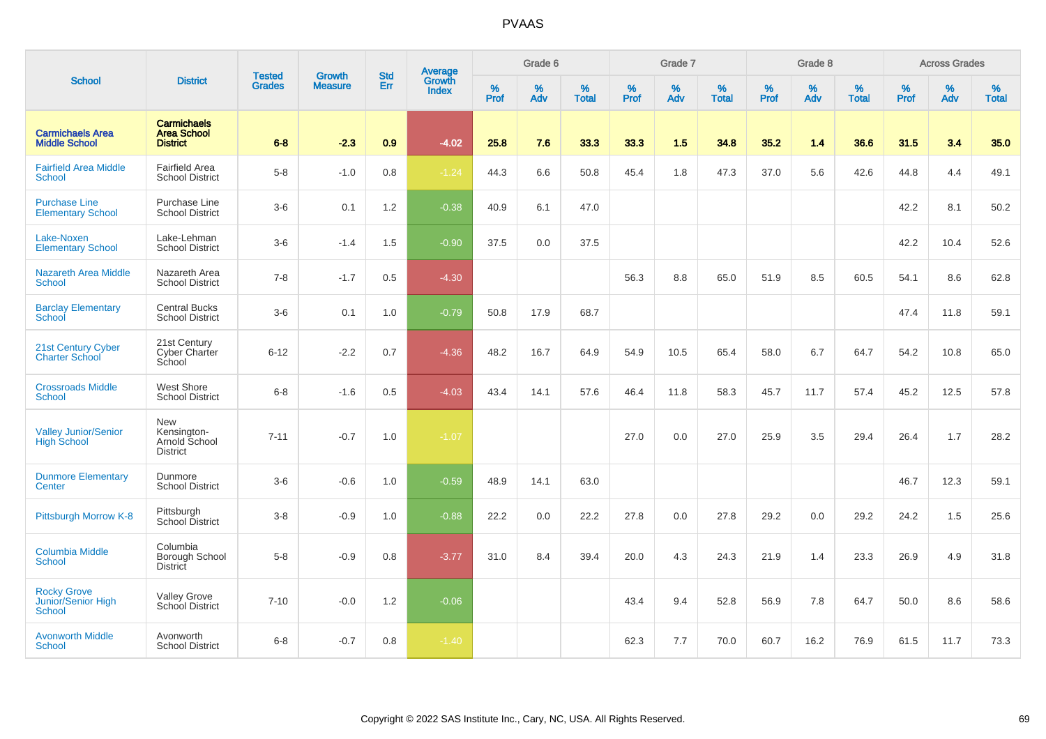|                                                           |                                                               |                                |                          | <b>Std</b> | Average                |                  | Grade 6  |                   |           | Grade 7  |                   |           | Grade 8  |                   |           | <b>Across Grades</b> |                   |
|-----------------------------------------------------------|---------------------------------------------------------------|--------------------------------|--------------------------|------------|------------------------|------------------|----------|-------------------|-----------|----------|-------------------|-----------|----------|-------------------|-----------|----------------------|-------------------|
| <b>School</b>                                             | <b>District</b>                                               | <b>Tested</b><br><b>Grades</b> | Growth<br><b>Measure</b> | Err        | Growth<br><b>Index</b> | %<br><b>Prof</b> | %<br>Adv | %<br><b>Total</b> | %<br>Prof | %<br>Adv | %<br><b>Total</b> | %<br>Prof | %<br>Adv | %<br><b>Total</b> | %<br>Prof | %<br>Adv             | %<br><b>Total</b> |
| <b>Carmichaels Area</b><br><b>Middle School</b>           | <b>Carmichaels</b><br><b>Area School</b><br><b>District</b>   | $6 - 8$                        | $-2.3$                   | 0.9        | $-4.02$                | 25.8             | 7.6      | 33.3              | 33.3      | 1.5      | 34.8              | 35.2      | 1.4      | 36.6              | 31.5      | 3.4                  | 35.0              |
| <b>Fairfield Area Middle</b><br><b>School</b>             | Fairfield Area<br><b>School District</b>                      | $5-8$                          | $-1.0$                   | 0.8        | $-1.24$                | 44.3             | 6.6      | 50.8              | 45.4      | 1.8      | 47.3              | 37.0      | 5.6      | 42.6              | 44.8      | 4.4                  | 49.1              |
| <b>Purchase Line</b><br><b>Elementary School</b>          | Purchase Line<br><b>School District</b>                       | $3-6$                          | 0.1                      | $1.2$      | $-0.38$                | 40.9             | 6.1      | 47.0              |           |          |                   |           |          |                   | 42.2      | 8.1                  | 50.2              |
| Lake-Noxen<br><b>Elementary School</b>                    | Lake-Lehman<br><b>School District</b>                         | $3-6$                          | $-1.4$                   | 1.5        | $-0.90$                | 37.5             | 0.0      | 37.5              |           |          |                   |           |          |                   | 42.2      | 10.4                 | 52.6              |
| <b>Nazareth Area Middle</b><br><b>School</b>              | Nazareth Area<br><b>School District</b>                       | $7 - 8$                        | $-1.7$                   | 0.5        | $-4.30$                |                  |          |                   | 56.3      | 8.8      | 65.0              | 51.9      | 8.5      | 60.5              | 54.1      | 8.6                  | 62.8              |
| <b>Barclay Elementary</b><br>School                       | <b>Central Bucks</b><br><b>School District</b>                | $3-6$                          | 0.1                      | 1.0        | $-0.79$                | 50.8             | 17.9     | 68.7              |           |          |                   |           |          |                   | 47.4      | 11.8                 | 59.1              |
| 21st Century Cyber<br><b>Charter School</b>               | 21st Century<br>Cyber Charter<br>School                       | $6 - 12$                       | $-2.2$                   | 0.7        | $-4.36$                | 48.2             | 16.7     | 64.9              | 54.9      | 10.5     | 65.4              | 58.0      | 6.7      | 64.7              | 54.2      | 10.8                 | 65.0              |
| <b>Crossroads Middle</b><br>School                        | <b>West Shore</b><br><b>School District</b>                   | $6 - 8$                        | $-1.6$                   | 0.5        | $-4.03$                | 43.4             | 14.1     | 57.6              | 46.4      | 11.8     | 58.3              | 45.7      | 11.7     | 57.4              | 45.2      | 12.5                 | 57.8              |
| <b>Valley Junior/Senior</b><br><b>High School</b>         | <b>New</b><br>Kensington-<br>Arnold School<br><b>District</b> | $7 - 11$                       | $-0.7$                   | 1.0        | $-1.07$                |                  |          |                   | 27.0      | 0.0      | 27.0              | 25.9      | 3.5      | 29.4              | 26.4      | 1.7                  | 28.2              |
| <b>Dunmore Elementary</b><br>Center                       | Dunmore<br><b>School District</b>                             | $3-6$                          | $-0.6$                   | 1.0        | $-0.59$                | 48.9             | 14.1     | 63.0              |           |          |                   |           |          |                   | 46.7      | 12.3                 | 59.1              |
| Pittsburgh Morrow K-8                                     | Pittsburgh<br>School District                                 | $3 - 8$                        | $-0.9$                   | 1.0        | $-0.88$                | 22.2             | 0.0      | 22.2              | 27.8      | 0.0      | 27.8              | 29.2      | 0.0      | 29.2              | 24.2      | 1.5                  | 25.6              |
| <b>Columbia Middle</b><br>School                          | Columbia<br>Borough School<br><b>District</b>                 | $5 - 8$                        | $-0.9$                   | 0.8        | $-3.77$                | 31.0             | 8.4      | 39.4              | 20.0      | 4.3      | 24.3              | 21.9      | 1.4      | 23.3              | 26.9      | 4.9                  | 31.8              |
| <b>Rocky Grove</b><br>Junior/Senior High<br><b>School</b> | Valley Grove<br>School District                               | $7 - 10$                       | $-0.0$                   | 1.2        | $-0.06$                |                  |          |                   | 43.4      | 9.4      | 52.8              | 56.9      | 7.8      | 64.7              | 50.0      | 8.6                  | 58.6              |
| <b>Avonworth Middle</b><br><b>School</b>                  | Avonworth<br><b>School District</b>                           | $6 - 8$                        | $-0.7$                   | 0.8        | $-1.40$                |                  |          |                   | 62.3      | 7.7      | 70.0              | 60.7      | 16.2     | 76.9              | 61.5      | 11.7                 | 73.3              |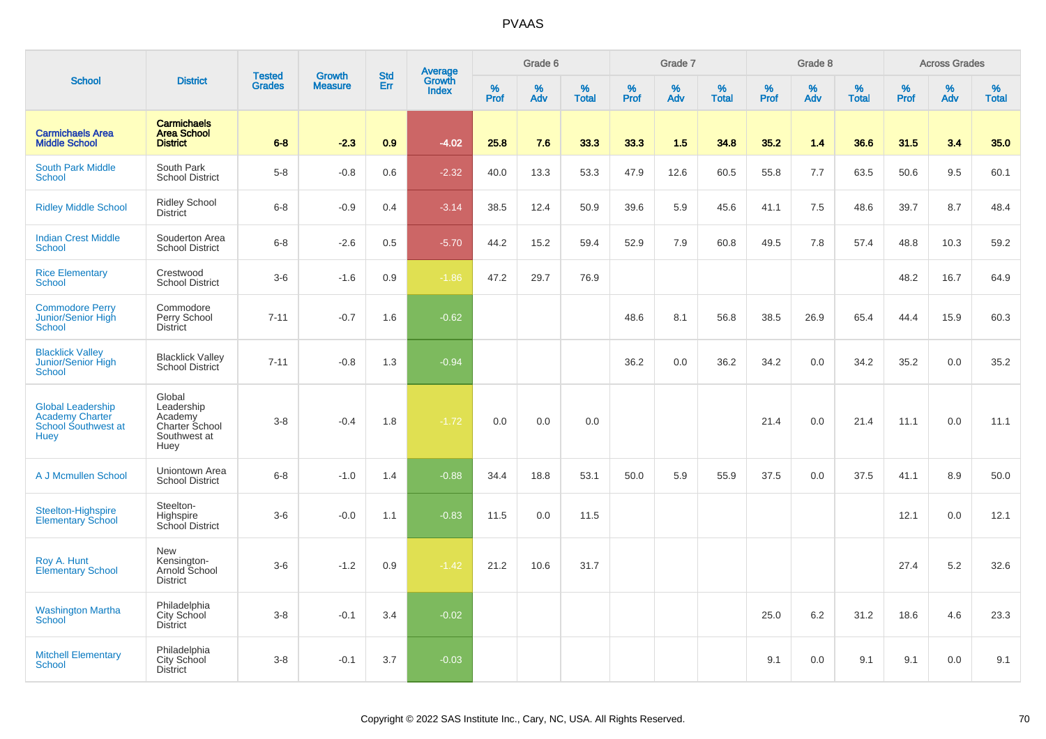|                                                                                          |                                                                           | <b>Tested</b> | <b>Growth</b>  | <b>Std</b> |                                   |           | Grade 6     |                   |           | Grade 7  |                   |              | Grade 8  |                   |              | <b>Across Grades</b> |                   |
|------------------------------------------------------------------------------------------|---------------------------------------------------------------------------|---------------|----------------|------------|-----------------------------------|-----------|-------------|-------------------|-----------|----------|-------------------|--------------|----------|-------------------|--------------|----------------------|-------------------|
| <b>School</b>                                                                            | <b>District</b>                                                           | <b>Grades</b> | <b>Measure</b> | Err        | Average<br>Growth<br><b>Index</b> | %<br>Prof | $\%$<br>Adv | %<br><b>Total</b> | %<br>Prof | %<br>Adv | %<br><b>Total</b> | $\%$<br>Prof | %<br>Adv | %<br><b>Total</b> | $\%$<br>Prof | $\%$<br>Adv          | %<br><b>Total</b> |
| <b>Carmichaels Area</b><br><b>Middle School</b>                                          | <b>Carmichaels</b><br><b>Area School</b><br><b>District</b>               | $6 - 8$       | $-2.3$         | 0.9        | $-4.02$                           | 25.8      | 7.6         | 33.3              | 33.3      | 1.5      | 34.8              | 35.2         | 1.4      | 36.6              | 31.5         | 3.4                  | 35.0              |
| <b>South Park Middle</b><br><b>School</b>                                                | South Park<br><b>School District</b>                                      | $5 - 8$       | $-0.8$         | 0.6        | $-2.32$                           | 40.0      | 13.3        | 53.3              | 47.9      | 12.6     | 60.5              | 55.8         | 7.7      | 63.5              | 50.6         | 9.5                  | 60.1              |
| <b>Ridley Middle School</b>                                                              | <b>Ridley School</b><br><b>District</b>                                   | $6 - 8$       | $-0.9$         | 0.4        | $-3.14$                           | 38.5      | 12.4        | 50.9              | 39.6      | 5.9      | 45.6              | 41.1         | 7.5      | 48.6              | 39.7         | 8.7                  | 48.4              |
| <b>Indian Crest Middle</b><br><b>School</b>                                              | Souderton Area<br><b>School District</b>                                  | $6 - 8$       | $-2.6$         | 0.5        | $-5.70$                           | 44.2      | 15.2        | 59.4              | 52.9      | 7.9      | 60.8              | 49.5         | 7.8      | 57.4              | 48.8         | 10.3                 | 59.2              |
| <b>Rice Elementary</b><br><b>School</b>                                                  | Crestwood<br><b>School District</b>                                       | $3-6$         | $-1.6$         | 0.9        | $-1.86$                           | 47.2      | 29.7        | 76.9              |           |          |                   |              |          |                   | 48.2         | 16.7                 | 64.9              |
| <b>Commodore Perry</b><br>Junior/Senior High<br><b>School</b>                            | Commodore<br>Perry School<br><b>District</b>                              | $7 - 11$      | $-0.7$         | 1.6        | $-0.62$                           |           |             |                   | 48.6      | 8.1      | 56.8              | 38.5         | 26.9     | 65.4              | 44.4         | 15.9                 | 60.3              |
| <b>Blacklick Valley</b><br>Junior/Senior High<br>School                                  | <b>Blacklick Valley</b><br>School District                                | $7 - 11$      | $-0.8$         | 1.3        | $-0.94$                           |           |             |                   | 36.2      | 0.0      | 36.2              | 34.2         | 0.0      | 34.2              | 35.2         | 0.0                  | 35.2              |
| <b>Global Leadership</b><br><b>Academy Charter</b><br>School Southwest at<br><b>Huey</b> | Global<br>Leadership<br>Academy<br>Charter School<br>Southwest at<br>Huey | $3 - 8$       | $-0.4$         | 1.8        | $-1.72$                           | 0.0       | 0.0         | 0.0               |           |          |                   | 21.4         | 0.0      | 21.4              | 11.1         | 0.0                  | 11.1              |
| A J Mcmullen School                                                                      | Uniontown Area<br><b>School District</b>                                  | $6 - 8$       | $-1.0$         | 1.4        | $-0.88$                           | 34.4      | 18.8        | 53.1              | 50.0      | 5.9      | 55.9              | 37.5         | 0.0      | 37.5              | 41.1         | 8.9                  | 50.0              |
| Steelton-Highspire<br><b>Elementary School</b>                                           | Steelton-<br>Highspire<br>School District                                 | $3-6$         | $-0.0$         | 1.1        | $-0.83$                           | 11.5      | 0.0         | 11.5              |           |          |                   |              |          |                   | 12.1         | 0.0                  | 12.1              |
| Roy A. Hunt<br><b>Elementary School</b>                                                  | New<br>Kensington-<br>Arnold School<br><b>District</b>                    | $3-6$         | $-1.2$         | 0.9        | $-1.42$                           | 21.2      | 10.6        | 31.7              |           |          |                   |              |          |                   | 27.4         | 5.2                  | 32.6              |
| <b>Washington Martha</b><br>School                                                       | Philadelphia<br>City School<br><b>District</b>                            | $3 - 8$       | $-0.1$         | 3.4        | $-0.02$                           |           |             |                   |           |          |                   | 25.0         | 6.2      | 31.2              | 18.6         | 4.6                  | 23.3              |
| <b>Mitchell Elementary</b><br><b>School</b>                                              | Philadelphia<br>City School<br><b>District</b>                            | $3 - 8$       | $-0.1$         | 3.7        | $-0.03$                           |           |             |                   |           |          |                   | 9.1          | 0.0      | 9.1               | 9.1          | 0.0                  | 9.1               |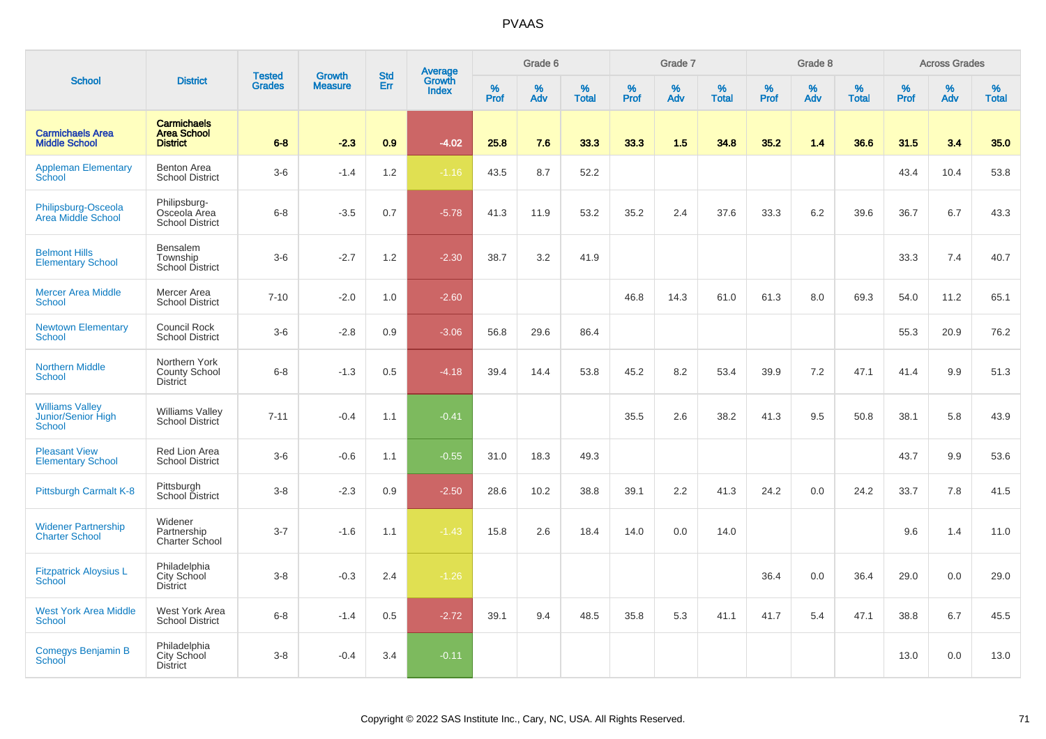|                                                               |                                                             |                                | <b>Growth</b>  | <b>Std</b> |                                   |                  | Grade 6     |                   |              | Grade 7     |                      |                  | Grade 8  |                   |                     | <b>Across Grades</b> |                   |
|---------------------------------------------------------------|-------------------------------------------------------------|--------------------------------|----------------|------------|-----------------------------------|------------------|-------------|-------------------|--------------|-------------|----------------------|------------------|----------|-------------------|---------------------|----------------------|-------------------|
| <b>School</b>                                                 | <b>District</b>                                             | <b>Tested</b><br><b>Grades</b> | <b>Measure</b> | Err        | Average<br>Growth<br><b>Index</b> | %<br><b>Prof</b> | $\%$<br>Adv | %<br><b>Total</b> | $\%$<br>Prof | $\%$<br>Adv | $\%$<br><b>Total</b> | %<br><b>Prof</b> | %<br>Adv | %<br><b>Total</b> | $\%$<br><b>Prof</b> | $\%$<br>Adv          | %<br><b>Total</b> |
| <b>Carmichaels Area</b><br><b>Middle School</b>               | <b>Carmichaels</b><br><b>Area School</b><br><b>District</b> | $6 - 8$                        | $-2.3$         | 0.9        | $-4.02$                           | 25.8             | 7.6         | 33.3              | 33.3         | 1.5         | 34.8                 | 35.2             | 1.4      | 36.6              | 31.5                | 3.4                  | 35.0              |
| <b>Appleman Elementary</b><br>School                          | Benton Area<br><b>School District</b>                       | $3-6$                          | $-1.4$         | 1.2        | $-1.16$                           | 43.5             | 8.7         | 52.2              |              |             |                      |                  |          |                   | 43.4                | 10.4                 | 53.8              |
| Philipsburg-Osceola<br>Area Middle School                     | Philipsburg-<br>Osceola Area<br><b>School District</b>      | $6 - 8$                        | $-3.5$         | 0.7        | $-5.78$                           | 41.3             | 11.9        | 53.2              | 35.2         | 2.4         | 37.6                 | 33.3             | 6.2      | 39.6              | 36.7                | 6.7                  | 43.3              |
| <b>Belmont Hills</b><br><b>Elementary School</b>              | Bensalem<br>Township<br><b>School District</b>              | $3-6$                          | $-2.7$         | 1.2        | $-2.30$                           | 38.7             | 3.2         | 41.9              |              |             |                      |                  |          |                   | 33.3                | 7.4                  | 40.7              |
| <b>Mercer Area Middle</b><br>School                           | Mercer Area<br><b>School District</b>                       | $7 - 10$                       | $-2.0$         | 1.0        | $-2.60$                           |                  |             |                   | 46.8         | 14.3        | 61.0                 | 61.3             | 8.0      | 69.3              | 54.0                | 11.2                 | 65.1              |
| <b>Newtown Elementary</b><br>School                           | Council Rock<br><b>School District</b>                      | $3-6$                          | $-2.8$         | 0.9        | $-3.06$                           | 56.8             | 29.6        | 86.4              |              |             |                      |                  |          |                   | 55.3                | 20.9                 | 76.2              |
| <b>Northern Middle</b><br>School                              | Northern York<br><b>County School</b><br><b>District</b>    | $6 - 8$                        | $-1.3$         | 0.5        | $-4.18$                           | 39.4             | 14.4        | 53.8              | 45.2         | 8.2         | 53.4                 | 39.9             | 7.2      | 47.1              | 41.4                | 9.9                  | 51.3              |
| <b>Williams Valley</b><br>Junior/Senior High<br><b>School</b> | <b>Williams Valley</b><br>School District                   | $7 - 11$                       | $-0.4$         | 1.1        | $-0.41$                           |                  |             |                   | 35.5         | 2.6         | 38.2                 | 41.3             | 9.5      | 50.8              | 38.1                | 5.8                  | 43.9              |
| <b>Pleasant View</b><br><b>Elementary School</b>              | Red Lion Area<br><b>School District</b>                     | $3-6$                          | $-0.6$         | 1.1        | $-0.55$                           | 31.0             | 18.3        | 49.3              |              |             |                      |                  |          |                   | 43.7                | 9.9                  | 53.6              |
| Pittsburgh Carmalt K-8                                        | Pittsburgh<br>School District                               | $3-8$                          | $-2.3$         | 0.9        | $-2.50$                           | 28.6             | 10.2        | 38.8              | 39.1         | 2.2         | 41.3                 | 24.2             | 0.0      | 24.2              | 33.7                | 7.8                  | 41.5              |
| <b>Widener Partnership</b><br><b>Charter School</b>           | Widener<br>Partnership<br>Charter School                    | $3 - 7$                        | $-1.6$         | 1.1        | $-1.43$                           | 15.8             | 2.6         | 18.4              | 14.0         | 0.0         | 14.0                 |                  |          |                   | 9.6                 | 1.4                  | 11.0              |
| <b>Fitzpatrick Aloysius L</b><br><b>School</b>                | Philadelphia<br>City School<br><b>District</b>              | $3 - 8$                        | $-0.3$         | 2.4        | $-1.26$                           |                  |             |                   |              |             |                      | 36.4             | 0.0      | 36.4              | 29.0                | 0.0                  | 29.0              |
| <b>West York Area Middle</b><br><b>School</b>                 | West York Area<br><b>School District</b>                    | $6 - 8$                        | $-1.4$         | 0.5        | $-2.72$                           | 39.1             | 9.4         | 48.5              | 35.8         | 5.3         | 41.1                 | 41.7             | 5.4      | 47.1              | 38.8                | 6.7                  | 45.5              |
| Comegys Benjamin B<br>School                                  | Philadelphia<br>City School<br><b>District</b>              | $3 - 8$                        | $-0.4$         | 3.4        | $-0.11$                           |                  |             |                   |              |             |                      |                  |          |                   | 13.0                | 0.0                  | 13.0              |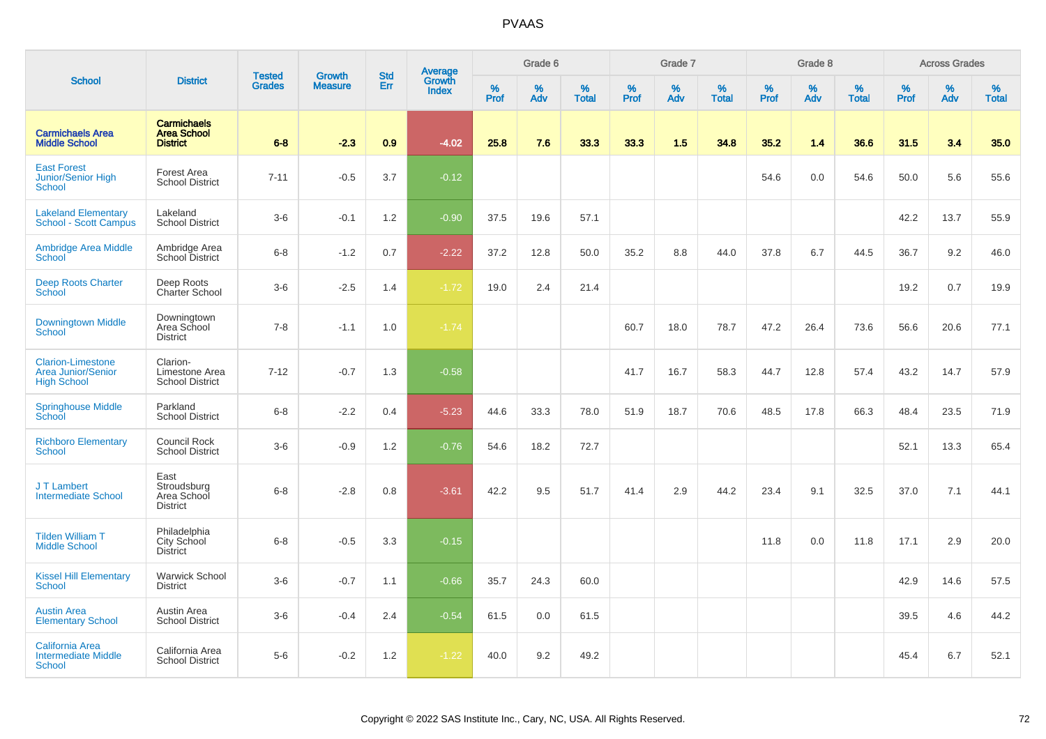|                                                                             |                                                             | <b>Tested</b> |                                 | <b>Std</b> |                                          |                  | Grade 6     |                   |                     | Grade 7     |                   |           | Grade 8  |                   |                     | <b>Across Grades</b> |                   |
|-----------------------------------------------------------------------------|-------------------------------------------------------------|---------------|---------------------------------|------------|------------------------------------------|------------------|-------------|-------------------|---------------------|-------------|-------------------|-----------|----------|-------------------|---------------------|----------------------|-------------------|
| <b>School</b>                                                               | <b>District</b>                                             | <b>Grades</b> | <b>Growth</b><br><b>Measure</b> | Err        | <b>Average</b><br>Growth<br><b>Index</b> | %<br><b>Prof</b> | $\%$<br>Adv | %<br><b>Total</b> | $\%$<br><b>Prof</b> | $\%$<br>Adv | %<br><b>Total</b> | %<br>Prof | %<br>Adv | %<br><b>Total</b> | $\%$<br><b>Prof</b> | $\%$<br>Adv          | %<br><b>Total</b> |
| <b>Carmichaels Area</b><br><b>Middle School</b>                             | <b>Carmichaels</b><br><b>Area School</b><br><b>District</b> | $6 - 8$       | $-2.3$                          | 0.9        | $-4.02$                                  | 25.8             | 7.6         | 33.3              | 33.3                | 1.5         | 34.8              | 35.2      | 1.4      | 36.6              | 31.5                | 3.4                  | 35.0              |
| <b>East Forest</b><br><b>Junior/Senior High</b><br>School                   | Forest Area<br><b>School District</b>                       | $7 - 11$      | $-0.5$                          | 3.7        | $-0.12$                                  |                  |             |                   |                     |             |                   | 54.6      | 0.0      | 54.6              | 50.0                | 5.6                  | 55.6              |
| <b>Lakeland Elementary</b><br>School - Scott Campus                         | Lakeland<br><b>School District</b>                          | $3-6$         | $-0.1$                          | 1.2        | $-0.90$                                  | 37.5             | 19.6        | 57.1              |                     |             |                   |           |          |                   | 42.2                | 13.7                 | 55.9              |
| <b>Ambridge Area Middle</b><br><b>School</b>                                | Ambridge Area<br>School District                            | $6-8$         | $-1.2$                          | 0.7        | $-2.22$                                  | 37.2             | 12.8        | 50.0              | 35.2                | 8.8         | 44.0              | 37.8      | 6.7      | 44.5              | 36.7                | 9.2                  | 46.0              |
| <b>Deep Roots Charter</b><br>School                                         | Deep Roots<br>Charter School                                | $3-6$         | $-2.5$                          | 1.4        | $-1.72$                                  | 19.0             | 2.4         | 21.4              |                     |             |                   |           |          |                   | 19.2                | 0.7                  | 19.9              |
| <b>Downingtown Middle</b><br>School                                         | Downingtown<br>Area School<br><b>District</b>               | $7 - 8$       | $-1.1$                          | 1.0        | $-1.74$                                  |                  |             |                   | 60.7                | 18.0        | 78.7              | 47.2      | 26.4     | 73.6              | 56.6                | 20.6                 | 77.1              |
| <b>Clarion-Limestone</b><br><b>Area Junior/Senior</b><br><b>High School</b> | Clarion-<br>Limestone Area<br><b>School District</b>        | $7 - 12$      | $-0.7$                          | 1.3        | $-0.58$                                  |                  |             |                   | 41.7                | 16.7        | 58.3              | 44.7      | 12.8     | 57.4              | 43.2                | 14.7                 | 57.9              |
| <b>Springhouse Middle</b><br>School                                         | Parkland<br><b>School District</b>                          | $6 - 8$       | $-2.2$                          | 0.4        | $-5.23$                                  | 44.6             | 33.3        | 78.0              | 51.9                | 18.7        | 70.6              | 48.5      | 17.8     | 66.3              | 48.4                | 23.5                 | 71.9              |
| <b>Richboro Elementary</b><br><b>School</b>                                 | <b>Council Rock</b><br><b>School District</b>               | $3-6$         | $-0.9$                          | 1.2        | $-0.76$                                  | 54.6             | 18.2        | 72.7              |                     |             |                   |           |          |                   | 52.1                | 13.3                 | 65.4              |
| J T Lambert<br><b>Intermediate School</b>                                   | East<br>Stroudsburg<br>Area School<br><b>District</b>       | $6 - 8$       | $-2.8$                          | 0.8        | $-3.61$                                  | 42.2             | 9.5         | 51.7              | 41.4                | 2.9         | 44.2              | 23.4      | 9.1      | 32.5              | 37.0                | 7.1                  | 44.1              |
| <b>Tilden William T</b><br><b>Middle School</b>                             | Philadelphia<br>City School<br><b>District</b>              | $6 - 8$       | $-0.5$                          | 3.3        | $-0.15$                                  |                  |             |                   |                     |             |                   | 11.8      | 0.0      | 11.8              | 17.1                | 2.9                  | 20.0              |
| <b>Kissel Hill Elementary</b><br><b>School</b>                              | <b>Warwick School</b><br><b>District</b>                    | $3-6$         | $-0.7$                          | 1.1        | $-0.66$                                  | 35.7             | 24.3        | 60.0              |                     |             |                   |           |          |                   | 42.9                | 14.6                 | 57.5              |
| <b>Austin Area</b><br><b>Elementary School</b>                              | Austin Area<br><b>School District</b>                       | $3-6$         | $-0.4$                          | 2.4        | $-0.54$                                  | 61.5             | 0.0         | 61.5              |                     |             |                   |           |          |                   | 39.5                | 4.6                  | 44.2              |
| <b>California Area</b><br><b>Intermediate Middle</b><br><b>School</b>       | California Area<br><b>School District</b>                   | $5-6$         | $-0.2$                          | 1.2        | $-1.22$                                  | 40.0             | 9.2         | 49.2              |                     |             |                   |           |          |                   | 45.4                | 6.7                  | 52.1              |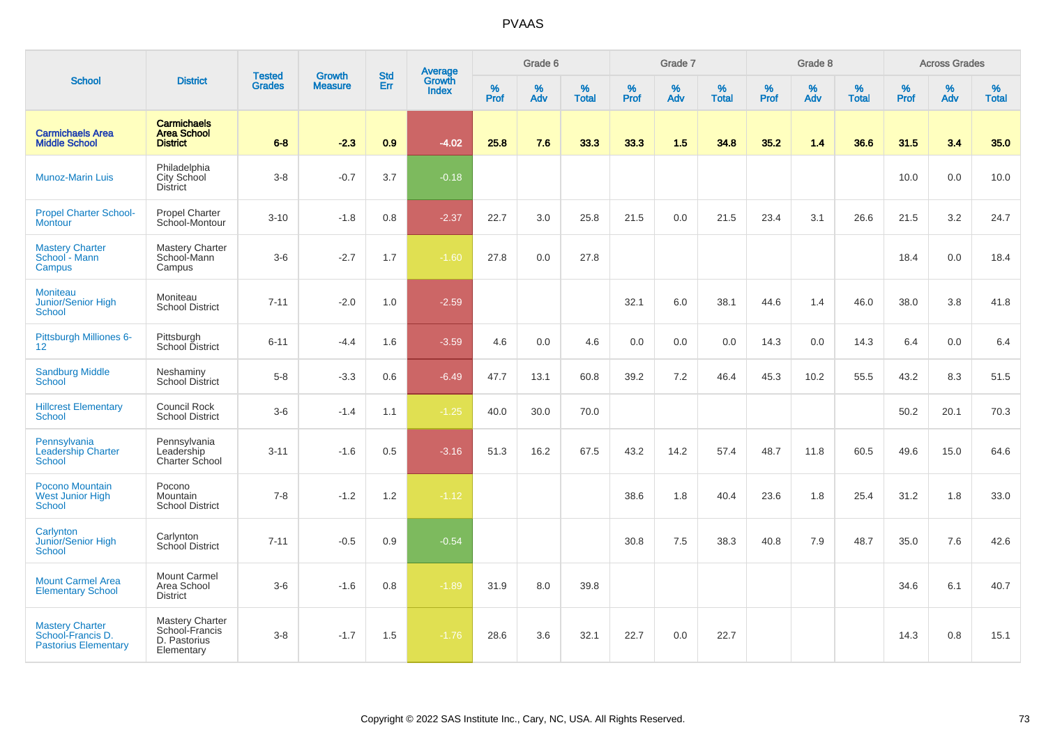|                                                                            |                                                                 |                                | <b>Growth</b>  | <b>Std</b> |                                          |                  | Grade 6  |                   |           | Grade 7  |                   |           | Grade 8  |                   |           | <b>Across Grades</b> |                   |
|----------------------------------------------------------------------------|-----------------------------------------------------------------|--------------------------------|----------------|------------|------------------------------------------|------------------|----------|-------------------|-----------|----------|-------------------|-----------|----------|-------------------|-----------|----------------------|-------------------|
| <b>School</b>                                                              | <b>District</b>                                                 | <b>Tested</b><br><b>Grades</b> | <b>Measure</b> | Err        | <b>Average</b><br>Growth<br><b>Index</b> | %<br><b>Prof</b> | %<br>Adv | %<br><b>Total</b> | %<br>Prof | %<br>Adv | %<br><b>Total</b> | %<br>Prof | %<br>Adv | %<br><b>Total</b> | %<br>Prof | %<br>Adv             | %<br><b>Total</b> |
| <b>Carmichaels Area</b><br><b>Middle School</b>                            | <b>Carmichaels</b><br><b>Area School</b><br><b>District</b>     | $6 - 8$                        | $-2.3$         | 0.9        | $-4.02$                                  | 25.8             | 7.6      | 33.3              | 33.3      | 1.5      | 34.8              | 35.2      | 1.4      | 36.6              | 31.5      | 3.4                  | 35.0              |
| <b>Munoz-Marin Luis</b>                                                    | Philadelphia<br>City School<br><b>District</b>                  | $3-8$                          | $-0.7$         | 3.7        | $-0.18$                                  |                  |          |                   |           |          |                   |           |          |                   | 10.0      | 0.0                  | 10.0              |
| <b>Propel Charter School-</b><br><b>Montour</b>                            | <b>Propel Charter</b><br>School-Montour                         | $3 - 10$                       | $-1.8$         | 0.8        | $-2.37$                                  | 22.7             | 3.0      | 25.8              | 21.5      | 0.0      | 21.5              | 23.4      | 3.1      | 26.6              | 21.5      | 3.2                  | 24.7              |
| <b>Mastery Charter</b><br>School - Mann<br>Campus                          | <b>Mastery Charter</b><br>School-Mann<br>Campus                 | $3-6$                          | $-2.7$         | 1.7        | $-1.60$                                  | 27.8             | 0.0      | 27.8              |           |          |                   |           |          |                   | 18.4      | 0.0                  | 18.4              |
| <b>Moniteau</b><br>Junior/Senior High<br>School                            | Moniteau<br><b>School District</b>                              | $7 - 11$                       | $-2.0$         | 1.0        | $-2.59$                                  |                  |          |                   | 32.1      | 6.0      | 38.1              | 44.6      | 1.4      | 46.0              | 38.0      | 3.8                  | 41.8              |
| Pittsburgh Milliones 6-<br>12 <sup>2</sup>                                 | Pittsburgh<br>School District                                   | $6 - 11$                       | $-4.4$         | 1.6        | $-3.59$                                  | 4.6              | 0.0      | 4.6               | 0.0       | 0.0      | 0.0               | 14.3      | 0.0      | 14.3              | 6.4       | 0.0                  | 6.4               |
| <b>Sandburg Middle</b><br>School                                           | Neshaminy<br><b>School District</b>                             | $5-8$                          | $-3.3$         | 0.6        | $-6.49$                                  | 47.7             | 13.1     | 60.8              | 39.2      | 7.2      | 46.4              | 45.3      | 10.2     | 55.5              | 43.2      | 8.3                  | 51.5              |
| <b>Hillcrest Elementary</b><br><b>School</b>                               | Council Rock<br><b>School District</b>                          | $3-6$                          | $-1.4$         | 1.1        | $-1.25$                                  | 40.0             | 30.0     | 70.0              |           |          |                   |           |          |                   | 50.2      | 20.1                 | 70.3              |
| Pennsylvania<br><b>Leadership Charter</b><br><b>School</b>                 | Pennsylvania<br>Leadership<br>Charter School                    | $3 - 11$                       | $-1.6$         | 0.5        | $-3.16$                                  | 51.3             | 16.2     | 67.5              | 43.2      | 14.2     | 57.4              | 48.7      | 11.8     | 60.5              | 49.6      | 15.0                 | 64.6              |
| <b>Pocono Mountain</b><br>West Junior High<br>School                       | Pocono<br>Mountain<br><b>School District</b>                    | $7 - 8$                        | $-1.2$         | 1.2        | $-1.12$                                  |                  |          |                   | 38.6      | 1.8      | 40.4              | 23.6      | 1.8      | 25.4              | 31.2      | 1.8                  | 33.0              |
| Carlynton<br>Junior/Senior High<br><b>School</b>                           | Carlynton<br><b>School District</b>                             | $7 - 11$                       | $-0.5$         | 0.9        | $-0.54$                                  |                  |          |                   | 30.8      | 7.5      | 38.3              | 40.8      | 7.9      | 48.7              | 35.0      | 7.6                  | 42.6              |
| <b>Mount Carmel Area</b><br><b>Elementary School</b>                       | Mount Carmel<br>Area School<br><b>District</b>                  | $3-6$                          | $-1.6$         | 0.8        | $-1.89$                                  | 31.9             | 8.0      | 39.8              |           |          |                   |           |          |                   | 34.6      | 6.1                  | 40.7              |
| <b>Mastery Charter</b><br>School-Francis D.<br><b>Pastorius Elementary</b> | Mastery Charter<br>School-Francis<br>D. Pastorius<br>Elementary | $3-8$                          | $-1.7$         | 1.5        | $-1.76$                                  | 28.6             | 3.6      | 32.1              | 22.7      | 0.0      | 22.7              |           |          |                   | 14.3      | 0.8                  | 15.1              |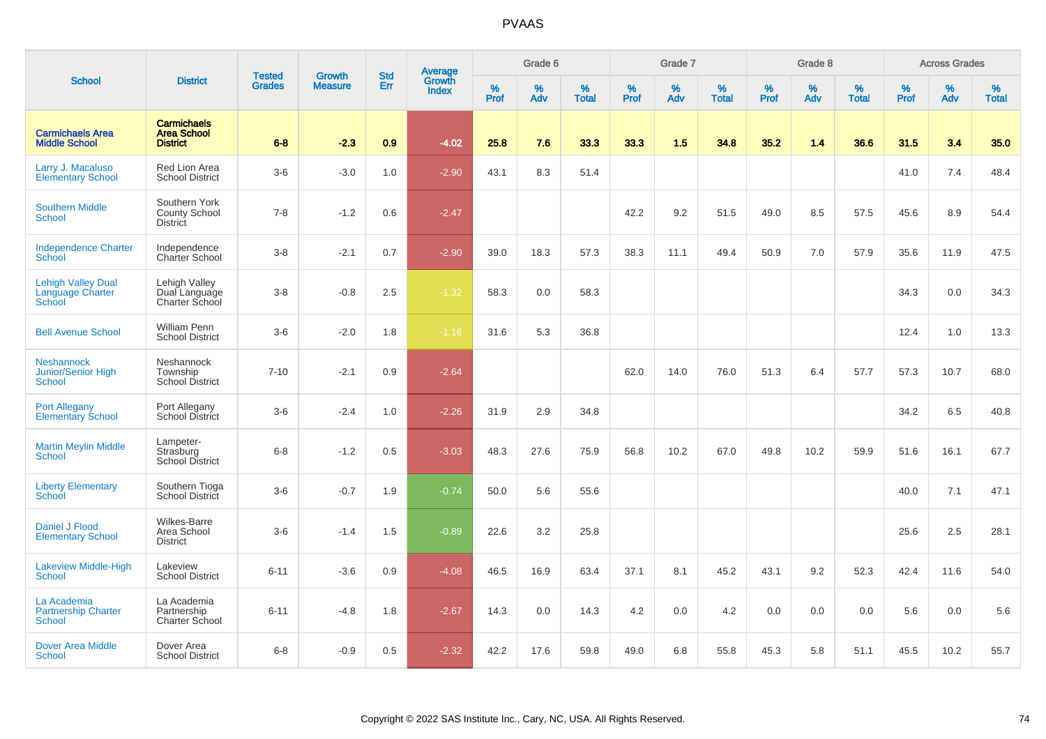|                                                            |                                                             |                                | <b>Growth</b>  | <b>Std</b> |                                          |                  | Grade 6     |                   |              | Grade 7     |                      |              | Grade 8  |                   |              | <b>Across Grades</b> |                   |
|------------------------------------------------------------|-------------------------------------------------------------|--------------------------------|----------------|------------|------------------------------------------|------------------|-------------|-------------------|--------------|-------------|----------------------|--------------|----------|-------------------|--------------|----------------------|-------------------|
| <b>School</b>                                              | <b>District</b>                                             | <b>Tested</b><br><b>Grades</b> | <b>Measure</b> | Err        | <b>Average</b><br>Growth<br><b>Index</b> | %<br><b>Prof</b> | $\%$<br>Adv | %<br><b>Total</b> | $\%$<br>Prof | $\%$<br>Adv | $\%$<br><b>Total</b> | $\%$<br>Prof | %<br>Adv | %<br><b>Total</b> | $\%$<br>Prof | $\%$<br>Adv          | %<br><b>Total</b> |
| <b>Carmichaels Area</b><br><b>Middle School</b>            | <b>Carmichaels</b><br><b>Area School</b><br><b>District</b> | $6 - 8$                        | $-2.3$         | 0.9        | $-4.02$                                  | 25.8             | 7.6         | 33.3              | 33.3         | 1.5         | 34.8                 | 35.2         | 1.4      | 36.6              | 31.5         | 3.4                  | 35.0              |
| Larry J. Macaluso<br><b>Elementary School</b>              | <b>Red Lion Area</b><br><b>School District</b>              | $3-6$                          | $-3.0$         | 1.0        | $-2.90$                                  | 43.1             | 8.3         | 51.4              |              |             |                      |              |          |                   | 41.0         | 7.4                  | 48.4              |
| <b>Southern Middle</b><br><b>School</b>                    | Southern York<br><b>County School</b><br><b>District</b>    | $7 - 8$                        | $-1.2$         | 0.6        | $-2.47$                                  |                  |             |                   | 42.2         | 9.2         | 51.5                 | 49.0         | 8.5      | 57.5              | 45.6         | 8.9                  | 54.4              |
| <b>Independence Charter</b><br>School                      | Independence<br>Charter School                              | $3-8$                          | $-2.1$         | 0.7        | $-2.90$                                  | 39.0             | 18.3        | 57.3              | 38.3         | 11.1        | 49.4                 | 50.9         | 7.0      | 57.9              | 35.6         | 11.9                 | 47.5              |
| <b>Lehigh Valley Dual</b><br>Language Charter<br>School    | Lehigh Valley<br>Dual Language<br>Charter School            | $3-8$                          | $-0.8$         | 2.5        | $-1.32$                                  | 58.3             | 0.0         | 58.3              |              |             |                      |              |          |                   | 34.3         | 0.0                  | 34.3              |
| <b>Bell Avenue School</b>                                  | <b>William Penn</b><br><b>School District</b>               | $3-6$                          | $-2.0$         | 1.8        | $-1.16$                                  | 31.6             | 5.3         | 36.8              |              |             |                      |              |          |                   | 12.4         | 1.0                  | 13.3              |
| <b>Neshannock</b><br>Junior/Senior High<br><b>School</b>   | Neshannock<br>Township<br><b>School District</b>            | $7 - 10$                       | $-2.1$         | 0.9        | $-2.64$                                  |                  |             |                   | 62.0         | 14.0        | 76.0                 | 51.3         | 6.4      | 57.7              | 57.3         | 10.7                 | 68.0              |
| <b>Port Allegany</b><br><b>Elementary School</b>           | Port Allegany<br>School District                            | $3-6$                          | $-2.4$         | 1.0        | $-2.26$                                  | 31.9             | 2.9         | 34.8              |              |             |                      |              |          |                   | 34.2         | 6.5                  | 40.8              |
| <b>Martin Meylin Middle</b><br>School                      | Lampeter-<br>Strasburg<br>School District                   | $6-8$                          | $-1.2$         | 0.5        | $-3.03$                                  | 48.3             | 27.6        | 75.9              | 56.8         | 10.2        | 67.0                 | 49.8         | 10.2     | 59.9              | 51.6         | 16.1                 | 67.7              |
| <b>Liberty Elementary</b><br>School                        | Southern Tioga<br>School District                           | $3-6$                          | $-0.7$         | 1.9        | $-0.74$                                  | 50.0             | 5.6         | 55.6              |              |             |                      |              |          |                   | 40.0         | 7.1                  | 47.1              |
| Daniel J Flood<br><b>Elementary School</b>                 | Wilkes-Barre<br>Area School<br><b>District</b>              | $3-6$                          | $-1.4$         | 1.5        | $-0.89$                                  | 22.6             | 3.2         | 25.8              |              |             |                      |              |          |                   | 25.6         | 2.5                  | 28.1              |
| Lakeview Middle-High<br><b>School</b>                      | Lakeview<br><b>School District</b>                          | $6 - 11$                       | $-3.6$         | 0.9        | $-4.08$                                  | 46.5             | 16.9        | 63.4              | 37.1         | 8.1         | 45.2                 | 43.1         | 9.2      | 52.3              | 42.4         | 11.6                 | 54.0              |
| La Academia<br><b>Partnership Charter</b><br><b>School</b> | La Academia<br>Partnership<br><b>Charter School</b>         | $6 - 11$                       | $-4.8$         | 1.8        | $-2.67$                                  | 14.3             | 0.0         | 14.3              | 4.2          | 0.0         | 4.2                  | 0.0          | 0.0      | 0.0               | 5.6          | 0.0                  | 5.6               |
| <b>Dover Area Middle</b><br>School                         | Dover Area<br><b>School District</b>                        | $6 - 8$                        | $-0.9$         | 0.5        | $-2.32$                                  | 42.2             | 17.6        | 59.8              | 49.0         | 6.8         | 55.8                 | 45.3         | 5.8      | 51.1              | 45.5         | 10.2                 | 55.7              |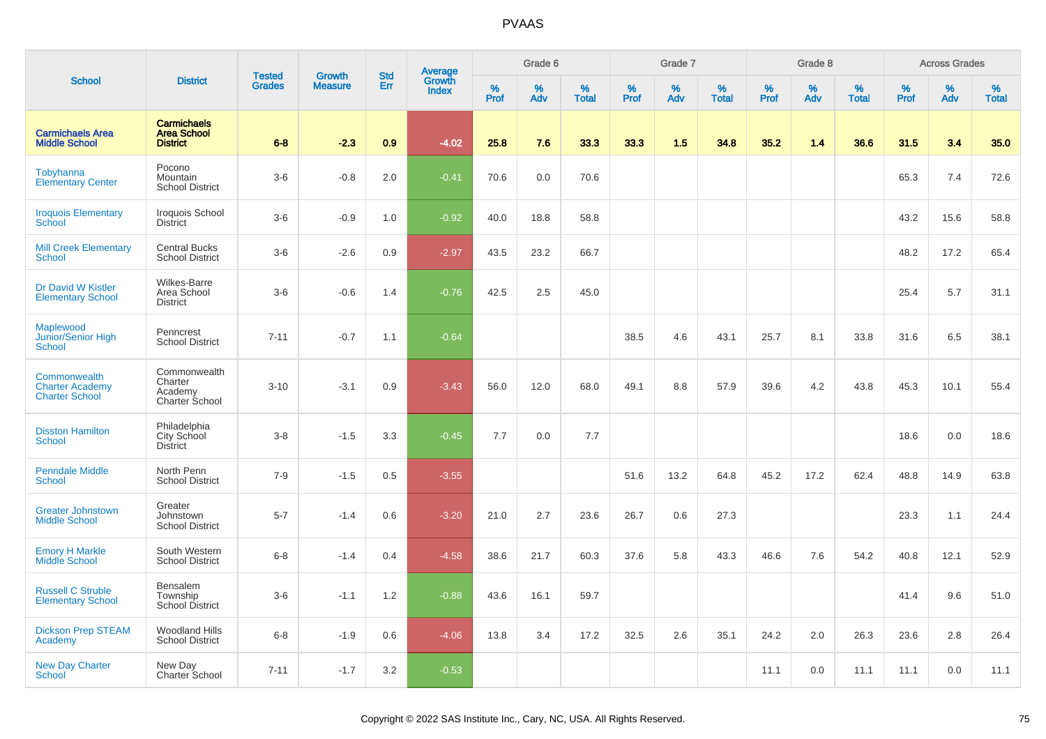|                                                                 |                                                             |                                |                                 | <b>Std</b> |                                          |                  | Grade 6  |                   |           | Grade 7  |                   |           | Grade 8  |                   |           | <b>Across Grades</b> |                   |
|-----------------------------------------------------------------|-------------------------------------------------------------|--------------------------------|---------------------------------|------------|------------------------------------------|------------------|----------|-------------------|-----------|----------|-------------------|-----------|----------|-------------------|-----------|----------------------|-------------------|
| <b>School</b>                                                   | <b>District</b>                                             | <b>Tested</b><br><b>Grades</b> | <b>Growth</b><br><b>Measure</b> | Err        | <b>Average</b><br>Growth<br><b>Index</b> | %<br><b>Prof</b> | %<br>Adv | %<br><b>Total</b> | %<br>Prof | %<br>Adv | %<br><b>Total</b> | %<br>Prof | %<br>Adv | %<br><b>Total</b> | %<br>Prof | %<br>Adv             | %<br><b>Total</b> |
| <b>Carmichaels Area</b><br><b>Middle School</b>                 | <b>Carmichaels</b><br><b>Area School</b><br><b>District</b> | $6 - 8$                        | $-2.3$                          | 0.9        | $-4.02$                                  | 25.8             | 7.6      | 33.3              | 33.3      | 1.5      | 34.8              | 35.2      | 1.4      | 36.6              | 31.5      | 3.4                  | 35.0              |
| Tobyhanna<br><b>Elementary Center</b>                           | Pocono<br>Mountain<br><b>School District</b>                | $3-6$                          | $-0.8$                          | 2.0        | $-0.41$                                  | 70.6             | 0.0      | 70.6              |           |          |                   |           |          |                   | 65.3      | 7.4                  | 72.6              |
| <b>Iroquois Elementary</b><br>School                            | Iroquois School<br><b>District</b>                          | $3-6$                          | $-0.9$                          | 1.0        | $-0.92$                                  | 40.0             | 18.8     | 58.8              |           |          |                   |           |          |                   | 43.2      | 15.6                 | 58.8              |
| <b>Mill Creek Elementary</b><br>School                          | <b>Central Bucks</b><br><b>School District</b>              | $3-6$                          | $-2.6$                          | 0.9        | $-2.97$                                  | 43.5             | 23.2     | 66.7              |           |          |                   |           |          |                   | 48.2      | 17.2                 | 65.4              |
| Dr David W Kistler<br><b>Elementary School</b>                  | <b>Wilkes-Barre</b><br>Area School<br><b>District</b>       | $3-6$                          | $-0.6$                          | 1.4        | $-0.76$                                  | 42.5             | 2.5      | 45.0              |           |          |                   |           |          |                   | 25.4      | 5.7                  | 31.1              |
| Maplewood<br>Junior/Senior High<br><b>School</b>                | Penncrest<br><b>School District</b>                         | $7 - 11$                       | $-0.7$                          | 1.1        | $-0.64$                                  |                  |          |                   | 38.5      | 4.6      | 43.1              | 25.7      | 8.1      | 33.8              | 31.6      | 6.5                  | 38.1              |
| Commonwealth<br><b>Charter Academy</b><br><b>Charter School</b> | Commonwealth<br>Charter<br>Academy<br>Charter School        | $3 - 10$                       | $-3.1$                          | 0.9        | $-3.43$                                  | 56.0             | 12.0     | 68.0              | 49.1      | 8.8      | 57.9              | 39.6      | 4.2      | 43.8              | 45.3      | 10.1                 | 55.4              |
| <b>Disston Hamilton</b><br><b>School</b>                        | Philadelphia<br>City School<br>District                     | $3-8$                          | $-1.5$                          | 3.3        | $-0.45$                                  | 7.7              | 0.0      | 7.7               |           |          |                   |           |          |                   | 18.6      | 0.0                  | 18.6              |
| <b>Penndale Middle</b><br><b>School</b>                         | North Penn<br><b>School District</b>                        | $7 - 9$                        | $-1.5$                          | 0.5        | $-3.55$                                  |                  |          |                   | 51.6      | 13.2     | 64.8              | 45.2      | 17.2     | 62.4              | 48.8      | 14.9                 | 63.8              |
| <b>Greater Johnstown</b><br><b>Middle School</b>                | Greater<br>Johnstown<br><b>School District</b>              | $5 - 7$                        | $-1.4$                          | 0.6        | $-3.20$                                  | 21.0             | 2.7      | 23.6              | 26.7      | 0.6      | 27.3              |           |          |                   | 23.3      | 1.1                  | 24.4              |
| <b>Emory H Markle</b><br>Middle School                          | South Western<br><b>School District</b>                     | $6 - 8$                        | $-1.4$                          | 0.4        | $-4.58$                                  | 38.6             | 21.7     | 60.3              | 37.6      | 5.8      | 43.3              | 46.6      | 7.6      | 54.2              | 40.8      | 12.1                 | 52.9              |
| <b>Russell C Struble</b><br><b>Elementary School</b>            | <b>Bensalem</b><br>Township<br><b>School District</b>       | $3-6$                          | $-1.1$                          | 1.2        | $-0.88$                                  | 43.6             | 16.1     | 59.7              |           |          |                   |           |          |                   | 41.4      | 9.6                  | 51.0              |
| <b>Dickson Prep STEAM</b><br>Academy                            | <b>Woodland Hills</b><br><b>School District</b>             | $6-8$                          | $-1.9$                          | 0.6        | $-4.06$                                  | 13.8             | 3.4      | 17.2              | 32.5      | 2.6      | 35.1              | 24.2      | 2.0      | 26.3              | 23.6      | 2.8                  | 26.4              |
| <b>New Day Charter</b><br><b>School</b>                         | New Day<br>Charter School                                   | $7 - 11$                       | $-1.7$                          | 3.2        | $-0.53$                                  |                  |          |                   |           |          |                   | 11.1      | 0.0      | 11.1              | 11.1      | 0.0                  | 11.1              |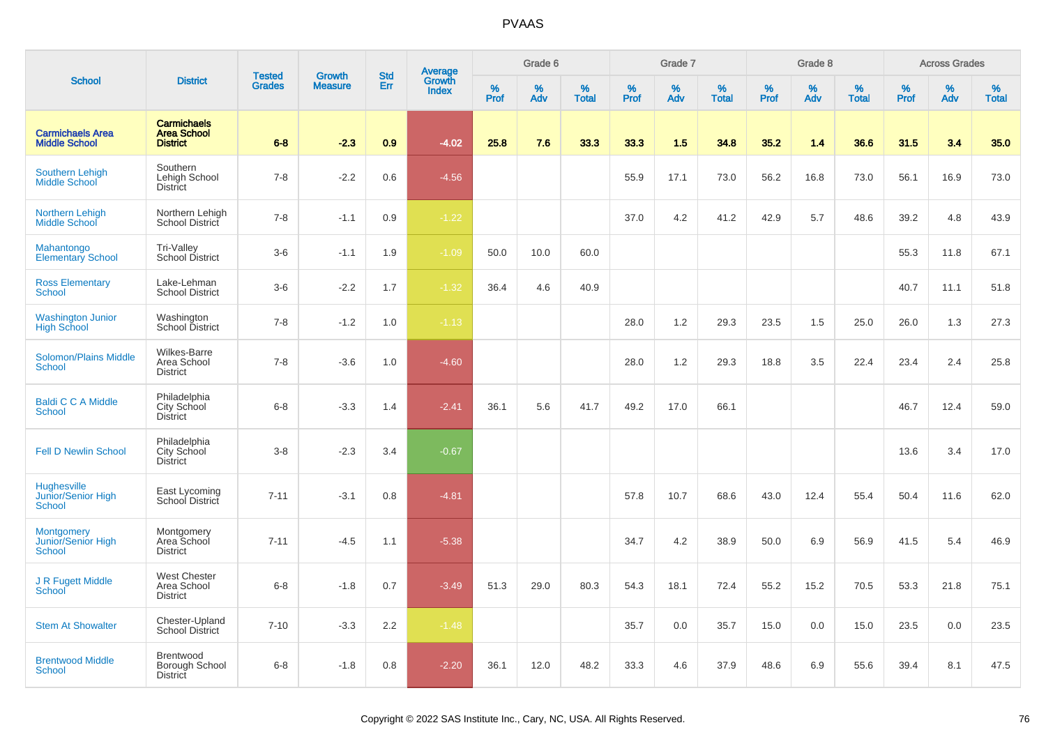|                                                                 |                                                             |                                |                                 |                   |                                          |                  | Grade 6  |                   |                  | Grade 7  |                   |           | Grade 8  |                   |           | <b>Across Grades</b> |                   |
|-----------------------------------------------------------------|-------------------------------------------------------------|--------------------------------|---------------------------------|-------------------|------------------------------------------|------------------|----------|-------------------|------------------|----------|-------------------|-----------|----------|-------------------|-----------|----------------------|-------------------|
| <b>School</b>                                                   | <b>District</b>                                             | <b>Tested</b><br><b>Grades</b> | <b>Growth</b><br><b>Measure</b> | <b>Std</b><br>Err | <b>Average</b><br>Growth<br><b>Index</b> | %<br><b>Prof</b> | %<br>Adv | %<br><b>Total</b> | %<br><b>Prof</b> | %<br>Adv | %<br><b>Total</b> | %<br>Prof | %<br>Adv | %<br><b>Total</b> | %<br>Prof | %<br>Adv             | %<br><b>Total</b> |
| <b>Carmichaels Area</b><br><b>Middle School</b>                 | <b>Carmichaels</b><br><b>Area School</b><br><b>District</b> | $6 - 8$                        | $-2.3$                          | 0.9               | $-4.02$                                  | 25.8             | 7.6      | 33.3              | 33.3             | 1.5      | 34.8              | 35.2      | 1.4      | 36.6              | 31.5      | 3.4                  | 35.0              |
| Southern Lehigh<br>Middle School                                | Southern<br>Lehigh School<br>District                       | $7 - 8$                        | $-2.2$                          | 0.6               | $-4.56$                                  |                  |          |                   | 55.9             | 17.1     | 73.0              | 56.2      | 16.8     | 73.0              | 56.1      | 16.9                 | 73.0              |
| <b>Northern Lehigh</b><br>Middle School                         | Northern Lehigh<br>School District                          | $7 - 8$                        | $-1.1$                          | 0.9               | $-1.22$                                  |                  |          |                   | 37.0             | 4.2      | 41.2              | 42.9      | 5.7      | 48.6              | 39.2      | 4.8                  | 43.9              |
| Mahantongo<br><b>Elementary School</b>                          | <b>Tri-Valley</b><br><b>School District</b>                 | $3-6$                          | $-1.1$                          | 1.9               | $-1.09$                                  | 50.0             | 10.0     | 60.0              |                  |          |                   |           |          |                   | 55.3      | 11.8                 | 67.1              |
| <b>Ross Elementary</b><br><b>School</b>                         | Lake-Lehman<br><b>School District</b>                       | $3-6$                          | $-2.2$                          | 1.7               | $-1.32$                                  | 36.4             | 4.6      | 40.9              |                  |          |                   |           |          |                   | 40.7      | 11.1                 | 51.8              |
| Washington Junior<br>High School                                | Washington<br>School District                               | $7 - 8$                        | $-1.2$                          | 1.0               | $-1.13$                                  |                  |          |                   | 28.0             | 1.2      | 29.3              | 23.5      | 1.5      | 25.0              | 26.0      | 1.3                  | 27.3              |
| <b>Solomon/Plains Middle</b><br><b>School</b>                   | Wilkes-Barre<br>Area School<br><b>District</b>              | $7 - 8$                        | $-3.6$                          | 1.0               | $-4.60$                                  |                  |          |                   | 28.0             | 1.2      | 29.3              | 18.8      | 3.5      | 22.4              | 23.4      | 2.4                  | 25.8              |
| <b>Baldi C C A Middle</b><br><b>School</b>                      | Philadelphia<br>City School<br>District                     | $6-8$                          | $-3.3$                          | 1.4               | $-2.41$                                  | 36.1             | 5.6      | 41.7              | 49.2             | 17.0     | 66.1              |           |          |                   | 46.7      | 12.4                 | 59.0              |
| <b>Fell D Newlin School</b>                                     | Philadelphia<br>City School<br><b>District</b>              | $3-8$                          | $-2.3$                          | 3.4               | $-0.67$                                  |                  |          |                   |                  |          |                   |           |          |                   | 13.6      | 3.4                  | 17.0              |
| Hughesville<br>Junior/Senior High<br><b>School</b>              | East Lycoming<br><b>School District</b>                     | $7 - 11$                       | $-3.1$                          | 0.8               | $-4.81$                                  |                  |          |                   | 57.8             | 10.7     | 68.6              | 43.0      | 12.4     | 55.4              | 50.4      | 11.6                 | 62.0              |
| <b>Montgomery</b><br><b>Junior/Senior High</b><br><b>School</b> | Montgomery<br>Area School<br><b>District</b>                | $7 - 11$                       | $-4.5$                          | 1.1               | $-5.38$                                  |                  |          |                   | 34.7             | 4.2      | 38.9              | 50.0      | 6.9      | 56.9              | 41.5      | 5.4                  | 46.9              |
| J R Fugett Middle<br>School                                     | <b>West Chester</b><br>Area School<br><b>District</b>       | $6 - 8$                        | $-1.8$                          | 0.7               | $-3.49$                                  | 51.3             | 29.0     | 80.3              | 54.3             | 18.1     | 72.4              | 55.2      | 15.2     | 70.5              | 53.3      | 21.8                 | 75.1              |
| <b>Stem At Showalter</b>                                        | Chester-Upland<br><b>School District</b>                    | $7 - 10$                       | $-3.3$                          | 2.2               | $-1.48$                                  |                  |          |                   | 35.7             | 0.0      | 35.7              | 15.0      | 0.0      | 15.0              | 23.5      | 0.0                  | 23.5              |
| <b>Brentwood Middle</b><br>School                               | Brentwood<br>Borough School<br>District                     | $6 - 8$                        | $-1.8$                          | 0.8               | $-2.20$                                  | 36.1             | 12.0     | 48.2              | 33.3             | 4.6      | 37.9              | 48.6      | 6.9      | 55.6              | 39.4      | 8.1                  | 47.5              |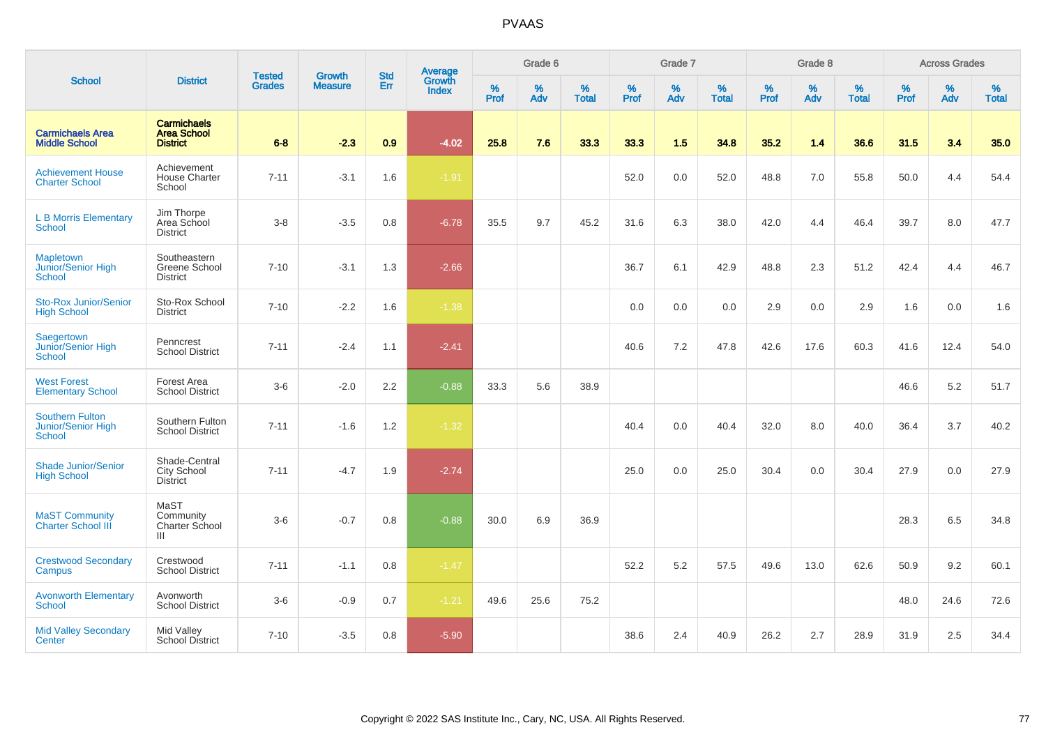|                                                        |                                                             | <b>Tested</b> | <b>Growth</b>  | <b>Std</b> |                                          |                  | Grade 6     |                      |                     | Grade 7  |                      |           | Grade 8     |                   |              | <b>Across Grades</b> |                   |
|--------------------------------------------------------|-------------------------------------------------------------|---------------|----------------|------------|------------------------------------------|------------------|-------------|----------------------|---------------------|----------|----------------------|-----------|-------------|-------------------|--------------|----------------------|-------------------|
| <b>School</b>                                          | <b>District</b>                                             | <b>Grades</b> | <b>Measure</b> | Err        | <b>Average</b><br>Growth<br><b>Index</b> | %<br><b>Prof</b> | $\%$<br>Adv | $\%$<br><b>Total</b> | $\%$<br><b>Prof</b> | %<br>Adv | $\%$<br><b>Total</b> | %<br>Prof | $\%$<br>Adv | %<br><b>Total</b> | $\%$<br>Prof | $\%$<br>Adv          | %<br><b>Total</b> |
| <b>Carmichaels Area</b><br><b>Middle School</b>        | <b>Carmichaels</b><br><b>Area School</b><br><b>District</b> | $6 - 8$       | $-2.3$         | 0.9        | $-4.02$                                  | 25.8             | 7.6         | 33.3                 | 33.3                | 1.5      | 34.8                 | 35.2      | 1.4         | 36.6              | 31.5         | 3.4                  | 35.0              |
| <b>Achievement House</b><br><b>Charter School</b>      | Achievement<br><b>House Charter</b><br>School               | $7 - 11$      | $-3.1$         | 1.6        | $-1.91$                                  |                  |             |                      | 52.0                | 0.0      | 52.0                 | 48.8      | 7.0         | 55.8              | 50.0         | 4.4                  | 54.4              |
| <b>L B Morris Elementary</b><br>School                 | Jim Thorpe<br>Area School<br><b>District</b>                | $3 - 8$       | $-3.5$         | 0.8        | $-6.78$                                  | 35.5             | 9.7         | 45.2                 | 31.6                | 6.3      | 38.0                 | 42.0      | 4.4         | 46.4              | 39.7         | 8.0                  | 47.7              |
| <b>Mapletown</b><br>Junior/Senior High<br>School       | Southeastern<br>Greene School<br><b>District</b>            | $7 - 10$      | $-3.1$         | 1.3        | $-2.66$                                  |                  |             |                      | 36.7                | 6.1      | 42.9                 | 48.8      | 2.3         | 51.2              | 42.4         | 4.4                  | 46.7              |
| <b>Sto-Rox Junior/Senior</b><br><b>High School</b>     | Sto-Rox School<br><b>District</b>                           | $7 - 10$      | $-2.2$         | 1.6        | $-1.38$                                  |                  |             |                      | 0.0                 | 0.0      | 0.0                  | 2.9       | 0.0         | 2.9               | 1.6          | 0.0                  | 1.6               |
| Saegertown<br>Junior/Senior High<br>School             | Penncrest<br><b>School District</b>                         | $7 - 11$      | $-2.4$         | 1.1        | $-2.41$                                  |                  |             |                      | 40.6                | 7.2      | 47.8                 | 42.6      | 17.6        | 60.3              | 41.6         | 12.4                 | 54.0              |
| <b>West Forest</b><br><b>Elementary School</b>         | Forest Area<br><b>School District</b>                       | $3-6$         | $-2.0$         | 2.2        | $-0.88$                                  | 33.3             | 5.6         | 38.9                 |                     |          |                      |           |             |                   | 46.6         | 5.2                  | 51.7              |
| <b>Southern Fulton</b><br>Junior/Senior High<br>School | Southern Fulton<br><b>School District</b>                   | $7 - 11$      | $-1.6$         | 1.2        | $-1.32$                                  |                  |             |                      | 40.4                | 0.0      | 40.4                 | 32.0      | 8.0         | 40.0              | 36.4         | 3.7                  | 40.2              |
| <b>Shade Junior/Senior</b><br><b>High School</b>       | Shade-Central<br>City School<br>District                    | $7 - 11$      | $-4.7$         | 1.9        | $-2.74$                                  |                  |             |                      | 25.0                | 0.0      | 25.0                 | 30.4      | 0.0         | 30.4              | 27.9         | 0.0                  | 27.9              |
| <b>MaST Community</b><br><b>Charter School III</b>     | MaST<br>Community<br>Charter School<br>Ш                    | $3-6$         | $-0.7$         | 0.8        | $-0.88$                                  | 30.0             | 6.9         | 36.9                 |                     |          |                      |           |             |                   | 28.3         | 6.5                  | 34.8              |
| <b>Crestwood Secondary</b><br><b>Campus</b>            | Crestwood<br><b>School District</b>                         | $7 - 11$      | $-1.1$         | 0.8        | $-1.47$                                  |                  |             |                      | 52.2                | 5.2      | 57.5                 | 49.6      | 13.0        | 62.6              | 50.9         | 9.2                  | 60.1              |
| <b>Avonworth Elementary</b><br>School                  | Avonworth<br><b>School District</b>                         | $3-6$         | $-0.9$         | 0.7        | $-1.21$                                  | 49.6             | 25.6        | 75.2                 |                     |          |                      |           |             |                   | 48.0         | 24.6                 | 72.6              |
| <b>Mid Valley Secondary</b><br>Center                  | Mid Valley<br>School District                               | $7 - 10$      | $-3.5$         | 0.8        | $-5.90$                                  |                  |             |                      | 38.6                | 2.4      | 40.9                 | 26.2      | 2.7         | 28.9              | 31.9         | 2.5                  | 34.4              |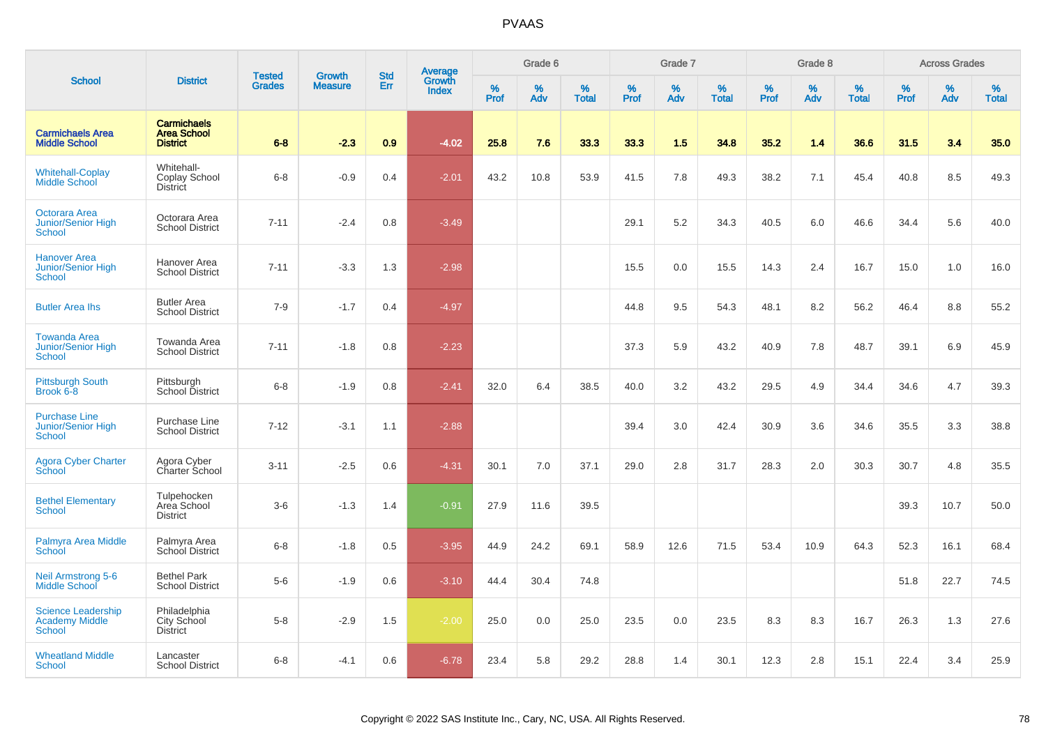|                                                                     |                                                             | <b>Tested</b> | <b>Growth</b>  | <b>Std</b> |                                          |                  | Grade 6     |                   |           | Grade 7     |                   |           | Grade 8  |                   |              | <b>Across Grades</b> |                   |
|---------------------------------------------------------------------|-------------------------------------------------------------|---------------|----------------|------------|------------------------------------------|------------------|-------------|-------------------|-----------|-------------|-------------------|-----------|----------|-------------------|--------------|----------------------|-------------------|
| <b>School</b>                                                       | <b>District</b>                                             | <b>Grades</b> | <b>Measure</b> | Err        | <b>Average</b><br>Growth<br><b>Index</b> | %<br><b>Prof</b> | $\%$<br>Adv | %<br><b>Total</b> | %<br>Prof | $\%$<br>Adv | %<br><b>Total</b> | %<br>Prof | %<br>Adv | %<br><b>Total</b> | $\%$<br>Prof | $\%$<br>Adv          | %<br><b>Total</b> |
| <b>Carmichaels Area</b><br><b>Middle School</b>                     | <b>Carmichaels</b><br><b>Area School</b><br><b>District</b> | $6 - 8$       | $-2.3$         | 0.9        | $-4.02$                                  | 25.8             | 7.6         | 33.3              | 33.3      | 1.5         | 34.8              | 35.2      | 1.4      | 36.6              | 31.5         | 3.4                  | 35.0              |
| <b>Whitehall-Coplay</b><br>Middle School                            | Whitehall-<br>Coplay School<br><b>District</b>              | $6 - 8$       | $-0.9$         | 0.4        | $-2.01$                                  | 43.2             | 10.8        | 53.9              | 41.5      | 7.8         | 49.3              | 38.2      | 7.1      | 45.4              | 40.8         | 8.5                  | 49.3              |
| Octorara Area<br><b>Junior/Senior High</b><br><b>School</b>         | Octorara Area<br><b>School District</b>                     | $7 - 11$      | $-2.4$         | 0.8        | $-3.49$                                  |                  |             |                   | 29.1      | 5.2         | 34.3              | 40.5      | 6.0      | 46.6              | 34.4         | 5.6                  | 40.0              |
| <b>Hanover Area</b><br><b>Junior/Senior High</b><br><b>School</b>   | Hanover Area<br><b>School District</b>                      | $7 - 11$      | $-3.3$         | 1.3        | $-2.98$                                  |                  |             |                   | 15.5      | 0.0         | 15.5              | 14.3      | 2.4      | 16.7              | 15.0         | 1.0                  | 16.0              |
| <b>Butler Area Ihs</b>                                              | <b>Butler Area</b><br><b>School District</b>                | $7-9$         | $-1.7$         | 0.4        | $-4.97$                                  |                  |             |                   | 44.8      | 9.5         | 54.3              | 48.1      | 8.2      | 56.2              | 46.4         | 8.8                  | 55.2              |
| <b>Towanda Area</b><br><b>Junior/Senior High</b><br>School          | Towanda Area<br><b>School District</b>                      | $7 - 11$      | $-1.8$         | 0.8        | $-2.23$                                  |                  |             |                   | 37.3      | 5.9         | 43.2              | 40.9      | 7.8      | 48.7              | 39.1         | 6.9                  | 45.9              |
| <b>Pittsburgh South</b><br>Brook 6-8                                | Pittsburgh<br>School District                               | $6-8$         | $-1.9$         | 0.8        | $-2.41$                                  | 32.0             | 6.4         | 38.5              | 40.0      | 3.2         | 43.2              | 29.5      | 4.9      | 34.4              | 34.6         | 4.7                  | 39.3              |
| <b>Purchase Line</b><br>Junior/Senior High<br>School                | Purchase Line<br><b>School District</b>                     | $7 - 12$      | $-3.1$         | 1.1        | $-2.88$                                  |                  |             |                   | 39.4      | 3.0         | 42.4              | 30.9      | 3.6      | 34.6              | 35.5         | 3.3                  | 38.8              |
| <b>Agora Cyber Charter</b><br>School                                | Agora Cyber<br>Charter School                               | $3 - 11$      | $-2.5$         | 0.6        | $-4.31$                                  | 30.1             | 7.0         | 37.1              | 29.0      | 2.8         | 31.7              | 28.3      | 2.0      | 30.3              | 30.7         | 4.8                  | 35.5              |
| <b>Bethel Elementary</b><br><b>School</b>                           | Tulpehocken<br>Area School<br><b>District</b>               | $3-6$         | $-1.3$         | 1.4        | $-0.91$                                  | 27.9             | 11.6        | 39.5              |           |             |                   |           |          |                   | 39.3         | 10.7                 | 50.0              |
| Palmyra Area Middle<br>School                                       | Palmyra Area<br>School District                             | $6 - 8$       | $-1.8$         | 0.5        | $-3.95$                                  | 44.9             | 24.2        | 69.1              | 58.9      | 12.6        | 71.5              | 53.4      | 10.9     | 64.3              | 52.3         | 16.1                 | 68.4              |
| <b>Neil Armstrong 5-6</b><br><b>Middle School</b>                   | <b>Bethel Park</b><br><b>School District</b>                | $5-6$         | $-1.9$         | 0.6        | $-3.10$                                  | 44.4             | 30.4        | 74.8              |           |             |                   |           |          |                   | 51.8         | 22.7                 | 74.5              |
| <b>Science Leadership</b><br><b>Academy Middle</b><br><b>School</b> | Philadelphia<br>City School<br><b>District</b>              | $5-8$         | $-2.9$         | 1.5        | $-2.00$                                  | 25.0             | 0.0         | 25.0              | 23.5      | 0.0         | 23.5              | 8.3       | 8.3      | 16.7              | 26.3         | 1.3                  | 27.6              |
| <b>Wheatland Middle</b><br><b>School</b>                            | Lancaster<br><b>School District</b>                         | $6 - 8$       | $-4.1$         | 0.6        | $-6.78$                                  | 23.4             | 5.8         | 29.2              | 28.8      | 1.4         | 30.1              | 12.3      | 2.8      | 15.1              | 22.4         | 3.4                  | 25.9              |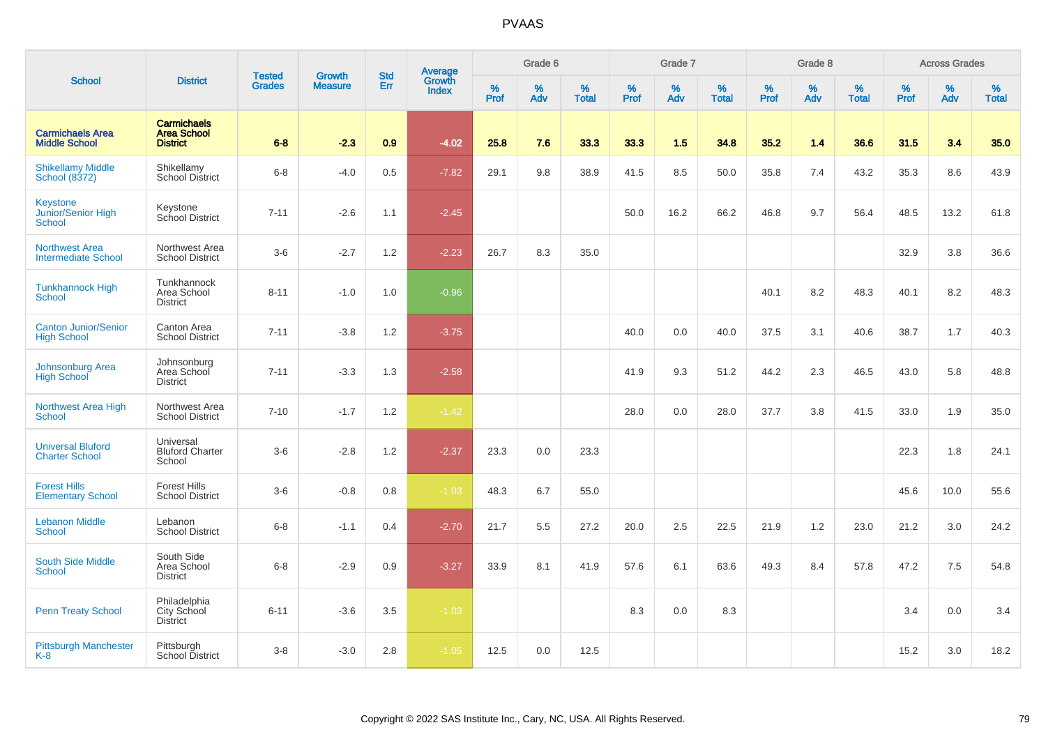|                                                        |                                                             |                                |                                 | <b>Std</b> |                                   |           | Grade 6     |                   |           | Grade 7  |                   |           | Grade 8  |                   |           | <b>Across Grades</b> |                   |
|--------------------------------------------------------|-------------------------------------------------------------|--------------------------------|---------------------------------|------------|-----------------------------------|-----------|-------------|-------------------|-----------|----------|-------------------|-----------|----------|-------------------|-----------|----------------------|-------------------|
| <b>School</b>                                          | <b>District</b>                                             | <b>Tested</b><br><b>Grades</b> | <b>Growth</b><br><b>Measure</b> | Err        | <b>Average</b><br>Growth<br>Index | %<br>Prof | $\%$<br>Adv | %<br><b>Total</b> | %<br>Prof | %<br>Adv | %<br><b>Total</b> | %<br>Prof | %<br>Adv | %<br><b>Total</b> | %<br>Prof | $\%$<br>Adv          | %<br><b>Total</b> |
| <b>Carmichaels Area</b><br><b>Middle School</b>        | <b>Carmichaels</b><br><b>Area School</b><br><b>District</b> | $6 - 8$                        | $-2.3$                          | 0.9        | $-4.02$                           | 25.8      | 7.6         | 33.3              | 33.3      | 1.5      | 34.8              | 35.2      | 1.4      | 36.6              | 31.5      | 3.4                  | 35.0              |
| <b>Shikellamy Middle</b><br>School (8372)              | Shikellamy<br><b>School District</b>                        | $6-8$                          | $-4.0$                          | 0.5        | $-7.82$                           | 29.1      | 9.8         | 38.9              | 41.5      | 8.5      | 50.0              | 35.8      | 7.4      | 43.2              | 35.3      | 8.6                  | 43.9              |
| <b>Keystone</b><br>Junior/Senior High<br><b>School</b> | Keystone<br>School District                                 | $7 - 11$                       | $-2.6$                          | 1.1        | $-2.45$                           |           |             |                   | 50.0      | 16.2     | 66.2              | 46.8      | 9.7      | 56.4              | 48.5      | 13.2                 | 61.8              |
| <b>Northwest Area</b><br><b>Intermediate School</b>    | Northwest Area<br><b>School District</b>                    | $3-6$                          | $-2.7$                          | 1.2        | $-2.23$                           | 26.7      | 8.3         | 35.0              |           |          |                   |           |          |                   | 32.9      | 3.8                  | 36.6              |
| <b>Tunkhannock High</b><br>School                      | Tunkhannock<br>Area School<br><b>District</b>               | $8 - 11$                       | $-1.0$                          | 1.0        | $-0.96$                           |           |             |                   |           |          |                   | 40.1      | 8.2      | 48.3              | 40.1      | 8.2                  | 48.3              |
| <b>Canton Junior/Senior</b><br><b>High School</b>      | Canton Area<br><b>School District</b>                       | $7 - 11$                       | $-3.8$                          | 1.2        | $-3.75$                           |           |             |                   | 40.0      | 0.0      | 40.0              | 37.5      | 3.1      | 40.6              | 38.7      | 1.7                  | 40.3              |
| <b>Johnsonburg Area</b><br><b>High School</b>          | Johnsonburg<br>Area School<br><b>District</b>               | $7 - 11$                       | $-3.3$                          | 1.3        | $-2.58$                           |           |             |                   | 41.9      | 9.3      | 51.2              | 44.2      | 2.3      | 46.5              | 43.0      | 5.8                  | 48.8              |
| <b>Northwest Area High</b><br>School                   | Northwest Area<br><b>School District</b>                    | $7 - 10$                       | $-1.7$                          | 1.2        | $-1.42$                           |           |             |                   | 28.0      | 0.0      | 28.0              | 37.7      | 3.8      | 41.5              | 33.0      | 1.9                  | 35.0              |
| <b>Universal Bluford</b><br><b>Charter School</b>      | Universal<br><b>Bluford Charter</b><br>School               | $3-6$                          | $-2.8$                          | 1.2        | $-2.37$                           | 23.3      | 0.0         | 23.3              |           |          |                   |           |          |                   | 22.3      | 1.8                  | 24.1              |
| <b>Forest Hills</b><br><b>Elementary School</b>        | <b>Forest Hills</b><br><b>School District</b>               | $3-6$                          | $-0.8$                          | 0.8        | $-1.03$                           | 48.3      | 6.7         | 55.0              |           |          |                   |           |          |                   | 45.6      | 10.0                 | 55.6              |
| <b>Lebanon Middle</b><br><b>School</b>                 | Lebanon<br><b>School District</b>                           | $6-8$                          | $-1.1$                          | 0.4        | $-2.70$                           | 21.7      | 5.5         | 27.2              | 20.0      | 2.5      | 22.5              | 21.9      | 1.2      | 23.0              | 21.2      | 3.0                  | 24.2              |
| South Side Middle<br><b>School</b>                     | South Side<br>Area School<br><b>District</b>                | $6-8$                          | $-2.9$                          | 0.9        | $-3.27$                           | 33.9      | 8.1         | 41.9              | 57.6      | 6.1      | 63.6              | 49.3      | 8.4      | 57.8              | 47.2      | 7.5                  | 54.8              |
| <b>Penn Treaty School</b>                              | Philadelphia<br>City School<br><b>District</b>              | $6 - 11$                       | $-3.6$                          | 3.5        | $-1.03$                           |           |             |                   | 8.3       | 0.0      | 8.3               |           |          |                   | 3.4       | 0.0                  | 3.4               |
| <b>Pittsburgh Manchester</b><br>K-8                    | Pittsburgh<br>School District                               | $3-8$                          | $-3.0$                          | 2.8        | $-1.05$                           | 12.5      | 0.0         | 12.5              |           |          |                   |           |          |                   | 15.2      | 3.0                  | 18.2              |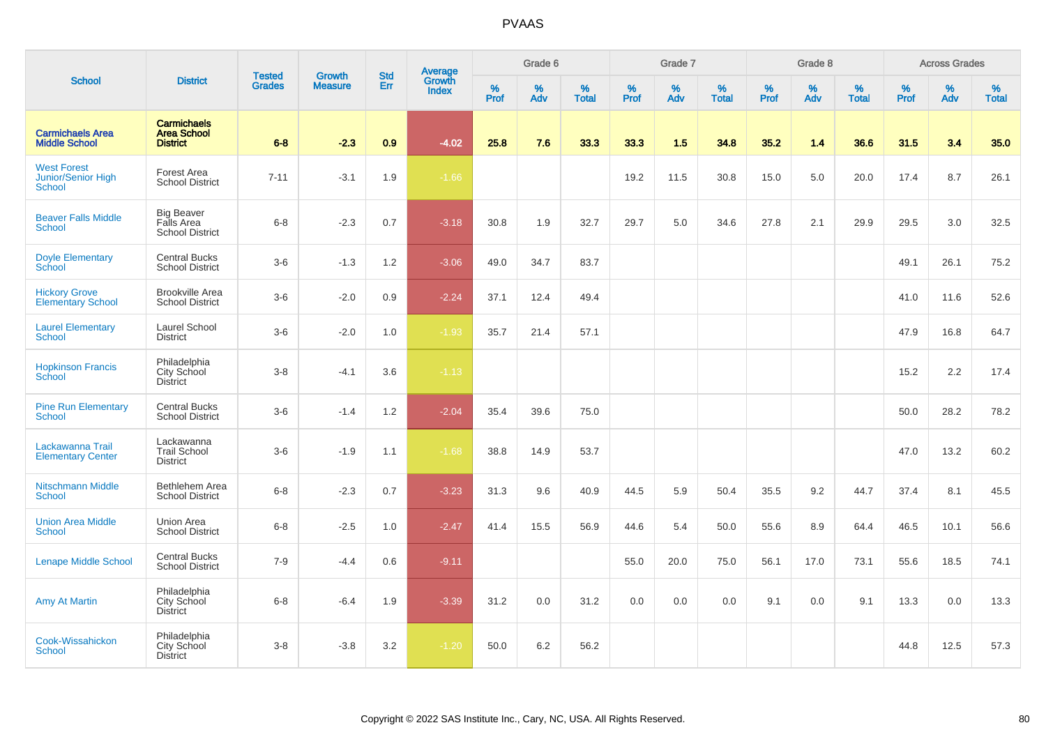|                                                    |                                                             |                                |                                 | <b>Std</b> |                                          |           | Grade 6  |                   |           | Grade 7  |                   |           | Grade 8  |                   |           | <b>Across Grades</b> |                   |
|----------------------------------------------------|-------------------------------------------------------------|--------------------------------|---------------------------------|------------|------------------------------------------|-----------|----------|-------------------|-----------|----------|-------------------|-----------|----------|-------------------|-----------|----------------------|-------------------|
| <b>School</b>                                      | <b>District</b>                                             | <b>Tested</b><br><b>Grades</b> | <b>Growth</b><br><b>Measure</b> | Err        | <b>Average</b><br>Growth<br><b>Index</b> | %<br>Prof | %<br>Adv | %<br><b>Total</b> | %<br>Prof | %<br>Adv | %<br><b>Total</b> | %<br>Prof | %<br>Adv | %<br><b>Total</b> | %<br>Prof | $\%$<br>Adv          | %<br><b>Total</b> |
| <b>Carmichaels Area</b><br><b>Middle School</b>    | <b>Carmichaels</b><br><b>Area School</b><br><b>District</b> | $6 - 8$                        | $-2.3$                          | 0.9        | $-4.02$                                  | 25.8      | 7.6      | 33.3              | 33.3      | 1.5      | 34.8              | 35.2      | $1.4$    | 36.6              | 31.5      | 3.4                  | 35.0              |
| <b>West Forest</b><br>Junior/Senior High<br>School | Forest Area<br><b>School District</b>                       | $7 - 11$                       | $-3.1$                          | 1.9        | $-1.66$                                  |           |          |                   | 19.2      | 11.5     | 30.8              | 15.0      | 5.0      | 20.0              | 17.4      | 8.7                  | 26.1              |
| <b>Beaver Falls Middle</b><br><b>School</b>        | <b>Big Beaver</b><br>Falls Area<br><b>School District</b>   | $6-8$                          | $-2.3$                          | 0.7        | $-3.18$                                  | 30.8      | 1.9      | 32.7              | 29.7      | 5.0      | 34.6              | 27.8      | 2.1      | 29.9              | 29.5      | 3.0                  | 32.5              |
| <b>Doyle Elementary</b><br>School                  | <b>Central Bucks</b><br><b>School District</b>              | $3-6$                          | $-1.3$                          | 1.2        | $-3.06$                                  | 49.0      | 34.7     | 83.7              |           |          |                   |           |          |                   | 49.1      | 26.1                 | 75.2              |
| <b>Hickory Grove</b><br><b>Elementary School</b>   | <b>Brookville Area</b><br><b>School District</b>            | $3-6$                          | $-2.0$                          | 0.9        | $-2.24$                                  | 37.1      | 12.4     | 49.4              |           |          |                   |           |          |                   | 41.0      | 11.6                 | 52.6              |
| <b>Laurel Elementary</b><br><b>School</b>          | Laurel School<br><b>District</b>                            | $3-6$                          | $-2.0$                          | 1.0        | $-1.93$                                  | 35.7      | 21.4     | 57.1              |           |          |                   |           |          |                   | 47.9      | 16.8                 | 64.7              |
| <b>Hopkinson Francis</b><br>School                 | Philadelphia<br>City School<br><b>District</b>              | $3-8$                          | $-4.1$                          | 3.6        | $-1.13$                                  |           |          |                   |           |          |                   |           |          |                   | 15.2      | 2.2                  | 17.4              |
| <b>Pine Run Elementary</b><br>School               | <b>Central Bucks</b><br><b>School District</b>              | $3-6$                          | $-1.4$                          | 1.2        | $-2.04$                                  | 35.4      | 39.6     | 75.0              |           |          |                   |           |          |                   | 50.0      | 28.2                 | 78.2              |
| Lackawanna Trail<br><b>Elementary Center</b>       | Lackawanna<br><b>Trail School</b><br><b>District</b>        | $3-6$                          | $-1.9$                          | 1.1        | $-1.68$                                  | 38.8      | 14.9     | 53.7              |           |          |                   |           |          |                   | 47.0      | 13.2                 | 60.2              |
| <b>Nitschmann Middle</b><br>School                 | Bethlehem Area<br><b>School District</b>                    | $6 - 8$                        | $-2.3$                          | 0.7        | $-3.23$                                  | 31.3      | 9.6      | 40.9              | 44.5      | 5.9      | 50.4              | 35.5      | 9.2      | 44.7              | 37.4      | 8.1                  | 45.5              |
| <b>Union Area Middle</b><br>School                 | <b>Union Area</b><br><b>School District</b>                 | $6 - 8$                        | $-2.5$                          | 1.0        | $-2.47$                                  | 41.4      | 15.5     | 56.9              | 44.6      | 5.4      | 50.0              | 55.6      | 8.9      | 64.4              | 46.5      | 10.1                 | 56.6              |
| <b>Lenape Middle School</b>                        | <b>Central Bucks</b><br><b>School District</b>              | $7-9$                          | $-4.4$                          | 0.6        | $-9.11$                                  |           |          |                   | 55.0      | 20.0     | 75.0              | 56.1      | 17.0     | 73.1              | 55.6      | 18.5                 | 74.1              |
| <b>Amy At Martin</b>                               | Philadelphia<br>City School<br><b>District</b>              | $6 - 8$                        | $-6.4$                          | 1.9        | $-3.39$                                  | 31.2      | 0.0      | 31.2              | 0.0       | 0.0      | 0.0               | 9.1       | 0.0      | 9.1               | 13.3      | 0.0                  | 13.3              |
| Cook-Wissahickon<br><b>School</b>                  | Philadelphia<br>City School<br>District                     | $3 - 8$                        | $-3.8$                          | 3.2        | $-1.20$                                  | 50.0      | 6.2      | 56.2              |           |          |                   |           |          |                   | 44.8      | 12.5                 | 57.3              |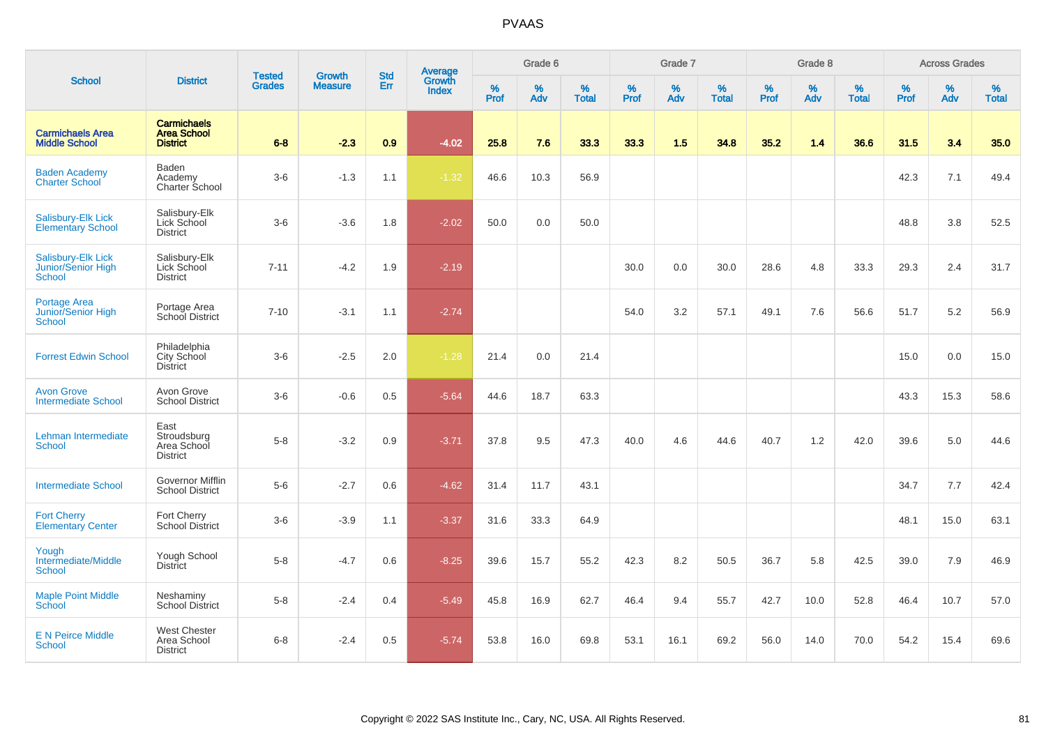|                                                     |                                                             |                                |                                 | <b>Std</b> |                                          |           | Grade 6  |                   |           | Grade 7  |                   |           | Grade 8  |                   |           | <b>Across Grades</b> |                   |
|-----------------------------------------------------|-------------------------------------------------------------|--------------------------------|---------------------------------|------------|------------------------------------------|-----------|----------|-------------------|-----------|----------|-------------------|-----------|----------|-------------------|-----------|----------------------|-------------------|
| <b>School</b>                                       | <b>District</b>                                             | <b>Tested</b><br><b>Grades</b> | <b>Growth</b><br><b>Measure</b> | Err        | <b>Average</b><br>Growth<br><b>Index</b> | %<br>Prof | %<br>Adv | %<br><b>Total</b> | %<br>Prof | %<br>Adv | %<br><b>Total</b> | %<br>Prof | %<br>Adv | %<br><b>Total</b> | %<br>Prof | %<br>Adv             | %<br><b>Total</b> |
| <b>Carmichaels Area</b><br><b>Middle School</b>     | <b>Carmichaels</b><br><b>Area School</b><br><b>District</b> | $6 - 8$                        | $-2.3$                          | 0.9        | $-4.02$                                  | 25.8      | 7.6      | 33.3              | 33.3      | 1.5      | 34.8              | 35.2      | 1.4      | 36.6              | 31.5      | 3.4                  | 35.0              |
| <b>Baden Academy</b><br><b>Charter School</b>       | Baden<br>Academy<br>Charter School                          | $3-6$                          | $-1.3$                          | 1.1        | $-1.32$                                  | 46.6      | 10.3     | 56.9              |           |          |                   |           |          |                   | 42.3      | 7.1                  | 49.4              |
| Salisbury-Elk Lick<br><b>Elementary School</b>      | Salisbury-Elk<br>Lick School<br><b>District</b>             | $3-6$                          | $-3.6$                          | 1.8        | $-2.02$                                  | 50.0      | 0.0      | 50.0              |           |          |                   |           |          |                   | 48.8      | 3.8                  | 52.5              |
| Salisbury-Elk Lick<br>Junior/Senior High<br>School  | Salisbury-Elk<br>Lick School<br><b>District</b>             | $7 - 11$                       | $-4.2$                          | 1.9        | $-2.19$                                  |           |          |                   | 30.0      | 0.0      | 30.0              | 28.6      | 4.8      | 33.3              | 29.3      | 2.4                  | 31.7              |
| Portage Area<br>Junior/Senior High<br><b>School</b> | Portage Area<br>School District                             | $7 - 10$                       | $-3.1$                          | 1.1        | $-2.74$                                  |           |          |                   | 54.0      | 3.2      | 57.1              | 49.1      | 7.6      | 56.6              | 51.7      | 5.2                  | 56.9              |
| <b>Forrest Edwin School</b>                         | Philadelphia<br>City School<br><b>District</b>              | $3-6$                          | $-2.5$                          | 2.0        | $-1.28$                                  | 21.4      | 0.0      | 21.4              |           |          |                   |           |          |                   | 15.0      | 0.0                  | 15.0              |
| <b>Avon Grove</b><br><b>Intermediate School</b>     | Avon Grove<br><b>School District</b>                        | $3-6$                          | $-0.6$                          | 0.5        | $-5.64$                                  | 44.6      | 18.7     | 63.3              |           |          |                   |           |          |                   | 43.3      | 15.3                 | 58.6              |
| Lehman Intermediate<br>School                       | East<br>Stroudsburg<br>Area School<br><b>District</b>       | $5-8$                          | $-3.2$                          | 0.9        | $-3.71$                                  | 37.8      | 9.5      | 47.3              | 40.0      | 4.6      | 44.6              | 40.7      | 1.2      | 42.0              | 39.6      | 5.0                  | 44.6              |
| <b>Intermediate School</b>                          | Governor Mifflin<br><b>School District</b>                  | $5-6$                          | $-2.7$                          | 0.6        | $-4.62$                                  | 31.4      | 11.7     | 43.1              |           |          |                   |           |          |                   | 34.7      | 7.7                  | 42.4              |
| <b>Fort Cherry</b><br><b>Elementary Center</b>      | Fort Cherry<br><b>School District</b>                       | $3-6$                          | $-3.9$                          | 1.1        | $-3.37$                                  | 31.6      | 33.3     | 64.9              |           |          |                   |           |          |                   | 48.1      | 15.0                 | 63.1              |
| Yough<br>Intermediate/Middle<br><b>School</b>       | Yough School<br><b>District</b>                             | $5-8$                          | $-4.7$                          | 0.6        | $-8.25$                                  | 39.6      | 15.7     | 55.2              | 42.3      | 8.2      | 50.5              | 36.7      | 5.8      | 42.5              | 39.0      | 7.9                  | 46.9              |
| <b>Maple Point Middle</b><br>School                 | Neshaminy<br><b>School District</b>                         | $5 - 8$                        | $-2.4$                          | 0.4        | $-5.49$                                  | 45.8      | 16.9     | 62.7              | 46.4      | 9.4      | 55.7              | 42.7      | 10.0     | 52.8              | 46.4      | 10.7                 | 57.0              |
| <b>E N Peirce Middle</b><br><b>School</b>           | <b>West Chester</b><br>Area School<br><b>District</b>       | $6 - 8$                        | $-2.4$                          | 0.5        | $-5.74$                                  | 53.8      | 16.0     | 69.8              | 53.1      | 16.1     | 69.2              | 56.0      | 14.0     | 70.0              | 54.2      | 15.4                 | 69.6              |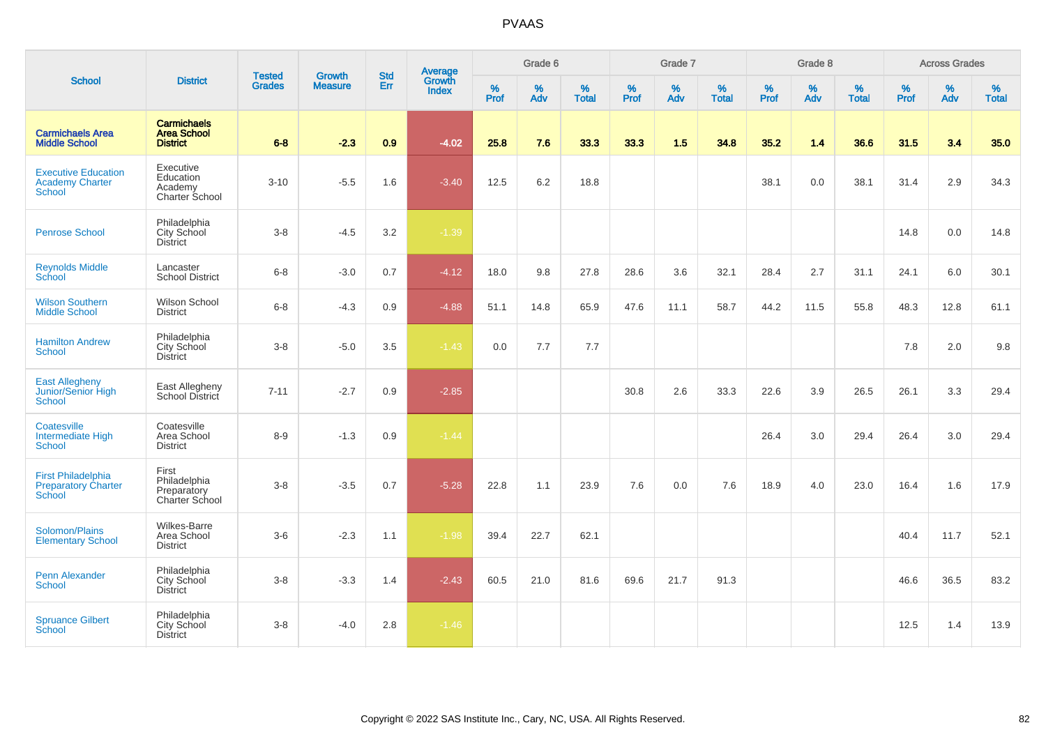|                                                                |                                                             | <b>Tested</b> | <b>Growth</b>  | <b>Std</b> |                                          |                  | Grade 6     |                      |                  | Grade 7     |                   |                     | Grade 8  |                   |                     | <b>Across Grades</b> |                   |
|----------------------------------------------------------------|-------------------------------------------------------------|---------------|----------------|------------|------------------------------------------|------------------|-------------|----------------------|------------------|-------------|-------------------|---------------------|----------|-------------------|---------------------|----------------------|-------------------|
| <b>School</b>                                                  | <b>District</b>                                             | <b>Grades</b> | <b>Measure</b> | Err        | <b>Average</b><br>Growth<br><b>Index</b> | %<br><b>Prof</b> | $\%$<br>Adv | $\%$<br><b>Total</b> | %<br><b>Prof</b> | $\%$<br>Adv | %<br><b>Total</b> | $\%$<br><b>Prof</b> | %<br>Adv | %<br><b>Total</b> | $\%$<br><b>Prof</b> | $\%$<br>Adv          | %<br><b>Total</b> |
| <b>Carmichaels Area</b><br><b>Middle School</b>                | <b>Carmichaels</b><br><b>Area School</b><br><b>District</b> | $6-8$         | $-2.3$         | 0.9        | $-4.02$                                  | 25.8             | 7.6         | 33.3                 | 33.3             | 1.5         | 34.8              | 35.2                | 1.4      | 36.6              | 31.5                | 3.4                  | 35.0              |
| <b>Executive Education</b><br><b>Academy Charter</b><br>School | Executive<br>Education<br>Academy<br>Charter School         | $3 - 10$      | $-5.5$         | 1.6        | $-3.40$                                  | 12.5             | 6.2         | 18.8                 |                  |             |                   | 38.1                | 0.0      | 38.1              | 31.4                | 2.9                  | 34.3              |
| <b>Penrose School</b>                                          | Philadelphia<br>City School<br><b>District</b>              | $3-8$         | $-4.5$         | 3.2        | $-1.39$                                  |                  |             |                      |                  |             |                   |                     |          |                   | 14.8                | 0.0                  | 14.8              |
| <b>Reynolds Middle</b><br>School                               | Lancaster<br><b>School District</b>                         | $6 - 8$       | $-3.0$         | 0.7        | $-4.12$                                  | 18.0             | 9.8         | 27.8                 | 28.6             | 3.6         | 32.1              | 28.4                | 2.7      | 31.1              | 24.1                | 6.0                  | 30.1              |
| <b>Wilson Southern</b><br><b>Middle School</b>                 | Wilson School<br><b>District</b>                            | $6 - 8$       | $-4.3$         | 0.9        | $-4.88$                                  | 51.1             | 14.8        | 65.9                 | 47.6             | 11.1        | 58.7              | 44.2                | 11.5     | 55.8              | 48.3                | 12.8                 | 61.1              |
| <b>Hamilton Andrew</b><br>School                               | Philadelphia<br>City School<br>District                     | $3-8$         | $-5.0$         | 3.5        | $-1.43$                                  | 0.0              | 7.7         | 7.7                  |                  |             |                   |                     |          |                   | 7.8                 | 2.0                  | 9.8               |
| East Allegheny<br>Junior/Senior High<br>School                 | East Allegheny<br>School District                           | $7 - 11$      | $-2.7$         | 0.9        | $-2.85$                                  |                  |             |                      | 30.8             | 2.6         | 33.3              | 22.6                | 3.9      | 26.5              | 26.1                | 3.3                  | 29.4              |
| Coatesville<br>Intermediate High<br>School                     | Coatesville<br>Area School<br><b>District</b>               | $8 - 9$       | $-1.3$         | 0.9        | $-1.44$                                  |                  |             |                      |                  |             |                   | 26.4                | 3.0      | 29.4              | 26.4                | 3.0                  | 29.4              |
| <b>First Philadelphia</b><br>Preparatory Charter<br>School     | First<br>Philadelphia<br>Preparatory<br>Charter School      | $3 - 8$       | $-3.5$         | 0.7        | $-5.28$                                  | 22.8             | 1.1         | 23.9                 | 7.6              | 0.0         | 7.6               | 18.9                | 4.0      | 23.0              | 16.4                | 1.6                  | 17.9              |
| Solomon/Plains<br><b>Elementary School</b>                     | Wilkes-Barre<br>Area School<br><b>District</b>              | $3-6$         | $-2.3$         | 1.1        | $-1.98$                                  | 39.4             | 22.7        | 62.1                 |                  |             |                   |                     |          |                   | 40.4                | 11.7                 | 52.1              |
| <b>Penn Alexander</b><br>School                                | Philadelphia<br>City School<br>District                     | $3-8$         | $-3.3$         | 1.4        | $-2.43$                                  | 60.5             | 21.0        | 81.6                 | 69.6             | 21.7        | 91.3              |                     |          |                   | 46.6                | 36.5                 | 83.2              |
| <b>Spruance Gilbert</b><br>School                              | Philadelphia<br>City School<br><b>District</b>              | $3-8$         | $-4.0$         | 2.8        | $-1.46$                                  |                  |             |                      |                  |             |                   |                     |          |                   | 12.5                | 1.4                  | 13.9              |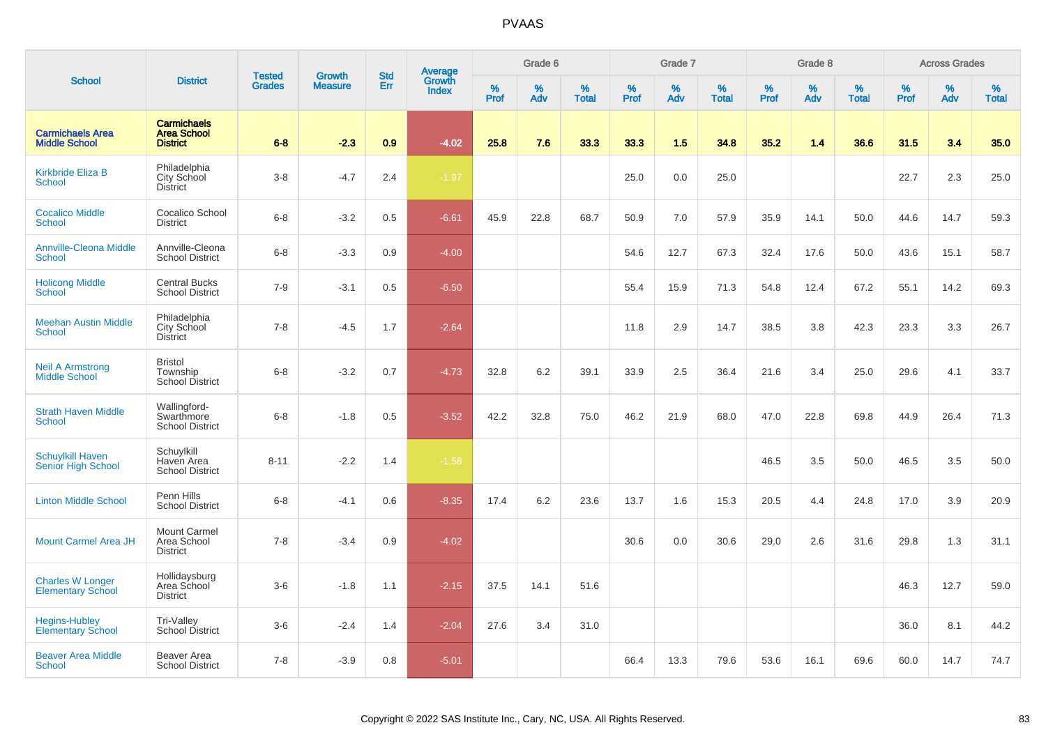|                                                      |                                                             | <b>Tested</b> | <b>Growth</b>  | <b>Std</b> |                                   |           | Grade 6  |                   |           | Grade 7  |                   |              | Grade 8  |                   |              | <b>Across Grades</b> |                   |
|------------------------------------------------------|-------------------------------------------------------------|---------------|----------------|------------|-----------------------------------|-----------|----------|-------------------|-----------|----------|-------------------|--------------|----------|-------------------|--------------|----------------------|-------------------|
| <b>School</b>                                        | <b>District</b>                                             | <b>Grades</b> | <b>Measure</b> | Err        | Average<br>Growth<br><b>Index</b> | %<br>Prof | %<br>Adv | %<br><b>Total</b> | %<br>Prof | %<br>Adv | %<br><b>Total</b> | $\%$<br>Prof | %<br>Adv | %<br><b>Total</b> | $\%$<br>Prof | $\%$<br>Adv          | %<br><b>Total</b> |
| <b>Carmichaels Area</b><br><b>Middle School</b>      | <b>Carmichaels</b><br><b>Area School</b><br><b>District</b> | $6 - 8$       | $-2.3$         | 0.9        | $-4.02$                           | 25.8      | 7.6      | 33.3              | 33.3      | 1.5      | 34.8              | 35.2         | 1.4      | 36.6              | 31.5         | 3.4                  | 35.0              |
| <b>Kirkbride Eliza B</b><br><b>School</b>            | Philadelphia<br>City School<br><b>District</b>              | $3 - 8$       | $-4.7$         | 2.4        | $-1.97$                           |           |          |                   | 25.0      | 0.0      | 25.0              |              |          |                   | 22.7         | 2.3                  | 25.0              |
| <b>Cocalico Middle</b><br><b>School</b>              | Cocalico School<br><b>District</b>                          | $6 - 8$       | $-3.2$         | 0.5        | $-6.61$                           | 45.9      | 22.8     | 68.7              | 50.9      | 7.0      | 57.9              | 35.9         | 14.1     | 50.0              | 44.6         | 14.7                 | 59.3              |
| <b>Annville-Cleona Middle</b><br><b>School</b>       | Annville-Cleona<br><b>School District</b>                   | $6 - 8$       | $-3.3$         | 0.9        | $-4.00$                           |           |          |                   | 54.6      | 12.7     | 67.3              | 32.4         | 17.6     | 50.0              | 43.6         | 15.1                 | 58.7              |
| <b>Holicong Middle</b><br><b>School</b>              | <b>Central Bucks</b><br><b>School District</b>              | $7 - 9$       | $-3.1$         | 0.5        | $-6.50$                           |           |          |                   | 55.4      | 15.9     | 71.3              | 54.8         | 12.4     | 67.2              | 55.1         | 14.2                 | 69.3              |
| <b>Meehan Austin Middle</b><br><b>School</b>         | Philadelphia<br>City School<br><b>District</b>              | $7 - 8$       | $-4.5$         | 1.7        | $-2.64$                           |           |          |                   | 11.8      | 2.9      | 14.7              | 38.5         | 3.8      | 42.3              | 23.3         | 3.3                  | 26.7              |
| <b>Neil A Armstrong</b><br><b>Middle School</b>      | <b>Bristol</b><br>Township<br><b>School District</b>        | $6 - 8$       | $-3.2$         | 0.7        | $-4.73$                           | 32.8      | 6.2      | 39.1              | 33.9      | 2.5      | 36.4              | 21.6         | 3.4      | 25.0              | 29.6         | 4.1                  | 33.7              |
| <b>Strath Haven Middle</b><br><b>School</b>          | Wallingford-<br>Swarthmore<br><b>School District</b>        | $6 - 8$       | $-1.8$         | 0.5        | $-3.52$                           | 42.2      | 32.8     | 75.0              | 46.2      | 21.9     | 68.0              | 47.0         | 22.8     | 69.8              | 44.9         | 26.4                 | 71.3              |
| <b>Schuylkill Haven</b><br><b>Senior High School</b> | Schuylkill<br>Haven Area<br><b>School District</b>          | $8 - 11$      | $-2.2$         | 1.4        | $-1.58$                           |           |          |                   |           |          |                   | 46.5         | 3.5      | 50.0              | 46.5         | 3.5                  | 50.0              |
| <b>Linton Middle School</b>                          | Penn Hills<br><b>School District</b>                        | $6 - 8$       | $-4.1$         | 0.6        | $-8.35$                           | 17.4      | 6.2      | 23.6              | 13.7      | 1.6      | 15.3              | 20.5         | 4.4      | 24.8              | 17.0         | 3.9                  | 20.9              |
| <b>Mount Carmel Area JH</b>                          | <b>Mount Carmel</b><br>Area School<br><b>District</b>       | $7 - 8$       | $-3.4$         | 0.9        | $-4.02$                           |           |          |                   | 30.6      | 0.0      | 30.6              | 29.0         | 2.6      | 31.6              | 29.8         | 1.3                  | 31.1              |
| <b>Charles W Longer</b><br><b>Elementary School</b>  | Hollidaysburg<br>Area School<br><b>District</b>             | $3-6$         | $-1.8$         | 1.1        | $-2.15$                           | 37.5      | 14.1     | 51.6              |           |          |                   |              |          |                   | 46.3         | 12.7                 | 59.0              |
| <b>Hegins-Hubley</b><br><b>Elementary School</b>     | Tri-Valley<br>School District                               | $3-6$         | $-2.4$         | 1.4        | $-2.04$                           | 27.6      | 3.4      | 31.0              |           |          |                   |              |          |                   | 36.0         | 8.1                  | 44.2              |
| <b>Beaver Area Middle</b><br><b>School</b>           | Beaver Area<br><b>School District</b>                       | $7 - 8$       | $-3.9$         | 0.8        | $-5.01$                           |           |          |                   | 66.4      | 13.3     | 79.6              | 53.6         | 16.1     | 69.6              | 60.0         | 14.7                 | 74.7              |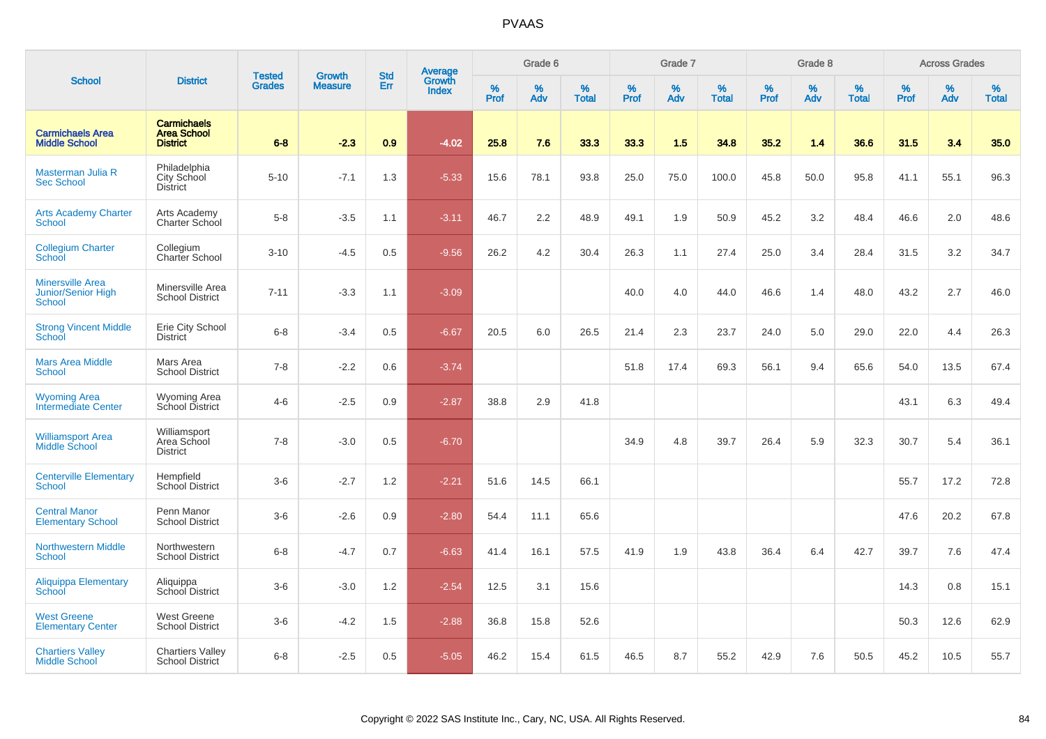|                                                         |                                                             | <b>Tested</b> | <b>Growth</b>  | <b>Std</b> |                                          |                  | Grade 6  |                   |                     | Grade 7     |                   |           | Grade 8  |                   |                  | <b>Across Grades</b> |                   |
|---------------------------------------------------------|-------------------------------------------------------------|---------------|----------------|------------|------------------------------------------|------------------|----------|-------------------|---------------------|-------------|-------------------|-----------|----------|-------------------|------------------|----------------------|-------------------|
| <b>School</b>                                           | <b>District</b>                                             | <b>Grades</b> | <b>Measure</b> | Err        | <b>Average</b><br>Growth<br><b>Index</b> | %<br><b>Prof</b> | %<br>Adv | %<br><b>Total</b> | $\%$<br><b>Prof</b> | $\%$<br>Adv | %<br><b>Total</b> | %<br>Prof | %<br>Adv | %<br><b>Total</b> | %<br><b>Prof</b> | $\%$<br>Adv          | %<br><b>Total</b> |
| <b>Carmichaels Area</b><br><b>Middle School</b>         | <b>Carmichaels</b><br><b>Area School</b><br><b>District</b> | $6 - 8$       | $-2.3$         | 0.9        | $-4.02$                                  | 25.8             | 7.6      | 33.3              | 33.3                | 1.5         | 34.8              | 35.2      | 1.4      | 36.6              | 31.5             | 3.4                  | 35.0              |
| Masterman Julia R<br><b>Sec School</b>                  | Philadelphia<br>City School<br><b>District</b>              | $5 - 10$      | $-7.1$         | 1.3        | $-5.33$                                  | 15.6             | 78.1     | 93.8              | 25.0                | 75.0        | 100.0             | 45.8      | 50.0     | 95.8              | 41.1             | 55.1                 | 96.3              |
| <b>Arts Academy Charter</b><br>School                   | Arts Academy<br>Charter School                              | $5-8$         | $-3.5$         | 1.1        | $-3.11$                                  | 46.7             | 2.2      | 48.9              | 49.1                | 1.9         | 50.9              | 45.2      | 3.2      | 48.4              | 46.6             | 2.0                  | 48.6              |
| <b>Collegium Charter</b><br>School                      | Collegium<br>Charter School                                 | $3 - 10$      | $-4.5$         | 0.5        | $-9.56$                                  | 26.2             | 4.2      | 30.4              | 26.3                | 1.1         | 27.4              | 25.0      | 3.4      | 28.4              | 31.5             | 3.2                  | 34.7              |
| <b>Minersville Area</b><br>Junior/Senior High<br>School | Minersville Area<br><b>School District</b>                  | $7 - 11$      | $-3.3$         | 1.1        | $-3.09$                                  |                  |          |                   | 40.0                | 4.0         | 44.0              | 46.6      | 1.4      | 48.0              | 43.2             | 2.7                  | 46.0              |
| <b>Strong Vincent Middle</b><br>School                  | Erie City School<br><b>District</b>                         | $6-8$         | $-3.4$         | 0.5        | $-6.67$                                  | 20.5             | 6.0      | 26.5              | 21.4                | 2.3         | 23.7              | 24.0      | 5.0      | 29.0              | 22.0             | 4.4                  | 26.3              |
| <b>Mars Area Middle</b><br>School                       | Mars Area<br><b>School District</b>                         | $7 - 8$       | $-2.2$         | 0.6        | $-3.74$                                  |                  |          |                   | 51.8                | 17.4        | 69.3              | 56.1      | 9.4      | 65.6              | 54.0             | 13.5                 | 67.4              |
| <b>Wyoming Area</b><br><b>Intermediate Center</b>       | <b>Wyoming Area</b><br>School District                      | $4 - 6$       | $-2.5$         | 0.9        | $-2.87$                                  | 38.8             | 2.9      | 41.8              |                     |             |                   |           |          |                   | 43.1             | 6.3                  | 49.4              |
| <b>Williamsport Area</b><br><b>Middle School</b>        | Williamsport<br>Area School<br><b>District</b>              | $7 - 8$       | $-3.0$         | 0.5        | $-6.70$                                  |                  |          |                   | 34.9                | 4.8         | 39.7              | 26.4      | 5.9      | 32.3              | 30.7             | 5.4                  | 36.1              |
| <b>Centerville Elementary</b><br><b>School</b>          | Hempfield<br><b>School District</b>                         | $3-6$         | $-2.7$         | 1.2        | $-2.21$                                  | 51.6             | 14.5     | 66.1              |                     |             |                   |           |          |                   | 55.7             | 17.2                 | 72.8              |
| <b>Central Manor</b><br><b>Elementary School</b>        | Penn Manor<br><b>School District</b>                        | $3-6$         | $-2.6$         | 0.9        | $-2.80$                                  | 54.4             | 11.1     | 65.6              |                     |             |                   |           |          |                   | 47.6             | 20.2                 | 67.8              |
| <b>Northwestern Middle</b><br><b>School</b>             | Northwestern<br><b>School District</b>                      | $6-8$         | $-4.7$         | 0.7        | $-6.63$                                  | 41.4             | 16.1     | 57.5              | 41.9                | 1.9         | 43.8              | 36.4      | 6.4      | 42.7              | 39.7             | 7.6                  | 47.4              |
| <b>Aliquippa Elementary</b><br>School                   | Aliquippa<br>School District                                | $3-6$         | $-3.0$         | 1.2        | $-2.54$                                  | 12.5             | 3.1      | 15.6              |                     |             |                   |           |          |                   | 14.3             | 0.8                  | 15.1              |
| <b>West Greene</b><br><b>Elementary Center</b>          | <b>West Greene</b><br><b>School District</b>                | $3-6$         | $-4.2$         | 1.5        | $-2.88$                                  | 36.8             | 15.8     | 52.6              |                     |             |                   |           |          |                   | 50.3             | 12.6                 | 62.9              |
| <b>Chartiers Valley</b><br><b>Middle School</b>         | <b>Chartiers Valley</b><br><b>School District</b>           | $6 - 8$       | $-2.5$         | 0.5        | $-5.05$                                  | 46.2             | 15.4     | 61.5              | 46.5                | 8.7         | 55.2              | 42.9      | 7.6      | 50.5              | 45.2             | 10.5                 | 55.7              |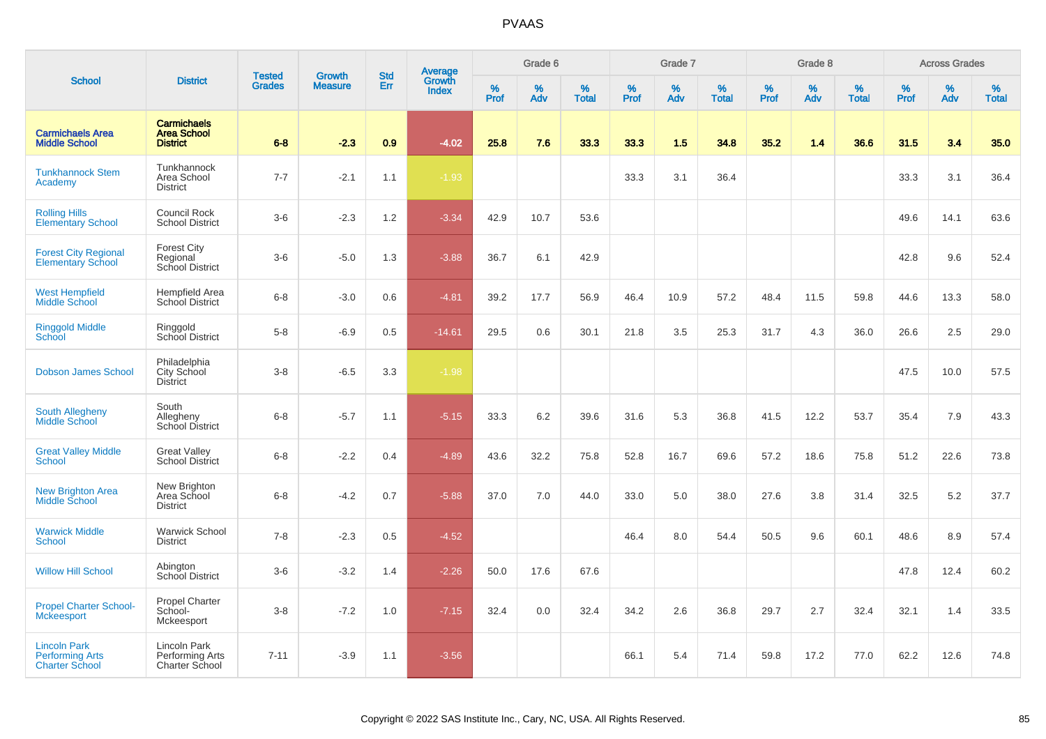|                                                                        |                                                             | <b>Tested</b> | <b>Growth</b>  | <b>Std</b> |                                          |                  | Grade 6     |                   |           | Grade 7     |                      |              | Grade 8  |                   |              | <b>Across Grades</b> |                   |
|------------------------------------------------------------------------|-------------------------------------------------------------|---------------|----------------|------------|------------------------------------------|------------------|-------------|-------------------|-----------|-------------|----------------------|--------------|----------|-------------------|--------------|----------------------|-------------------|
| <b>School</b>                                                          | <b>District</b>                                             | <b>Grades</b> | <b>Measure</b> | Err        | <b>Average</b><br>Growth<br><b>Index</b> | %<br><b>Prof</b> | $\%$<br>Adv | %<br><b>Total</b> | %<br>Prof | $\%$<br>Adv | $\%$<br><b>Total</b> | $\%$<br>Prof | %<br>Adv | %<br><b>Total</b> | $\%$<br>Prof | $\%$<br>Adv          | %<br><b>Total</b> |
| <b>Carmichaels Area</b><br><b>Middle School</b>                        | <b>Carmichaels</b><br><b>Area School</b><br><b>District</b> | $6 - 8$       | $-2.3$         | 0.9        | $-4.02$                                  | 25.8             | 7.6         | 33.3              | 33.3      | 1.5         | 34.8                 | 35.2         | 1.4      | 36.6              | 31.5         | 3.4                  | 35.0              |
| <b>Tunkhannock Stem</b><br>Academy                                     | Tunkhannock<br>Area School<br><b>District</b>               | $7 - 7$       | $-2.1$         | 1.1        | $-1.93$                                  |                  |             |                   | 33.3      | 3.1         | 36.4                 |              |          |                   | 33.3         | 3.1                  | 36.4              |
| <b>Rolling Hills</b><br><b>Elementary School</b>                       | Council Rock<br><b>School District</b>                      | $3-6$         | $-2.3$         | 1.2        | $-3.34$                                  | 42.9             | 10.7        | 53.6              |           |             |                      |              |          |                   | 49.6         | 14.1                 | 63.6              |
| <b>Forest City Regional</b><br><b>Elementary School</b>                | <b>Forest City</b><br>Regional<br>School District           | $3-6$         | $-5.0$         | 1.3        | $-3.88$                                  | 36.7             | 6.1         | 42.9              |           |             |                      |              |          |                   | 42.8         | 9.6                  | 52.4              |
| <b>West Hempfield</b><br>Middle School                                 | <b>Hempfield Area</b><br><b>School District</b>             | $6-8$         | $-3.0$         | 0.6        | $-4.81$                                  | 39.2             | 17.7        | 56.9              | 46.4      | 10.9        | 57.2                 | 48.4         | 11.5     | 59.8              | 44.6         | 13.3                 | 58.0              |
| <b>Ringgold Middle</b><br>School                                       | Ringgold<br>School District                                 | $5 - 8$       | $-6.9$         | 0.5        | $-14.61$                                 | 29.5             | 0.6         | 30.1              | 21.8      | 3.5         | 25.3                 | 31.7         | 4.3      | 36.0              | 26.6         | 2.5                  | 29.0              |
| <b>Dobson James School</b>                                             | Philadelphia<br>City School<br>District                     | $3-8$         | $-6.5$         | 3.3        | $-1.98$                                  |                  |             |                   |           |             |                      |              |          |                   | 47.5         | 10.0                 | 57.5              |
| South Allegheny<br>Middle School                                       | South<br>Allegheny<br>School District                       | $6-8$         | $-5.7$         | 1.1        | $-5.15$                                  | 33.3             | $6.2\,$     | 39.6              | 31.6      | 5.3         | 36.8                 | 41.5         | 12.2     | 53.7              | 35.4         | 7.9                  | 43.3              |
| <b>Great Valley Middle</b><br>School                                   | <b>Great Valley</b><br><b>School District</b>               | $6-8$         | $-2.2$         | 0.4        | $-4.89$                                  | 43.6             | 32.2        | 75.8              | 52.8      | 16.7        | 69.6                 | 57.2         | 18.6     | 75.8              | 51.2         | 22.6                 | 73.8              |
| <b>New Brighton Area</b><br>Middle School                              | New Brighton<br>Area School<br><b>District</b>              | $6-8$         | $-4.2$         | 0.7        | $-5.88$                                  | 37.0             | 7.0         | 44.0              | 33.0      | 5.0         | 38.0                 | 27.6         | 3.8      | 31.4              | 32.5         | 5.2                  | 37.7              |
| <b>Warwick Middle</b><br><b>School</b>                                 | <b>Warwick School</b><br><b>District</b>                    | $7 - 8$       | $-2.3$         | 0.5        | $-4.52$                                  |                  |             |                   | 46.4      | 8.0         | 54.4                 | 50.5         | 9.6      | 60.1              | 48.6         | 8.9                  | 57.4              |
| <b>Willow Hill School</b>                                              | Abington<br>School District                                 | $3-6$         | $-3.2$         | 1.4        | $-2.26$                                  | 50.0             | 17.6        | 67.6              |           |             |                      |              |          |                   | 47.8         | 12.4                 | 60.2              |
| <b>Propel Charter School-</b><br><b>Mckeesport</b>                     | <b>Propel Charter</b><br>School-<br>Mckeesport              | $3-8$         | $-7.2$         | 1.0        | $-7.15$                                  | 32.4             | 0.0         | 32.4              | 34.2      | 2.6         | 36.8                 | 29.7         | 2.7      | 32.4              | 32.1         | 1.4                  | 33.5              |
| <b>Lincoln Park</b><br><b>Performing Arts</b><br><b>Charter School</b> | Lincoln Park<br>Performing Arts<br><b>Charter School</b>    | $7 - 11$      | $-3.9$         | 1.1        | $-3.56$                                  |                  |             |                   | 66.1      | 5.4         | 71.4                 | 59.8         | 17.2     | 77.0              | 62.2         | 12.6                 | 74.8              |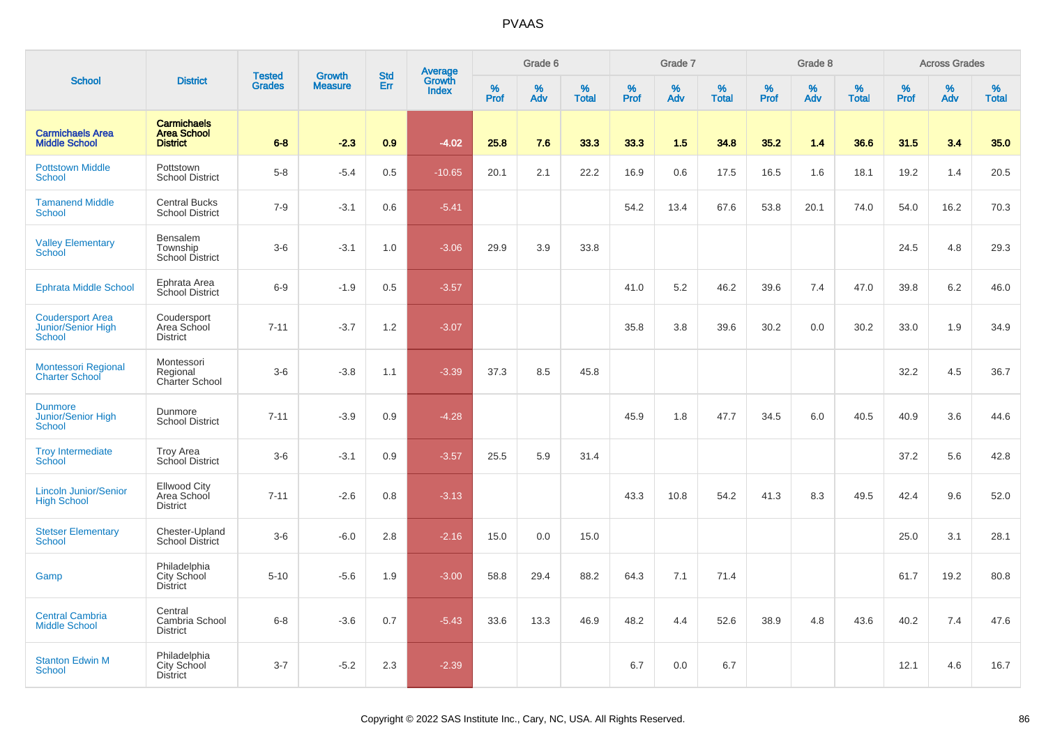|                                                                |                                                             | <b>Tested</b> | <b>Growth</b>  | <b>Std</b> |                                   |           | Grade 6  |                   |           | Grade 7  |                   |           | Grade 8  |                   |           | <b>Across Grades</b> |                   |
|----------------------------------------------------------------|-------------------------------------------------------------|---------------|----------------|------------|-----------------------------------|-----------|----------|-------------------|-----------|----------|-------------------|-----------|----------|-------------------|-----------|----------------------|-------------------|
| <b>School</b>                                                  | <b>District</b>                                             | <b>Grades</b> | <b>Measure</b> | Err        | Average<br>Growth<br><b>Index</b> | %<br>Prof | %<br>Adv | %<br><b>Total</b> | %<br>Prof | %<br>Adv | %<br><b>Total</b> | %<br>Prof | %<br>Adv | %<br><b>Total</b> | %<br>Prof | %<br>Adv             | %<br><b>Total</b> |
| <b>Carmichaels Area</b><br><b>Middle School</b>                | <b>Carmichaels</b><br><b>Area School</b><br><b>District</b> | $6 - 8$       | $-2.3$         | 0.9        | $-4.02$                           | 25.8      | 7.6      | 33.3              | 33.3      | 1.5      | 34.8              | 35.2      | 1.4      | 36.6              | 31.5      | 3.4                  | 35.0              |
| <b>Pottstown Middle</b><br><b>School</b>                       | Pottstown<br><b>School District</b>                         | $5 - 8$       | $-5.4$         | 0.5        | $-10.65$                          | 20.1      | 2.1      | 22.2              | 16.9      | 0.6      | 17.5              | 16.5      | 1.6      | 18.1              | 19.2      | 1.4                  | 20.5              |
| <b>Tamanend Middle</b><br><b>School</b>                        | <b>Central Bucks</b><br><b>School District</b>              | $7-9$         | $-3.1$         | 0.6        | $-5.41$                           |           |          |                   | 54.2      | 13.4     | 67.6              | 53.8      | 20.1     | 74.0              | 54.0      | 16.2                 | 70.3              |
| <b>Valley Elementary</b><br>School                             | Bensalem<br>Township<br><b>School District</b>              | $3-6$         | $-3.1$         | 1.0        | $-3.06$                           | 29.9      | 3.9      | 33.8              |           |          |                   |           |          |                   | 24.5      | 4.8                  | 29.3              |
| <b>Ephrata Middle School</b>                                   | Ephrata Area<br>School District                             | $6-9$         | $-1.9$         | 0.5        | $-3.57$                           |           |          |                   | 41.0      | 5.2      | 46.2              | 39.6      | 7.4      | 47.0              | 39.8      | 6.2                  | 46.0              |
| <b>Coudersport Area</b><br>Junior/Senior High<br><b>School</b> | Coudersport<br>Area School<br><b>District</b>               | $7 - 11$      | $-3.7$         | 1.2        | $-3.07$                           |           |          |                   | 35.8      | 3.8      | 39.6              | 30.2      | 0.0      | 30.2              | 33.0      | 1.9                  | 34.9              |
| Montessori Regional<br><b>Charter School</b>                   | Montessori<br>Regional<br>Charter School                    | $3-6$         | $-3.8$         | 1.1        | $-3.39$                           | 37.3      | 8.5      | 45.8              |           |          |                   |           |          |                   | 32.2      | 4.5                  | 36.7              |
| <b>Dunmore</b><br><b>Junior/Senior High</b><br><b>School</b>   | Dunmore<br><b>School District</b>                           | $7 - 11$      | $-3.9$         | 0.9        | $-4.28$                           |           |          |                   | 45.9      | 1.8      | 47.7              | 34.5      | 6.0      | 40.5              | 40.9      | 3.6                  | 44.6              |
| <b>Troy Intermediate</b><br>School                             | <b>Troy Area</b><br>School District                         | $3-6$         | $-3.1$         | 0.9        | $-3.57$                           | 25.5      | 5.9      | 31.4              |           |          |                   |           |          |                   | 37.2      | 5.6                  | 42.8              |
| <b>Lincoln Junior/Senior</b><br><b>High School</b>             | <b>Ellwood City</b><br>Area School<br>District              | $7 - 11$      | $-2.6$         | 0.8        | $-3.13$                           |           |          |                   | 43.3      | 10.8     | 54.2              | 41.3      | 8.3      | 49.5              | 42.4      | 9.6                  | 52.0              |
| <b>Stetser Elementary</b><br>School                            | Chester-Upland<br>School District                           | $3-6$         | $-6.0$         | 2.8        | $-2.16$                           | 15.0      | 0.0      | 15.0              |           |          |                   |           |          |                   | 25.0      | 3.1                  | 28.1              |
| Gamp                                                           | Philadelphia<br>City School<br><b>District</b>              | $5 - 10$      | $-5.6$         | 1.9        | $-3.00$                           | 58.8      | 29.4     | 88.2              | 64.3      | 7.1      | 71.4              |           |          |                   | 61.7      | 19.2                 | 80.8              |
| <b>Central Cambria</b><br><b>Middle School</b>                 | Central<br>Cambria School<br><b>District</b>                | $6 - 8$       | $-3.6$         | 0.7        | $-5.43$                           | 33.6      | 13.3     | 46.9              | 48.2      | 4.4      | 52.6              | 38.9      | 4.8      | 43.6              | 40.2      | 7.4                  | 47.6              |
| <b>Stanton Edwin M</b><br>School                               | Philadelphia<br>City School<br><b>District</b>              | $3 - 7$       | $-5.2$         | 2.3        | $-2.39$                           |           |          |                   | 6.7       | 0.0      | 6.7               |           |          |                   | 12.1      | 4.6                  | 16.7              |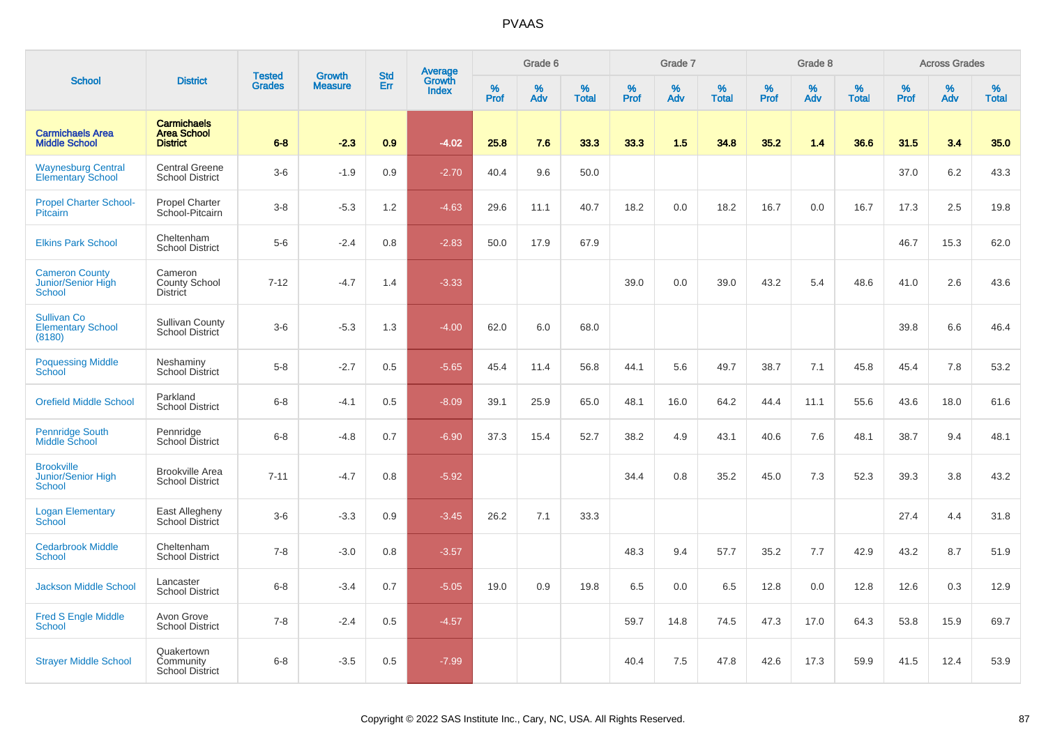|                                                                 |                                                             | <b>Tested</b> | <b>Growth</b>  | <b>Std</b> | <b>Average</b><br>Growth |                  | Grade 6  |                   |           | Grade 7  |                   |           | Grade 8  |                   |          | <b>Across Grades</b> |                   |
|-----------------------------------------------------------------|-------------------------------------------------------------|---------------|----------------|------------|--------------------------|------------------|----------|-------------------|-----------|----------|-------------------|-----------|----------|-------------------|----------|----------------------|-------------------|
| <b>School</b>                                                   | <b>District</b>                                             | <b>Grades</b> | <b>Measure</b> | Err        | <b>Index</b>             | %<br><b>Prof</b> | %<br>Adv | %<br><b>Total</b> | %<br>Prof | %<br>Adv | %<br><b>Total</b> | %<br>Prof | %<br>Adv | %<br><b>Total</b> | $%$ Prof | %<br>Adv             | %<br><b>Total</b> |
| <b>Carmichaels Area</b><br><b>Middle School</b>                 | <b>Carmichaels</b><br><b>Area School</b><br><b>District</b> | $6 - 8$       | $-2.3$         | 0.9        | $-4.02$                  | 25.8             | 7.6      | 33.3              | 33.3      | 1.5      | 34.8              | 35.2      | 1.4      | 36.6              | 31.5     | 3.4                  | 35.0              |
| <b>Waynesburg Central</b><br><b>Elementary School</b>           | <b>Central Greene</b><br><b>School District</b>             | $3-6$         | $-1.9$         | 0.9        | $-2.70$                  | 40.4             | 9.6      | 50.0              |           |          |                   |           |          |                   | 37.0     | 6.2                  | 43.3              |
| <b>Propel Charter School-</b><br>Pitcairn                       | Propel Charter<br>School-Pitcairn                           | $3-8$         | $-5.3$         | 1.2        | $-4.63$                  | 29.6             | 11.1     | 40.7              | 18.2      | 0.0      | 18.2              | 16.7      | 0.0      | 16.7              | 17.3     | 2.5                  | 19.8              |
| <b>Elkins Park School</b>                                       | Cheltenham<br><b>School District</b>                        | $5-6$         | $-2.4$         | 0.8        | $-2.83$                  | 50.0             | 17.9     | 67.9              |           |          |                   |           |          |                   | 46.7     | 15.3                 | 62.0              |
| <b>Cameron County</b><br>Junior/Senior High<br><b>School</b>    | Cameron<br><b>County School</b><br><b>District</b>          | $7 - 12$      | $-4.7$         | 1.4        | $-3.33$                  |                  |          |                   | 39.0      | 0.0      | 39.0              | 43.2      | 5.4      | 48.6              | 41.0     | 2.6                  | 43.6              |
| <b>Sullivan Co</b><br><b>Elementary School</b><br>(8180)        | <b>Sullivan County</b><br><b>School District</b>            | $3-6$         | $-5.3$         | 1.3        | $-4.00$                  | 62.0             | 6.0      | 68.0              |           |          |                   |           |          |                   | 39.8     | 6.6                  | 46.4              |
| <b>Poquessing Middle</b><br><b>School</b>                       | Neshaminy<br><b>School District</b>                         | $5-8$         | $-2.7$         | 0.5        | $-5.65$                  | 45.4             | 11.4     | 56.8              | 44.1      | 5.6      | 49.7              | 38.7      | 7.1      | 45.8              | 45.4     | 7.8                  | 53.2              |
| <b>Orefield Middle School</b>                                   | Parkland<br><b>School District</b>                          | $6-8$         | $-4.1$         | 0.5        | $-8.09$                  | 39.1             | 25.9     | 65.0              | 48.1      | 16.0     | 64.2              | 44.4      | 11.1     | 55.6              | 43.6     | 18.0                 | 61.6              |
| <b>Pennridge South</b><br>Middle School                         | Pennridge<br><b>School District</b>                         | $6 - 8$       | $-4.8$         | 0.7        | $-6.90$                  | 37.3             | 15.4     | 52.7              | 38.2      | 4.9      | 43.1              | 40.6      | 7.6      | 48.1              | 38.7     | 9.4                  | 48.1              |
| <b>Brookville</b><br><b>Junior/Senior High</b><br><b>School</b> | <b>Brookville Area</b><br><b>School District</b>            | $7 - 11$      | $-4.7$         | 0.8        | $-5.92$                  |                  |          |                   | 34.4      | 0.8      | 35.2              | 45.0      | 7.3      | 52.3              | 39.3     | 3.8                  | 43.2              |
| <b>Logan Elementary</b><br>School                               | East Allegheny<br>School District                           | $3-6$         | $-3.3$         | 0.9        | $-3.45$                  | 26.2             | 7.1      | 33.3              |           |          |                   |           |          |                   | 27.4     | 4.4                  | 31.8              |
| <b>Cedarbrook Middle</b><br><b>School</b>                       | Cheltenham<br><b>School District</b>                        | $7 - 8$       | $-3.0$         | 0.8        | $-3.57$                  |                  |          |                   | 48.3      | 9.4      | 57.7              | 35.2      | 7.7      | 42.9              | 43.2     | 8.7                  | 51.9              |
| <b>Jackson Middle School</b>                                    | Lancaster<br><b>School District</b>                         | $6 - 8$       | $-3.4$         | 0.7        | $-5.05$                  | 19.0             | 0.9      | 19.8              | 6.5       | 0.0      | 6.5               | 12.8      | 0.0      | 12.8              | 12.6     | 0.3                  | 12.9              |
| <b>Fred S Engle Middle</b><br><b>School</b>                     | Avon Grove<br><b>School District</b>                        | $7 - 8$       | $-2.4$         | 0.5        | $-4.57$                  |                  |          |                   | 59.7      | 14.8     | 74.5              | 47.3      | 17.0     | 64.3              | 53.8     | 15.9                 | 69.7              |
| <b>Strayer Middle School</b>                                    | Quakertown<br>Community<br><b>School District</b>           | $6-8$         | $-3.5$         | 0.5        | $-7.99$                  |                  |          |                   | 40.4      | 7.5      | 47.8              | 42.6      | 17.3     | 59.9              | 41.5     | 12.4                 | 53.9              |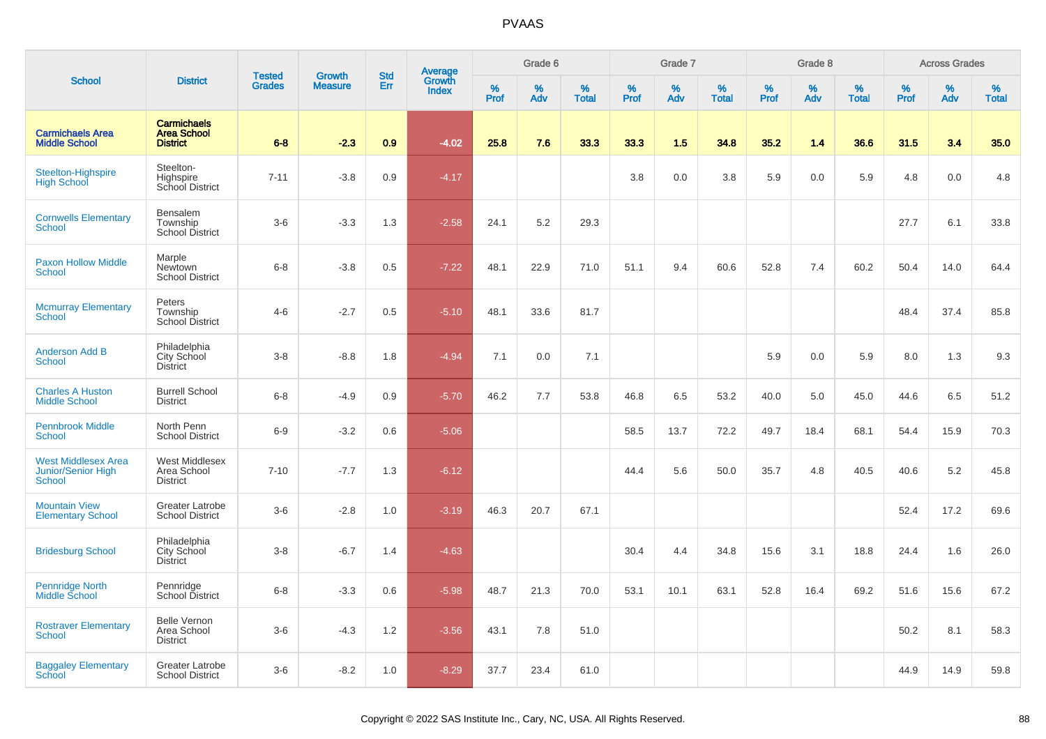|                                                            |                                                             |                                |                                 | <b>Std</b> |                                          |           | Grade 6  |                   |           | Grade 7  |                   |           | Grade 8  |                   |           | <b>Across Grades</b> |                   |
|------------------------------------------------------------|-------------------------------------------------------------|--------------------------------|---------------------------------|------------|------------------------------------------|-----------|----------|-------------------|-----------|----------|-------------------|-----------|----------|-------------------|-----------|----------------------|-------------------|
| <b>School</b>                                              | <b>District</b>                                             | <b>Tested</b><br><b>Grades</b> | <b>Growth</b><br><b>Measure</b> | Err        | <b>Average</b><br>Growth<br><b>Index</b> | %<br>Prof | %<br>Adv | %<br><b>Total</b> | %<br>Prof | %<br>Adv | %<br><b>Total</b> | %<br>Prof | %<br>Adv | %<br><b>Total</b> | %<br>Prof | %<br>Adv             | %<br><b>Total</b> |
| <b>Carmichaels Area</b><br><b>Middle School</b>            | <b>Carmichaels</b><br><b>Area School</b><br><b>District</b> | $6 - 8$                        | $-2.3$                          | 0.9        | $-4.02$                                  | 25.8      | 7.6      | 33.3              | 33.3      | 1.5      | 34.8              | 35.2      | 1.4      | 36.6              | 31.5      | 3.4                  | 35.0              |
| Steelton-Highspire<br><b>High School</b>                   | Steelton-<br>Highspire<br>School District                   | $7 - 11$                       | $-3.8$                          | 0.9        | $-4.17$                                  |           |          |                   | 3.8       | 0.0      | 3.8               | 5.9       | 0.0      | 5.9               | 4.8       | 0.0                  | 4.8               |
| <b>Cornwells Elementary</b><br><b>School</b>               | Bensalem<br>Township<br>School District                     | $3-6$                          | $-3.3$                          | 1.3        | $-2.58$                                  | 24.1      | 5.2      | 29.3              |           |          |                   |           |          |                   | 27.7      | 6.1                  | 33.8              |
| <b>Paxon Hollow Middle</b><br>School                       | Marple<br>Newtown<br><b>School District</b>                 | $6 - 8$                        | $-3.8$                          | 0.5        | $-7.22$                                  | 48.1      | 22.9     | 71.0              | 51.1      | 9.4      | 60.6              | 52.8      | 7.4      | 60.2              | 50.4      | 14.0                 | 64.4              |
| <b>Mcmurray Elementary</b><br>School                       | Peters<br>Township<br><b>School District</b>                | $4 - 6$                        | $-2.7$                          | 0.5        | $-5.10$                                  | 48.1      | 33.6     | 81.7              |           |          |                   |           |          |                   | 48.4      | 37.4                 | 85.8              |
| <b>Anderson Add B</b><br>School                            | Philadelphia<br>City School<br><b>District</b>              | $3-8$                          | $-8.8$                          | 1.8        | $-4.94$                                  | 7.1       | 0.0      | 7.1               |           |          |                   | 5.9       | 0.0      | 5.9               | 8.0       | 1.3                  | 9.3               |
| <b>Charles A Huston</b><br><b>Middle School</b>            | <b>Burrell School</b><br><b>District</b>                    | $6 - 8$                        | $-4.9$                          | 0.9        | $-5.70$                                  | 46.2      | 7.7      | 53.8              | 46.8      | 6.5      | 53.2              | 40.0      | 5.0      | 45.0              | 44.6      | 6.5                  | 51.2              |
| <b>Pennbrook Middle</b><br>School                          | North Penn<br><b>School District</b>                        | $6-9$                          | $-3.2$                          | 0.6        | $-5.06$                                  |           |          |                   | 58.5      | 13.7     | 72.2              | 49.7      | 18.4     | 68.1              | 54.4      | 15.9                 | 70.3              |
| <b>West Middlesex Area</b><br>Junior/Senior High<br>School | West Middlesex<br>Area School<br><b>District</b>            | $7 - 10$                       | $-7.7$                          | 1.3        | $-6.12$                                  |           |          |                   | 44.4      | 5.6      | 50.0              | 35.7      | 4.8      | 40.5              | 40.6      | 5.2                  | 45.8              |
| <b>Mountain View</b><br><b>Elementary School</b>           | Greater Latrobe<br><b>School District</b>                   | $3-6$                          | $-2.8$                          | 1.0        | $-3.19$                                  | 46.3      | 20.7     | 67.1              |           |          |                   |           |          |                   | 52.4      | 17.2                 | 69.6              |
| <b>Bridesburg School</b>                                   | Philadelphia<br>City School<br><b>District</b>              | $3-8$                          | $-6.7$                          | 1.4        | $-4.63$                                  |           |          |                   | 30.4      | 4.4      | 34.8              | 15.6      | 3.1      | 18.8              | 24.4      | 1.6                  | 26.0              |
| <b>Pennridge North</b><br>Middle School                    | Pennridge<br>School District                                | $6-8$                          | $-3.3$                          | 0.6        | $-5.98$                                  | 48.7      | 21.3     | 70.0              | 53.1      | 10.1     | 63.1              | 52.8      | 16.4     | 69.2              | 51.6      | 15.6                 | 67.2              |
| <b>Rostraver Elementary</b><br>School                      | <b>Belle Vernon</b><br>Area School<br><b>District</b>       | $3-6$                          | $-4.3$                          | 1.2        | $-3.56$                                  | 43.1      | 7.8      | 51.0              |           |          |                   |           |          |                   | 50.2      | 8.1                  | 58.3              |
| <b>Baggaley Elementary</b><br>School                       | Greater Latrobe<br><b>School District</b>                   | $3-6$                          | $-8.2$                          | 1.0        | $-8.29$                                  | 37.7      | 23.4     | 61.0              |           |          |                   |           |          |                   | 44.9      | 14.9                 | 59.8              |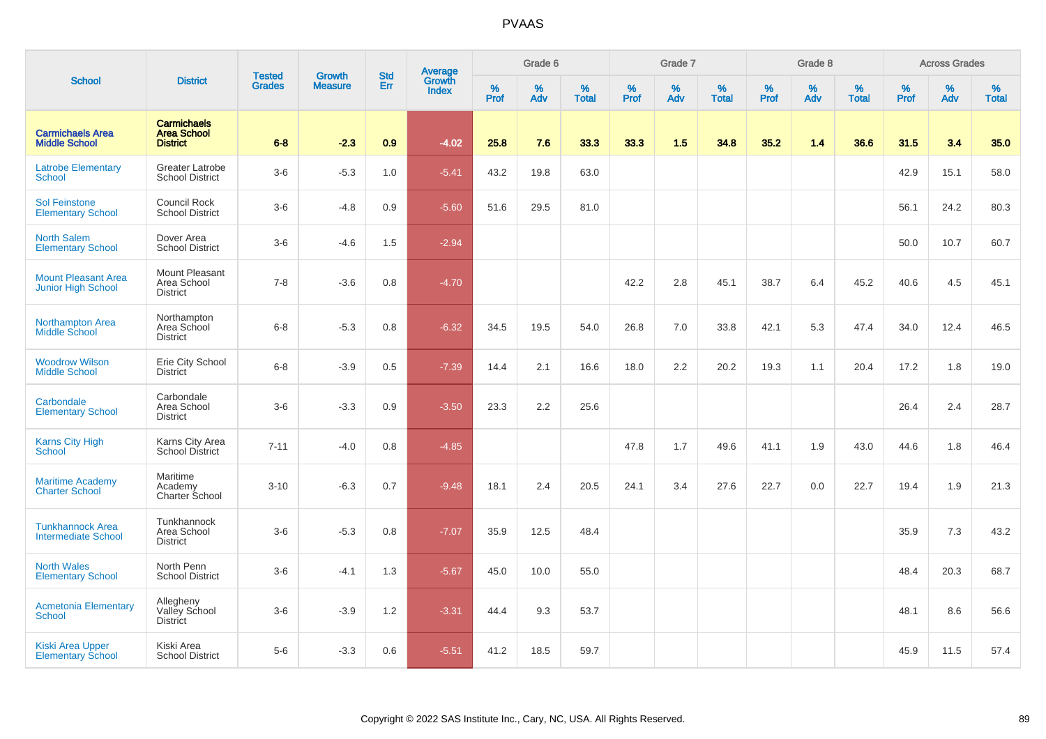|                                                         |                                                             |                                |                                 | <b>Std</b> |                                          |           | Grade 6  |                   |           | Grade 7  |                   |           | Grade 8  |                   |           | <b>Across Grades</b> |                   |
|---------------------------------------------------------|-------------------------------------------------------------|--------------------------------|---------------------------------|------------|------------------------------------------|-----------|----------|-------------------|-----------|----------|-------------------|-----------|----------|-------------------|-----------|----------------------|-------------------|
| <b>School</b>                                           | <b>District</b>                                             | <b>Tested</b><br><b>Grades</b> | <b>Growth</b><br><b>Measure</b> | Err        | <b>Average</b><br>Growth<br><b>Index</b> | %<br>Prof | %<br>Adv | %<br><b>Total</b> | %<br>Prof | %<br>Adv | %<br><b>Total</b> | %<br>Prof | %<br>Adv | %<br><b>Total</b> | %<br>Prof | $\%$<br>Adv          | %<br><b>Total</b> |
| <b>Carmichaels Area</b><br><b>Middle School</b>         | <b>Carmichaels</b><br><b>Area School</b><br><b>District</b> | $6 - 8$                        | $-2.3$                          | 0.9        | $-4.02$                                  | 25.8      | 7.6      | 33.3              | 33.3      | 1.5      | 34.8              | 35.2      | 1.4      | 36.6              | 31.5      | 3.4                  | 35.0              |
| <b>Latrobe Elementary</b><br>School                     | <b>Greater Latrobe</b><br><b>School District</b>            | $3-6$                          | $-5.3$                          | 1.0        | $-5.41$                                  | 43.2      | 19.8     | 63.0              |           |          |                   |           |          |                   | 42.9      | 15.1                 | 58.0              |
| <b>Sol Feinstone</b><br><b>Elementary School</b>        | Council Rock<br><b>School District</b>                      | $3-6$                          | $-4.8$                          | 0.9        | $-5.60$                                  | 51.6      | 29.5     | 81.0              |           |          |                   |           |          |                   | 56.1      | 24.2                 | 80.3              |
| <b>North Salem</b><br><b>Elementary School</b>          | Dover Area<br><b>School District</b>                        | $3-6$                          | $-4.6$                          | 1.5        | $-2.94$                                  |           |          |                   |           |          |                   |           |          |                   | 50.0      | 10.7                 | 60.7              |
| <b>Mount Pleasant Area</b><br><b>Junior High School</b> | Mount Pleasant<br>Area School<br><b>District</b>            | $7 - 8$                        | $-3.6$                          | 0.8        | $-4.70$                                  |           |          |                   | 42.2      | 2.8      | 45.1              | 38.7      | 6.4      | 45.2              | 40.6      | 4.5                  | 45.1              |
| Northampton Area<br><b>Middle School</b>                | Northampton<br>Area School<br><b>District</b>               | $6 - 8$                        | $-5.3$                          | 0.8        | $-6.32$                                  | 34.5      | 19.5     | 54.0              | 26.8      | 7.0      | 33.8              | 42.1      | 5.3      | 47.4              | 34.0      | 12.4                 | 46.5              |
| <b>Woodrow Wilson</b><br><b>Middle School</b>           | Erie City School<br><b>District</b>                         | $6 - 8$                        | $-3.9$                          | 0.5        | $-7.39$                                  | 14.4      | 2.1      | 16.6              | 18.0      | 2.2      | 20.2              | 19.3      | 1.1      | 20.4              | 17.2      | 1.8                  | 19.0              |
| Carbondale<br><b>Elementary School</b>                  | Carbondale<br>Area School<br><b>District</b>                | $3-6$                          | $-3.3$                          | 0.9        | $-3.50$                                  | 23.3      | 2.2      | 25.6              |           |          |                   |           |          |                   | 26.4      | 2.4                  | 28.7              |
| <b>Karns City High</b><br>School                        | Karns City Area<br>School District                          | $7 - 11$                       | $-4.0$                          | 0.8        | $-4.85$                                  |           |          |                   | 47.8      | 1.7      | 49.6              | 41.1      | 1.9      | 43.0              | 44.6      | 1.8                  | 46.4              |
| <b>Maritime Academy</b><br><b>Charter School</b>        | Maritime<br>Academy<br>Charter School                       | $3 - 10$                       | $-6.3$                          | 0.7        | $-9.48$                                  | 18.1      | 2.4      | 20.5              | 24.1      | 3.4      | 27.6              | 22.7      | 0.0      | 22.7              | 19.4      | 1.9                  | 21.3              |
| <b>Tunkhannock Area</b><br><b>Intermediate School</b>   | Tunkhannock<br>Area School<br><b>District</b>               | $3-6$                          | $-5.3$                          | 0.8        | $-7.07$                                  | 35.9      | 12.5     | 48.4              |           |          |                   |           |          |                   | 35.9      | 7.3                  | 43.2              |
| <b>North Wales</b><br><b>Elementary School</b>          | North Penn<br><b>School District</b>                        | $3-6$                          | $-4.1$                          | 1.3        | $-5.67$                                  | 45.0      | 10.0     | 55.0              |           |          |                   |           |          |                   | 48.4      | 20.3                 | 68.7              |
| <b>Acmetonia Elementary</b><br><b>School</b>            | Allegheny<br>Valley School<br><b>District</b>               | $3-6$                          | $-3.9$                          | 1.2        | $-3.31$                                  | 44.4      | 9.3      | 53.7              |           |          |                   |           |          |                   | 48.1      | 8.6                  | 56.6              |
| <b>Kiski Area Upper</b><br><b>Elementary School</b>     | Kiski Area<br><b>School District</b>                        | $5-6$                          | $-3.3$                          | 0.6        | $-5.51$                                  | 41.2      | 18.5     | 59.7              |           |          |                   |           |          |                   | 45.9      | 11.5                 | 57.4              |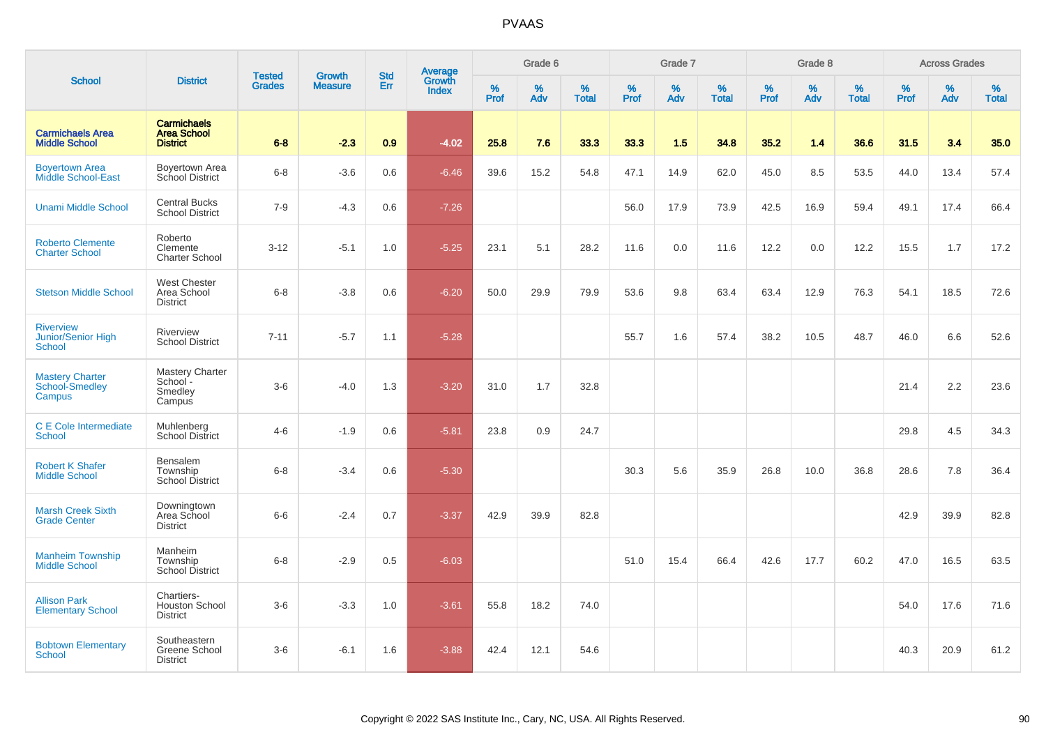|                                                         |                                                             |                                |                                 | <b>Std</b> |                                          |                  | Grade 6  |                   |           | Grade 7  |                   |           | Grade 8  |                   |           | <b>Across Grades</b> |                   |
|---------------------------------------------------------|-------------------------------------------------------------|--------------------------------|---------------------------------|------------|------------------------------------------|------------------|----------|-------------------|-----------|----------|-------------------|-----------|----------|-------------------|-----------|----------------------|-------------------|
| <b>School</b>                                           | <b>District</b>                                             | <b>Tested</b><br><b>Grades</b> | <b>Growth</b><br><b>Measure</b> | Err        | <b>Average</b><br>Growth<br><b>Index</b> | %<br><b>Prof</b> | %<br>Adv | %<br><b>Total</b> | %<br>Prof | %<br>Adv | %<br><b>Total</b> | %<br>Prof | %<br>Adv | %<br><b>Total</b> | %<br>Prof | %<br>Adv             | %<br><b>Total</b> |
| <b>Carmichaels Area</b><br><b>Middle School</b>         | <b>Carmichaels</b><br><b>Area School</b><br><b>District</b> | $6 - 8$                        | $-2.3$                          | 0.9        | $-4.02$                                  | 25.8             | 7.6      | 33.3              | 33.3      | 1.5      | 34.8              | 35.2      | 1.4      | 36.6              | 31.5      | 3.4                  | 35.0              |
| <b>Boyertown Area</b><br><b>Middle School-East</b>      | Boyertown Area<br>School District                           | $6 - 8$                        | $-3.6$                          | 0.6        | $-6.46$                                  | 39.6             | 15.2     | 54.8              | 47.1      | 14.9     | 62.0              | 45.0      | 8.5      | 53.5              | 44.0      | 13.4                 | 57.4              |
| <b>Unami Middle School</b>                              | <b>Central Bucks</b><br><b>School District</b>              | $7 - 9$                        | $-4.3$                          | 0.6        | $-7.26$                                  |                  |          |                   | 56.0      | 17.9     | 73.9              | 42.5      | 16.9     | 59.4              | 49.1      | 17.4                 | 66.4              |
| <b>Roberto Clemente</b><br><b>Charter School</b>        | Roberto<br>Clemente<br><b>Charter School</b>                | $3-12$                         | $-5.1$                          | 1.0        | $-5.25$                                  | 23.1             | 5.1      | 28.2              | 11.6      | 0.0      | 11.6              | 12.2      | 0.0      | 12.2              | 15.5      | 1.7                  | 17.2              |
| <b>Stetson Middle School</b>                            | <b>West Chester</b><br>Area School<br><b>District</b>       | $6-8$                          | $-3.8$                          | 0.6        | $-6.20$                                  | 50.0             | 29.9     | 79.9              | 53.6      | 9.8      | 63.4              | 63.4      | 12.9     | 76.3              | 54.1      | 18.5                 | 72.6              |
| <b>Riverview</b><br>Junior/Senior High<br><b>School</b> | Riverview<br><b>School District</b>                         | $7 - 11$                       | $-5.7$                          | 1.1        | $-5.28$                                  |                  |          |                   | 55.7      | 1.6      | 57.4              | 38.2      | 10.5     | 48.7              | 46.0      | 6.6                  | 52.6              |
| <b>Mastery Charter</b><br>School-Smedley<br>Campus      | <b>Mastery Charter</b><br>School-<br>Smedley<br>Campus      | $3-6$                          | $-4.0$                          | 1.3        | $-3.20$                                  | 31.0             | 1.7      | 32.8              |           |          |                   |           |          |                   | 21.4      | 2.2                  | 23.6              |
| C E Cole Intermediate<br><b>School</b>                  | Muhlenberg<br><b>School District</b>                        | $4 - 6$                        | $-1.9$                          | 0.6        | $-5.81$                                  | 23.8             | 0.9      | 24.7              |           |          |                   |           |          |                   | 29.8      | 4.5                  | 34.3              |
| <b>Robert K Shafer</b><br><b>Middle School</b>          | Bensalem<br>Township<br>School District                     | $6-8$                          | $-3.4$                          | 0.6        | $-5.30$                                  |                  |          |                   | 30.3      | 5.6      | 35.9              | 26.8      | 10.0     | 36.8              | 28.6      | 7.8                  | 36.4              |
| <b>Marsh Creek Sixth</b><br><b>Grade Center</b>         | Downingtown<br>Area School<br><b>District</b>               | $6-6$                          | $-2.4$                          | 0.7        | $-3.37$                                  | 42.9             | 39.9     | 82.8              |           |          |                   |           |          |                   | 42.9      | 39.9                 | 82.8              |
| <b>Manheim Township</b><br><b>Middle School</b>         | Manheim<br>Township<br><b>School District</b>               | $6-8$                          | $-2.9$                          | 0.5        | $-6.03$                                  |                  |          |                   | 51.0      | 15.4     | 66.4              | 42.6      | 17.7     | 60.2              | 47.0      | 16.5                 | 63.5              |
| <b>Allison Park</b><br><b>Elementary School</b>         | Chartiers-<br><b>Houston School</b><br><b>District</b>      | $3-6$                          | $-3.3$                          | 1.0        | $-3.61$                                  | 55.8             | 18.2     | 74.0              |           |          |                   |           |          |                   | 54.0      | 17.6                 | 71.6              |
| <b>Bobtown Elementary</b><br><b>School</b>              | Southeastern<br>Greene School<br><b>District</b>            | $3-6$                          | $-6.1$                          | 1.6        | $-3.88$                                  | 42.4             | 12.1     | 54.6              |           |          |                   |           |          |                   | 40.3      | 20.9                 | 61.2              |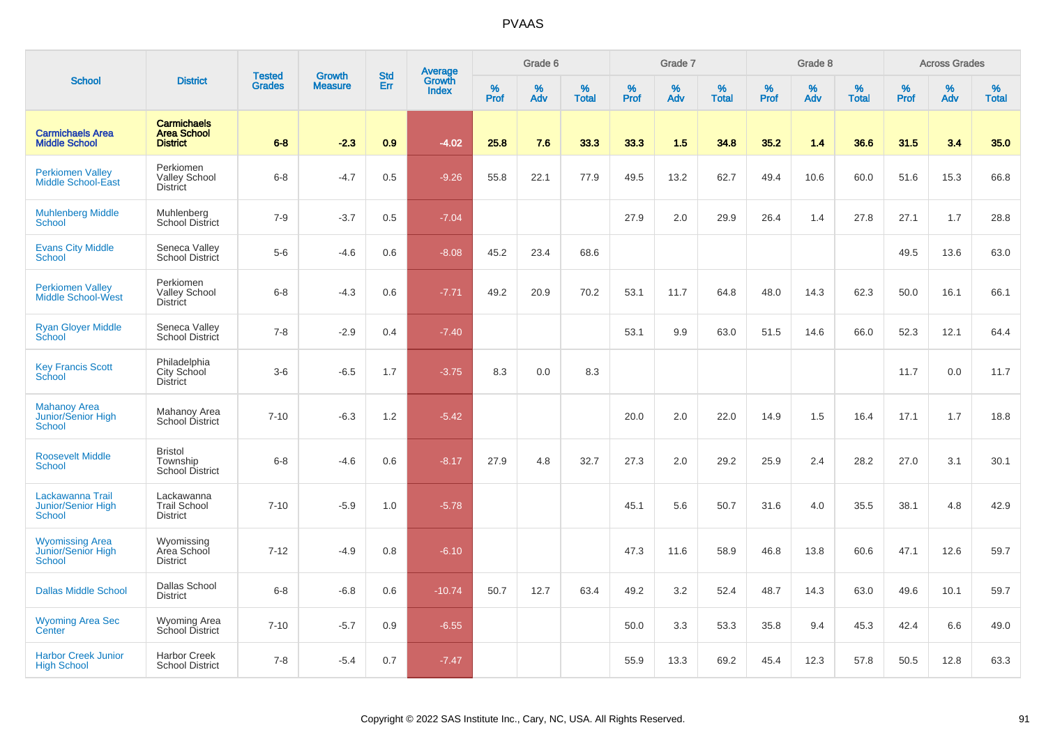|                                                            |                                                             | <b>Tested</b> | <b>Growth</b>  | <b>Std</b> |                                          |                  | Grade 6     |                   |           | Grade 7     |                   |           | Grade 8  |                   |              | <b>Across Grades</b> |                   |
|------------------------------------------------------------|-------------------------------------------------------------|---------------|----------------|------------|------------------------------------------|------------------|-------------|-------------------|-----------|-------------|-------------------|-----------|----------|-------------------|--------------|----------------------|-------------------|
| <b>School</b>                                              | <b>District</b>                                             | <b>Grades</b> | <b>Measure</b> | Err        | <b>Average</b><br>Growth<br><b>Index</b> | %<br><b>Prof</b> | $\%$<br>Adv | %<br><b>Total</b> | %<br>Prof | $\%$<br>Adv | %<br><b>Total</b> | %<br>Prof | %<br>Adv | %<br><b>Total</b> | $\%$<br>Prof | $\%$<br>Adv          | %<br><b>Total</b> |
| <b>Carmichaels Area</b><br><b>Middle School</b>            | <b>Carmichaels</b><br><b>Area School</b><br><b>District</b> | $6 - 8$       | $-2.3$         | 0.9        | $-4.02$                                  | 25.8             | 7.6         | 33.3              | 33.3      | 1.5         | 34.8              | 35.2      | 1.4      | 36.6              | 31.5         | 3.4                  | 35.0              |
| <b>Perkiomen Valley</b><br><b>Middle School-East</b>       | Perkiomen<br><b>Valley School</b><br><b>District</b>        | $6 - 8$       | $-4.7$         | 0.5        | $-9.26$                                  | 55.8             | 22.1        | 77.9              | 49.5      | 13.2        | 62.7              | 49.4      | 10.6     | 60.0              | 51.6         | 15.3                 | 66.8              |
| <b>Muhlenberg Middle</b><br><b>School</b>                  | Muhlenberg<br><b>School District</b>                        | $7 - 9$       | $-3.7$         | 0.5        | $-7.04$                                  |                  |             |                   | 27.9      | 2.0         | 29.9              | 26.4      | 1.4      | 27.8              | 27.1         | 1.7                  | 28.8              |
| <b>Evans City Middle</b><br>School                         | Seneca Valley<br>School District                            | $5-6$         | $-4.6$         | 0.6        | $-8.08$                                  | 45.2             | 23.4        | 68.6              |           |             |                   |           |          |                   | 49.5         | 13.6                 | 63.0              |
| <b>Perkiomen Valley</b><br>Middle School-West              | Perkiomen<br><b>Valley School</b><br><b>District</b>        | $6-8$         | $-4.3$         | 0.6        | $-7.71$                                  | 49.2             | 20.9        | 70.2              | 53.1      | 11.7        | 64.8              | 48.0      | 14.3     | 62.3              | 50.0         | 16.1                 | 66.1              |
| <b>Ryan Gloyer Middle</b><br>School                        | Seneca Valley<br>School District                            | $7 - 8$       | $-2.9$         | 0.4        | $-7.40$                                  |                  |             |                   | 53.1      | 9.9         | 63.0              | 51.5      | 14.6     | 66.0              | 52.3         | 12.1                 | 64.4              |
| <b>Key Francis Scott</b><br>School                         | Philadelphia<br>City School<br><b>District</b>              | $3-6$         | $-6.5$         | 1.7        | $-3.75$                                  | 8.3              | 0.0         | 8.3               |           |             |                   |           |          |                   | 11.7         | 0.0                  | 11.7              |
| <b>Mahanoy Area</b><br>Junior/Senior High<br><b>School</b> | Mahanoy Area<br>School District                             | $7 - 10$      | $-6.3$         | 1.2        | $-5.42$                                  |                  |             |                   | 20.0      | 2.0         | 22.0              | 14.9      | 1.5      | 16.4              | 17.1         | 1.7                  | 18.8              |
| <b>Roosevelt Middle</b><br><b>School</b>                   | <b>Bristol</b><br>Township<br>School District               | $6 - 8$       | $-4.6$         | 0.6        | $-8.17$                                  | 27.9             | 4.8         | 32.7              | 27.3      | 2.0         | 29.2              | 25.9      | 2.4      | 28.2              | 27.0         | 3.1                  | 30.1              |
| Lackawanna Trail<br>Junior/Senior High<br><b>School</b>    | Lackawanna<br><b>Trail School</b><br><b>District</b>        | $7 - 10$      | $-5.9$         | 1.0        | $-5.78$                                  |                  |             |                   | 45.1      | 5.6         | 50.7              | 31.6      | 4.0      | 35.5              | 38.1         | 4.8                  | 42.9              |
| <b>Wyomissing Area</b><br>Junior/Senior High<br>School     | Wyomissing<br>Area School<br><b>District</b>                | $7 - 12$      | $-4.9$         | 0.8        | $-6.10$                                  |                  |             |                   | 47.3      | 11.6        | 58.9              | 46.8      | 13.8     | 60.6              | 47.1         | 12.6                 | 59.7              |
| <b>Dallas Middle School</b>                                | <b>Dallas School</b><br><b>District</b>                     | $6 - 8$       | $-6.8$         | 0.6        | $-10.74$                                 | 50.7             | 12.7        | 63.4              | 49.2      | 3.2         | 52.4              | 48.7      | 14.3     | 63.0              | 49.6         | 10.1                 | 59.7              |
| <b>Wyoming Area Sec</b><br>Center                          | <b>Wyoming Area</b><br>School District                      | $7 - 10$      | $-5.7$         | 0.9        | $-6.55$                                  |                  |             |                   | 50.0      | 3.3         | 53.3              | 35.8      | 9.4      | 45.3              | 42.4         | 6.6                  | 49.0              |
| <b>Harbor Creek Junior</b><br><b>High School</b>           | <b>Harbor Creek</b><br><b>School District</b>               | $7 - 8$       | $-5.4$         | 0.7        | $-7.47$                                  |                  |             |                   | 55.9      | 13.3        | 69.2              | 45.4      | 12.3     | 57.8              | 50.5         | 12.8                 | 63.3              |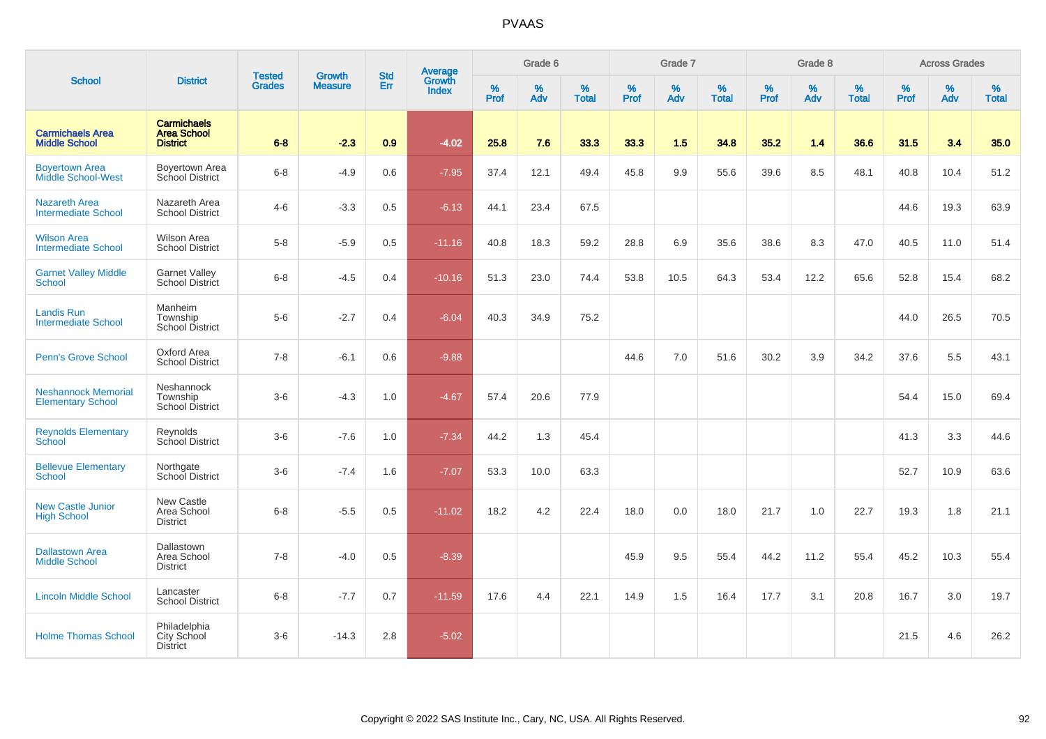|                                                        |                                                             | <b>Tested</b> | <b>Growth</b>  | <b>Std</b> |                                          |           | Grade 6  |                   |           | Grade 7  |                   |           | Grade 8  |                   |           | <b>Across Grades</b> |                   |
|--------------------------------------------------------|-------------------------------------------------------------|---------------|----------------|------------|------------------------------------------|-----------|----------|-------------------|-----------|----------|-------------------|-----------|----------|-------------------|-----------|----------------------|-------------------|
| <b>School</b>                                          | <b>District</b>                                             | <b>Grades</b> | <b>Measure</b> | Err        | <b>Average</b><br>Growth<br><b>Index</b> | %<br>Prof | %<br>Adv | %<br><b>Total</b> | %<br>Prof | %<br>Adv | %<br><b>Total</b> | %<br>Prof | %<br>Adv | %<br><b>Total</b> | %<br>Prof | $\%$<br>Adv          | %<br><b>Total</b> |
| <b>Carmichaels Area</b><br><b>Middle School</b>        | <b>Carmichaels</b><br><b>Area School</b><br><b>District</b> | $6 - 8$       | $-2.3$         | 0.9        | $-4.02$                                  | 25.8      | 7.6      | 33.3              | 33.3      | 1.5      | 34.8              | 35.2      | 1.4      | 36.6              | 31.5      | 3.4                  | 35.0              |
| <b>Boyertown Area</b><br><b>Middle School-West</b>     | Boyertown Area<br>School District                           | $6 - 8$       | $-4.9$         | 0.6        | $-7.95$                                  | 37.4      | 12.1     | 49.4              | 45.8      | 9.9      | 55.6              | 39.6      | 8.5      | 48.1              | 40.8      | 10.4                 | 51.2              |
| <b>Nazareth Area</b><br><b>Intermediate School</b>     | Nazareth Area<br><b>School District</b>                     | $4 - 6$       | $-3.3$         | 0.5        | $-6.13$                                  | 44.1      | 23.4     | 67.5              |           |          |                   |           |          |                   | 44.6      | 19.3                 | 63.9              |
| <b>Wilson Area</b><br><b>Intermediate School</b>       | <b>Wilson Area</b><br><b>School District</b>                | $5-8$         | $-5.9$         | 0.5        | $-11.16$                                 | 40.8      | 18.3     | 59.2              | 28.8      | 6.9      | 35.6              | 38.6      | 8.3      | 47.0              | 40.5      | 11.0                 | 51.4              |
| <b>Garnet Valley Middle</b><br><b>School</b>           | <b>Garnet Valley</b><br>School District                     | $6 - 8$       | $-4.5$         | 0.4        | $-10.16$                                 | 51.3      | 23.0     | 74.4              | 53.8      | 10.5     | 64.3              | 53.4      | 12.2     | 65.6              | 52.8      | 15.4                 | 68.2              |
| Landis Run<br><b>Intermediate School</b>               | Manheim<br>Township<br><b>School District</b>               | $5-6$         | $-2.7$         | 0.4        | $-6.04$                                  | 40.3      | 34.9     | 75.2              |           |          |                   |           |          |                   | 44.0      | 26.5                 | 70.5              |
| <b>Penn's Grove School</b>                             | Oxford Area<br><b>School District</b>                       | $7 - 8$       | $-6.1$         | 0.6        | $-9.88$                                  |           |          |                   | 44.6      | 7.0      | 51.6              | 30.2      | 3.9      | 34.2              | 37.6      | 5.5                  | 43.1              |
| <b>Neshannock Memorial</b><br><b>Elementary School</b> | Neshannock<br>Township<br><b>School District</b>            | $3-6$         | $-4.3$         | 1.0        | $-4.67$                                  | 57.4      | 20.6     | 77.9              |           |          |                   |           |          |                   | 54.4      | 15.0                 | 69.4              |
| <b>Reynolds Elementary</b><br>School                   | Reynolds<br>School District                                 | $3-6$         | $-7.6$         | 1.0        | $-7.34$                                  | 44.2      | 1.3      | 45.4              |           |          |                   |           |          |                   | 41.3      | 3.3                  | 44.6              |
| <b>Bellevue Elementary</b><br><b>School</b>            | Northgate<br>School District                                | $3-6$         | $-7.4$         | 1.6        | $-7.07$                                  | 53.3      | 10.0     | 63.3              |           |          |                   |           |          |                   | 52.7      | 10.9                 | 63.6              |
| <b>New Castle Junior</b><br><b>High School</b>         | New Castle<br>Area School<br><b>District</b>                | $6 - 8$       | $-5.5$         | 0.5        | $-11.02$                                 | 18.2      | 4.2      | 22.4              | 18.0      | 0.0      | 18.0              | 21.7      | 1.0      | 22.7              | 19.3      | 1.8                  | 21.1              |
| <b>Dallastown Area</b><br><b>Middle School</b>         | Dallastown<br>Area School<br><b>District</b>                | $7 - 8$       | $-4.0$         | 0.5        | $-8.39$                                  |           |          |                   | 45.9      | 9.5      | 55.4              | 44.2      | 11.2     | 55.4              | 45.2      | 10.3                 | 55.4              |
| <b>Lincoln Middle School</b>                           | Lancaster<br><b>School District</b>                         | $6 - 8$       | $-7.7$         | 0.7        | $-11.59$                                 | 17.6      | 4.4      | 22.1              | 14.9      | 1.5      | 16.4              | 17.7      | 3.1      | 20.8              | 16.7      | 3.0                  | 19.7              |
| <b>Holme Thomas School</b>                             | Philadelphia<br>City School<br><b>District</b>              | $3 - 6$       | $-14.3$        | 2.8        | $-5.02$                                  |           |          |                   |           |          |                   |           |          |                   | 21.5      | 4.6                  | 26.2              |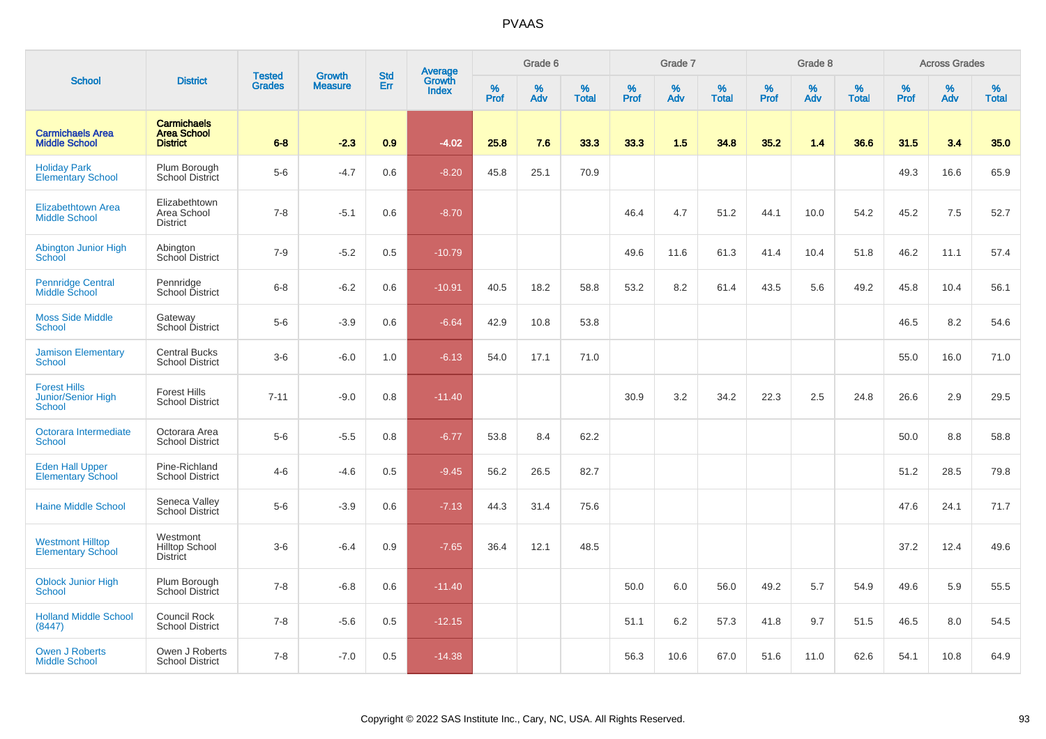|                                                                   |                                                             | <b>Tested</b> | <b>Growth</b>  | <b>Std</b> |                                          |                  | Grade 6     |                   |                     | Grade 7     |                   |           | Grade 8  |                   |                     | <b>Across Grades</b> |                   |
|-------------------------------------------------------------------|-------------------------------------------------------------|---------------|----------------|------------|------------------------------------------|------------------|-------------|-------------------|---------------------|-------------|-------------------|-----------|----------|-------------------|---------------------|----------------------|-------------------|
| <b>School</b>                                                     | <b>District</b>                                             | <b>Grades</b> | <b>Measure</b> | <b>Err</b> | <b>Average</b><br>Growth<br><b>Index</b> | %<br><b>Prof</b> | $\%$<br>Adv | %<br><b>Total</b> | $\%$<br><b>Prof</b> | $\%$<br>Adv | %<br><b>Total</b> | %<br>Prof | %<br>Adv | %<br><b>Total</b> | $\%$<br><b>Prof</b> | $\%$<br>Adv          | %<br><b>Total</b> |
| <b>Carmichaels Area</b><br><b>Middle School</b>                   | <b>Carmichaels</b><br><b>Area School</b><br><b>District</b> | $6 - 8$       | $-2.3$         | 0.9        | $-4.02$                                  | 25.8             | 7.6         | 33.3              | 33.3                | 1.5         | 34.8              | 35.2      | 1.4      | 36.6              | 31.5                | 3.4                  | 35.0              |
| <b>Holiday Park</b><br><b>Elementary School</b>                   | Plum Borough<br>School District                             | $5-6$         | $-4.7$         | 0.6        | $-8.20$                                  | 45.8             | 25.1        | 70.9              |                     |             |                   |           |          |                   | 49.3                | 16.6                 | 65.9              |
| <b>Elizabethtown Area</b><br><b>Middle School</b>                 | Elizabethtown<br>Area School<br><b>District</b>             | $7 - 8$       | $-5.1$         | 0.6        | $-8.70$                                  |                  |             |                   | 46.4                | 4.7         | 51.2              | 44.1      | 10.0     | 54.2              | 45.2                | 7.5                  | 52.7              |
| Abington Junior High<br><b>School</b>                             | Abington<br>School District                                 | $7 - 9$       | $-5.2$         | 0.5        | $-10.79$                                 |                  |             |                   | 49.6                | 11.6        | 61.3              | 41.4      | 10.4     | 51.8              | 46.2                | 11.1                 | 57.4              |
| <b>Pennridge Central</b><br>Middle School                         | Pennridge<br>School District                                | $6-8$         | $-6.2$         | 0.6        | $-10.91$                                 | 40.5             | 18.2        | 58.8              | 53.2                | 8.2         | 61.4              | 43.5      | 5.6      | 49.2              | 45.8                | 10.4                 | 56.1              |
| <b>Moss Side Middle</b><br><b>School</b>                          | Gateway<br>School District                                  | $5-6$         | $-3.9$         | 0.6        | $-6.64$                                  | 42.9             | 10.8        | 53.8              |                     |             |                   |           |          |                   | 46.5                | 8.2                  | 54.6              |
| <b>Jamison Elementary</b><br><b>School</b>                        | <b>Central Bucks</b><br><b>School District</b>              | $3-6$         | $-6.0$         | 1.0        | $-6.13$                                  | 54.0             | 17.1        | 71.0              |                     |             |                   |           |          |                   | 55.0                | 16.0                 | 71.0              |
| <b>Forest Hills</b><br><b>Junior/Senior High</b><br><b>School</b> | <b>Forest Hills</b><br><b>School District</b>               | $7 - 11$      | $-9.0$         | 0.8        | $-11.40$                                 |                  |             |                   | 30.9                | 3.2         | 34.2              | 22.3      | 2.5      | 24.8              | 26.6                | 2.9                  | 29.5              |
| Octorara Intermediate<br><b>School</b>                            | Octorara Area<br><b>School District</b>                     | $5-6$         | $-5.5$         | 0.8        | $-6.77$                                  | 53.8             | 8.4         | 62.2              |                     |             |                   |           |          |                   | 50.0                | 8.8                  | 58.8              |
| <b>Eden Hall Upper</b><br><b>Elementary School</b>                | Pine-Richland<br><b>School District</b>                     | $4 - 6$       | $-4.6$         | 0.5        | $-9.45$                                  | 56.2             | 26.5        | 82.7              |                     |             |                   |           |          |                   | 51.2                | 28.5                 | 79.8              |
| <b>Haine Middle School</b>                                        | Seneca Valley<br>School District                            | $5-6$         | $-3.9$         | 0.6        | $-7.13$                                  | 44.3             | 31.4        | 75.6              |                     |             |                   |           |          |                   | 47.6                | 24.1                 | 71.7              |
| <b>Westmont Hilltop</b><br><b>Elementary School</b>               | Westmont<br><b>Hilltop School</b><br><b>District</b>        | $3-6$         | $-6.4$         | 0.9        | $-7.65$                                  | 36.4             | 12.1        | 48.5              |                     |             |                   |           |          |                   | 37.2                | 12.4                 | 49.6              |
| <b>Oblock Junior High</b><br><b>School</b>                        | Plum Borough<br>School District                             | $7 - 8$       | $-6.8$         | 0.6        | $-11.40$                                 |                  |             |                   | 50.0                | 6.0         | 56.0              | 49.2      | 5.7      | 54.9              | 49.6                | 5.9                  | 55.5              |
| <b>Holland Middle School</b><br>(8447)                            | <b>Council Rock</b><br><b>School District</b>               | $7 - 8$       | $-5.6$         | 0.5        | $-12.15$                                 |                  |             |                   | 51.1                | 6.2         | 57.3              | 41.8      | 9.7      | 51.5              | 46.5                | 8.0                  | 54.5              |
| <b>Owen J Roberts</b><br><b>Middle School</b>                     | Owen J Roberts<br><b>School District</b>                    | $7 - 8$       | $-7.0$         | 0.5        | $-14.38$                                 |                  |             |                   | 56.3                | 10.6        | 67.0              | 51.6      | 11.0     | 62.6              | 54.1                | 10.8                 | 64.9              |